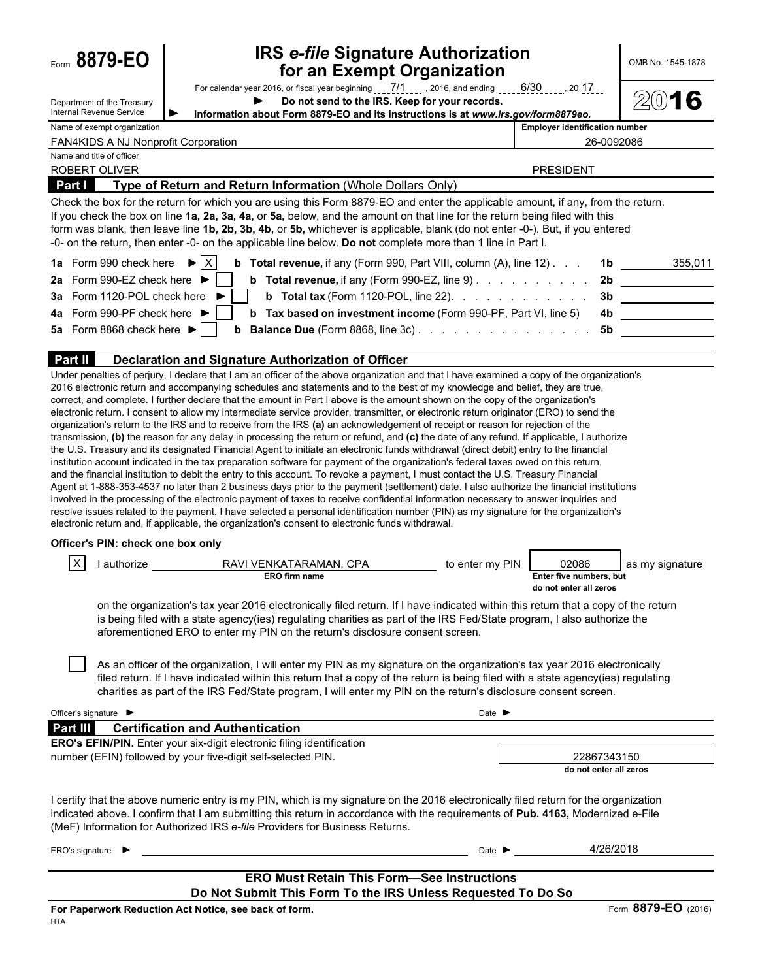| Form 8879-EO                                            | <b>IRS e-file Signature Authorization</b><br>for an Exempt Organization                                                                                                                                                                                                                                                                                                                                                                                                                                                                                                                                                                                                                                                                                                                                                                                                                                                                                                                                                                                                                                                                                                                                                                                                                                                                                                                                                                                                                                                                                                                                                                   |                                                            | OMB No. 1545-1878                            |
|---------------------------------------------------------|-------------------------------------------------------------------------------------------------------------------------------------------------------------------------------------------------------------------------------------------------------------------------------------------------------------------------------------------------------------------------------------------------------------------------------------------------------------------------------------------------------------------------------------------------------------------------------------------------------------------------------------------------------------------------------------------------------------------------------------------------------------------------------------------------------------------------------------------------------------------------------------------------------------------------------------------------------------------------------------------------------------------------------------------------------------------------------------------------------------------------------------------------------------------------------------------------------------------------------------------------------------------------------------------------------------------------------------------------------------------------------------------------------------------------------------------------------------------------------------------------------------------------------------------------------------------------------------------------------------------------------------------|------------------------------------------------------------|----------------------------------------------|
| Department of the Treasury                              | For calendar year 2016, or fiscal year beginning $\frac{7}{1}$ , $\frac{7}{1}$ , 2016, and ending $\frac{6}{30}$ , $\frac{6}{30}$ , 2017<br>Do not send to the IRS. Keep for your records.                                                                                                                                                                                                                                                                                                                                                                                                                                                                                                                                                                                                                                                                                                                                                                                                                                                                                                                                                                                                                                                                                                                                                                                                                                                                                                                                                                                                                                                |                                                            | 2016                                         |
| Internal Revenue Service<br>Name of exempt organization | Information about Form 8879-EO and its instructions is at www.irs.gov/form8879eo.                                                                                                                                                                                                                                                                                                                                                                                                                                                                                                                                                                                                                                                                                                                                                                                                                                                                                                                                                                                                                                                                                                                                                                                                                                                                                                                                                                                                                                                                                                                                                         | <b>Employer identification number</b>                      |                                              |
| <b>FAN4KIDS A NJ Nonprofit Corporation</b>              |                                                                                                                                                                                                                                                                                                                                                                                                                                                                                                                                                                                                                                                                                                                                                                                                                                                                                                                                                                                                                                                                                                                                                                                                                                                                                                                                                                                                                                                                                                                                                                                                                                           |                                                            | 26-0092086                                   |
| Name and title of officer                               |                                                                                                                                                                                                                                                                                                                                                                                                                                                                                                                                                                                                                                                                                                                                                                                                                                                                                                                                                                                                                                                                                                                                                                                                                                                                                                                                                                                                                                                                                                                                                                                                                                           |                                                            |                                              |
| ROBERT OLIVER                                           |                                                                                                                                                                                                                                                                                                                                                                                                                                                                                                                                                                                                                                                                                                                                                                                                                                                                                                                                                                                                                                                                                                                                                                                                                                                                                                                                                                                                                                                                                                                                                                                                                                           | <b>PRESIDENT</b>                                           |                                              |
| <b>Part I</b>                                           | Type of Return and Return Information (Whole Dollars Only)                                                                                                                                                                                                                                                                                                                                                                                                                                                                                                                                                                                                                                                                                                                                                                                                                                                                                                                                                                                                                                                                                                                                                                                                                                                                                                                                                                                                                                                                                                                                                                                |                                                            |                                              |
| 1a Form 990 check here $\blacktriangleright$ $\mid$ X   | Check the box for the return for which you are using this Form 8879-EO and enter the applicable amount, if any, from the return.<br>If you check the box on line 1a, 2a, 3a, 4a, or 5a, below, and the amount on that line for the return being filed with this<br>form was blank, then leave line 1b, 2b, 3b, 4b, or 5b, whichever is applicable, blank (do not enter -0-). But, if you entered<br>-0- on the return, then enter -0- on the applicable line below. Do not complete more than 1 line in Part I.<br><b>b</b> Total revenue, if any (Form 990, Part VIII, column (A), line 12)                                                                                                                                                                                                                                                                                                                                                                                                                                                                                                                                                                                                                                                                                                                                                                                                                                                                                                                                                                                                                                              |                                                            | <b>1b</b> 355,011                            |
| 2a Form 990-EZ check here ▶                             | <b>b</b> Total revenue, if any (Form 990-EZ, line 9) $\ldots$ $\ldots$ $\ldots$ $\ldots$ $\ldots$ 2b                                                                                                                                                                                                                                                                                                                                                                                                                                                                                                                                                                                                                                                                                                                                                                                                                                                                                                                                                                                                                                                                                                                                                                                                                                                                                                                                                                                                                                                                                                                                      |                                                            |                                              |
| 3a Form 1120-POL check here                             | <b>b</b> Total tax (Form 1120-POL, line 22). $\ldots$ $\ldots$ $\ldots$ $\ldots$                                                                                                                                                                                                                                                                                                                                                                                                                                                                                                                                                                                                                                                                                                                                                                                                                                                                                                                                                                                                                                                                                                                                                                                                                                                                                                                                                                                                                                                                                                                                                          | 3 <sub>b</sub>                                             |                                              |
|                                                         |                                                                                                                                                                                                                                                                                                                                                                                                                                                                                                                                                                                                                                                                                                                                                                                                                                                                                                                                                                                                                                                                                                                                                                                                                                                                                                                                                                                                                                                                                                                                                                                                                                           |                                                            | <u> 1986 - Johann Stoff, Amerikaansk kon</u> |
| 4a Form 990-PF check here ▶                             | <b>b</b> Tax based on investment income (Form 990-PF, Part VI, line 5)                                                                                                                                                                                                                                                                                                                                                                                                                                                                                                                                                                                                                                                                                                                                                                                                                                                                                                                                                                                                                                                                                                                                                                                                                                                                                                                                                                                                                                                                                                                                                                    | 4b                                                         |                                              |
| 5a Form 8868 check here ▶                               | <b>b</b> Balance Due (Form 8868, line 3c)                                                                                                                                                                                                                                                                                                                                                                                                                                                                                                                                                                                                                                                                                                                                                                                                                                                                                                                                                                                                                                                                                                                                                                                                                                                                                                                                                                                                                                                                                                                                                                                                 | 5b                                                         |                                              |
|                                                         |                                                                                                                                                                                                                                                                                                                                                                                                                                                                                                                                                                                                                                                                                                                                                                                                                                                                                                                                                                                                                                                                                                                                                                                                                                                                                                                                                                                                                                                                                                                                                                                                                                           |                                                            |                                              |
| Part II                                                 | Declaration and Signature Authorization of Officer<br>Under penalties of perjury, I declare that I am an officer of the above organization and that I have examined a copy of the organization's                                                                                                                                                                                                                                                                                                                                                                                                                                                                                                                                                                                                                                                                                                                                                                                                                                                                                                                                                                                                                                                                                                                                                                                                                                                                                                                                                                                                                                          |                                                            |                                              |
| Officer's PIN: check one box only                       | 2016 electronic return and accompanying schedules and statements and to the best of my knowledge and belief, they are true,<br>correct, and complete. I further declare that the amount in Part I above is the amount shown on the copy of the organization's<br>electronic return. I consent to allow my intermediate service provider, transmitter, or electronic return originator (ERO) to send the<br>organization's return to the IRS and to receive from the IRS (a) an acknowledgement of receipt or reason for rejection of the<br>transmission, (b) the reason for any delay in processing the return or refund, and (c) the date of any refund. If applicable, I authorize<br>the U.S. Treasury and its designated Financial Agent to initiate an electronic funds withdrawal (direct debit) entry to the financial<br>institution account indicated in the tax preparation software for payment of the organization's federal taxes owed on this return,<br>and the financial institution to debit the entry to this account. To revoke a payment, I must contact the U.S. Treasury Financial<br>Agent at 1-888-353-4537 no later than 2 business days prior to the payment (settlement) date. I also authorize the financial institutions<br>involved in the processing of the electronic payment of taxes to receive confidential information necessary to answer inquiries and<br>resolve issues related to the payment. I have selected a personal identification number (PIN) as my signature for the organization's<br>electronic return and, if applicable, the organization's consent to electronic funds withdrawal. |                                                            |                                              |
|                                                         |                                                                                                                                                                                                                                                                                                                                                                                                                                                                                                                                                                                                                                                                                                                                                                                                                                                                                                                                                                                                                                                                                                                                                                                                                                                                                                                                                                                                                                                                                                                                                                                                                                           |                                                            |                                              |
| $\times$<br>I authorize                                 | RAVI VENKATARAMAN, CPA<br>to enter my PIN<br><b>ERO firm name</b>                                                                                                                                                                                                                                                                                                                                                                                                                                                                                                                                                                                                                                                                                                                                                                                                                                                                                                                                                                                                                                                                                                                                                                                                                                                                                                                                                                                                                                                                                                                                                                         | 02086<br>Enter five numbers, but<br>do not enter all zeros | as my signature                              |
|                                                         | on the organization's tax year 2016 electronically filed return. If I have indicated within this return that a copy of the return<br>is being filed with a state agency(ies) regulating charities as part of the IRS Fed/State program, I also authorize the<br>aforementioned ERO to enter my PIN on the return's disclosure consent screen.                                                                                                                                                                                                                                                                                                                                                                                                                                                                                                                                                                                                                                                                                                                                                                                                                                                                                                                                                                                                                                                                                                                                                                                                                                                                                             |                                                            |                                              |
|                                                         |                                                                                                                                                                                                                                                                                                                                                                                                                                                                                                                                                                                                                                                                                                                                                                                                                                                                                                                                                                                                                                                                                                                                                                                                                                                                                                                                                                                                                                                                                                                                                                                                                                           |                                                            |                                              |
|                                                         | As an officer of the organization, I will enter my PIN as my signature on the organization's tax year 2016 electronically<br>filed return. If I have indicated within this return that a copy of the return is being filed with a state agency(ies) regulating<br>charities as part of the IRS Fed/State program, I will enter my PIN on the return's disclosure consent screen.                                                                                                                                                                                                                                                                                                                                                                                                                                                                                                                                                                                                                                                                                                                                                                                                                                                                                                                                                                                                                                                                                                                                                                                                                                                          |                                                            |                                              |
| Officer's signature ▶                                   | Date $\blacktriangleright$                                                                                                                                                                                                                                                                                                                                                                                                                                                                                                                                                                                                                                                                                                                                                                                                                                                                                                                                                                                                                                                                                                                                                                                                                                                                                                                                                                                                                                                                                                                                                                                                                |                                                            |                                              |
| Part III                                                | <b>Certification and Authentication</b>                                                                                                                                                                                                                                                                                                                                                                                                                                                                                                                                                                                                                                                                                                                                                                                                                                                                                                                                                                                                                                                                                                                                                                                                                                                                                                                                                                                                                                                                                                                                                                                                   |                                                            |                                              |

number (EFIN) followed by your five-digit self-selected PIN. 22867343150

**do not enter all zeros**

I certify that the above numeric entry is my PIN, which is my signature on the 2016 electronically filed return for the organization indicated above. I confirm that I am submitting this return in accordance with the requirements of **Pub. 4163,** Modernized e-File (MeF) Information for Authorized IRS *e-file* Providers for Business Returns.

| ERO's signature $\blacktriangleright$                        | Date $\blacktriangleright$                            | 4/26/2018           |  |  |
|--------------------------------------------------------------|-------------------------------------------------------|---------------------|--|--|
|                                                              |                                                       |                     |  |  |
| <b>ERO Must Retain This Form—See Instructions</b>            |                                                       |                     |  |  |
| Do Not Submit This Form To the IRS Unless Requested To Do So |                                                       |                     |  |  |
|                                                              | For Paperwork Reduction Act Notice, see back of form. | Form 8879-EO (2016) |  |  |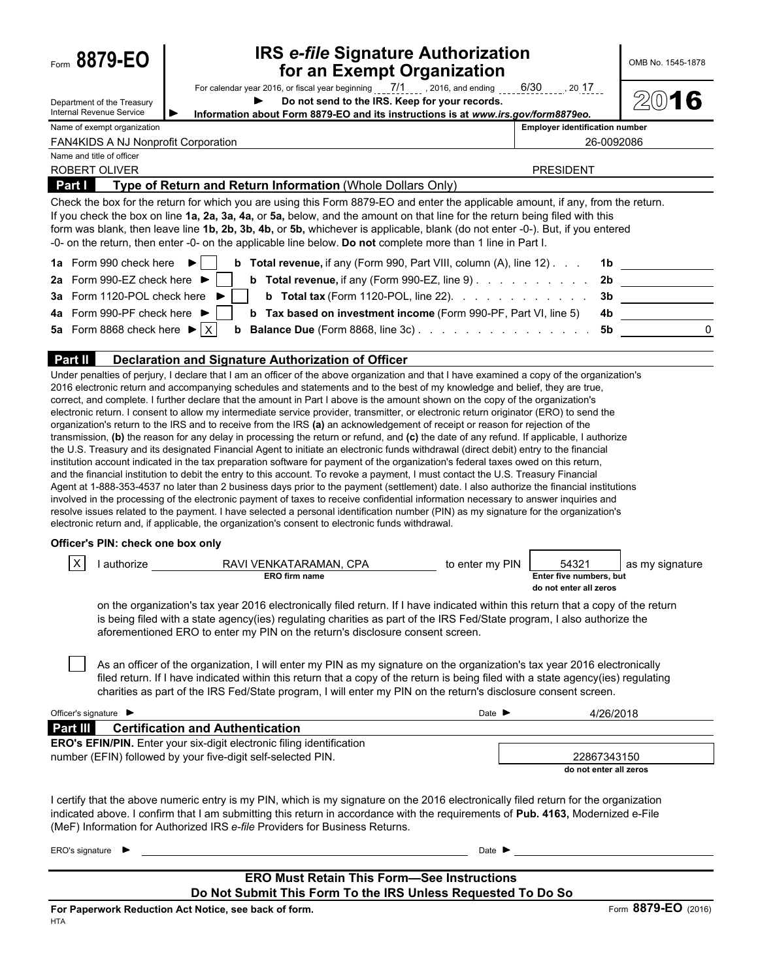|  | Form 8879-EO |  |
|--|--------------|--|
|--|--------------|--|

# **IRS** *e-file* **Signature Authorization <b>and Exempt Organization for an Exempt Organization**

| For calendar year 2016, or fiscal year beginning $\frac{7}{1}$ , 2016, and ending |  |  | $6/30$ or | 20 17 |  |  |
|-----------------------------------------------------------------------------------|--|--|-----------|-------|--|--|
| Do not send to the IRS. Keep for your records.                                    |  |  |           |       |  |  |
| Information about Form 8879-EO and its instructions is at www.irs.gov/form8879eo. |  |  |           |       |  |  |

 $2016$ 

Department of the Treasury Internal Revenue Service

**Employer identification number** 

| <b>FAN4KIDS.</b><br>$-$<br>`ANJ.<br>r Nonprofit C<br>Corporation | 26-0092086 |
|------------------------------------------------------------------|------------|
| Name and title of officer                                        |            |

| <b>ROBERT OLIVER</b>                                                                                                                                                                                                                                                                                                                                                                                                                                                                                            | <b>PRESIDENT</b>                                                                      |  |
|-----------------------------------------------------------------------------------------------------------------------------------------------------------------------------------------------------------------------------------------------------------------------------------------------------------------------------------------------------------------------------------------------------------------------------------------------------------------------------------------------------------------|---------------------------------------------------------------------------------------|--|
| Type of Return and Return Information (Whole Dollars Only)<br><b>Part I</b>                                                                                                                                                                                                                                                                                                                                                                                                                                     |                                                                                       |  |
| Check the box for the return for which you are using this Form 8879-EO and enter the applicable amount, if any, from the return.<br>If you check the box on line 1a, 2a, 3a, 4a, or 5a, below, and the amount on that line for the return being filed with this<br>form was blank, then leave line 1b, 2b, 3b, 4b, or 5b, whichever is applicable, blank (do not enter -0-). But, if you entered<br>-0- on the return, then enter -0- on the applicable line below. Do not complete more than 1 line in Part I. |                                                                                       |  |
| 1a Form 990 check here $\blacktriangleright$  <br><b>b</b> Total revenue, if any (Form 990, Part VIII, column (A), line 12)                                                                                                                                                                                                                                                                                                                                                                                     |                                                                                       |  |
| 2a Form 990-EZ check here $\blacktriangleright$                                                                                                                                                                                                                                                                                                                                                                                                                                                                 | <b>b</b> Total revenue, if any (Form 990-EZ, line 9) $\ldots$ $\ldots$ $\ldots$<br>2b |  |
| 3a Form 1120-POL check here $\blacktriangleright$                                                                                                                                                                                                                                                                                                                                                                                                                                                               | <b>b</b> Total tax (Form 1120-POL, line 22). $\ldots$<br>3b                           |  |
| 4a Form 990-PF check here $\blacktriangleright$  <br><b>b</b> Tax based on investment income (Form 990-PF, Part VI, line 5)                                                                                                                                                                                                                                                                                                                                                                                     | 4b.                                                                                   |  |
| 5a Form 8868 check here $\blacktriangleright$ $\mid$ X                                                                                                                                                                                                                                                                                                                                                                                                                                                          | 5b                                                                                    |  |
| <b>Part II</b><br>Declaration and Signature Authorization of Officer                                                                                                                                                                                                                                                                                                                                                                                                                                            |                                                                                       |  |

Under penalties of perjury, I declare that I am an officer of the above organization and that I have examined a copy of the organization's 2016 electronic return and accompanying schedules and statements and to the best of my knowledge and belief, they are true, correct, and complete. I further declare that the amount in Part I above is the amount shown on the copy of the organization's electronic return. I consent to allow my intermediate service provider, transmitter, or electronic return originator (ERO) to send the organization's return to the IRS and to receive from the IRS **(a)** an acknowledgement of receipt or reason for rejection of the transmission, **(b)** the reason for any delay in processing the return or refund, and **(c)** the date of any refund. If applicable, I authorize the U.S. Treasury and its designated Financial Agent to initiate an electronic funds withdrawal (direct debit) entry to the financial institution account indicated in the tax preparation software for payment of the organization's federal taxes owed on this return, and the financial institution to debit the entry to this account. To revoke a payment, I must contact the U.S. Treasury Financial Agent at 1-888-353-4537 no later than 2 business days prior to the payment (settlement) date. I also authorize the financial institutions involved in the processing of the electronic payment of taxes to receive confidential information necessary to answer inquiries and resolve issues related to the payment. I have selected a personal identification number (PIN) as my signature for the organization's electronic return and, if applicable, the organization's consent to electronic funds withdrawal.

### **Officer's PIN: check one box only**

|                                                                                                                                   | authorize                                                                                                               | RAVI VENKATARAMAN, CPA                                                        | to enter my PIN | 54321                   | as my signature |  |
|-----------------------------------------------------------------------------------------------------------------------------------|-------------------------------------------------------------------------------------------------------------------------|-------------------------------------------------------------------------------|-----------------|-------------------------|-----------------|--|
|                                                                                                                                   |                                                                                                                         | <b>ERO firm name</b>                                                          |                 | Enter five numbers, but |                 |  |
|                                                                                                                                   |                                                                                                                         |                                                                               |                 | do not enter all zeros  |                 |  |
| on the organization's tax year 2016 electronically filed return. If I have indicated within this return that a copy of the return |                                                                                                                         |                                                                               |                 |                         |                 |  |
|                                                                                                                                   | is being filed with a state agency(ies) regulating charities as part of the IRS Fed/State program, I also authorize the |                                                                               |                 |                         |                 |  |
|                                                                                                                                   |                                                                                                                         | aforementioned ERO to enter my PIN on the return's disclosure consent screen. |                 |                         |                 |  |

As an officer of the organization, I will enter my PIN as my signature on the organization's tax year 2016 electronically filed return. If I have indicated within this return that a copy of the return is being filed with a state agency(ies) regulating charities as part of the IRS Fed/State program, I will enter my PIN on the return's disclosure consent screen.

| Officer's signature $\blacktriangleright$                                                                                                    | Date $\blacksquare$ | 4/26/2018                             |
|----------------------------------------------------------------------------------------------------------------------------------------------|---------------------|---------------------------------------|
| Part III<br><b>Certification and Authentication</b>                                                                                          |                     |                                       |
| <b>ERO's EFIN/PIN.</b> Enter your six-digit electronic filing identification<br>number (EFIN) followed by your five-digit self-selected PIN. |                     | 22867343150<br>do not enter all zeros |
| I certify that the above numeric entry is my PIN, which is my signature on the 2016 electronically filed return for the organization         |                     |                                       |

indicated above. I confirm that I am submitting this return in accordance with the requirements of **Pub. 4163,** Modernized e-File (MeF) Information for Authorized IRS *e-file* Providers for Business Returns.

| ERO's signature $\blacktriangleright$ | Date $\blacktriangleright$                                   |                     |
|---------------------------------------|--------------------------------------------------------------|---------------------|
|                                       |                                                              |                     |
|                                       | <b>ERO Must Retain This Form-See Instructions</b>            |                     |
|                                       | Do Not Submit This Form To the IRS Unless Requested To Do So |                     |
|                                       | For Paperwork Reduction Act Notice, see back of form.        | Form 8879-EO (2016) |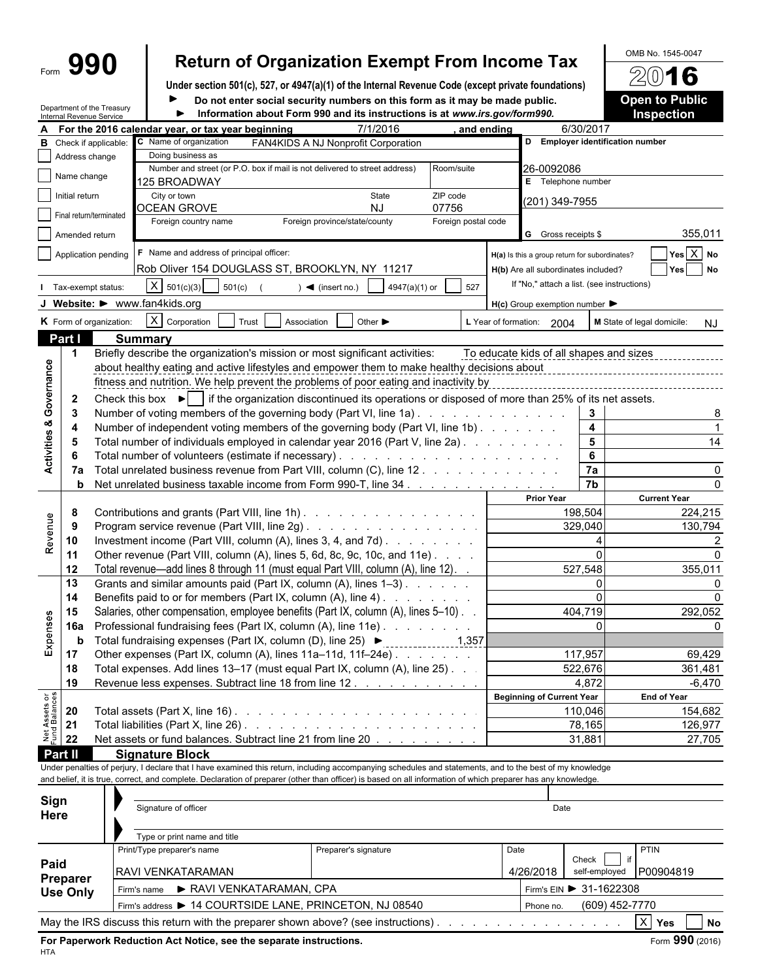# Form **990 Return of Organization Exempt From Income Tax**  $\frac{\text{OMB No. 1545-0047}}{2016}$

**Under section 501(c), 527, or 4947(a)(1) of the Internal Revenue Code (except private foundations)**

Department of the Treasury

 $\blacktriangleright$ 

Do not enter social security numbers on this form as it may be made public.

| <b>Open to Public</b> |  |  |
|-----------------------|--|--|
| Inspection            |  |  |

|                                | Internal Revenue Service | Department of the Treasury    |                                                                                                                                                              | Information about Form 990 and its instructions is at www.irs.gov/form990. |                                     |                                                 |      |                                                     |                                  | <b>Inspection</b>                       |
|--------------------------------|--------------------------|-------------------------------|--------------------------------------------------------------------------------------------------------------------------------------------------------------|----------------------------------------------------------------------------|-------------------------------------|-------------------------------------------------|------|-----------------------------------------------------|----------------------------------|-----------------------------------------|
|                                |                          |                               | For the 2016 calendar year, or tax year beginning                                                                                                            |                                                                            | 7/1/2016                            | and ending                                      |      |                                                     | 6/30/2017                        |                                         |
|                                |                          | <b>B</b> Check if applicable: | C Name of organization                                                                                                                                       |                                                                            | FAN4KIDS A NJ Nonprofit Corporation |                                                 |      |                                                     | D Employer identification number |                                         |
|                                | Address change           |                               | Doing business as                                                                                                                                            |                                                                            |                                     |                                                 |      |                                                     |                                  |                                         |
|                                | Name change              |                               | Number and street (or P.O. box if mail is not delivered to street address)                                                                                   |                                                                            |                                     | Room/suite                                      |      | 26-0092086                                          |                                  |                                         |
|                                |                          |                               | 125 BROADWAY                                                                                                                                                 |                                                                            |                                     |                                                 |      | E Telephone number                                  |                                  |                                         |
|                                | Initial return           |                               | City or town<br><b>OCEAN GROVE</b>                                                                                                                           |                                                                            | State<br><b>NJ</b>                  | ZIP code<br>07756                               |      | (201) 349-7955                                      |                                  |                                         |
|                                |                          | Final return/terminated       | Foreign country name                                                                                                                                         |                                                                            | Foreign province/state/county       | Foreign postal code                             |      |                                                     |                                  |                                         |
|                                | Amended return           |                               |                                                                                                                                                              |                                                                            |                                     |                                                 |      | G Gross receipts \$                                 |                                  | 355,011                                 |
|                                |                          |                               | F Name and address of principal officer:                                                                                                                     |                                                                            |                                     |                                                 |      |                                                     |                                  | $Yes \overline{X} No$                   |
|                                |                          | Application pending           |                                                                                                                                                              |                                                                            |                                     |                                                 |      | H(a) Is this a group return for subordinates?       |                                  |                                         |
|                                |                          |                               | Rob Oliver 154 DOUGLASS ST, BROOKLYN, NY 11217                                                                                                               |                                                                            |                                     |                                                 |      | H(b) Are all subordinates included?                 |                                  | Yes No                                  |
|                                |                          | Tax-exempt status:            | $X \mid 501(c)(3)$<br>501(c)                                                                                                                                 | $\blacktriangleleft$ (insert no.)                                          | 4947(a)(1) or                       | 527                                             |      | If "No," attach a list. (see instructions)          |                                  |                                         |
|                                |                          |                               | J Website: > www.fan4kids.org                                                                                                                                |                                                                            |                                     |                                                 |      | $H(c)$ Group exemption number $\blacktriangleright$ |                                  |                                         |
|                                |                          | K Form of organization:       | $X$ Corporation                                                                                                                                              | Trust<br>Association                                                       | Other $\blacktriangleright$         |                                                 |      | L Year of formation: 2004                           |                                  | M State of legal domicile:<br><b>NJ</b> |
|                                | Part I                   |                               | <b>Summary</b>                                                                                                                                               |                                                                            |                                     |                                                 |      |                                                     |                                  |                                         |
|                                | -1                       |                               | Briefly describe the organization's mission or most significant activities:                                                                                  |                                                                            |                                     |                                                 |      | To educate kids of all shapes and sizes             |                                  |                                         |
|                                |                          |                               | about healthy eating and active lifestyles and empower them to make healthy decisions about                                                                  |                                                                            |                                     |                                                 |      |                                                     |                                  |                                         |
| Governance                     |                          |                               | fitness and nutrition. We help prevent the problems of poor eating and inactivity by                                                                         |                                                                            |                                     |                                                 |      |                                                     |                                  |                                         |
|                                |                          |                               |                                                                                                                                                              |                                                                            |                                     |                                                 |      |                                                     |                                  |                                         |
|                                | $\mathbf{2}$             |                               | Check this box $\blacktriangleright$ if the organization discontinued its operations or disposed of more than 25% of its net assets.                         |                                                                            |                                     |                                                 |      |                                                     |                                  |                                         |
|                                | -3                       |                               | Number of voting members of the governing body (Part VI, line 1a)                                                                                            |                                                                            |                                     |                                                 |      |                                                     | $\mathbf{3}$                     |                                         |
| <b>Activities &amp;</b>        | 4                        |                               | Number of independent voting members of the governing body (Part VI, line 1b)                                                                                |                                                                            |                                     |                                                 |      |                                                     | 4                                |                                         |
|                                | -5                       |                               | Total number of individuals employed in calendar year 2016 (Part V, line 2a).                                                                                |                                                                            |                                     |                                                 |      |                                                     | $\overline{\mathbf{5}}$          | 14                                      |
|                                | 6                        |                               |                                                                                                                                                              |                                                                            |                                     |                                                 |      |                                                     | 6                                |                                         |
|                                | 7a                       |                               | Total unrelated business revenue from Part VIII, column (C), line 12                                                                                         |                                                                            |                                     |                                                 |      |                                                     | 7a                               |                                         |
|                                | b                        |                               | Net unrelated business taxable income from Form 990-T, line 34                                                                                               |                                                                            |                                     |                                                 |      |                                                     | $\overline{7b}$                  |                                         |
|                                |                          |                               |                                                                                                                                                              |                                                                            |                                     |                                                 |      | <b>Prior Year</b>                                   |                                  | <b>Current Year</b>                     |
|                                | 8                        |                               | Contributions and grants (Part VIII, line 1h)                                                                                                                |                                                                            |                                     |                                                 |      |                                                     | 198,504                          | 224,215                                 |
|                                | 9                        |                               | Program service revenue (Part VIII, line 2g)                                                                                                                 |                                                                            |                                     |                                                 |      |                                                     | 329,040                          | 130,794                                 |
| Revenue                        | 10                       |                               | Investment income (Part VIII, column (A), lines 3, 4, and 7d).                                                                                               |                                                                            |                                     |                                                 |      |                                                     |                                  |                                         |
|                                | 11                       |                               | Other revenue (Part VIII, column (A), lines 5, 6d, 8c, 9c, 10c, and 11e)                                                                                     |                                                                            |                                     |                                                 |      |                                                     |                                  |                                         |
|                                | 12                       |                               | Total revenue—add lines 8 through 11 (must equal Part VIII, column (A), line 12). .                                                                          |                                                                            |                                     |                                                 |      |                                                     | 527,548                          | 355,011                                 |
|                                | 13                       |                               | Grants and similar amounts paid (Part IX, column (A), lines 1-3)                                                                                             |                                                                            |                                     |                                                 |      |                                                     | $\mathbf{0}$                     |                                         |
|                                | 14                       |                               | Benefits paid to or for members (Part IX, column (A), line 4)                                                                                                |                                                                            |                                     |                                                 |      |                                                     |                                  |                                         |
|                                | 15                       |                               | Salaries, other compensation, employee benefits (Part IX, column (A), lines 5–10).                                                                           |                                                                            |                                     |                                                 |      |                                                     | 404,719                          | 292,052                                 |
|                                | <b>16a</b>               |                               | Professional fundraising fees (Part IX, column (A), line 11e)                                                                                                |                                                                            |                                     |                                                 |      |                                                     |                                  |                                         |
| Expenses                       | b                        |                               | Total fundraising expenses (Part IX, column (D), line 25) ▶                                                                                                  |                                                                            |                                     | $\begin{array}{ccc} \hline & 1,357 \end{array}$ |      |                                                     |                                  |                                         |
|                                | 17                       |                               | Other expenses (Part IX, column (A), lines 11a-11d, 11f-24e)                                                                                                 |                                                                            |                                     |                                                 |      |                                                     | 117,957                          | 69,429                                  |
|                                | 18                       |                               | Total expenses. Add lines 13-17 (must equal Part IX, column (A), line 25). .                                                                                 |                                                                            |                                     |                                                 |      |                                                     | 522,676                          | 361,481                                 |
|                                | 19                       |                               | Revenue less expenses. Subtract line 18 from line 12                                                                                                         |                                                                            |                                     |                                                 |      |                                                     | 4.872                            | $-6,470$                                |
|                                |                          |                               |                                                                                                                                                              |                                                                            |                                     |                                                 |      | <b>Beginning of Current Year</b>                    |                                  | <b>End of Year</b>                      |
| Net Assets or<br>Fund Balances | 20                       |                               | Total assets (Part X, line 16) $\ldots$ $\ldots$ $\ldots$ $\ldots$ $\ldots$ $\ldots$ $\ldots$ $\ldots$ $\ldots$                                              |                                                                            |                                     |                                                 |      |                                                     | 110,046                          | 154,682                                 |
|                                | 21                       |                               |                                                                                                                                                              |                                                                            |                                     |                                                 |      |                                                     | 78,165                           | 126,977                                 |
|                                | 22                       |                               | Net assets or fund balances. Subtract line 21 from line 20                                                                                                   |                                                                            |                                     |                                                 |      |                                                     | 31,881                           | 27,705                                  |
|                                | Part II                  |                               | <b>Signature Block</b>                                                                                                                                       |                                                                            |                                     |                                                 |      |                                                     |                                  |                                         |
|                                |                          |                               | Under penalties of perjury, I declare that I have examined this return, including accompanying schedules and statements, and to the best of my knowledge     |                                                                            |                                     |                                                 |      |                                                     |                                  |                                         |
|                                |                          |                               | and belief, it is true, correct, and complete. Declaration of preparer (other than officer) is based on all information of which preparer has any knowledge. |                                                                            |                                     |                                                 |      |                                                     |                                  |                                         |
|                                |                          |                               |                                                                                                                                                              |                                                                            |                                     |                                                 |      |                                                     |                                  |                                         |
| Sign                           |                          |                               | Signature of officer                                                                                                                                         |                                                                            |                                     |                                                 |      | Date                                                |                                  |                                         |
| Here                           |                          |                               |                                                                                                                                                              |                                                                            |                                     |                                                 |      |                                                     |                                  |                                         |
|                                |                          |                               | Type or print name and title                                                                                                                                 |                                                                            |                                     |                                                 |      |                                                     |                                  |                                         |
|                                |                          |                               | Print/Type preparer's name                                                                                                                                   |                                                                            | Preparer's signature                |                                                 | Date |                                                     |                                  | PTIN                                    |
| Paid                           |                          |                               |                                                                                                                                                              |                                                                            |                                     |                                                 |      |                                                     | Check                            |                                         |
|                                | <b>Preparer</b>          |                               | RAVI VENKATARAMAN                                                                                                                                            |                                                                            |                                     |                                                 |      | 4/26/2018                                           | self-employed                    | P00904819                               |
|                                | <b>Use Only</b>          |                               | Firm's name                                                                                                                                                  | RAVI VENKATARAMAN, CPA                                                     |                                     |                                                 |      |                                                     | Firm's EIN ▶ 31-1622308          |                                         |
|                                |                          |                               | Firm's address > 14 COURTSIDE LANE, PRINCETON, NJ 08540                                                                                                      |                                                                            |                                     |                                                 |      | Phone no.                                           | (609) 452-7770                   |                                         |
|                                |                          |                               |                                                                                                                                                              |                                                                            |                                     |                                                 |      |                                                     |                                  |                                         |
|                                |                          |                               | May the IRS discuss this return with the preparer shown above? (see instructions).                                                                           |                                                                            |                                     |                                                 |      |                                                     |                                  | $X$ Yes<br>$\overline{\phantom{a}}$ No  |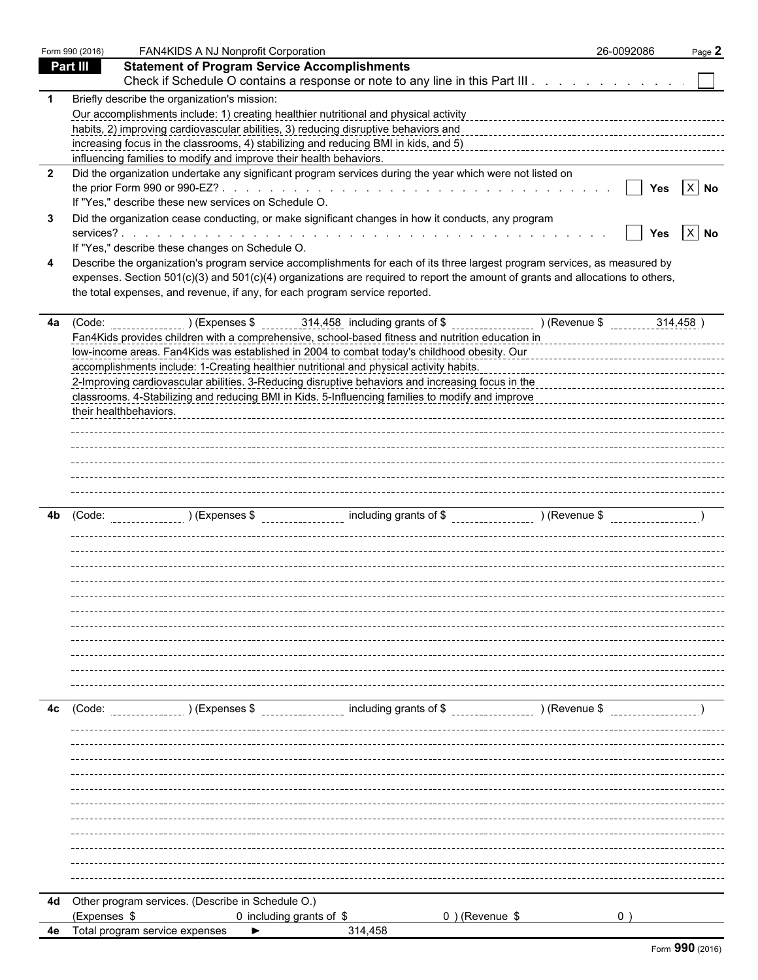|                         | Form 990 (2016) | FAN4KIDS A NJ Nonprofit Corporation                                                                                                                                                                                                                      | 26-0092086   | Page 2             |
|-------------------------|-----------------|----------------------------------------------------------------------------------------------------------------------------------------------------------------------------------------------------------------------------------------------------------|--------------|--------------------|
|                         | <b>Part III</b> | <b>Statement of Program Service Accomplishments</b>                                                                                                                                                                                                      |              |                    |
|                         |                 | Check if Schedule O contains a response or note to any line in this Part III                                                                                                                                                                             |              |                    |
| -1                      |                 | Briefly describe the organization's mission:                                                                                                                                                                                                             |              |                    |
|                         |                 |                                                                                                                                                                                                                                                          |              |                    |
|                         |                 | habits, 2) improving cardiovascular abilities, 3) reducing disruptive behaviors and<br>representative content content content content content content content content content abilities.                                                                 |              |                    |
|                         |                 |                                                                                                                                                                                                                                                          |              |                    |
|                         |                 | influencing families to modify and improve their health behaviors.                                                                                                                                                                                       |              |                    |
| $\overline{\mathbf{2}}$ |                 | Did the organization undertake any significant program services during the year which were not listed on                                                                                                                                                 |              | Yes $\boxed{X}$ No |
|                         |                 | If "Yes," describe these new services on Schedule O.                                                                                                                                                                                                     | $\mathbf{I}$ |                    |
| 3                       |                 |                                                                                                                                                                                                                                                          |              |                    |
|                         |                 | Did the organization cease conducting, or make significant changes in how it conducts, any program                                                                                                                                                       |              | Yes $X$ No         |
|                         |                 | If "Yes," describe these changes on Schedule O.                                                                                                                                                                                                          |              |                    |
| 4                       |                 | Describe the organization's program service accomplishments for each of its three largest program services, as measured by                                                                                                                               |              |                    |
|                         |                 | expenses. Section 501(c)(3) and 501(c)(4) organizations are required to report the amount of grants and allocations to others,                                                                                                                           |              |                    |
|                         |                 | the total expenses, and revenue, if any, for each program service reported.                                                                                                                                                                              |              |                    |
|                         |                 |                                                                                                                                                                                                                                                          |              |                    |
| 4a                      |                 |                                                                                                                                                                                                                                                          |              |                    |
|                         |                 | Fan4Kids provides children with a comprehensive, school-based fitness and nutrition education in                                                                                                                                                         |              |                    |
|                         |                 | low-income areas. Fan4Kids was established in 2004 to combat today's childhood obesity. Our                                                                                                                                                              |              |                    |
|                         |                 | accomplishments include: 1-Creating healthier nutritional and physical activity habits.                                                                                                                                                                  |              |                    |
|                         |                 | 2-Improving cardiovascular abilities. 3-Reducing disruptive behaviors and increasing focus in the                                                                                                                                                        |              |                    |
|                         |                 | classrooms. 4-Stabilizing and reducing BMI in Kids. 5-Influencing families to modify and improve                                                                                                                                                         |              |                    |
|                         |                 | their healthbehaviors.                                                                                                                                                                                                                                   |              |                    |
|                         |                 |                                                                                                                                                                                                                                                          |              |                    |
|                         |                 |                                                                                                                                                                                                                                                          |              |                    |
|                         |                 |                                                                                                                                                                                                                                                          |              |                    |
|                         |                 |                                                                                                                                                                                                                                                          |              |                    |
|                         |                 |                                                                                                                                                                                                                                                          |              |                    |
| 4b                      |                 | (Code: $($ $)$ (Expenses \$ $)$ $\leq$ $\leq$ $\leq$ $\leq$ $\leq$ $\leq$ $\leq$ $\leq$ $\leq$ $\leq$ $\leq$ $\leq$ $\leq$ $\leq$ $\leq$ $\leq$ $\leq$ $\leq$ $\leq$ $\leq$ $\leq$ $\leq$ $\leq$ $\leq$ $\leq$ $\leq$ $\leq$ $\leq$ $\leq$ $\leq$ $\leq$ |              |                    |
|                         |                 |                                                                                                                                                                                                                                                          |              |                    |
|                         |                 |                                                                                                                                                                                                                                                          |              |                    |
|                         |                 |                                                                                                                                                                                                                                                          |              |                    |
|                         |                 |                                                                                                                                                                                                                                                          |              |                    |
|                         |                 |                                                                                                                                                                                                                                                          |              |                    |
|                         |                 |                                                                                                                                                                                                                                                          |              |                    |
|                         |                 |                                                                                                                                                                                                                                                          |              |                    |
|                         |                 |                                                                                                                                                                                                                                                          |              |                    |
|                         |                 |                                                                                                                                                                                                                                                          |              |                    |
|                         |                 |                                                                                                                                                                                                                                                          |              |                    |
|                         |                 |                                                                                                                                                                                                                                                          |              |                    |
|                         |                 |                                                                                                                                                                                                                                                          |              |                    |
| 4c                      | (Code:          | ) (Expenses \$                                                                                                                                                                                                                                           |              |                    |
|                         |                 |                                                                                                                                                                                                                                                          |              |                    |
|                         |                 |                                                                                                                                                                                                                                                          |              |                    |
|                         |                 |                                                                                                                                                                                                                                                          |              |                    |
|                         |                 |                                                                                                                                                                                                                                                          |              |                    |
|                         |                 |                                                                                                                                                                                                                                                          |              |                    |
|                         |                 |                                                                                                                                                                                                                                                          |              |                    |
|                         |                 |                                                                                                                                                                                                                                                          |              |                    |
|                         |                 |                                                                                                                                                                                                                                                          |              |                    |
|                         |                 |                                                                                                                                                                                                                                                          |              |                    |
|                         |                 |                                                                                                                                                                                                                                                          |              |                    |
|                         |                 |                                                                                                                                                                                                                                                          |              |                    |
|                         |                 |                                                                                                                                                                                                                                                          |              |                    |
|                         |                 | 4d Other program services. (Describe in Schedule O.)                                                                                                                                                                                                     |              |                    |
|                         | (Expenses \$    | 0) (Revenue \$<br>0 including grants of \$                                                                                                                                                                                                               |              |                    |
| 4e                      |                 | Total program service expenses<br>314,458                                                                                                                                                                                                                |              |                    |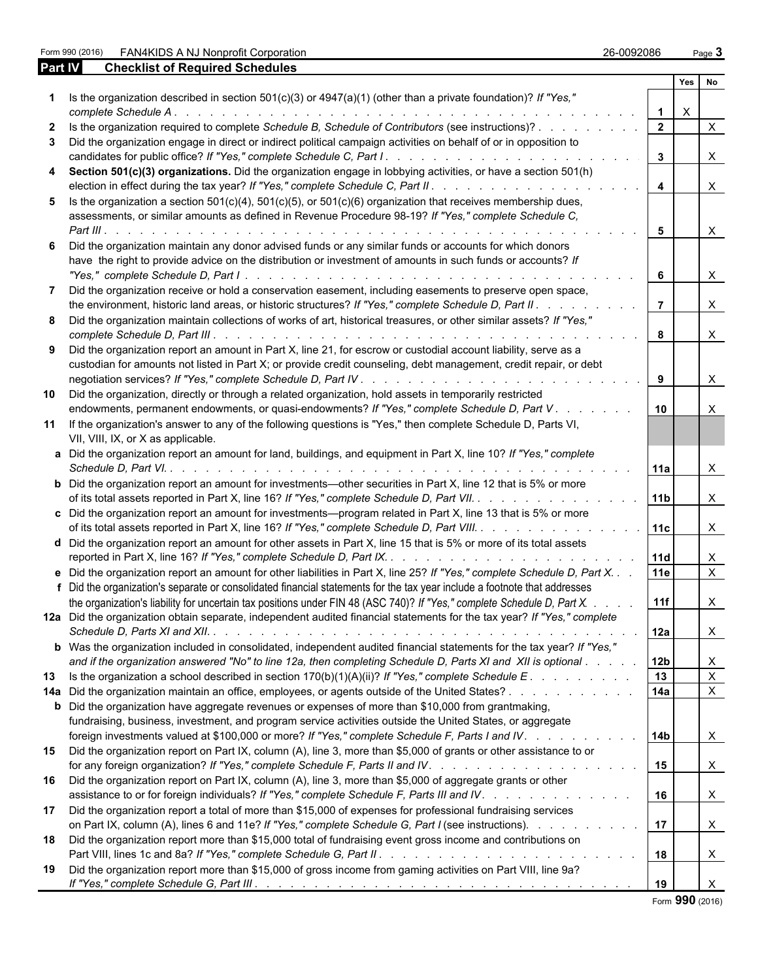Part 990 (26-0092086 Page **3** Page **3** 26-0092086 Page **3** 26-0092086 Page **3** 

| Part IV | <b>Checklist of Required Schedules</b>                                                                                                                                                                                                                |                 |              |                           |
|---------|-------------------------------------------------------------------------------------------------------------------------------------------------------------------------------------------------------------------------------------------------------|-----------------|--------------|---------------------------|
|         |                                                                                                                                                                                                                                                       |                 |              | Yes No                    |
|         | 1 Is the organization described in section 501(c)(3) or 4947(a)(1) (other than a private foundation)? If "Yes,"                                                                                                                                       |                 | $\mathsf{X}$ |                           |
|         |                                                                                                                                                                                                                                                       | $\overline{2}$  |              | $\mathsf{X}$              |
| 3       | Did the organization engage in direct or indirect political campaign activities on behalf of or in opposition to                                                                                                                                      | $\mathbf{3}$    |              | $\mathsf{X}$              |
|         | 4 Section 501(c)(3) organizations. Did the organization engage in lobbying activities, or have a section 501(h)                                                                                                                                       | $\overline{4}$  |              | $\mathsf{X}$              |
|         | 5 Is the organization a section $501(c)(4)$ , $501(c)(5)$ , or $501(c)(6)$ organization that receives membership dues,<br>assessments, or similar amounts as defined in Revenue Procedure 98-19? If "Yes," complete Schedule C,                       |                 |              |                           |
|         |                                                                                                                                                                                                                                                       | 5               |              | $\boldsymbol{\mathsf{X}}$ |
|         | Did the organization maintain any donor advised funds or any similar funds or accounts for which donors<br>have the right to provide advice on the distribution or investment of amounts in such funds or accounts? If                                | 6               |              | $\mathsf{X}$              |
| 7       | Did the organization receive or hold a conservation easement, including easements to preserve open space,<br>the environment, historic land areas, or historic structures? If "Yes," complete Schedule D, Part II.                                    | $\overline{7}$  |              | $\boldsymbol{\mathsf{X}}$ |
|         | 8 Did the organization maintain collections of works of art, historical treasures, or other similar assets? If "Yes,"                                                                                                                                 | 8               |              | $\times$                  |
| 9       | Did the organization report an amount in Part X, line 21, for escrow or custodial account liability, serve as a                                                                                                                                       |                 |              |                           |
|         | custodian for amounts not listed in Part X; or provide credit counseling, debt management, credit repair, or debt                                                                                                                                     | 9               |              | $\boldsymbol{\mathsf{X}}$ |
| 10      | Did the organization, directly or through a related organization, hold assets in temporarily restricted<br>endowments, permanent endowments, or quasi-endowments? If "Yes," complete Schedule D, Part V.                                              | 10              |              | $\times$                  |
|         | 11 If the organization's answer to any of the following questions is "Yes," then complete Schedule D, Parts VI,<br>VII, VIII, IX, or X as applicable.                                                                                                 |                 |              |                           |
|         | a Did the organization report an amount for land, buildings, and equipment in Part X, line 10? If "Yes," complete                                                                                                                                     | 11a             |              | $\boldsymbol{\mathsf{X}}$ |
|         | <b>b</b> Did the organization report an amount for investments—other securities in Part X, line 12 that is 5% or more                                                                                                                                 | 11b             |              | $\times$                  |
|         | c Did the organization report an amount for investments—program related in Part X, line 13 that is 5% or more                                                                                                                                         | 11c             |              | $\mathsf{X}$              |
|         | d Did the organization report an amount for other assets in Part X, line 15 that is 5% or more of its total assets                                                                                                                                    | 11d             |              | X                         |
|         | e Did the organization report an amount for other liabilities in Part X, line 25? If "Yes," complete Schedule D, Part X.<br>f Did the organization's separate or consolidated financial statements for the tax year include a footnote that addresses | 11e             |              | $\times$                  |
|         | the organization's liability for uncertain tax positions under FIN 48 (ASC 740)? If "Yes," complete Schedule D, Part X. .<br>12a Did the organization obtain separate, independent audited financial statements for the tax year? If "Yes," complete  | 11f             |              | X                         |
|         | b Was the organization included in consolidated, independent audited financial statements for the tax year? If "Yes,"                                                                                                                                 | 12a             |              | X                         |
|         | and if the organization answered "No" to line 12a, then completing Schedule D, Parts XI and XII is optional                                                                                                                                           | 12 <sub>b</sub> |              | X                         |
|         |                                                                                                                                                                                                                                                       | 13              |              | $\mathsf X$               |
|         | 14a Did the organization maintain an office, employees, or agents outside of the United States?<br><b>b</b> Did the organization have aggregate revenues or expenses of more than \$10,000 from grantmaking,                                          | 14a             |              | $\mathsf X$               |
|         | fundraising, business, investment, and program service activities outside the United States, or aggregate<br>foreign investments valued at \$100,000 or more? If "Yes," complete Schedule F, Parts I and IV.                                          | 14 <sub>b</sub> |              | X                         |
|         | 15 Did the organization report on Part IX, column (A), line 3, more than \$5,000 of grants or other assistance to or                                                                                                                                  | 15              |              | $\boldsymbol{\mathsf{X}}$ |
| 16      | Did the organization report on Part IX, column (A), line 3, more than \$5,000 of aggregate grants or other<br>assistance to or for foreign individuals? If "Yes," complete Schedule F, Parts III and IV.                                              | 16              |              | X                         |
| 17      | Did the organization report a total of more than \$15,000 of expenses for professional fundraising services<br>on Part IX, column (A), lines 6 and 11e? If "Yes," complete Schedule G, Part I (see instructions).                                     | 17              |              | X                         |
| 18      | Did the organization report more than \$15,000 total of fundraising event gross income and contributions on                                                                                                                                           | 18              |              | X                         |
| 19      | Did the organization report more than \$15,000 of gross income from gaming activities on Part VIII, line 9a?                                                                                                                                          | 19              |              |                           |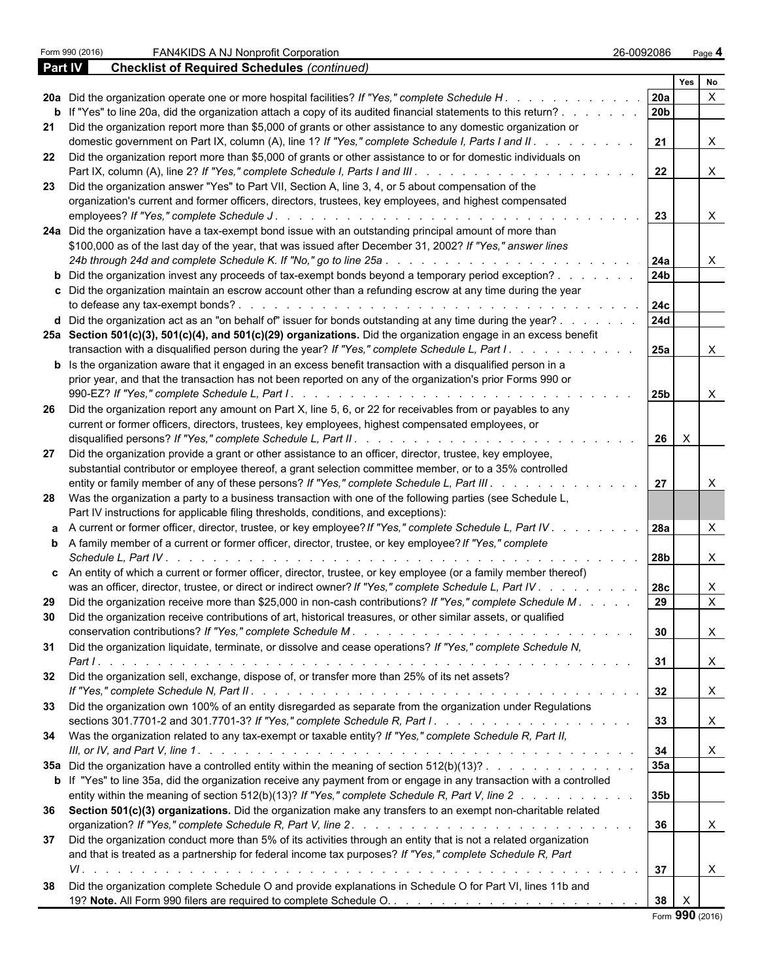|                | Form 990 (2016)<br>FAN4KIDS A NJ Nonprofit Corporation<br>26-0092086                                                                                                                                                                                 |                 |                           | Page 4       |  |
|----------------|------------------------------------------------------------------------------------------------------------------------------------------------------------------------------------------------------------------------------------------------------|-----------------|---------------------------|--------------|--|
| <b>Part IV</b> | <b>Checklist of Required Schedules (continued)</b>                                                                                                                                                                                                   |                 |                           |              |  |
|                |                                                                                                                                                                                                                                                      |                 | Yes                       | l No         |  |
|                |                                                                                                                                                                                                                                                      | <b>20a</b>      |                           | $\mathsf{X}$ |  |
|                | <b>b</b> If "Yes" to line 20a, did the organization attach a copy of its audited financial statements to this return?                                                                                                                                | 20 <sub>b</sub> |                           |              |  |
|                | 21 Did the organization report more than \$5,000 of grants or other assistance to any domestic organization or<br>domestic government on Part IX, column (A), line 1? If "Yes," complete Schedule I, Parts I and II.<br>and the contract of the con- | 21              |                           | $\mathsf{X}$ |  |
|                | 22 Did the organization report more than \$5,000 of grants or other assistance to or for domestic individuals on                                                                                                                                     | 22              |                           | X            |  |
|                | 23 Did the organization answer "Yes" to Part VII, Section A, line 3, 4, or 5 about compensation of the                                                                                                                                               |                 |                           |              |  |
|                | organization's current and former officers, directors, trustees, key employees, and highest compensated                                                                                                                                              | 23              |                           | $\mathsf{X}$ |  |
|                | 24a Did the organization have a tax-exempt bond issue with an outstanding principal amount of more than<br>\$100,000 as of the last day of the year, that was issued after December 31, 2002? If "Yes," answer lines                                 |                 |                           |              |  |
|                |                                                                                                                                                                                                                                                      | 24a             |                           | X            |  |
|                | <b>b</b> Did the organization invest any proceeds of tax-exempt bonds beyond a temporary period exception?<br>c Did the organization maintain an escrow account other than a refunding escrow at any time during the year                            | 24 <sub>b</sub> |                           |              |  |
|                |                                                                                                                                                                                                                                                      | 24c             |                           |              |  |
|                | <b>d</b> Did the organization act as an "on behalf of" issuer for bonds outstanding at any time during the year? $\ldots$                                                                                                                            | <b>24d</b>      |                           |              |  |
|                | 25a Section 501(c)(3), 501(c)(4), and 501(c)(29) organizations. Did the organization engage in an excess benefit<br>transaction with a disqualified person during the year? If "Yes," complete Schedule L, Part I.                                   | 25a             |                           | X            |  |
|                | <b>b</b> Is the organization aware that it engaged in an excess benefit transaction with a disqualified person in a<br>prior year, and that the transaction has not been reported on any of the organization's prior Forms 990 or                    |                 |                           |              |  |
|                |                                                                                                                                                                                                                                                      | 25 <sub>b</sub> |                           | X            |  |
|                | 26 Did the organization report any amount on Part X, line 5, 6, or 22 for receivables from or payables to any<br>current or former officers, directors, trustees, key employees, highest compensated employees, or                                   |                 |                           |              |  |
| 27             | Did the organization provide a grant or other assistance to an officer, director, trustee, key employee,                                                                                                                                             | 26              | $\mathsf{X}$              |              |  |
|                | substantial contributor or employee thereof, a grant selection committee member, or to a 35% controlled<br>entity or family member of any of these persons? If "Yes," complete Schedule L, Part III.                                                 | 27              |                           | $\times$     |  |
|                | 28 Was the organization a party to a business transaction with one of the following parties (see Schedule L,                                                                                                                                         |                 |                           |              |  |
|                | Part IV instructions for applicable filing thresholds, conditions, and exceptions):                                                                                                                                                                  |                 |                           |              |  |
|                | a A current or former officer, director, trustee, or key employee? If "Yes," complete Schedule L, Part IV.                                                                                                                                           | <b>28a</b>      |                           | $\mathsf{X}$ |  |
|                | <b>b</b> A family member of a current or former officer, director, trustee, or key employee? If "Yes," complete<br>Schedule L, Part IV.                                                                                                              | 28b             |                           | X            |  |
|                | c An entity of which a current or former officer, director, trustee, or key employee (or a family member thereof)                                                                                                                                    |                 |                           |              |  |
|                | was an officer, director, trustee, or direct or indirect owner? If "Yes," complete Schedule L, Part IV                                                                                                                                               | 28c             |                           | X            |  |
|                | 29 Did the organization receive more than \$25,000 in non-cash contributions? If "Yes," complete Schedule M.                                                                                                                                         |                 |                           | $\mathsf{X}$ |  |
|                | 30 Did the organization receive contributions of art, historical treasures, or other similar assets, or qualified                                                                                                                                    | 30              |                           | $\mathsf{X}$ |  |
|                | 31 Did the organization liquidate, terminate, or dissolve and cease operations? If "Yes," complete Schedule N,                                                                                                                                       | 31              |                           | X            |  |
|                | 32 Did the organization sell, exchange, dispose of, or transfer more than 25% of its net assets?                                                                                                                                                     | 32              |                           | X            |  |
|                | 33 Did the organization own 100% of an entity disregarded as separate from the organization under Regulations                                                                                                                                        |                 |                           |              |  |
|                |                                                                                                                                                                                                                                                      | 33              |                           | X            |  |
|                | 34 Was the organization related to any tax-exempt or taxable entity? If "Yes," complete Schedule R, Part II,                                                                                                                                         | 34              |                           | X            |  |
|                | 35a Did the organization have a controlled entity within the meaning of section 512(b)(13)?                                                                                                                                                          | 35a             |                           |              |  |
|                | <b>b</b> If "Yes" to line 35a, did the organization receive any payment from or engage in any transaction with a controlled<br>entity within the meaning of section 512(b)(13)? If "Yes," complete Schedule R, Part V, line 2                        | 35b             |                           |              |  |
|                | 36 Section 501(c)(3) organizations. Did the organization make any transfers to an exempt non-charitable related                                                                                                                                      |                 |                           |              |  |
| 37             | Did the organization conduct more than 5% of its activities through an entity that is not a related organization                                                                                                                                     | 36              |                           | X            |  |
|                | and that is treated as a partnership for federal income tax purposes? If "Yes," complete Schedule R, Part                                                                                                                                            |                 |                           |              |  |
|                |                                                                                                                                                                                                                                                      | 37              |                           | X            |  |
| 38             | Did the organization complete Schedule O and provide explanations in Schedule O for Part VI, lines 11b and                                                                                                                                           | 38              | $\mathsf{X}$              |              |  |
|                |                                                                                                                                                                                                                                                      |                 | $E_{\text{arm}}$ QQN (201 |              |  |

|  |  | Form 990 (2016) |
|--|--|-----------------|
|--|--|-----------------|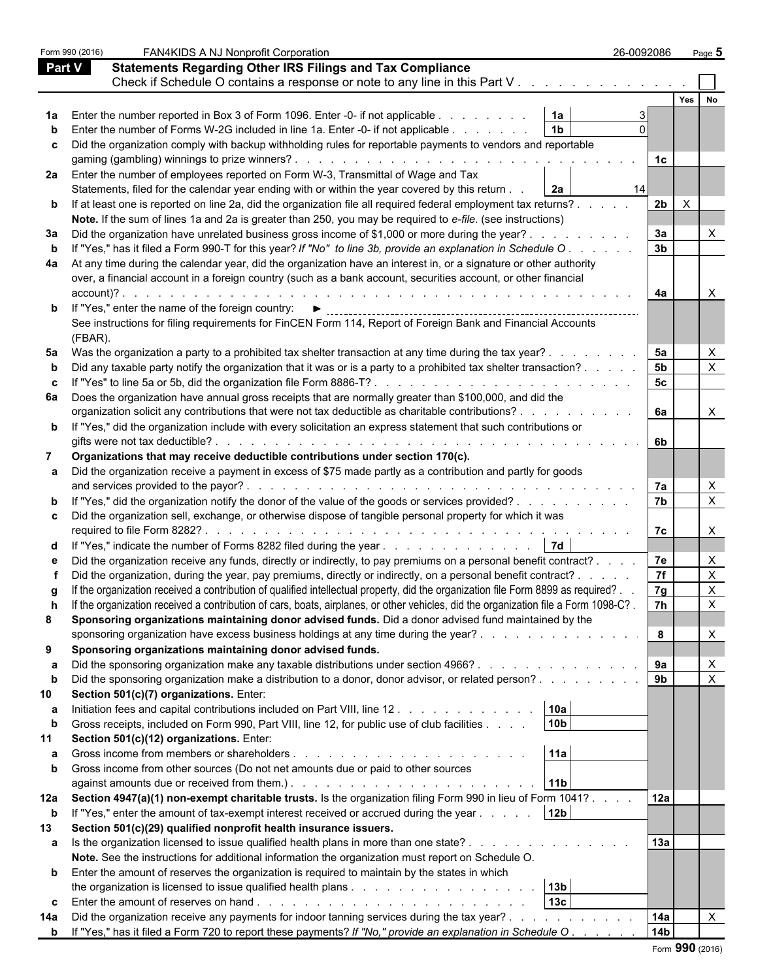|              | Form 990 (2016) | FAN4KIDS A NJ Nonprofit Corporation                                                                                                | 26-0092086           | Page 5                     |  |
|--------------|-----------------|------------------------------------------------------------------------------------------------------------------------------------|----------------------|----------------------------|--|
| Part V       |                 | <b>Statements Regarding Other IRS Filings and Tax Compliance</b>                                                                   |                      |                            |  |
|              |                 | Check if Schedule O contains a response or note to any line in this Part V                                                         |                      |                            |  |
|              |                 |                                                                                                                                    |                      | Yes<br>No                  |  |
|              |                 | 1a<br>Enter the number reported in Box 3 of Form 1096. Enter -0- if not applicable                                                 |                      |                            |  |
|              |                 | 1 <sub>b</sub><br>Enter the number of Forms W-2G included in line 1a. Enter -0- if not applicable                                  |                      |                            |  |
| c            |                 | Did the organization comply with backup withholding rules for reportable payments to vendors and reportable                        |                      |                            |  |
|              |                 |                                                                                                                                    | 1c                   |                            |  |
| 2a l         |                 | Enter the number of employees reported on Form W-3, Transmittal of Wage and Tax                                                    |                      |                            |  |
|              |                 | Statements, filed for the calendar year ending with or within the year covered by this return<br>2a                                | 14                   |                            |  |
|              |                 | <b>b</b> If at least one is reported on line 2a, did the organization file all required federal employment tax returns?            | 2b                   | $\mathsf{X}$               |  |
|              |                 | Note. If the sum of lines 1a and 2a is greater than 250, you may be required to e-file. (see instructions)                         |                      |                            |  |
| За           |                 | Did the organization have unrelated business gross income of \$1,000 or more during the year?.                                     | 3a                   |                            |  |
|              |                 | If "Yes," has it filed a Form 990-T for this year? If "No" to line 3b, provide an explanation in Schedule O.                       | 3 <sub>b</sub>       |                            |  |
| 4a           |                 | At any time during the calendar year, did the organization have an interest in, or a signature or other authority                  |                      |                            |  |
|              |                 | over, a financial account in a foreign country (such as a bank account, securities account, or other financial                     |                      |                            |  |
|              | account)?.      |                                                                                                                                    | 4a                   | X                          |  |
|              |                 | <b>b</b> If "Yes," enter the name of the foreign country: $\blacktriangleright$                                                    |                      |                            |  |
|              |                 | See instructions for filing requirements for FinCEN Form 114, Report of Foreign Bank and Financial Accounts                        |                      |                            |  |
|              | (FBAR).         |                                                                                                                                    |                      |                            |  |
| 5a           |                 | Was the organization a party to a prohibited tax shelter transaction at any time during the tax year?.                             | 5a                   | X                          |  |
|              |                 | Did any taxable party notify the organization that it was or is a party to a prohibited tax shelter transaction?                   | 5 <sub>b</sub>       | $\boldsymbol{\mathsf{X}}$  |  |
| c            |                 | If "Yes" to line 5a or 5b, did the organization file Form 8886-T?                                                                  | 5c                   |                            |  |
| 6а           |                 | Does the organization have annual gross receipts that are normally greater than \$100,000, and did the                             |                      |                            |  |
|              |                 | organization solicit any contributions that were not tax deductible as charitable contributions?                                   | 6a                   | $\mathsf{X}$               |  |
|              |                 | <b>b</b> If "Yes," did the organization include with every solicitation an express statement that such contributions or            |                      |                            |  |
|              |                 |                                                                                                                                    | 6b                   |                            |  |
| 7            |                 | Organizations that may receive deductible contributions under section 170(c).                                                      |                      |                            |  |
|              |                 | Did the organization receive a payment in excess of \$75 made partly as a contribution and partly for goods                        |                      |                            |  |
|              |                 |                                                                                                                                    | 7a<br>7 <sub>b</sub> | $\times$<br>$\pmb{\times}$ |  |
|              |                 | "Yes," did the organization notify the donor of the value of the goods or services provided?                                       |                      |                            |  |
|              |                 | Did the organization sell, exchange, or otherwise dispose of tangible personal property for which it was                           | 7c                   | $\times$                   |  |
|              |                 | "Yes," indicate the number of Forms 8282 filed during the year $\ldots$ , $\ldots$ , $\ldots$ , $\ldots$ , $\ldots$                |                      |                            |  |
|              |                 | Did the organization receive any funds, directly or indirectly, to pay premiums on a personal benefit contract?                    | 7e                   | $\times$                   |  |
|              |                 | Did the organization, during the year, pay premiums, directly or indirectly, on a personal benefit contract? .                     | 7f                   |                            |  |
|              |                 | If the organization received a contribution of qualified intellectual property, did the organization file Form 8899 as required? . | 7g                   |                            |  |
|              |                 | If the organization received a contribution of cars, boats, airplanes, or other vehicles, did the organization file a Form 1098-C? | 7h                   | X                          |  |
| 8            |                 | Sponsoring organizations maintaining donor advised funds. Did a donor advised fund maintained by the                               |                      |                            |  |
|              |                 | sponsoring organization have excess business holdings at any time during the year?                                                 | 8                    | X                          |  |
| 9            |                 | Sponsoring organizations maintaining donor advised funds.                                                                          |                      |                            |  |
| а            |                 | Did the sponsoring organization make any taxable distributions under section 4966?                                                 | 9а                   | $\boldsymbol{\mathsf{X}}$  |  |
| b            |                 | Did the sponsoring organization make a distribution to a donor, donor advisor, or related person?                                  | 9 <sub>b</sub>       | $\boldsymbol{\mathsf{X}}$  |  |
| 10           |                 | Section 501(c)(7) organizations. Enter:                                                                                            |                      |                            |  |
| а            |                 | 10a<br>Initiation fees and capital contributions included on Part VIII, line 12.                                                   |                      |                            |  |
| b            |                 | 10 <sub>b</sub><br>Gross receipts, included on Form 990, Part VIII, line 12, for public use of club facilities                     |                      |                            |  |
|              |                 | Section 501(c)(12) organizations. Enter:                                                                                           |                      |                            |  |
| а            |                 | 11a                                                                                                                                |                      |                            |  |
| $\mathbf{b}$ |                 | Gross income from other sources (Do not net amounts due or paid to other sources                                                   |                      |                            |  |
|              |                 | 11 <sub>b</sub>                                                                                                                    |                      |                            |  |
| 12a          |                 | Section 4947(a)(1) non-exempt charitable trusts. Is the organization filing Form 990 in lieu of Form 1041?                         | 12a                  |                            |  |
| b            |                 | 12 <sub>b</sub><br>If "Yes," enter the amount of tax-exempt interest received or accrued during the year                           |                      |                            |  |
| 13           |                 | Section 501(c)(29) qualified nonprofit health insurance issuers.                                                                   |                      |                            |  |
| a            |                 | Is the organization licensed to issue qualified health plans in more than one state?                                               | 13a                  |                            |  |
|              |                 | Note. See the instructions for additional information the organization must report on Schedule O.                                  |                      |                            |  |
| b            |                 | Enter the amount of reserves the organization is required to maintain by the states in which                                       |                      |                            |  |
|              |                 | 13 <sub>b</sub>                                                                                                                    |                      |                            |  |
| C            |                 | 13 <sub>c</sub>                                                                                                                    |                      |                            |  |
| 14a          |                 | Did the organization receive any payments for indoor tanning services during the tax year?.                                        | 14a                  |                            |  |
|              |                 | <b>b</b> If "Yes," has it filed a Form 720 to report these payments? If "No," provide an explanation in Schedule O.                | 14 <sub>b</sub>      |                            |  |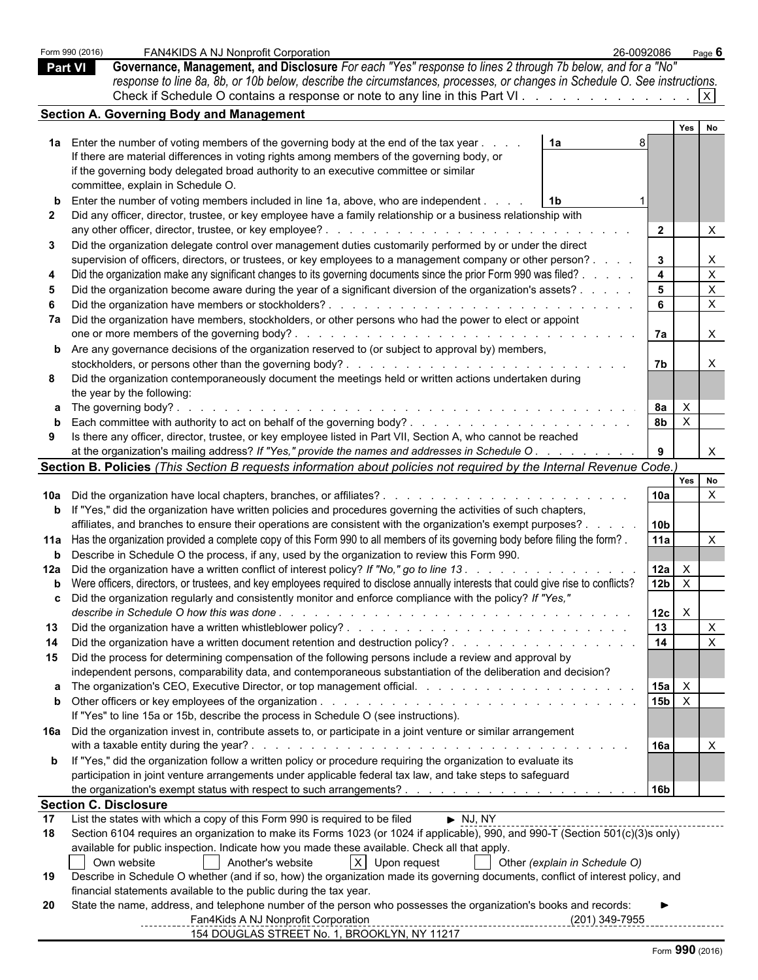|                | Form 990 (2016) | FAN4KIDS A NJ Nonprofit Corporation                                                                                                          | 26-0092086              |              | Page 6                    |  |
|----------------|-----------------|----------------------------------------------------------------------------------------------------------------------------------------------|-------------------------|--------------|---------------------------|--|
| <b>Part VI</b> |                 | Governance, Management, and Disclosure For each "Yes" response to lines 2 through 7b below, and for a "No"                                   |                         |              |                           |  |
|                |                 | response to line 8a, 8b, or 10b below, describe the circumstances, processes, or changes in Schedule O. See instructions.                    |                         |              |                           |  |
|                |                 | Check if Schedule O contains a response or note to any line in this Part VI. $\vert x \vert$                                                 |                         |              |                           |  |
|                |                 | <b>Section A. Governing Body and Management</b>                                                                                              |                         |              |                           |  |
|                |                 |                                                                                                                                              |                         | Yes          | <b>No</b>                 |  |
|                |                 | 1a Enter the number of voting members of the governing body at the end of the tax year.<br>1a                                                |                         |              |                           |  |
|                |                 |                                                                                                                                              |                         |              |                           |  |
|                |                 | If there are material differences in voting rights among members of the governing body, or                                                   |                         |              |                           |  |
|                |                 | if the governing body delegated broad authority to an executive committee or similar                                                         |                         |              |                           |  |
|                |                 | committee, explain in Schedule O.                                                                                                            |                         |              |                           |  |
|                |                 | Enter the number of voting members included in line 1a, above, who are independent.                                                          |                         |              |                           |  |
|                |                 | Did any officer, director, trustee, or key employee have a family relationship or a business relationship with                               |                         |              |                           |  |
|                |                 | any other officer, director, trustee, or key employee?<br>and the second contract of the second con-                                         | $\overline{2}$          |              |                           |  |
| 3              |                 | Did the organization delegate control over management duties customarily performed by or under the direct                                    |                         |              |                           |  |
|                |                 | supervision of officers, directors, or trustees, or key employees to a management company or other person? .                                 | $3^{\circ}$             |              | X                         |  |
|                |                 | Did the organization make any significant changes to its governing documents since the prior Form 990 was filed? .                           | $\overline{\mathbf{4}}$ |              | $\mathsf{X}$              |  |
|                |                 | Did the organization become aware during the year of a significant diversion of the organization's assets?.                                  | - 5                     |              | $\mathsf{X}$              |  |
|                |                 |                                                                                                                                              | - 6                     |              | $\mathsf{X}$              |  |
|                |                 | 7a Did the organization have members, stockholders, or other persons who had the power to elect or appoint                                   |                         |              |                           |  |
|                |                 |                                                                                                                                              | l 7a                    |              | $\times$                  |  |
|                |                 | <b>b</b> Are any governance decisions of the organization reserved to (or subject to approval by) members,                                   |                         |              |                           |  |
|                |                 |                                                                                                                                              | 7b                      |              |                           |  |
|                |                 | Did the organization contemporaneously document the meetings held or written actions undertaken during                                       |                         |              |                           |  |
|                |                 | the year by the following:                                                                                                                   |                         |              |                           |  |
|                |                 | a The governing body?.<br><u>. A series and a series and a series and a series and a series and a series and</u>                             | 8a                      | $\mathsf{X}$ |                           |  |
|                |                 |                                                                                                                                              | 8 <sub>b</sub>          | $\mathsf{X}$ |                           |  |
| 9              |                 | Is there any officer, director, trustee, or key employee listed in Part VII, Section A, who cannot be reached                                |                         |              |                           |  |
|                |                 | at the organization's mailing address? If "Yes," provide the names and addresses in Schedule O.                                              |                         |              |                           |  |
|                |                 | Section B. Policies (This Section B requests information about policies not required by the Internal Revenue Code.)                          |                         |              |                           |  |
|                |                 |                                                                                                                                              |                         |              | Yes No                    |  |
|                |                 |                                                                                                                                              | 10a                     |              | $\mathsf{X}$              |  |
|                |                 | <b>b</b> If "Yes," did the organization have written policies and procedures governing the activities of such chapters,                      |                         |              |                           |  |
|                |                 | affiliates, and branches to ensure their operations are consistent with the organization's exempt purposes?.                                 | 10b                     |              |                           |  |
|                |                 | 11a Has the organization provided a complete copy of this Form 990 to all members of its governing body before filing the form?.             | l 11a                   |              | $\times$                  |  |
|                |                 | <b>b</b> Describe in Schedule O the process, if any, used by the organization to review this Form 990.                                       |                         |              |                           |  |
|                |                 |                                                                                                                                              |                         |              |                           |  |
|                |                 | 12a Did the organization have a written conflict of interest policy? If "No," go to line 13.                                                 | $12a$ $\times$          |              |                           |  |
|                |                 | <b>b</b> Were officers, directors, or trustees, and key employees required to disclose annually interests that could give rise to conflicts? | 12b $\overline{X}$      |              |                           |  |
|                |                 | Did the organization regularly and consistently monitor and enforce compliance with the policy? If "Yes,"                                    |                         |              |                           |  |
|                |                 |                                                                                                                                              | 12c                     | $\mathsf{X}$ |                           |  |
| 13             |                 |                                                                                                                                              | 13                      |              | $\mathsf{X}$              |  |
| -14            |                 |                                                                                                                                              | 14                      |              | $\boldsymbol{\mathsf{X}}$ |  |
| 15             |                 | Did the process for determining compensation of the following persons include a review and approval by                                       |                         |              |                           |  |
|                |                 | independent persons, comparability data, and contemporaneous substantiation of the deliberation and decision?                                |                         |              |                           |  |
|                |                 |                                                                                                                                              | 15a                     | $\mathsf{X}$ |                           |  |
|                |                 |                                                                                                                                              | $15b \times$            |              |                           |  |
|                |                 | If "Yes" to line 15a or 15b, describe the process in Schedule O (see instructions).                                                          |                         |              |                           |  |
|                |                 | 16a Did the organization invest in, contribute assets to, or participate in a joint venture or similar arrangement                           |                         |              |                           |  |
|                |                 |                                                                                                                                              | <b>16a</b>              |              |                           |  |
|                |                 | <b>b</b> If "Yes," did the organization follow a written policy or procedure requiring the organization to evaluate its                      |                         |              |                           |  |
|                |                 | participation in joint venture arrangements under applicable federal tax law, and take steps to safeguard                                    |                         |              |                           |  |
|                |                 |                                                                                                                                              | 16b                     |              |                           |  |
|                |                 | <b>Section C. Disclosure</b>                                                                                                                 |                         |              |                           |  |
| 17             |                 | List the states with which a copy of this Form 990 is required to be filed<br>$\blacktriangleright$ NJ, NY                                   |                         |              |                           |  |
| 18             |                 | Section 6104 requires an organization to make its Forms 1023 (or 1024 if applicable), 990, and 990-T (Section 501(c)(3)s only)               |                         |              |                           |  |
|                |                 | available for public inspection. Indicate how you made these available. Check all that apply.                                                |                         |              |                           |  |
|                |                 | Another's website<br>X Upon request<br>Own website<br>Other (explain in Schedule O)                                                          |                         |              |                           |  |
| 19             |                 | Describe in Schedule O whether (and if so, how) the organization made its governing documents, conflict of interest policy, and              |                         |              |                           |  |
|                |                 | financial statements available to the public during the tax year.                                                                            |                         |              |                           |  |
| 20             |                 | State the name, address, and telephone number of the person who possesses the organization's books and records:                              |                         |              |                           |  |
|                |                 | Fan4Kids A NJ Nonprofit Corporation                                                                                                          | (201) 349-7955          |              |                           |  |
|                |                 | 154 DOUGLAS STREET No. 1, BROOKLYN, NY 11217                                                                                                 |                         |              |                           |  |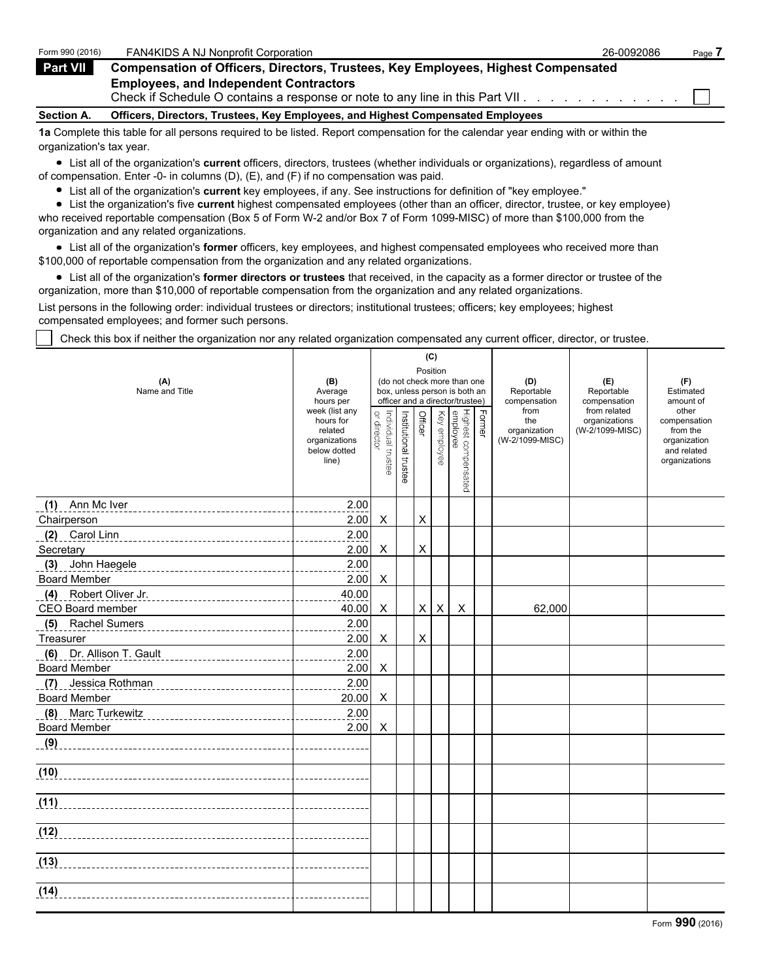| Form 990 (2016)   | <b>FAN4KIDS A NJ Nonprofit Corporation</b>                                                                                        | 26-0092086 | Page. |
|-------------------|-----------------------------------------------------------------------------------------------------------------------------------|------------|-------|
| <b>Part VII</b>   | <b>Compensation of Officers, Directors, Trustees, Key Employees, Highest Compensated</b>                                          |            |       |
|                   | <b>Employees, and Independent Contractors</b><br>Check if Schedule O contains a response or note to any line in this Part VII.    |            |       |
| <b>Section A.</b> | Officers, Directors, Trustees, Key Employees, and Highest Compensated Employees                                                   |            |       |
|                   | 1a Complete this table for all persons required to be listed. Report compensation for the calendar year ending with or within the |            |       |

organization's tax year.

List all of the organization's **current** officers, directors, trustees (whether individuals or organizations), regardless of amount of compensation. Enter -0- in columns (D), (E), and (F) if no compensation was paid.

List all of the organization's **current** key employees, if any. See instructions for definition of "key employee."

List the organization's five **current** highest compensated employees (other than an officer, director, trustee, or key employee) who received reportable compensation (Box 5 of Form W-2 and/or Box 7 of Form 1099-MISC) of more than \$100,000 from the organization and any related organizations.

List all of the organization's **former** officers, key employees, and highest compensated employees who received more than \$100,000 of reportable compensation from the organization and any related organizations.

List all of the organization's **former directors or trustees** that received, in the capacity as a former director or trustee of the organization, more than \$10,000 of reportable compensation from the organization and any related organizations.

List persons in the following order: individual trustees or directors; institutional trustees; officers; key employees; highest compensated employees; and former such persons.

Check this box if neither the organization nor any related organization compensated any current officer, director, or trustee.

| (A)<br>Name and Title                                     | (B)<br>Average<br>hours per<br>week (list any                  |                                   |                       |                | (C)<br>Position | (do not check more than one<br>box, unless person is both an<br>officer and a director/trustee) |        | (D)<br>Reportable<br>compensation<br>from<br>the<br>organization<br>(W-2/1099-MISC) | (E)<br>Reportable<br>compensation<br>from related<br>organizations | (F)<br>Estimated<br>amount of<br>other<br>compensation<br>from the<br>organization<br>and related<br>organizations |
|-----------------------------------------------------------|----------------------------------------------------------------|-----------------------------------|-----------------------|----------------|-----------------|-------------------------------------------------------------------------------------------------|--------|-------------------------------------------------------------------------------------|--------------------------------------------------------------------|--------------------------------------------------------------------------------------------------------------------|
|                                                           | hours for<br>related<br>organizations<br>below dotted<br>line) | Individual trustee<br>or director | Institutional trustee | Officer        | Key employee    | Highest compensated<br>employee                                                                 | Former |                                                                                     | (W-2/1099-MISC)                                                    |                                                                                                                    |
| Ann Mc Iver<br>(1)                                        | 2.00                                                           |                                   |                       |                |                 |                                                                                                 |        |                                                                                     |                                                                    |                                                                                                                    |
| Chairperson                                               | 2.00                                                           | X                                 |                       | $\pmb{\times}$ |                 |                                                                                                 |        |                                                                                     |                                                                    |                                                                                                                    |
| (2)<br>Carol Linn                                         | 2.00                                                           |                                   |                       |                |                 |                                                                                                 |        |                                                                                     |                                                                    |                                                                                                                    |
| Secretary                                                 | 2.00                                                           | X                                 |                       | $\pmb{\times}$ |                 |                                                                                                 |        |                                                                                     |                                                                    |                                                                                                                    |
| John Haegele<br>(3)<br>__________________________________ | 2.00                                                           |                                   |                       |                |                 |                                                                                                 |        |                                                                                     |                                                                    |                                                                                                                    |
| <b>Board Member</b>                                       | 2.00                                                           | X                                 |                       |                |                 |                                                                                                 |        |                                                                                     |                                                                    |                                                                                                                    |
| (4) Robert Oliver Jr.                                     | 40.00                                                          |                                   |                       |                |                 |                                                                                                 |        |                                                                                     |                                                                    |                                                                                                                    |
| CEO Board member                                          | 40.00                                                          | X                                 |                       | X              | X               | $\boldsymbol{\mathsf{X}}$                                                                       |        | 62,000                                                                              |                                                                    |                                                                                                                    |
| (5) Rachel Sumers                                         | 2.00                                                           |                                   |                       |                |                 |                                                                                                 |        |                                                                                     |                                                                    |                                                                                                                    |
| Treasurer                                                 | 2.00                                                           | X                                 |                       | $\pmb{\times}$ |                 |                                                                                                 |        |                                                                                     |                                                                    |                                                                                                                    |
| (6) Dr. Allison T. Gault                                  | 2.00                                                           |                                   |                       |                |                 |                                                                                                 |        |                                                                                     |                                                                    |                                                                                                                    |
| <b>Board Member</b>                                       | 2.00                                                           | X                                 |                       |                |                 |                                                                                                 |        |                                                                                     |                                                                    |                                                                                                                    |
| (7)<br>Jessica Rothman                                    | 2.00                                                           |                                   |                       |                |                 |                                                                                                 |        |                                                                                     |                                                                    |                                                                                                                    |
| <b>Board Member</b>                                       | 20.00                                                          | X                                 |                       |                |                 |                                                                                                 |        |                                                                                     |                                                                    |                                                                                                                    |
| (8) Marc Turkewitz                                        | 2.00                                                           |                                   |                       |                |                 |                                                                                                 |        |                                                                                     |                                                                    |                                                                                                                    |
| <b>Board Member</b>                                       | 2.00                                                           | X                                 |                       |                |                 |                                                                                                 |        |                                                                                     |                                                                    |                                                                                                                    |
| (9)                                                       |                                                                |                                   |                       |                |                 |                                                                                                 |        |                                                                                     |                                                                    |                                                                                                                    |
| (10)                                                      |                                                                |                                   |                       |                |                 |                                                                                                 |        |                                                                                     |                                                                    |                                                                                                                    |
| (11)                                                      |                                                                |                                   |                       |                |                 |                                                                                                 |        |                                                                                     |                                                                    |                                                                                                                    |
|                                                           |                                                                |                                   |                       |                |                 |                                                                                                 |        |                                                                                     |                                                                    |                                                                                                                    |
| (13)                                                      |                                                                |                                   |                       |                |                 |                                                                                                 |        |                                                                                     |                                                                    |                                                                                                                    |
| (14)                                                      |                                                                |                                   |                       |                |                 |                                                                                                 |        |                                                                                     |                                                                    |                                                                                                                    |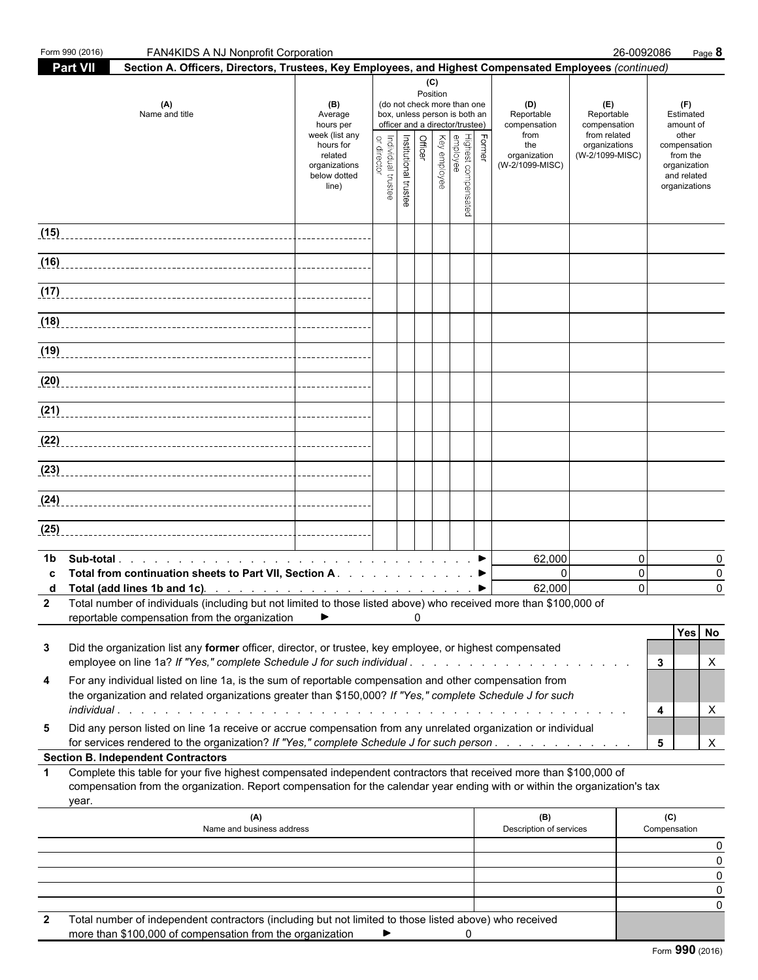|                                                                                                                                                                                                                                                                                                               | Form 990 (2016)<br>FAN4KIDS A NJ Nonprofit Corporation                                                                                                                                                                                                    |                                                                |                                   |                       |          |                                                                                                 |                                 |                                           |                                                   | 26-0092086                             | Page 8                                                                   |
|---------------------------------------------------------------------------------------------------------------------------------------------------------------------------------------------------------------------------------------------------------------------------------------------------------------|-----------------------------------------------------------------------------------------------------------------------------------------------------------------------------------------------------------------------------------------------------------|----------------------------------------------------------------|-----------------------------------|-----------------------|----------|-------------------------------------------------------------------------------------------------|---------------------------------|-------------------------------------------|---------------------------------------------------|----------------------------------------|--------------------------------------------------------------------------|
|                                                                                                                                                                                                                                                                                                               | <b>Part VII</b><br>Section A. Officers, Directors, Trustees, Key Employees, and Highest Compensated Employees (continued)<br>(C)                                                                                                                          |                                                                |                                   |                       |          |                                                                                                 |                                 |                                           |                                                   |                                        |                                                                          |
|                                                                                                                                                                                                                                                                                                               | (A)<br>Name and title                                                                                                                                                                                                                                     | (B)<br>Average<br>hours per<br>week (list any                  |                                   |                       | Position | (do not check more than one<br>box, unless person is both an<br>officer and a director/trustee) |                                 | (D)<br>Reportable<br>compensation<br>from | (E)<br>Reportable<br>compensation<br>from related | (F)<br>Estimated<br>amount of<br>other |                                                                          |
|                                                                                                                                                                                                                                                                                                               |                                                                                                                                                                                                                                                           | hours for<br>related<br>organizations<br>below dotted<br>line) | Individual trustee<br>or director | Institutional trustee | Officer  | Key employee                                                                                    | Highest compensated<br>employee | Former                                    | the<br>organization<br>(W-2/1099-MISC)            | organizations<br>(W-2/1099-MISC)       | compensation<br>from the<br>organization<br>and related<br>organizations |
|                                                                                                                                                                                                                                                                                                               |                                                                                                                                                                                                                                                           |                                                                |                                   |                       |          |                                                                                                 |                                 |                                           |                                                   |                                        |                                                                          |
|                                                                                                                                                                                                                                                                                                               |                                                                                                                                                                                                                                                           |                                                                |                                   |                       |          |                                                                                                 |                                 |                                           |                                                   |                                        |                                                                          |
|                                                                                                                                                                                                                                                                                                               |                                                                                                                                                                                                                                                           |                                                                |                                   |                       |          |                                                                                                 |                                 |                                           |                                                   |                                        |                                                                          |
|                                                                                                                                                                                                                                                                                                               |                                                                                                                                                                                                                                                           |                                                                |                                   |                       |          |                                                                                                 |                                 |                                           |                                                   |                                        |                                                                          |
|                                                                                                                                                                                                                                                                                                               |                                                                                                                                                                                                                                                           |                                                                |                                   |                       |          |                                                                                                 |                                 |                                           |                                                   |                                        |                                                                          |
|                                                                                                                                                                                                                                                                                                               |                                                                                                                                                                                                                                                           |                                                                |                                   |                       |          |                                                                                                 |                                 |                                           |                                                   |                                        |                                                                          |
|                                                                                                                                                                                                                                                                                                               |                                                                                                                                                                                                                                                           |                                                                |                                   |                       |          |                                                                                                 |                                 |                                           |                                                   |                                        |                                                                          |
|                                                                                                                                                                                                                                                                                                               |                                                                                                                                                                                                                                                           |                                                                |                                   |                       |          |                                                                                                 |                                 |                                           |                                                   |                                        |                                                                          |
|                                                                                                                                                                                                                                                                                                               |                                                                                                                                                                                                                                                           |                                                                |                                   |                       |          |                                                                                                 |                                 |                                           |                                                   |                                        |                                                                          |
|                                                                                                                                                                                                                                                                                                               |                                                                                                                                                                                                                                                           |                                                                |                                   |                       |          |                                                                                                 |                                 |                                           |                                                   |                                        |                                                                          |
|                                                                                                                                                                                                                                                                                                               |                                                                                                                                                                                                                                                           |                                                                |                                   |                       |          |                                                                                                 |                                 |                                           |                                                   |                                        |                                                                          |
| (25)                                                                                                                                                                                                                                                                                                          |                                                                                                                                                                                                                                                           |                                                                |                                   |                       |          |                                                                                                 |                                 |                                           |                                                   |                                        |                                                                          |
| 1b.                                                                                                                                                                                                                                                                                                           |                                                                                                                                                                                                                                                           |                                                                |                                   |                       |          |                                                                                                 |                                 |                                           | 62,000                                            | 0                                      | 0                                                                        |
| c                                                                                                                                                                                                                                                                                                             | Total from continuation sheets to Part VII, Section A. ▶<br>d Total (add lines 1b and 1c). $\ldots$ $\ldots$ $\ldots$ $\ldots$ $\ldots$ $\ldots$ $\ldots$ $\ldots$                                                                                        |                                                                |                                   |                       |          |                                                                                                 |                                 |                                           | $\Omega$<br>62,000                                | $\mathbf 0$<br>$\Omega$                | $\Omega$<br>$\Omega$                                                     |
| $\mathbf{2}$                                                                                                                                                                                                                                                                                                  | Total number of individuals (including but not limited to those listed above) who received more than \$100,000 of                                                                                                                                         |                                                                |                                   |                       |          |                                                                                                 |                                 |                                           |                                                   |                                        |                                                                          |
|                                                                                                                                                                                                                                                                                                               | reportable compensation from the organization                                                                                                                                                                                                             |                                                                |                                   |                       | 0        |                                                                                                 |                                 |                                           |                                                   |                                        | Yes No                                                                   |
| 3                                                                                                                                                                                                                                                                                                             | Did the organization list any former officer, director, or trustee, key employee, or highest compensated                                                                                                                                                  |                                                                |                                   |                       |          |                                                                                                 |                                 |                                           |                                                   |                                        | 3<br>Χ                                                                   |
| employee on line 1a? If "Yes," complete Schedule J for such individual<br>For any individual listed on line 1a, is the sum of reportable compensation and other compensation from<br>4<br>the organization and related organizations greater than \$150,000? If "Yes," complete Schedule J for such<br>X<br>4 |                                                                                                                                                                                                                                                           |                                                                |                                   |                       |          |                                                                                                 |                                 |                                           |                                                   |                                        |                                                                          |
| Did any person listed on line 1a receive or accrue compensation from any unrelated organization or individual<br>5<br>for services rendered to the organization? If "Yes," complete Schedule J for such person                                                                                                |                                                                                                                                                                                                                                                           |                                                                |                                   |                       |          |                                                                                                 |                                 |                                           |                                                   | $\mathsf{X}$<br>5                      |                                                                          |
|                                                                                                                                                                                                                                                                                                               | <b>Section B. Independent Contractors</b>                                                                                                                                                                                                                 |                                                                |                                   |                       |          |                                                                                                 |                                 |                                           |                                                   |                                        |                                                                          |
| $\mathbf{1}$                                                                                                                                                                                                                                                                                                  | Complete this table for your five highest compensated independent contractors that received more than \$100,000 of<br>compensation from the organization. Report compensation for the calendar year ending with or within the organization's tax<br>year. |                                                                |                                   |                       |          |                                                                                                 |                                 |                                           |                                                   |                                        |                                                                          |
|                                                                                                                                                                                                                                                                                                               | (A)<br>Name and business address                                                                                                                                                                                                                          |                                                                |                                   |                       |          |                                                                                                 |                                 |                                           | (B)<br>Description of services                    |                                        | (C)<br>Compensation                                                      |
|                                                                                                                                                                                                                                                                                                               |                                                                                                                                                                                                                                                           |                                                                |                                   |                       |          |                                                                                                 |                                 |                                           |                                                   |                                        | O                                                                        |
|                                                                                                                                                                                                                                                                                                               |                                                                                                                                                                                                                                                           |                                                                |                                   |                       |          |                                                                                                 |                                 |                                           |                                                   |                                        | 0<br>O                                                                   |
|                                                                                                                                                                                                                                                                                                               |                                                                                                                                                                                                                                                           |                                                                |                                   |                       |          |                                                                                                 |                                 |                                           |                                                   |                                        |                                                                          |
| 2                                                                                                                                                                                                                                                                                                             | Total number of independent contractors (including but not limited to those listed above) who received<br>more than \$100,000 of compensation from the organization                                                                                       |                                                                |                                   |                       |          |                                                                                                 | 0                               |                                           |                                                   |                                        |                                                                          |

|  |  | Form 990 (2016) |
|--|--|-----------------|
|--|--|-----------------|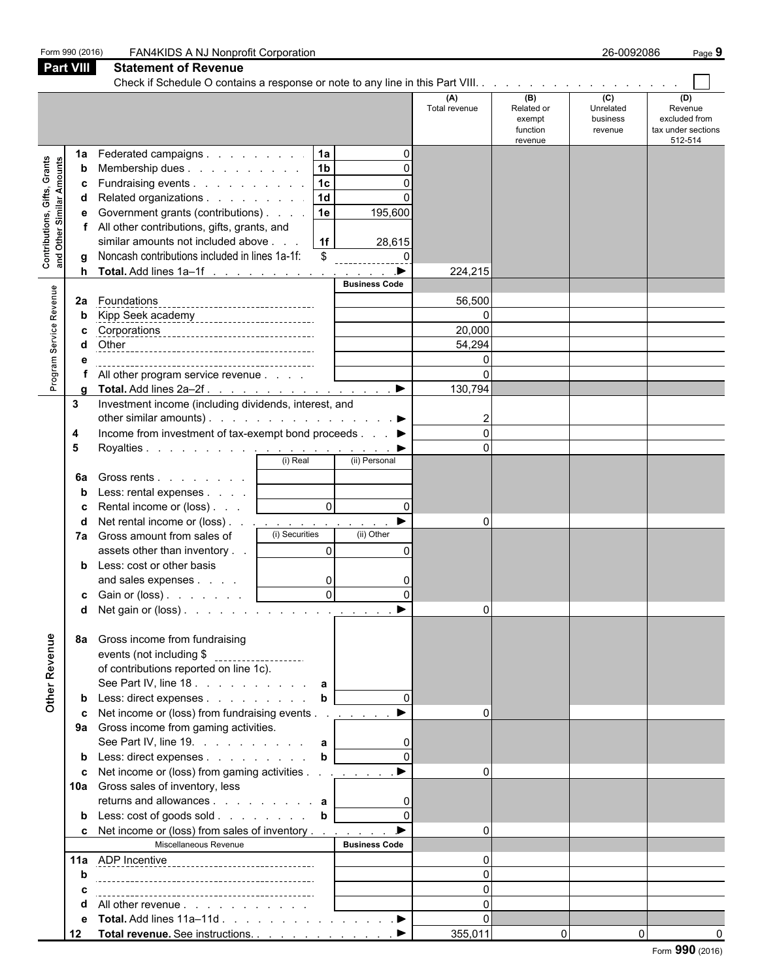|                                                           | Form 990 (2016)                   | FAN4KIDS A NJ Nonprofit Corporation                                                                                                                                                                                                                                                                                                                                                                                                                                                                                                                                                                                                                          |                                                                                                                                       |                                                                                                       |                                                    | 26-0092086                              | Page 9                                                           |
|-----------------------------------------------------------|-----------------------------------|--------------------------------------------------------------------------------------------------------------------------------------------------------------------------------------------------------------------------------------------------------------------------------------------------------------------------------------------------------------------------------------------------------------------------------------------------------------------------------------------------------------------------------------------------------------------------------------------------------------------------------------------------------------|---------------------------------------------------------------------------------------------------------------------------------------|-------------------------------------------------------------------------------------------------------|----------------------------------------------------|-----------------------------------------|------------------------------------------------------------------|
|                                                           | <b>Part VIII</b>                  | <b>Statement of Revenue</b>                                                                                                                                                                                                                                                                                                                                                                                                                                                                                                                                                                                                                                  |                                                                                                                                       |                                                                                                       |                                                    |                                         |                                                                  |
|                                                           |                                   |                                                                                                                                                                                                                                                                                                                                                                                                                                                                                                                                                                                                                                                              |                                                                                                                                       | (A)<br>Total revenue                                                                                  | (B)<br>Related or<br>exempt<br>function<br>revenue | (C)<br>Unrelated<br>business<br>revenue | (D)<br>Revenue<br>excluded from<br>tax under sections<br>512-514 |
| Contributions, Gifts, Grants<br>and Other Similar Amounts | 1a<br>b<br>c                      | Federated campaigns<br>Membership dues<br>Fundraising events<br>Related organizations<br>Government grants (contributions)<br>All other contributions, gifts, grants, and<br>similar amounts not included above<br>Noncash contributions included in lines 1a-1f:<br>Total. Add lines 1a-1f                                                                                                                                                                                                                                                                                                                                                                  | 1a <br> 1 <sub>b</sub><br> 1c <br> 1d <br>1e<br>1f<br>\$                                                                              | $\Omega$<br>$\Omega$<br>$\Omega$<br>195,600<br>28,615<br>$\Omega$<br>$\blacktriangleright$<br>224,215 |                                                    |                                         |                                                                  |
| Program Service Revenue                                   | 2a                                | Foundations<br>---------------------------------<br>Other<br>All other program service revenue                                                                                                                                                                                                                                                                                                                                                                                                                                                                                                                                                               | <b>Business Code</b>                                                                                                                  | 56,500<br>20,000<br>54,294<br>$\Omega$<br>$\Omega$<br>130,794                                         |                                                    |                                         |                                                                  |
|                                                           | 3<br>4<br>5<br>6a<br>d<br>7a<br>d | Investment income (including dividends, interest, and<br>other similar amounts). $\ldots$ $\ldots$ $\ldots$ $\ldots$ $\ldots$ $\ldots$<br>Income from investment of tax-exempt bond proceeds $\ldots$<br>Gross rents  <br>Less: rental expenses  <br>Rental income or (loss)<br>Net rental income or (loss) $\ldots$ $\ldots$ $\ldots$ $\ldots$ $\ldots$ $\ldots$<br>Gross amount from sales of<br>assets other than inventory<br>Less: cost or other basis<br>and sales expenses<br>c Gain or (loss). $\ldots$ $\ldots$ $\qquad$                                                                                                                            | (i) Real<br>(ii) Personal<br>$\overline{0}$<br>(i) Securities<br>(ii) Other<br>$\overline{0}$<br>$\overline{0}$<br>ΩI<br>$\mathsf{v}$ | $\Omega$<br>$\Omega$<br>$\Omega$<br>$\Omega$                                                          |                                                    |                                         |                                                                  |
| Other Revenue                                             | 8а<br>c                           | Gross income from fundraising<br>events (not including \$ ____________________<br>of contributions reported on line 1c).<br>See Part IV, line 18. a<br>Less: direct expenses $\ldots$ $\ldots$ $\ldots$ <b>b</b><br>Net income or (loss) from fundraising events<br>9a Gross income from gaming activities.<br>See Part IV, line 19. $\ldots$ $\ldots$ $\ldots$ <b>a</b><br><b>b</b> Less: direct expenses<br>Net income or (loss) from gaming activities <u>. ▶</u><br>10a Gross sales of inventory, less<br>returns and allowances $\ldots$ $\ldots$ $\ldots$ $\ldots$ a<br><b>c</b> Net income or (loss) from sales of inventory<br>Miscellaneous Revenue | $\mathbf{b}$<br><b>Business Code</b>                                                                                                  | $\blacksquare$<br>$\Omega$<br>$\Omega$<br>$\Omega$<br>$\overline{0}$                                  |                                                    |                                         |                                                                  |
|                                                           | 12                                | All other revenue<br>Total revenue. See instructions. ▶                                                                                                                                                                                                                                                                                                                                                                                                                                                                                                                                                                                                      |                                                                                                                                       | $\Omega$<br>$\Omega$<br>$\Omega$<br>355,011                                                           | $\mathbf 0$                                        | $\overline{0}$                          | $\sim$                                                           |

Form **990** (2016)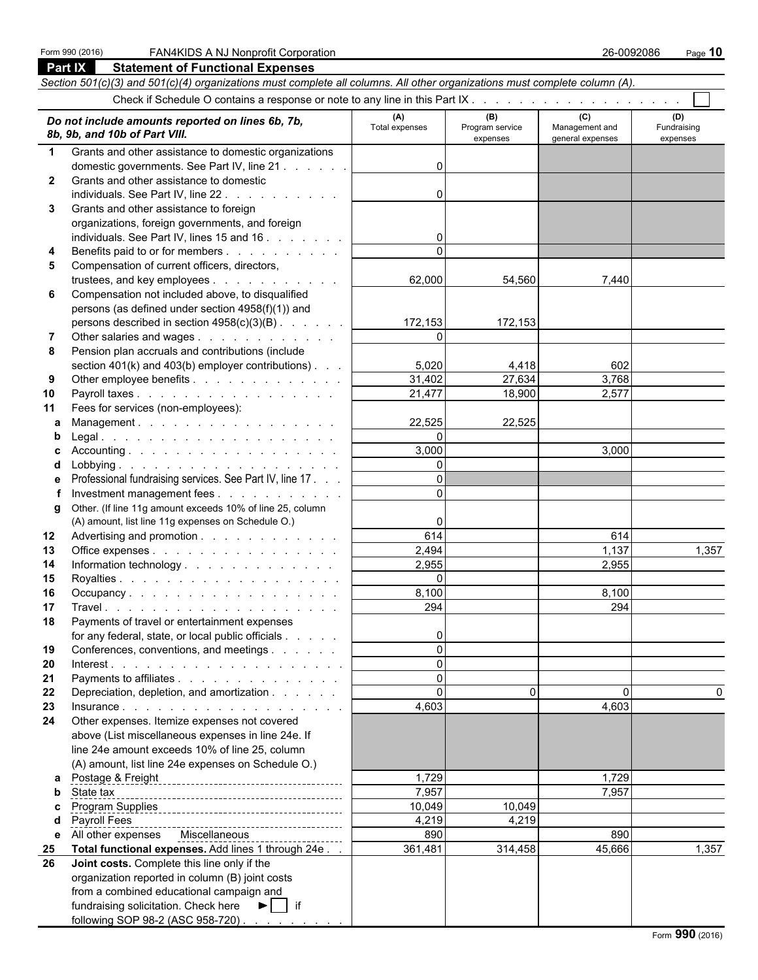|              | Part IX<br><b>Statement of Functional Expenses</b>                                                                                                                                                                                           |                    |                             |                                    |                         |  |  |  |  |  |
|--------------|----------------------------------------------------------------------------------------------------------------------------------------------------------------------------------------------------------------------------------------------|--------------------|-----------------------------|------------------------------------|-------------------------|--|--|--|--|--|
|              | Section 501(c)(3) and 501(c)(4) organizations must complete all columns. All other organizations must complete column (A).                                                                                                                   |                    |                             |                                    |                         |  |  |  |  |  |
|              |                                                                                                                                                                                                                                              |                    |                             |                                    |                         |  |  |  |  |  |
|              |                                                                                                                                                                                                                                              | (A)                | (B)                         | (C)                                | (D)                     |  |  |  |  |  |
|              | Do not include amounts reported on lines 6b, 7b,<br>8b, 9b, and 10b of Part VIII.                                                                                                                                                            | Total expenses     | Program service<br>expenses | Management and<br>general expenses | Fundraising<br>expenses |  |  |  |  |  |
| $\mathbf 1$  | Grants and other assistance to domestic organizations                                                                                                                                                                                        |                    |                             |                                    |                         |  |  |  |  |  |
|              | domestic governments. See Part IV, line 21                                                                                                                                                                                                   | $\Omega$           |                             |                                    |                         |  |  |  |  |  |
| $\mathbf{2}$ | Grants and other assistance to domestic                                                                                                                                                                                                      |                    |                             |                                    |                         |  |  |  |  |  |
|              | individuals. See Part IV, line 22.                                                                                                                                                                                                           | 0                  |                             |                                    |                         |  |  |  |  |  |
| 3            | Grants and other assistance to foreign                                                                                                                                                                                                       |                    |                             |                                    |                         |  |  |  |  |  |
|              | organizations, foreign governments, and foreign                                                                                                                                                                                              |                    |                             |                                    |                         |  |  |  |  |  |
|              | individuals. See Part IV, lines 15 and 16                                                                                                                                                                                                    | 0                  |                             |                                    |                         |  |  |  |  |  |
| 4            | Benefits paid to or for members                                                                                                                                                                                                              |                    |                             |                                    |                         |  |  |  |  |  |
| 5            | Compensation of current officers, directors,                                                                                                                                                                                                 |                    |                             |                                    |                         |  |  |  |  |  |
|              | trustees, and key employees                                                                                                                                                                                                                  | 62,000             | 54,560                      | 7,440                              |                         |  |  |  |  |  |
| 6            | Compensation not included above, to disqualified                                                                                                                                                                                             |                    |                             |                                    |                         |  |  |  |  |  |
|              | persons (as defined under section 4958(f)(1)) and                                                                                                                                                                                            |                    |                             |                                    |                         |  |  |  |  |  |
|              | persons described in section $4958(c)(3)(B)$ .                                                                                                                                                                                               | 172,153            | 172,153                     |                                    |                         |  |  |  |  |  |
|              | Other salaries and wages                                                                                                                                                                                                                     | $\Omega$           |                             |                                    |                         |  |  |  |  |  |
| 8            | Pension plan accruals and contributions (include                                                                                                                                                                                             |                    |                             |                                    |                         |  |  |  |  |  |
|              | section $401(k)$ and $403(b)$ employer contributions).                                                                                                                                                                                       | 5,020              | 4,418                       | 602                                |                         |  |  |  |  |  |
| 9            | Other employee benefits                                                                                                                                                                                                                      | 31,402             | 27,634                      | 3,768                              |                         |  |  |  |  |  |
| 10           | Payroll taxes                                                                                                                                                                                                                                | 21,477             | 18,900                      | 2,577                              |                         |  |  |  |  |  |
| 11           | Fees for services (non-employees):                                                                                                                                                                                                           |                    |                             |                                    |                         |  |  |  |  |  |
| a            | Management.                                                                                                                                                                                                                                  | 22,525<br>$\Omega$ | 22,525                      |                                    |                         |  |  |  |  |  |
| b            |                                                                                                                                                                                                                                              | 3,000              |                             |                                    |                         |  |  |  |  |  |
| c            |                                                                                                                                                                                                                                              | $\Omega$           |                             | 3,000                              |                         |  |  |  |  |  |
| d            | Professional fundraising services. See Part IV, line 17.                                                                                                                                                                                     | $\Omega$           |                             |                                    |                         |  |  |  |  |  |
| е            | Investment management fees                                                                                                                                                                                                                   | $\Omega$           |                             |                                    |                         |  |  |  |  |  |
| g            | Other. (If line 11g amount exceeds 10% of line 25, column                                                                                                                                                                                    |                    |                             |                                    |                         |  |  |  |  |  |
|              | (A) amount, list line 11g expenses on Schedule O.)                                                                                                                                                                                           | 0                  |                             |                                    |                         |  |  |  |  |  |
| 12           | Advertising and promotion                                                                                                                                                                                                                    | 614                |                             | 614                                |                         |  |  |  |  |  |
| 13           | Office expenses                                                                                                                                                                                                                              | 2,494              |                             | 1,137                              | 1,357                   |  |  |  |  |  |
| 14           | Information technology.                                                                                                                                                                                                                      | 2,955              |                             | 2,955                              |                         |  |  |  |  |  |
| 15           |                                                                                                                                                                                                                                              | $\Omega$           |                             |                                    |                         |  |  |  |  |  |
| 16           | Occupancy                                                                                                                                                                                                                                    | 8,100              |                             | 8,100                              |                         |  |  |  |  |  |
| 17           |                                                                                                                                                                                                                                              | 294                |                             | 294                                |                         |  |  |  |  |  |
| 18           | Payments of travel or entertainment expenses                                                                                                                                                                                                 |                    |                             |                                    |                         |  |  |  |  |  |
|              | for any federal, state, or local public officials                                                                                                                                                                                            | 0                  |                             |                                    |                         |  |  |  |  |  |
| 19           | Conferences, conventions, and meetings                                                                                                                                                                                                       | $\Omega$           |                             |                                    |                         |  |  |  |  |  |
| 20           |                                                                                                                                                                                                                                              | $\Omega$           |                             |                                    |                         |  |  |  |  |  |
| 21           | Payments to affiliates                                                                                                                                                                                                                       | $\Omega$           |                             |                                    |                         |  |  |  |  |  |
| 22           | Depreciation, depletion, and amortization                                                                                                                                                                                                    | $\Omega$           | $\Omega$                    | $\Omega$                           |                         |  |  |  |  |  |
| 23           |                                                                                                                                                                                                                                              | 4,603              |                             | 4,603                              |                         |  |  |  |  |  |
| 24           | Other expenses. Itemize expenses not covered                                                                                                                                                                                                 |                    |                             |                                    |                         |  |  |  |  |  |
|              | above (List miscellaneous expenses in line 24e. If                                                                                                                                                                                           |                    |                             |                                    |                         |  |  |  |  |  |
|              | line 24e amount exceeds 10% of line 25, column                                                                                                                                                                                               |                    |                             |                                    |                         |  |  |  |  |  |
|              | (A) amount, list line 24e expenses on Schedule O.)                                                                                                                                                                                           |                    |                             |                                    |                         |  |  |  |  |  |
| a            |                                                                                                                                                                                                                                              | 1,729              |                             | 1,729                              |                         |  |  |  |  |  |
| b            | State tax                                                                                                                                                                                                                                    | 7,957              |                             | 7,957                              |                         |  |  |  |  |  |
| c            | <u>Program Supplies<br/>Program Supplies<br/>Allen Construction Construction of the Supplies of the Supplies of the Supplies of the Supplies of the Supplies of the Supplies of the Supplies of the Supplies of the Supplies of the Supp</u> | 10,049             | 10,049                      |                                    |                         |  |  |  |  |  |
| d            | Payroll Fees                                                                                                                                                                                                                                 | 4,219              | 4,219                       |                                    |                         |  |  |  |  |  |
| е            | All other expenses Miscellaneous <b>MISCO</b> 2001 2012                                                                                                                                                                                      | 890                |                             | 890                                |                         |  |  |  |  |  |
| 25           | Total functional expenses. Add lines 1 through 24e.                                                                                                                                                                                          | 361,481            | 314,458                     | 45,666                             | 1,357                   |  |  |  |  |  |
| 26           | Joint costs. Complete this line only if the                                                                                                                                                                                                  |                    |                             |                                    |                         |  |  |  |  |  |
|              | organization reported in column (B) joint costs                                                                                                                                                                                              |                    |                             |                                    |                         |  |  |  |  |  |
|              | from a combined educational campaign and                                                                                                                                                                                                     |                    |                             |                                    |                         |  |  |  |  |  |
|              | fundraising solicitation. Check here $\blacktriangleright$   if                                                                                                                                                                              |                    |                             |                                    |                         |  |  |  |  |  |
|              | following SOP 98-2 (ASC 958-720)                                                                                                                                                                                                             |                    |                             |                                    |                         |  |  |  |  |  |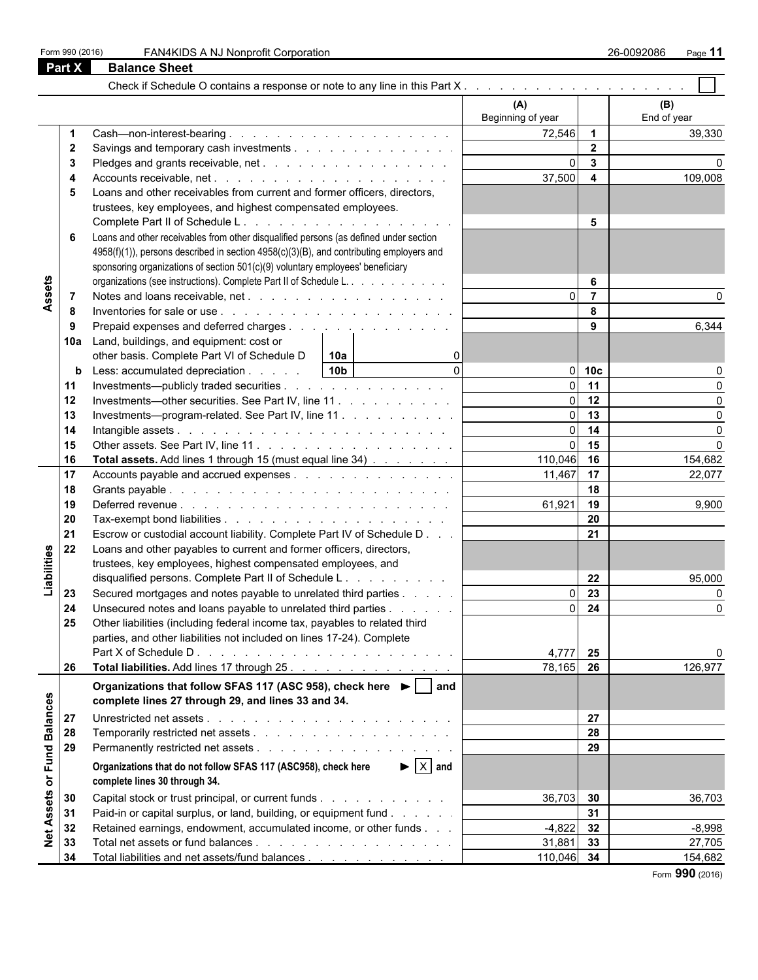| Form 990 (2016) |  |  |  |
|-----------------|--|--|--|
|-----------------|--|--|--|

|                   | <b>Part X</b> | <b>Balance Sheet</b>                                                                                                               |                          |                                           |                    |
|-------------------|---------------|------------------------------------------------------------------------------------------------------------------------------------|--------------------------|-------------------------------------------|--------------------|
|                   |               | Check if Schedule O contains a response or note to any line in this Part $X_1, \ldots, X_n, \ldots, X_n, \ldots, X_n, \ldots, X_n$ |                          |                                           |                    |
|                   |               |                                                                                                                                    | (A)<br>Beginning of year |                                           | (B)<br>End of year |
|                   | $\mathbf{2}$  |                                                                                                                                    | 72,546                   | $\overline{\mathbf{1}}$<br>$\overline{2}$ | 39,330             |
|                   | 3             | Pledges and grants receivable, net                                                                                                 |                          | $\mathbf{3}$                              |                    |
|                   | 4             |                                                                                                                                    | 37,500                   | $\overline{\mathbf{4}}$                   | 109,008            |
|                   | 5             | Loans and other receivables from current and former officers, directors,                                                           |                          |                                           |                    |
|                   |               | trustees, key employees, and highest compensated employees.                                                                        |                          |                                           |                    |
|                   |               |                                                                                                                                    |                          | 5                                         |                    |
|                   | 6             | Loans and other receivables from other disqualified persons (as defined under section                                              |                          |                                           |                    |
|                   |               | 4958(f)(1)), persons described in section 4958(c)(3)(B), and contributing employers and                                            |                          |                                           |                    |
|                   |               | sponsoring organizations of section 501(c)(9) voluntary employees' beneficiary                                                     |                          |                                           |                    |
| Assets            |               | organizations (see instructions). Complete Part II of Schedule L.                                                                  |                          | 6<br>$\overline{7}$                       |                    |
|                   | 8             |                                                                                                                                    |                          | 8                                         |                    |
|                   | 9             | Prepaid expenses and deferred charges                                                                                              |                          | 9                                         | 6,344              |
|                   | 10a           | Land, buildings, and equipment: cost or                                                                                            |                          |                                           |                    |
|                   |               | other basis. Complete Part VI of Schedule D<br>10a                                                                                 |                          |                                           |                    |
|                   | b             | $\Omega$<br>10 <sub>b</sub><br>Less: accumulated depreciation                                                                      |                          | $0$ 10 $c$                                |                    |
|                   | 11            | Investments—publicly traded securities                                                                                             |                          | $0$ 11                                    |                    |
|                   | 12            | Investments—other securities. See Part IV, line 11.                                                                                |                          | $0$ 12                                    |                    |
|                   | 13            | Investments---program-related. See Part IV, line 11                                                                                |                          | $0$ 13                                    |                    |
|                   | 14            |                                                                                                                                    |                          | $0$ 14                                    | $\Omega$           |
|                   | 15            |                                                                                                                                    |                          | 15                                        | $\Omega$           |
|                   | 16            | Total assets. Add lines 1 through 15 (must equal line 34)                                                                          | 110,046 16               |                                           | 154,682            |
|                   | 17            | Accounts payable and accrued expenses                                                                                              | 11,467 17                |                                           | 22,077             |
|                   | 18            |                                                                                                                                    |                          | 18                                        |                    |
|                   | 19            |                                                                                                                                    | 61,921                   | 19                                        | 9,900              |
|                   | 20            |                                                                                                                                    |                          | 20                                        |                    |
|                   | 21<br>22      | Escrow or custodial account liability. Complete Part IV of Schedule D                                                              |                          | 21                                        |                    |
|                   |               | Loans and other payables to current and former officers, directors,                                                                |                          |                                           |                    |
|                   |               | trustees, key employees, highest compensated employees, and                                                                        |                          | 22                                        |                    |
| Liabilities       |               | disqualified persons. Complete Part II of Schedule L.                                                                              |                          | 23                                        | 95,000<br>$\Omega$ |
|                   | 23<br>24      | Secured mortgages and notes payable to unrelated third parties<br>Unsecured notes and loans payable to unrelated third parties     |                          | 24                                        | O                  |
|                   | 25            | Other liabilities (including federal income tax, payables to related third                                                         |                          |                                           |                    |
|                   |               | parties, and other liabilities not included on lines 17-24). Complete                                                              |                          |                                           |                    |
|                   |               |                                                                                                                                    | 4,777                    | 25                                        | 0                  |
|                   | 26            | Total liabilities. Add lines 17 through 25.                                                                                        | 78,165 26                |                                           | 126,977            |
|                   |               |                                                                                                                                    |                          |                                           |                    |
|                   |               | Organizations that follow SFAS 117 (ASC 958), check here ▶   and<br>complete lines 27 through 29, and lines 33 and 34.             |                          |                                           |                    |
| <b>Balances</b>   | 27            |                                                                                                                                    |                          | 27                                        |                    |
|                   | 28            |                                                                                                                                    |                          | 28                                        |                    |
|                   | 29            |                                                                                                                                    |                          | 29                                        |                    |
| or Fund           |               | $\blacktriangleright$ $\mid$ X $\mid$ and<br>Organizations that do not follow SFAS 117 (ASC958), check here                        |                          |                                           |                    |
|                   |               | complete lines 30 through 34.                                                                                                      |                          |                                           |                    |
|                   | 30            | Capital stock or trust principal, or current funds                                                                                 | 36,703                   | 30                                        | 36,703             |
| <b>Net Assets</b> | 31            | Paid-in or capital surplus, or land, building, or equipment fund                                                                   |                          | 31                                        |                    |
|                   | 32            | Retained earnings, endowment, accumulated income, or other funds                                                                   | $-4,822$                 | 32                                        | $-8,998$           |
|                   | 33            |                                                                                                                                    | 31,881                   | 33                                        | 27,705             |
|                   | 34            | Total liabilities and net assets/fund balances                                                                                     | 110,046 34               |                                           | 154,682            |

Form **990** (2016)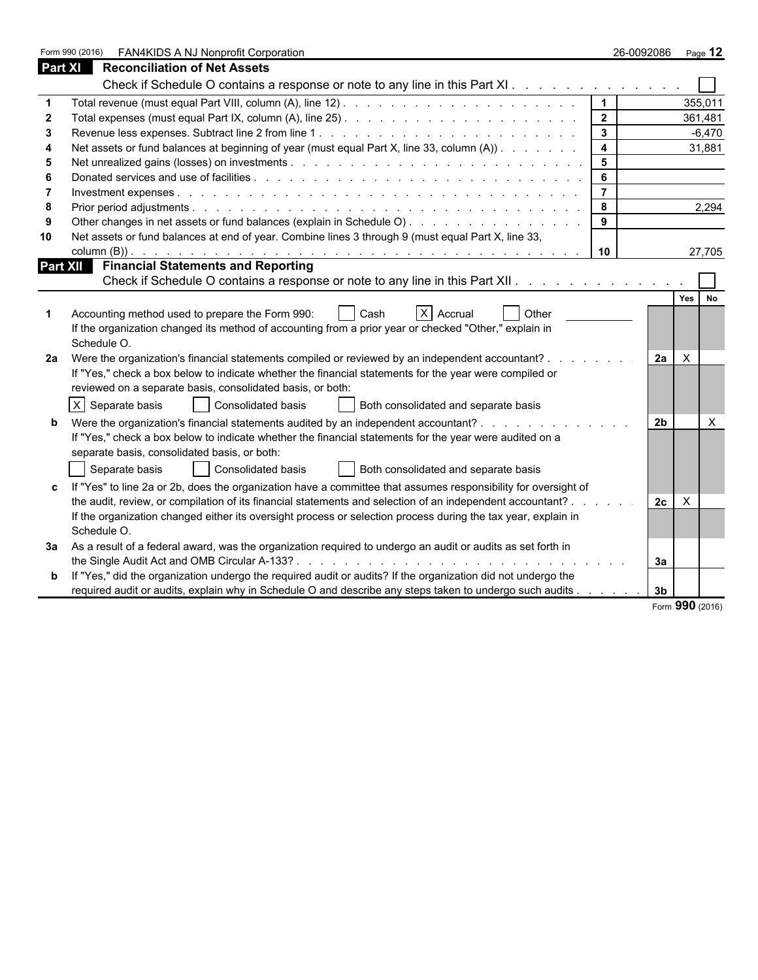|         | FAN4KIDS A NJ Nonprofit Corporation<br>Form 990 (2016)                                                                                                                                                                         | 26-0092086              |                | Page $12$ |
|---------|--------------------------------------------------------------------------------------------------------------------------------------------------------------------------------------------------------------------------------|-------------------------|----------------|-----------|
| Part XI | <b>Reconciliation of Net Assets</b>                                                                                                                                                                                            |                         |                |           |
|         | Check if Schedule O contains a response or note to any line in this Part XI                                                                                                                                                    |                         |                |           |
|         |                                                                                                                                                                                                                                |                         |                | 355,011   |
| -2      |                                                                                                                                                                                                                                | 2 <sup>1</sup>          | 361,481        |           |
| 3       |                                                                                                                                                                                                                                | $\mathbf{3}$            |                | $-6,470$  |
|         | Net assets or fund balances at beginning of year (must equal Part X, line 33, column (A))                                                                                                                                      | $\overline{\mathbf{4}}$ |                | 31,881    |
| 5       |                                                                                                                                                                                                                                | 5                       |                |           |
|         |                                                                                                                                                                                                                                | 6                       |                |           |
|         |                                                                                                                                                                                                                                | $\overline{7}$          |                |           |
| 8       |                                                                                                                                                                                                                                | 8                       |                | 2,294     |
|         | Other changes in net assets or fund balances (explain in Schedule O)                                                                                                                                                           | 9                       |                |           |
| 10      | Net assets or fund balances at end of year. Combine lines 3 through 9 (must equal Part X, line 33,                                                                                                                             |                         |                |           |
|         | column $(B)$ ).<br>a construcción de la construcción de la construcción de la construcción de la construcción de la construcción                                                                                               | 10                      |                | 27,705    |
|         | <b>Part XII Financial Statements and Reporting</b>                                                                                                                                                                             |                         |                |           |
|         | Check if Schedule O contains a response or note to any line in this Part XII. A contact of the state of the Check of Allen Check in the Check of Check of the Check of Check of Check of Check of Check of Check of Check of C |                         |                |           |
|         |                                                                                                                                                                                                                                |                         | Yes No         |           |
|         | $X$ Accrual<br>Accounting method used to prepare the Form 990:<br>Cash<br>Other                                                                                                                                                |                         |                |           |
|         | If the organization changed its method of accounting from a prior year or checked "Other," explain in                                                                                                                          |                         |                |           |
|         | Schedule O.                                                                                                                                                                                                                    |                         |                |           |
| 2a      | Were the organization's financial statements compiled or reviewed by an independent accountant?                                                                                                                                |                         | X<br>2a        |           |
|         | If "Yes," check a box below to indicate whether the financial statements for the year were compiled or                                                                                                                         |                         |                |           |
|         | reviewed on a separate basis, consolidated basis, or both:                                                                                                                                                                     |                         |                |           |
|         | $X$ Separate basis<br>Consolidated basis<br>Both consolidated and separate basis                                                                                                                                               |                         |                |           |
|         | Were the organization's financial statements audited by an independent accountant?                                                                                                                                             |                         | 2 <sub>b</sub> | $\times$  |
|         | If "Yes," check a box below to indicate whether the financial statements for the year were audited on a                                                                                                                        |                         |                |           |
|         | separate basis, consolidated basis, or both:                                                                                                                                                                                   |                         |                |           |
|         | Consolidated basis<br>Separate basis<br>Both consolidated and separate basis                                                                                                                                                   |                         |                |           |
|         |                                                                                                                                                                                                                                |                         |                |           |
|         | If "Yes" to line 2a or 2b, does the organization have a committee that assumes responsibility for oversight of                                                                                                                 |                         |                |           |
|         | the audit, review, or compilation of its financial statements and selection of an independent accountant? .                                                                                                                    |                         | $\times$<br>2c |           |
|         | If the organization changed either its oversight process or selection process during the tax year, explain in                                                                                                                  |                         |                |           |
|         | Schedule O.                                                                                                                                                                                                                    |                         |                |           |
|         | 3a As a result of a federal award, was the organization required to undergo an audit or audits as set forth in                                                                                                                 |                         |                |           |
|         |                                                                                                                                                                                                                                | За                      |                |           |
|         | If "Yes," did the organization undergo the required audit or audits? If the organization did not undergo the                                                                                                                   |                         |                |           |
|         | required audit or audits, explain why in Schedule O and describe any steps taken to undergo such audits                                                                                                                        | 3 <sub>b</sub>          |                |           |

Form **990** (2016)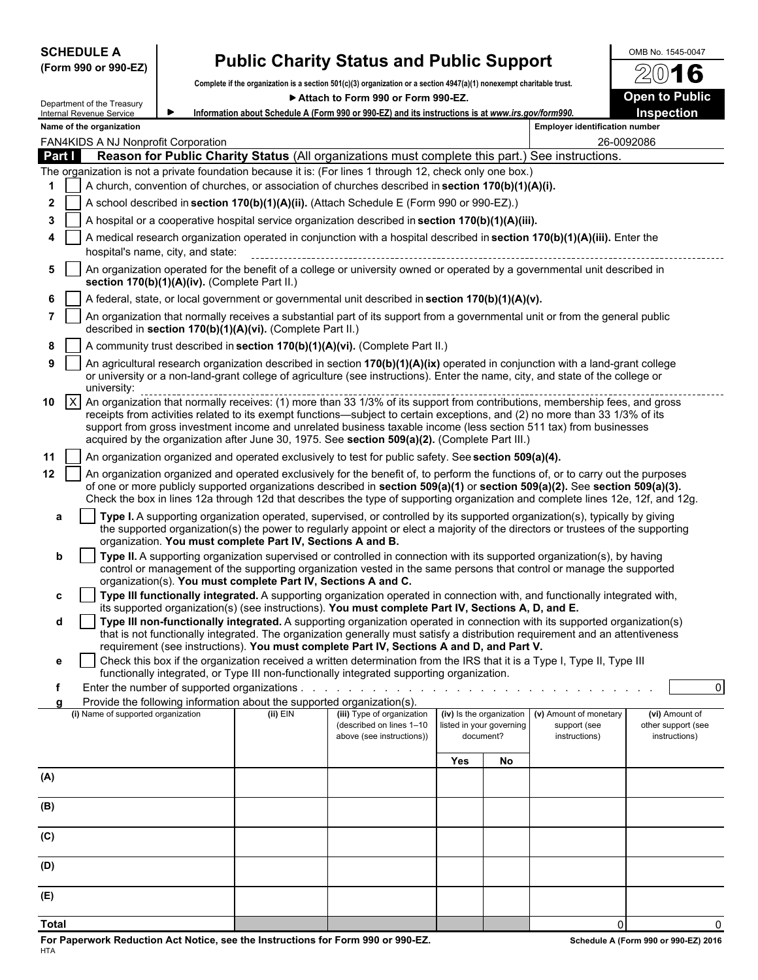| <b>SCHEDULE A</b> |  |                      |
|-------------------|--|----------------------|
|                   |  | (Form 990 or 990-EZ) |

# **Public Charity Status and Public Support** <sup>OMB No. 1545-0047</sup>

**Complete if the organization is a section 501(c)(3) organization or a section 4947(a)(1) nonexempt charitable trust.** ▶ Attach to Form 990 or Form 990-EZ. **Dem to Public** 

|        | Department of the Treasury<br>Internal Revenue Service |                                               |                                                                                      | Information about Schedule A (Form 990 or 990-EZ) and its instructions is at www.irs.gov/form990.                                                                                                                                                                                                                                                     |     |                          |                                       | Inspection         |
|--------|--------------------------------------------------------|-----------------------------------------------|--------------------------------------------------------------------------------------|-------------------------------------------------------------------------------------------------------------------------------------------------------------------------------------------------------------------------------------------------------------------------------------------------------------------------------------------------------|-----|--------------------------|---------------------------------------|--------------------|
|        | Name of the organization                               |                                               |                                                                                      |                                                                                                                                                                                                                                                                                                                                                       |     |                          | <b>Employer identification number</b> |                    |
|        | FAN4KIDS A NJ Nonprofit Corporation                    |                                               |                                                                                      |                                                                                                                                                                                                                                                                                                                                                       |     |                          |                                       | 26-0092086         |
| Part I |                                                        |                                               |                                                                                      | Reason for Public Charity Status (All organizations must complete this part.) See instructions.                                                                                                                                                                                                                                                       |     |                          |                                       |                    |
|        |                                                        |                                               |                                                                                      | The organization is not a private foundation because it is: (For lines 1 through 12, check only one box.)                                                                                                                                                                                                                                             |     |                          |                                       |                    |
| 1.     |                                                        |                                               |                                                                                      | A church, convention of churches, or association of churches described in section 170(b)(1)(A)(i).                                                                                                                                                                                                                                                    |     |                          |                                       |                    |
| 2      |                                                        |                                               |                                                                                      | A school described in section 170(b)(1)(A)(ii). (Attach Schedule E (Form 990 or 990-EZ).)                                                                                                                                                                                                                                                             |     |                          |                                       |                    |
| 3      |                                                        |                                               |                                                                                      | A hospital or a cooperative hospital service organization described in section 170(b)(1)(A)(iii).                                                                                                                                                                                                                                                     |     |                          |                                       |                    |
| 4      |                                                        | hospital's name, city, and state:             |                                                                                      | A medical research organization operated in conjunction with a hospital described in section 170(b)(1)(A)(iii). Enter the                                                                                                                                                                                                                             |     |                          |                                       |                    |
| 5      |                                                        |                                               |                                                                                      | An organization operated for the benefit of a college or university owned or operated by a governmental unit described in                                                                                                                                                                                                                             |     |                          |                                       |                    |
|        |                                                        | section 170(b)(1)(A)(iv). (Complete Part II.) |                                                                                      |                                                                                                                                                                                                                                                                                                                                                       |     |                          |                                       |                    |
| 6      |                                                        |                                               |                                                                                      | A federal, state, or local government or governmental unit described in section 170(b)(1)(A)(v).<br>An organization that normally receives a substantial part of its support from a governmental unit or from the general public                                                                                                                      |     |                          |                                       |                    |
|        |                                                        |                                               | described in section 170(b)(1)(A)(vi). (Complete Part II.)                           |                                                                                                                                                                                                                                                                                                                                                       |     |                          |                                       |                    |
| 8      |                                                        |                                               |                                                                                      | A community trust described in section 170(b)(1)(A)(vi). (Complete Part II.)                                                                                                                                                                                                                                                                          |     |                          |                                       |                    |
| 9      | university:                                            |                                               |                                                                                      | An agricultural research organization described in section 170(b)(1)(A)(ix) operated in conjunction with a land-grant college<br>or university or a non-land-grant college of agriculture (see instructions). Enter the name, city, and state of the college or                                                                                       |     |                          |                                       |                    |
| 10     | $\vert x \vert$                                        |                                               |                                                                                      | An organization that normally receives: (1) more than 33 1/3% of its support from contributions, membership fees, and gross                                                                                                                                                                                                                           |     |                          |                                       |                    |
|        |                                                        |                                               |                                                                                      | receipts from activities related to its exempt functions—subject to certain exceptions, and (2) no more than 33 1/3% of its                                                                                                                                                                                                                           |     |                          |                                       |                    |
|        |                                                        |                                               |                                                                                      | support from gross investment income and unrelated business taxable income (less section 511 tax) from businesses<br>acquired by the organization after June 30, 1975. See section 509(a)(2). (Complete Part III.)                                                                                                                                    |     |                          |                                       |                    |
| 11     |                                                        |                                               |                                                                                      | An organization organized and operated exclusively to test for public safety. See section 509(a)(4).                                                                                                                                                                                                                                                  |     |                          |                                       |                    |
| 12     |                                                        |                                               |                                                                                      | An organization organized and operated exclusively for the benefit of, to perform the functions of, or to carry out the purposes                                                                                                                                                                                                                      |     |                          |                                       |                    |
|        |                                                        |                                               |                                                                                      | of one or more publicly supported organizations described in section 509(a)(1) or section 509(a)(2). See section 509(a)(3).<br>Check the box in lines 12a through 12d that describes the type of supporting organization and complete lines 12e, 12f, and 12g.                                                                                        |     |                          |                                       |                    |
| a      |                                                        |                                               |                                                                                      | Type I. A supporting organization operated, supervised, or controlled by its supported organization(s), typically by giving                                                                                                                                                                                                                           |     |                          |                                       |                    |
|        |                                                        |                                               | organization. You must complete Part IV, Sections A and B.                           | the supported organization(s) the power to regularly appoint or elect a majority of the directors or trustees of the supporting                                                                                                                                                                                                                       |     |                          |                                       |                    |
| b      |                                                        |                                               |                                                                                      | Type II. A supporting organization supervised or controlled in connection with its supported organization(s), by having                                                                                                                                                                                                                               |     |                          |                                       |                    |
|        |                                                        |                                               | organization(s). You must complete Part IV, Sections A and C.                        | control or management of the supporting organization vested in the same persons that control or manage the supported                                                                                                                                                                                                                                  |     |                          |                                       |                    |
| c      |                                                        |                                               |                                                                                      | Type III functionally integrated. A supporting organization operated in connection with, and functionally integrated with,                                                                                                                                                                                                                            |     |                          |                                       |                    |
|        |                                                        |                                               |                                                                                      | its supported organization(s) (see instructions). You must complete Part IV, Sections A, D, and E.                                                                                                                                                                                                                                                    |     |                          |                                       |                    |
| d      |                                                        |                                               |                                                                                      | Type III non-functionally integrated. A supporting organization operated in connection with its supported organization(s)<br>that is not functionally integrated. The organization generally must satisfy a distribution requirement and an attentiveness<br>requirement (see instructions). You must complete Part IV, Sections A and D, and Part V. |     |                          |                                       |                    |
| е      |                                                        |                                               |                                                                                      | Check this box if the organization received a written determination from the IRS that it is a Type I, Type II, Type III                                                                                                                                                                                                                               |     |                          |                                       |                    |
|        |                                                        |                                               |                                                                                      | functionally integrated, or Type III non-functionally integrated supporting organization.                                                                                                                                                                                                                                                             |     |                          |                                       |                    |
| f      |                                                        |                                               |                                                                                      |                                                                                                                                                                                                                                                                                                                                                       |     |                          |                                       | $\overline{0}$     |
|        | (i) Name of supported organization                     |                                               | Provide the following information about the supported organization(s).<br>$(ii)$ EIN | (iii) Type of organization                                                                                                                                                                                                                                                                                                                            |     | (iv) Is the organization | (v) Amount of monetary                | (vi) Amount of     |
|        |                                                        |                                               |                                                                                      | (described on lines 1-10                                                                                                                                                                                                                                                                                                                              |     | listed in your governing | support (see                          | other support (see |
|        |                                                        |                                               |                                                                                      | above (see instructions))                                                                                                                                                                                                                                                                                                                             |     | document?                | instructions)                         | instructions)      |
|        |                                                        |                                               |                                                                                      |                                                                                                                                                                                                                                                                                                                                                       | Yes | No                       |                                       |                    |
| (A)    |                                                        |                                               |                                                                                      |                                                                                                                                                                                                                                                                                                                                                       |     |                          |                                       |                    |
| (B)    |                                                        |                                               |                                                                                      |                                                                                                                                                                                                                                                                                                                                                       |     |                          |                                       |                    |
|        |                                                        |                                               |                                                                                      |                                                                                                                                                                                                                                                                                                                                                       |     |                          |                                       |                    |
| (C)    |                                                        |                                               |                                                                                      |                                                                                                                                                                                                                                                                                                                                                       |     |                          |                                       |                    |
| (D)    |                                                        |                                               |                                                                                      |                                                                                                                                                                                                                                                                                                                                                       |     |                          |                                       |                    |
| (E)    |                                                        |                                               |                                                                                      |                                                                                                                                                                                                                                                                                                                                                       |     |                          |                                       |                    |
|        |                                                        |                                               |                                                                                      |                                                                                                                                                                                                                                                                                                                                                       |     |                          |                                       |                    |

**Total** 0 0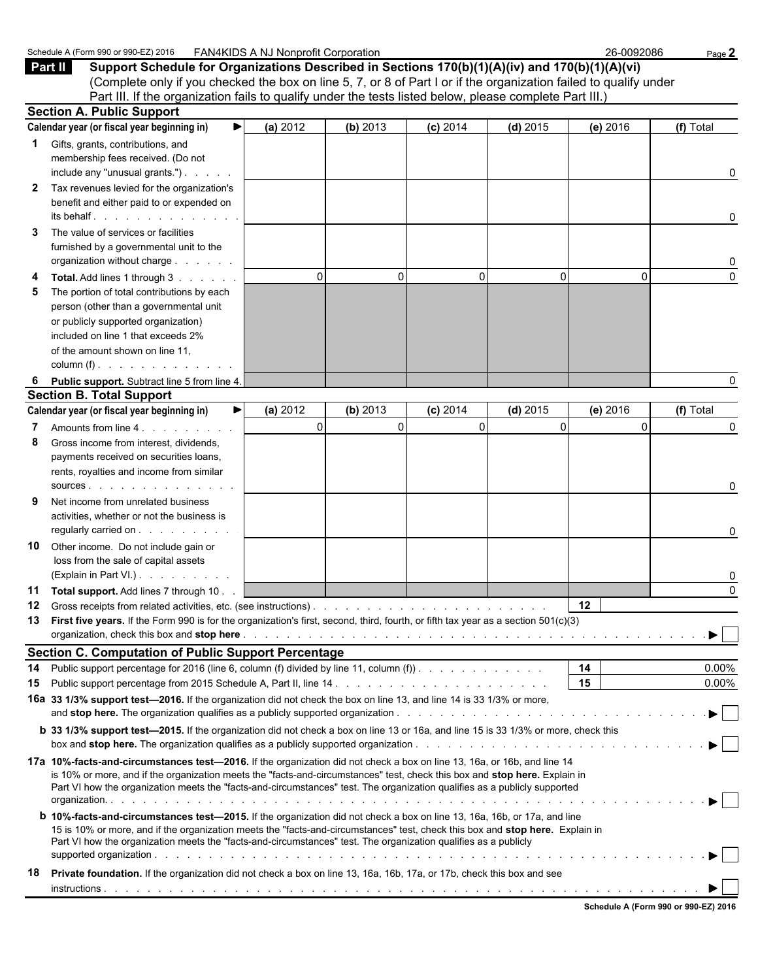|              | Schedule A (Form 990 or 990-EZ) 2016 FAN4KIDS A NJ Nonprofit Corporation                                                                                                                                                                                                                                                                                                           |             |          |            |            | 26-0092086 | Page 2               |  |  |  |
|--------------|------------------------------------------------------------------------------------------------------------------------------------------------------------------------------------------------------------------------------------------------------------------------------------------------------------------------------------------------------------------------------------|-------------|----------|------------|------------|------------|----------------------|--|--|--|
|              | Support Schedule for Organizations Described in Sections 170(b)(1)(A)(iv) and 170(b)(1)(A)(vi)<br>Part II<br>(Complete only if you checked the box on line 5, 7, or 8 of Part I or if the organization failed to qualify under<br>Part III. If the organization fails to qualify under the tests listed below, please complete Part III.)                                          |             |          |            |            |            |                      |  |  |  |
|              | <b>Section A. Public Support</b>                                                                                                                                                                                                                                                                                                                                                   |             |          |            |            |            |                      |  |  |  |
|              | Calendar year (or fiscal year beginning in)<br>▶                                                                                                                                                                                                                                                                                                                                   | (a) 2012    | (b) 2013 | $(c)$ 2014 | $(d)$ 2015 | (e) 2016   | (f) Total            |  |  |  |
|              |                                                                                                                                                                                                                                                                                                                                                                                    |             |          |            |            |            |                      |  |  |  |
| 1            | Gifts, grants, contributions, and<br>membership fees received. (Do not<br>include any "unusual grants.")                                                                                                                                                                                                                                                                           |             |          |            |            |            | 0                    |  |  |  |
| $\mathbf{2}$ | Tax revenues levied for the organization's<br>benefit and either paid to or expended on                                                                                                                                                                                                                                                                                            |             |          |            |            |            |                      |  |  |  |
| 3            | The value of services or facilities                                                                                                                                                                                                                                                                                                                                                |             |          |            |            |            | 0                    |  |  |  |
|              | furnished by a governmental unit to the<br>organization without charge                                                                                                                                                                                                                                                                                                             |             |          |            |            |            | 0                    |  |  |  |
| 4            | Total. Add lines 1 through 3                                                                                                                                                                                                                                                                                                                                                       | $\mathbf 0$ | 0        | $\Omega$   | 0          | $\Omega$   | $\Omega$             |  |  |  |
| 5            | The portion of total contributions by each                                                                                                                                                                                                                                                                                                                                         |             |          |            |            |            |                      |  |  |  |
|              | person (other than a governmental unit                                                                                                                                                                                                                                                                                                                                             |             |          |            |            |            |                      |  |  |  |
|              | or publicly supported organization)<br>included on line 1 that exceeds 2%                                                                                                                                                                                                                                                                                                          |             |          |            |            |            |                      |  |  |  |
|              | of the amount shown on line 11,                                                                                                                                                                                                                                                                                                                                                    |             |          |            |            |            |                      |  |  |  |
|              | column (f) $\ldots$ $\ldots$ $\ldots$ $\ldots$ $\ldots$                                                                                                                                                                                                                                                                                                                            |             |          |            |            |            |                      |  |  |  |
| 6            | Public support. Subtract line 5 from line 4.                                                                                                                                                                                                                                                                                                                                       |             |          |            |            |            | 0                    |  |  |  |
|              | <b>Section B. Total Support</b>                                                                                                                                                                                                                                                                                                                                                    |             |          |            |            |            |                      |  |  |  |
|              | Calendar year (or fiscal year beginning in)<br>▶                                                                                                                                                                                                                                                                                                                                   | (a) 2012    | (b) 2013 | $(c)$ 2014 | $(d)$ 2015 | (e) 2016   | (f) Total            |  |  |  |
| 7            | Amounts from line 4                                                                                                                                                                                                                                                                                                                                                                | $\mathbf 0$ | $\Omega$ | 0          | 0          | $\Omega$   | 0                    |  |  |  |
| 8            | Gross income from interest, dividends,                                                                                                                                                                                                                                                                                                                                             |             |          |            |            |            |                      |  |  |  |
|              | payments received on securities loans,                                                                                                                                                                                                                                                                                                                                             |             |          |            |            |            |                      |  |  |  |
|              | rents, royalties and income from similar                                                                                                                                                                                                                                                                                                                                           |             |          |            |            |            |                      |  |  |  |
|              | sources and the sources are a series and the sources are a series of the series of the series of the series of                                                                                                                                                                                                                                                                     |             |          |            |            |            | 0                    |  |  |  |
| 9            | Net income from unrelated business<br>activities, whether or not the business is<br>regularly carried on                                                                                                                                                                                                                                                                           |             |          |            |            |            | 0                    |  |  |  |
| 10           | Other income. Do not include gain or                                                                                                                                                                                                                                                                                                                                               |             |          |            |            |            |                      |  |  |  |
|              | loss from the sale of capital assets<br>(Explain in Part VI.).                                                                                                                                                                                                                                                                                                                     |             |          |            |            |            | 0                    |  |  |  |
|              | 11 Total support. Add lines 7 through 10.                                                                                                                                                                                                                                                                                                                                          |             |          |            |            |            | 0                    |  |  |  |
| 12           |                                                                                                                                                                                                                                                                                                                                                                                    |             |          |            |            | $12 \,$    |                      |  |  |  |
|              | 13 First five years. If the Form 990 is for the organization's first, second, third, fourth, or fifth tax year as a section 501(c)(3)                                                                                                                                                                                                                                              |             |          |            |            |            |                      |  |  |  |
|              |                                                                                                                                                                                                                                                                                                                                                                                    |             |          |            |            |            | $\rightarrow$        |  |  |  |
|              | <b>Section C. Computation of Public Support Percentage</b>                                                                                                                                                                                                                                                                                                                         |             |          |            |            |            |                      |  |  |  |
| 14<br>15     | Public support percentage for 2016 (line 6, column (f) divided by line 11, column (f)).                                                                                                                                                                                                                                                                                            |             |          |            |            | 14<br>15   | $0.00\%$<br>$0.00\%$ |  |  |  |
|              | 16a 33 1/3% support test-2016. If the organization did not check the box on line 13, and line 14 is 33 1/3% or more,                                                                                                                                                                                                                                                               |             |          |            |            |            |                      |  |  |  |
|              |                                                                                                                                                                                                                                                                                                                                                                                    |             |          |            |            |            |                      |  |  |  |
|              | b 33 1/3% support test-2015. If the organization did not check a box on line 13 or 16a, and line 15 is 33 1/3% or more, check this                                                                                                                                                                                                                                                 |             |          |            |            |            |                      |  |  |  |
|              | 17a 10%-facts-and-circumstances test-2016. If the organization did not check a box on line 13, 16a, or 16b, and line 14<br>is 10% or more, and if the organization meets the "facts-and-circumstances" test, check this box and stop here. Explain in<br>Part VI how the organization meets the "facts-and-circumstances" test. The organization qualifies as a publicly supported |             |          |            |            |            |                      |  |  |  |
|              | <b>b</b> 10%-facts-and-circumstances test-2015. If the organization did not check a box on line 13, 16a, 16b, or 17a, and line<br>15 is 10% or more, and if the organization meets the "facts-and-circumstances" test, check this box and stop here. Explain in<br>Part VI how the organization meets the "facts-and-circumstances" test. The organization qualifies as a publicly |             |          |            |            |            |                      |  |  |  |
| 18           | Private foundation. If the organization did not check a box on line 13, 16a, 16b, 17a, or 17b, check this box and see                                                                                                                                                                                                                                                              |             |          |            |            |            |                      |  |  |  |
|              |                                                                                                                                                                                                                                                                                                                                                                                    |             |          |            |            |            |                      |  |  |  |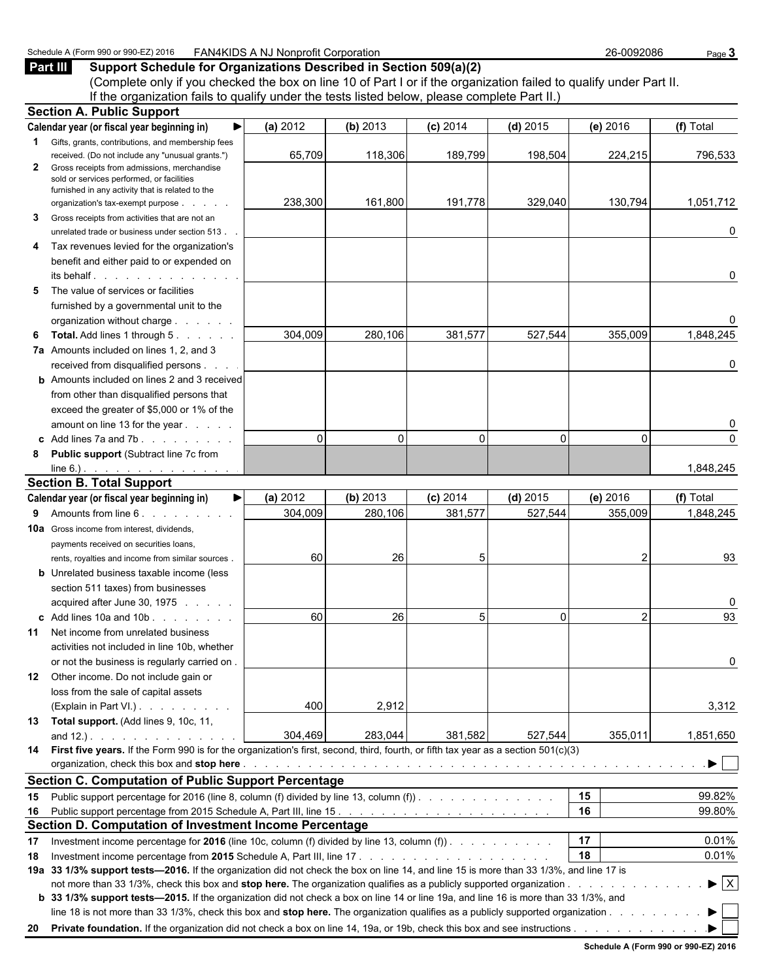### Schedule A (Form 990 or 990-EZ) 2016 FAN4KIDS A NJ Nonprofit Corporation 26-0092086 Page 3

|  | <b>Part III</b> Support Schedule for Organizations Described in Section 509(a)(2) |  |
|--|-----------------------------------------------------------------------------------|--|
|--|-----------------------------------------------------------------------------------|--|

(Complete only if you checked the box on line 10 of Part I or if the organization failed to qualify under Part II. If the organization fails to qualify under the tests listed below, please complete Part II.)

|              | <b>Section A. Public Support</b>                                                                                                             |          |          |            |              |                |                                |
|--------------|----------------------------------------------------------------------------------------------------------------------------------------------|----------|----------|------------|--------------|----------------|--------------------------------|
|              | Calendar year (or fiscal year beginning in)<br>▶                                                                                             | (a) 2012 | (b) 2013 | $(c)$ 2014 | $(d)$ 2015   | (e) 2016       | (f) Total                      |
|              | <b>1</b> Gifts, grants, contributions, and membership fees                                                                                   |          |          |            |              |                |                                |
|              | received. (Do not include any "unusual grants.")                                                                                             | 65,709   | 118,306  | 189,799    | 198,504      | 224,215        | 796,533                        |
| $\mathbf{2}$ | Gross receipts from admissions, merchandise<br>sold or services performed, or facilities<br>furnished in any activity that is related to the |          |          |            |              |                |                                |
|              | organization's tax-exempt purpose                                                                                                            | 238,300  | 161,800  | 191,778    | 329,040      | 130,794        | 1,051,712                      |
| 3            | Gross receipts from activities that are not an                                                                                               |          |          |            |              |                |                                |
|              | unrelated trade or business under section 513.                                                                                               |          |          |            |              |                | 0                              |
| 4            | Tax revenues levied for the organization's                                                                                                   |          |          |            |              |                |                                |
|              | benefit and either paid to or expended on                                                                                                    |          |          |            |              |                |                                |
|              | its behalf.                                                                                                                                  |          |          |            |              |                | 0                              |
| 5            | The value of services or facilities                                                                                                          |          |          |            |              |                |                                |
|              | furnished by a governmental unit to the                                                                                                      |          |          |            |              |                |                                |
|              | organization without charge                                                                                                                  |          |          |            |              |                | 0                              |
| 6            | <b>Total.</b> Add lines 1 through 5.                                                                                                         | 304,009  | 280,106  | 381,577    | 527,544      | 355,009        | 1,848,245                      |
|              | 7a Amounts included on lines 1, 2, and 3                                                                                                     |          |          |            |              |                |                                |
|              | received from disqualified persons                                                                                                           |          |          |            |              |                | 0                              |
|              | <b>b</b> Amounts included on lines 2 and 3 received                                                                                          |          |          |            |              |                |                                |
|              | from other than disqualified persons that                                                                                                    |          |          |            |              |                |                                |
|              | exceed the greater of \$5,000 or 1% of the                                                                                                   |          |          |            |              |                |                                |
|              | amount on line 13 for the year                                                                                                               |          |          |            |              |                | 0                              |
|              | c Add lines $7a$ and $7b$ .                                                                                                                  | $\Omega$ | $\Omega$ | $\Omega$   | $\mathbf{0}$ | $\Omega$       | $\Omega$                       |
| 8            | <b>Public support (Subtract line 7c from</b>                                                                                                 |          |          |            |              |                |                                |
|              | line 6.) $\cdots$ $\cdots$ $\cdots$ $\cdots$                                                                                                 |          |          |            |              |                | 1,848,245                      |
|              | <b>Section B. Total Support</b>                                                                                                              |          |          |            |              |                |                                |
|              | Calendar year (or fiscal year beginning in)<br>▶                                                                                             | (a) 2012 | (b) 2013 | $(c)$ 2014 | $(d)$ 2015   | (e) 2016       | (f) Total                      |
| 9            | Amounts from line 6.                                                                                                                         | 304,009  | 280,106  | 381,577    | 527,544      | 355,009        | 1,848,245                      |
|              | <b>10a</b> Gross income from interest, dividends,                                                                                            |          |          |            |              |                |                                |
|              | payments received on securities loans,                                                                                                       |          |          |            |              |                |                                |
|              | rents, royalties and income from similar sources.                                                                                            | 60       | 26       |            |              | 2              | 93                             |
|              | <b>b</b> Unrelated business taxable income (less                                                                                             |          |          |            |              |                |                                |
|              | section 511 taxes) from businesses                                                                                                           |          |          |            |              |                |                                |
|              | acquired after June 30, 1975                                                                                                                 |          |          |            |              |                | 0                              |
|              | c Add lines 10a and 10b                                                                                                                      | 60       | 26       |            | $\Omega$     | $\overline{2}$ | 93                             |
|              | 11 Net income from unrelated business                                                                                                        |          |          |            |              |                |                                |
|              | activities not included in line 10b, whether                                                                                                 |          |          |            |              |                |                                |
|              | or not the business is regularly carried on.                                                                                                 |          |          |            |              |                | 0                              |
|              | 12 Other income. Do not include gain or                                                                                                      |          |          |            |              |                |                                |
|              | loss from the sale of capital assets                                                                                                         |          |          |            |              |                |                                |
|              | (Explain in Part VI.)                                                                                                                        | 400      | 2,912    |            |              |                | 3,312                          |
|              | 13 Total support. (Add lines 9, 10c, 11,                                                                                                     |          |          |            |              |                |                                |
|              |                                                                                                                                              | 304,469  | 283,044  | 381,582    | 527,544      | 355,011        | 1,851,650                      |
|              | 14 First five years. If the Form 990 is for the organization's first, second, third, fourth, or fifth tax year as a section 501(c)(3)        |          |          |            |              |                | ▶                              |
|              | <b>Section C. Computation of Public Support Percentage</b>                                                                                   |          |          |            |              |                |                                |
|              |                                                                                                                                              |          |          |            |              | 15             | 99.82%                         |
|              | 15 Public support percentage for 2016 (line 8, column (f) divided by line 13, column (f).                                                    |          |          |            |              | 16             | 99.80%                         |
|              | Section D. Computation of Investment Income Percentage                                                                                       |          |          |            |              |                |                                |
| 17           | Investment income percentage for 2016 (line 10c, column (f) divided by line 13, column (f)).                                                 |          |          |            |              | 17             | 0.01%                          |
| 18           |                                                                                                                                              |          |          |            |              | 18             | 0.01%                          |
|              | 19a 33 1/3% support tests-2016. If the organization did not check the box on line 14, and line 15 is more than 33 1/3%, and line 17 is       |          |          |            |              |                |                                |
|              |                                                                                                                                              |          |          |            |              |                | $\blacktriangleright$ $\mid$ X |
|              | b 33 1/3% support tests—2015. If the organization did not check a box on line 14 or line 19a, and line 16 is more than 33 1/3%, and          |          |          |            |              |                |                                |
|              | line 18 is not more than 33 1/3%, check this box and stop here. The organization qualifies as a publicly supported organization              |          |          |            |              |                |                                |
|              | 20 Private foundation. If the organization did not check a box on line 14, 19a, or 19b, check this box and see instructions.                 |          |          |            |              |                |                                |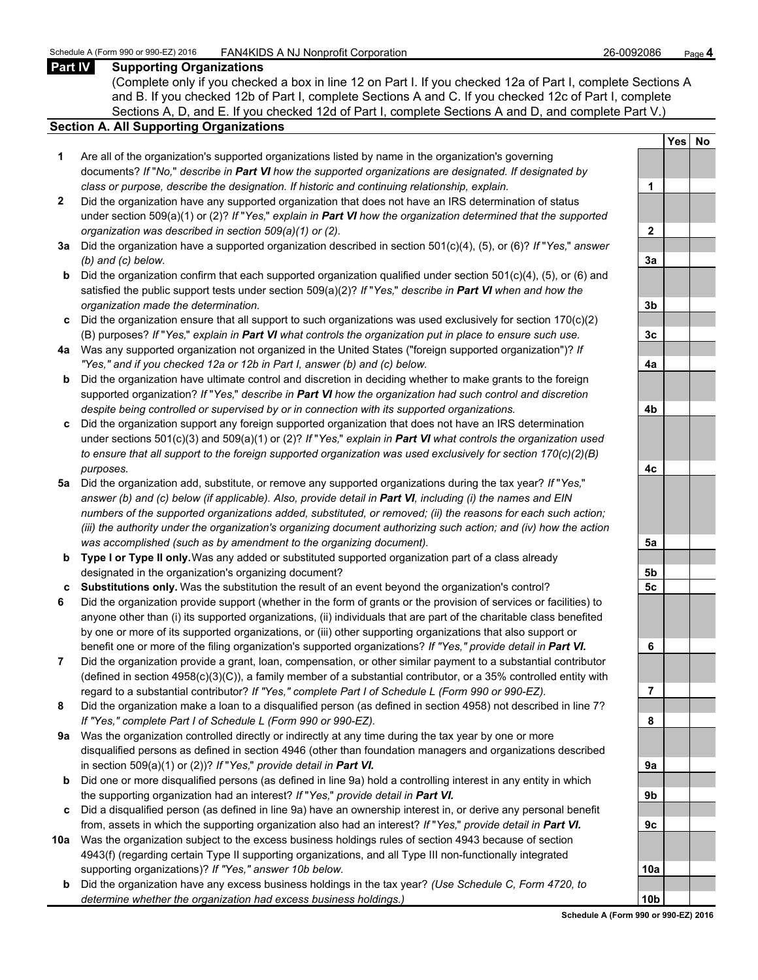### **Part IV Supporting Organizations**

(Complete only if you checked a box in line 12 on Part I. If you checked 12a of Part I, complete Sections A and B. If you checked 12b of Part I, complete Sections A and C. If you checked 12c of Part I, complete Sections A, D, and E. If you checked 12d of Part I, complete Sections A and D, and complete Part V.)

### **Section A. All Supporting Organizations**

- **1** Are all of the organization's supported organizations listed by name in the organization's governing documents? *If* "*No,*" *describe in Part VI how the supported organizations are designated. If designated by class or purpose, describe the designation. If historic and continuing relationship, explain.* **1**
- **2** Did the organization have any supported organization that does not have an IRS determination of status under section 509(a)(1) or (2)? *If* "*Yes,*" *explain in Part VI how the organization determined that the supported organization was described in section 509(a)(1) or (2).*
- **3a** Did the organization have a supported organization described in section 501(c)(4), (5), or (6)? *If* "*Yes,*" *answer (b) and (c) below.* **3a**
- **b** Did the organization confirm that each supported organization qualified under section 501(c)(4), (5), or (6) and satisfied the public support tests under section 509(a)(2)? *If* "*Yes,*" *describe in Part VI when and how the organization made the determination.* **3b**
- **c** Did the organization ensure that all support to such organizations was used exclusively for section 170(c)(2) (B) purposes? *If* "*Yes,*" *explain in Part VI what controls the organization put in place to ensure such use.* **3c**
- **4a** Was any supported organization not organized in the United States ("foreign supported organization")? *If "Yes," and if you checked 12a or 12b in Part I, answer (b) and (c) below.* **4a**
- **b** Did the organization have ultimate control and discretion in deciding whether to make grants to the foreign supported organization? *If* "*Yes,*" *describe in Part VI how the organization had such control and discretion despite being controlled or supervised by or in connection with its supported organizations.* **4b**
- **c** Did the organization support any foreign supported organization that does not have an IRS determination under sections 501(c)(3) and 509(a)(1) or (2)? *If* "*Yes,*" *explain in Part VI what controls the organization used to ensure that all support to the foreign supported organization was used exclusively for section 170(c)(2)(B) purposes.* **4c**
- **5a** Did the organization add, substitute, or remove any supported organizations during the tax year? *If* "*Yes,*" *answer (b) and (c) below (if applicable). Also, provide detail in Part VI, including (i) the names and EIN numbers of the supported organizations added, substituted, or removed; (ii) the reasons for each such action; (iii) the authority under the organization's organizing document authorizing such action; and (iv) how the action was accomplished (such as by amendment to the organizing document).* **5a**
- **b Type I or Type II only.** Was any added or substituted supported organization part of a class already designated in the organization's organizing document? **5b**
- **c Substitutions only.** Was the substitution the result of an event beyond the organization's control? **5c**
- **6** Did the organization provide support (whether in the form of grants or the provision of services or facilities) to anyone other than (i) its supported organizations, (ii) individuals that are part of the charitable class benefited by one or more of its supported organizations, or (iii) other supporting organizations that also support or benefit one or more of the filing organization's supported organizations? *If "Yes," provide detail in Part VI.* **6**
- **7** Did the organization provide a grant, loan, compensation, or other similar payment to a substantial contributor (defined in section 4958(c)(3)(C)), a family member of a substantial contributor, or a 35% controlled entity with regard to a substantial contributor? *If "Yes," complete Part I of Schedule L (Form 990 or 990-EZ).* **7**
- **8** Did the organization make a loan to a disqualified person (as defined in section 4958) not described in line 7? *If "Yes," complete Part I of Schedule L (Form 990 or 990-EZ).* **8**
- **9a** Was the organization controlled directly or indirectly at any time during the tax year by one or more disqualified persons as defined in section 4946 (other than foundation managers and organizations described in section 509(a)(1) or (2))? *If* "*Yes*," *provide detail in Part VI.*
- **b** Did one or more disqualified persons (as defined in line 9a) hold a controlling interest in any entity in which the supporting organization had an interest? *If* "*Yes,*" *provide detail in Part VI.* **9b**
- **c** Did a disqualified person (as defined in line 9a) have an ownership interest in, or derive any personal benefit from, assets in which the supporting organization also had an interest? *If* "*Yes,*" *provide detail in Part VI.* **9c**
- **10a** Was the organization subject to the excess business holdings rules of section 4943 because of section 4943(f) (regarding certain Type II supporting organizations, and all Type III non-functionally integrated supporting organizations)? If "Yes," answer 10b below.
	- **b** Did the organization have any excess business holdings in the tax year? *(Use Schedule C, Form 4720, to determine whether the organization had excess business holdings.)*

|                 | Yes No |  |
|-----------------|--------|--|
|                 |        |  |
| 1               |        |  |
|                 |        |  |
| $\overline{2}$  |        |  |
|                 |        |  |
| <u>3a</u>       |        |  |
|                 |        |  |
| <u>3b</u>       |        |  |
|                 |        |  |
| 3c              |        |  |
| 4a              |        |  |
|                 |        |  |
| 4 <sub>b</sub>  |        |  |
|                 |        |  |
| 4c              |        |  |
|                 |        |  |
| <u>5a</u>       |        |  |
| <u>5b</u>       |        |  |
| 5c              |        |  |
|                 |        |  |
| 6               |        |  |
|                 |        |  |
| I               |        |  |
| 8               |        |  |
|                 |        |  |
| 9a              |        |  |
|                 |        |  |
| 9b              |        |  |
| <u>9c</u>       |        |  |
|                 |        |  |
| <u> 10a</u>     |        |  |
| 10 <sub>b</sub> |        |  |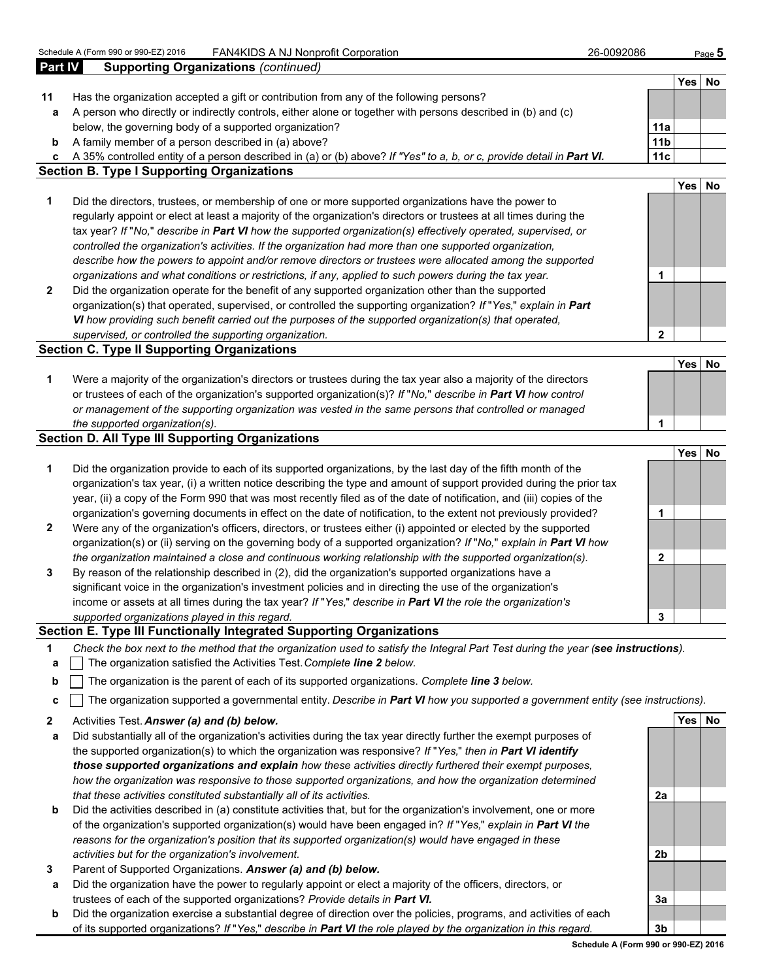| 26-0092086 |  |
|------------|--|
|------------|--|

| <b>Part IV</b> | <b>Supporting Organizations (continued)</b>                                                                            |                 |            |           |
|----------------|------------------------------------------------------------------------------------------------------------------------|-----------------|------------|-----------|
|                |                                                                                                                        |                 | Yes        | No        |
| 11             | Has the organization accepted a gift or contribution from any of the following persons?                                |                 |            |           |
| a              | A person who directly or indirectly controls, either alone or together with persons described in (b) and (c)           |                 |            |           |
|                | below, the governing body of a supported organization?                                                                 | 11a             |            |           |
| b              | A family member of a person described in (a) above?                                                                    | 11 <sub>b</sub> |            |           |
| C              | A 35% controlled entity of a person described in (a) or (b) above? If "Yes" to a, b, or c, provide detail in Part VI.  | 11c             |            |           |
|                | <b>Section B. Type I Supporting Organizations</b>                                                                      |                 |            |           |
|                |                                                                                                                        |                 | <b>Yes</b> | <b>No</b> |
| 1              | Did the directors, trustees, or membership of one or more supported organizations have the power to                    |                 |            |           |
|                | regularly appoint or elect at least a majority of the organization's directors or trustees at all times during the     |                 |            |           |
|                | tax year? If "No," describe in Part VI how the supported organization(s) effectively operated, supervised, or          |                 |            |           |
|                | controlled the organization's activities. If the organization had more than one supported organization,                |                 |            |           |
|                | describe how the powers to appoint and/or remove directors or trustees were allocated among the supported              |                 |            |           |
|                | organizations and what conditions or restrictions, if any, applied to such powers during the tax year.                 | 1               |            |           |
| $\mathbf{2}$   | Did the organization operate for the benefit of any supported organization other than the supported                    |                 |            |           |
|                | organization(s) that operated, supervised, or controlled the supporting organization? If "Yes," explain in Part        |                 |            |           |
|                | VI how providing such benefit carried out the purposes of the supported organization(s) that operated,                 |                 |            |           |
|                | supervised, or controlled the supporting organization.                                                                 | 2               |            |           |
|                | <b>Section C. Type II Supporting Organizations</b>                                                                     |                 |            |           |
|                |                                                                                                                        |                 | <b>Yes</b> | <b>No</b> |
| 1              | Were a majority of the organization's directors or trustees during the tax year also a majority of the directors       |                 |            |           |
|                | or trustees of each of the organization's supported organization(s)? If "No," describe in Part VI how control          |                 |            |           |
|                | or management of the supporting organization was vested in the same persons that controlled or managed                 |                 |            |           |
|                | the supported organization(s).                                                                                         | 1               |            |           |
|                | <b>Section D. All Type III Supporting Organizations</b>                                                                |                 |            |           |
|                |                                                                                                                        |                 | <b>Yes</b> | No        |
| 1              | Did the organization provide to each of its supported organizations, by the last day of the fifth month of the         |                 |            |           |
|                | organization's tax year, (i) a written notice describing the type and amount of support provided during the prior tax  |                 |            |           |
|                | year, (ii) a copy of the Form 990 that was most recently filed as of the date of notification, and (iii) copies of the |                 |            |           |
|                | organization's governing documents in effect on the date of notification, to the extent not previously provided?       | 1               |            |           |
| $\mathbf{2}$   | Were any of the organization's officers, directors, or trustees either (i) appointed or elected by the supported       |                 |            |           |
|                | organization(s) or (ii) serving on the governing body of a supported organization? If "No," explain in Part VI how     |                 |            |           |
|                |                                                                                                                        |                 |            |           |
|                | the organization maintained a close and continuous working relationship with the supported organization(s).            | $\mathbf{2}$    |            |           |
| 3              | By reason of the relationship described in (2), did the organization's supported organizations have a                  |                 |            |           |
|                | significant voice in the organization's investment policies and in directing the use of the organization's             |                 |            |           |
|                | income or assets at all times during the tax year? If "Yes," describe in Part VI the role the organization's           |                 |            |           |
|                | supported organizations played in this regard.                                                                         | 3               |            |           |

#### **Section E. Type III Functionally Integrated Supporting Organizations**

- **1** *Check the box next to the method that the organization used to satisfy the Integral Part Test during the year (see instructions).*
- **a** The organization satisfied the Activities Test. *Complete line 2 below.*
- **b** The organization is the parent of each of its supported organizations. *Complete line 3 below.*
- **c** The organization supported a governmental entity. *Describe in Part VI how you supported a government entity (see instructions).*
- **2** Activities Test. *Answer (a) and (b) below.* **Yes No**
- **a** Did substantially all of the organization's activities during the tax year directly further the exempt purposes of the supported organization(s) to which the organization was responsive? *If* "*Yes,*" *then in Part VI identify those supported organizations and explain how these activities directly furthered their exempt purposes, how the organization was responsive to those supported organizations, and how the organization determined that these activities constituted substantially all of its activities.* **2a**
- **b** Did the activities described in (a) constitute activities that, but for the organization's involvement, one or more of the organization's supported organization(s) would have been engaged in? *If* "*Yes,*" *explain in Part VI the reasons for the organization's position that its supported organization(s) would have engaged in these activities but for the organization's involvement.* **2b**
- **3** Parent of Supported Organizations. *Answer (a) and (b) below.*
- **a** Did the organization have the power to regularly appoint or elect a majority of the officers, directors, or trustees of each of the supported organizations? *Provide details in Part VI.* **3a 3a 3a**
- **b** Did the organization exercise a substantial degree of direction over the policies, programs, and activities of each of its supported organizations? *If* "*Yes,*" *describe in Part VI the role played by the organization in this regard.* **3b**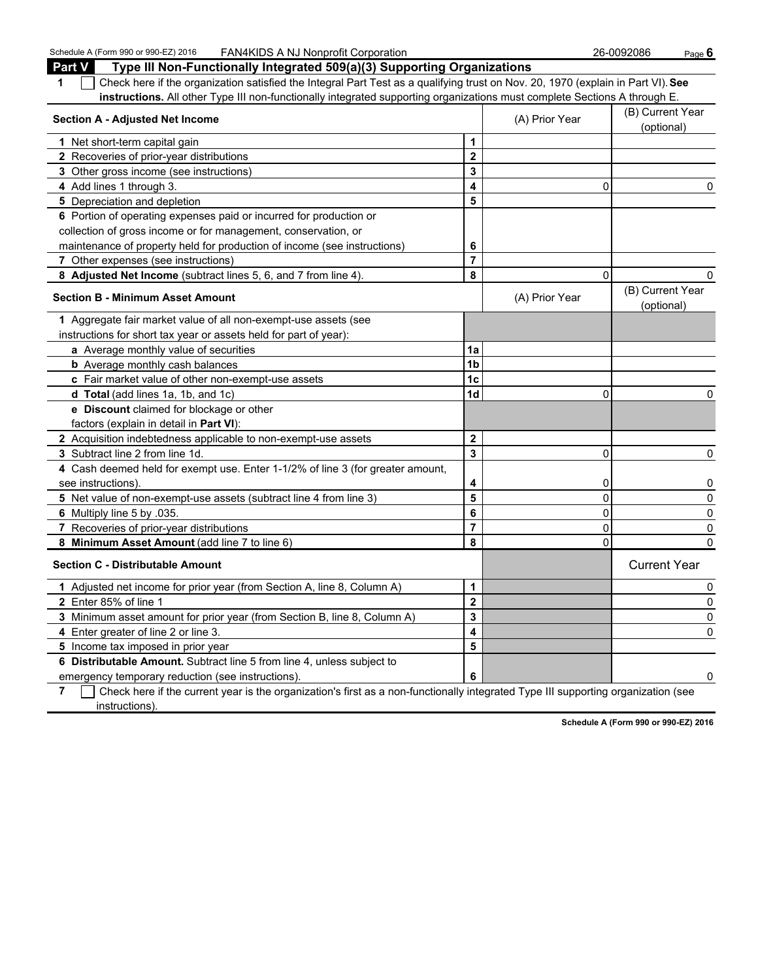Schedule A (Form 990 or 990-EZ) 2016 FAN4KIDS A NJ Nonprofit Corporation 26-0092086 Page **6 Part V Type III Non-Functionally Integrated 509(a)(3) Supporting Organizations 1** Check here if the organization satisfied the Integral Part Test as a qualifying trust on Nov. 20, 1970 (explain in Part VI). **See instructions.** All other Type III non-functionally integrated supporting organizations must complete Sections A through E. **Section A - Adjusted Net Income** (B) Current Year (B) Current Year (B) Current Year (B) Current Year (B) Current Year (B) Current Year (B) Current Year (B) Current Year (B) Current Year (B) Current Year (B) Current Year ( (optional) **1** Net short-term capital gain **1 1 2** Recoveries of prior-year distributions **2 3** Other gross income (see instructions) **3 4** Add lines 1 through 3. **4** 0 0 **5** Depreciation and depletion **5 5 6** Portion of operating expenses paid or incurred for production or collection of gross income or for management, conservation, or maintenance of property held for production of income (see instructions) **6 7** Other expenses (see instructions) **7 8 Adjusted Net Income** (subtract lines 5, 6, and 7 from line 4). **8** 0 0 **Section B - Minimum Asset Amount Contract Amount** (A) Prior Year (B) Current Year (B) Current Year (B) Current Year (optional) **1** Aggregate fair market value of all non-exempt-use assets (see instructions for short tax year or assets held for part of year): **a** Average monthly value of securities **14 12 b** Average monthly cash balances **1b** Average monthly cash balances **c** Fair market value of other non-exempt-use assets **1c d Total** (add lines 1a, 1b, and 1c) **1d** 0 0 **e Discount** claimed for blockage or other factors (explain in detail in **Part VI**): **2** Acquisition indebtedness applicable to non-exempt-use assets **2 3** Subtract line 2 from line 1d. **3** 0 0

 Recoveries of prior-year distributions **7** 0 0 **Minimum Asset Amount** (add line 7 to line 6) **8** 0 0 **Section C - Distributable Amount** Current Year Current Year Current Year Current Year Current Year Adjusted net income for prior year (from Section A, line 8, Column A) **1** 0 Enter 85% of line 1 **2** 0 Minimum asset amount for prior year (from Section B, line 8, Column A) **3** 0 Enter greater of line 2 or line 3. **4** 0 Income tax imposed in prior year **5 Distributable Amount.** Subtract line 5 from line 4, unless subject to emergency temporary reduction (see instructions). **6** 0

see instructions). **4** 0 0 **5** Net value of non-exempt-use assets (subtract line 4 from line 3) **5** 0 0 **6** Multiply line 5 by .035. **6** 0 0

**4** Cash deemed held for exempt use. Enter 1-1/2% of line 3 (for greater amount,

**7** Check here if the current year is the organization's first as a non-functionally integrated Type III supporting organization (see instructions).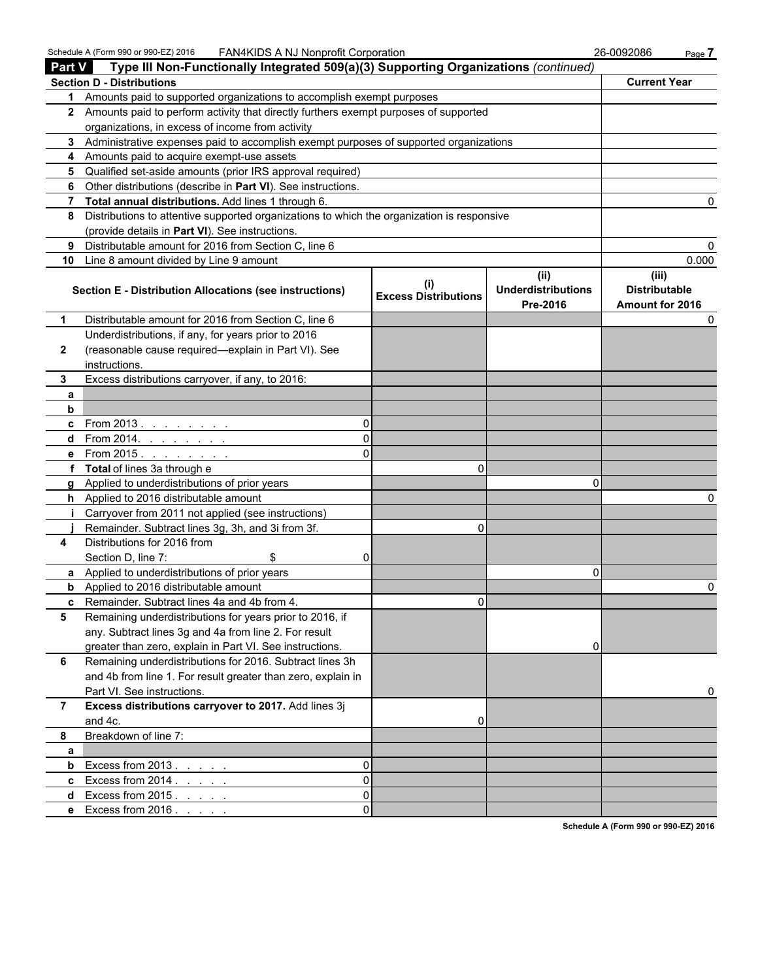Schedule A (Form 990 or 990-EZ) 2016 FAN4KIDS A NJ Nonprofit Corporation 26-0092086 Page **7** 

| <b>Part V</b><br>Type III Non-Functionally Integrated 509(a)(3) Supporting Organizations (continued) |                                                                                                                      |                                          |                                               |                                                  |  |  |  |
|------------------------------------------------------------------------------------------------------|----------------------------------------------------------------------------------------------------------------------|------------------------------------------|-----------------------------------------------|--------------------------------------------------|--|--|--|
|                                                                                                      | <b>Section D - Distributions</b>                                                                                     |                                          |                                               | <b>Current Year</b>                              |  |  |  |
|                                                                                                      | 1 Amounts paid to supported organizations to accomplish exempt purposes                                              |                                          |                                               |                                                  |  |  |  |
|                                                                                                      | 2 Amounts paid to perform activity that directly furthers exempt purposes of supported                               |                                          |                                               |                                                  |  |  |  |
|                                                                                                      | organizations, in excess of income from activity                                                                     |                                          |                                               |                                                  |  |  |  |
|                                                                                                      | 3 Administrative expenses paid to accomplish exempt purposes of supported organizations                              |                                          |                                               |                                                  |  |  |  |
|                                                                                                      | 4 Amounts paid to acquire exempt-use assets                                                                          |                                          |                                               |                                                  |  |  |  |
|                                                                                                      | 5 Qualified set-aside amounts (prior IRS approval required)                                                          |                                          |                                               |                                                  |  |  |  |
|                                                                                                      | 6 Other distributions (describe in Part VI). See instructions.                                                       |                                          |                                               |                                                  |  |  |  |
|                                                                                                      | 7 Total annual distributions. Add lines 1 through 6.                                                                 |                                          |                                               |                                                  |  |  |  |
| 8                                                                                                    | Distributions to attentive supported organizations to which the organization is responsive                           |                                          |                                               |                                                  |  |  |  |
|                                                                                                      | (provide details in Part VI). See instructions.                                                                      |                                          |                                               |                                                  |  |  |  |
| 9                                                                                                    | Distributable amount for 2016 from Section C, line 6                                                                 |                                          |                                               |                                                  |  |  |  |
|                                                                                                      | 10 Line 8 amount divided by Line 9 amount                                                                            |                                          |                                               | 0.000                                            |  |  |  |
|                                                                                                      | <b>Section E - Distribution Allocations (see instructions)</b>                                                       | $\sf (i)$<br><b>Excess Distributions</b> | (ii)<br><b>Underdistributions</b><br>Pre-2016 | (iii)<br><b>Distributable</b><br>Amount for 2016 |  |  |  |
| 1                                                                                                    | Distributable amount for 2016 from Section C, line 6                                                                 |                                          |                                               |                                                  |  |  |  |
|                                                                                                      | Underdistributions, if any, for years prior to 2016                                                                  |                                          |                                               |                                                  |  |  |  |
| $\mathbf{2}$                                                                                         | (reasonable cause required-explain in Part VI). See                                                                  |                                          |                                               |                                                  |  |  |  |
|                                                                                                      | instructions.                                                                                                        |                                          |                                               |                                                  |  |  |  |
| 3                                                                                                    | Excess distributions carryover, if any, to 2016:                                                                     |                                          |                                               |                                                  |  |  |  |
| a                                                                                                    |                                                                                                                      |                                          |                                               |                                                  |  |  |  |
| b                                                                                                    |                                                                                                                      |                                          |                                               |                                                  |  |  |  |
|                                                                                                      | <b>c</b> From 2013.                                                                                                  |                                          |                                               |                                                  |  |  |  |
|                                                                                                      | <b>d</b> From 2014.<br>U                                                                                             |                                          |                                               |                                                  |  |  |  |
|                                                                                                      | e From 2015.                                                                                                         |                                          |                                               |                                                  |  |  |  |
|                                                                                                      | f Total of lines 3a through e                                                                                        | 0                                        |                                               |                                                  |  |  |  |
| a                                                                                                    | Applied to underdistributions of prior years                                                                         |                                          | O                                             |                                                  |  |  |  |
| h.                                                                                                   | Applied to 2016 distributable amount                                                                                 |                                          |                                               |                                                  |  |  |  |
| j.                                                                                                   | Carryover from 2011 not applied (see instructions)                                                                   |                                          |                                               |                                                  |  |  |  |
|                                                                                                      | Remainder. Subtract lines 3g, 3h, and 3i from 3f.                                                                    | 0                                        |                                               |                                                  |  |  |  |
| 4                                                                                                    | Distributions for 2016 from                                                                                          |                                          |                                               |                                                  |  |  |  |
|                                                                                                      | Section D, line 7:<br>\$                                                                                             |                                          |                                               |                                                  |  |  |  |
|                                                                                                      | a Applied to underdistributions of prior years                                                                       |                                          | 0                                             |                                                  |  |  |  |
| b                                                                                                    | Applied to 2016 distributable amount                                                                                 |                                          |                                               |                                                  |  |  |  |
|                                                                                                      | c Remainder. Subtract lines 4a and 4b from 4.                                                                        | 0                                        |                                               |                                                  |  |  |  |
| 5                                                                                                    | Remaining underdistributions for years prior to 2016, if                                                             |                                          |                                               |                                                  |  |  |  |
|                                                                                                      | any. Subtract lines 3g and 4a from line 2. For result                                                                |                                          |                                               |                                                  |  |  |  |
| 6                                                                                                    | greater than zero, explain in Part VI. See instructions.<br>Remaining underdistributions for 2016. Subtract lines 3h |                                          | 0                                             |                                                  |  |  |  |
|                                                                                                      |                                                                                                                      |                                          |                                               |                                                  |  |  |  |
|                                                                                                      | and 4b from line 1. For result greater than zero, explain in                                                         |                                          |                                               |                                                  |  |  |  |
| $\overline{7}$                                                                                       | Part VI. See instructions.<br>Excess distributions carryover to 2017. Add lines 3j                                   |                                          |                                               | 0                                                |  |  |  |
|                                                                                                      | and 4c.                                                                                                              | 0                                        |                                               |                                                  |  |  |  |
| 8                                                                                                    | Breakdown of line 7:                                                                                                 |                                          |                                               |                                                  |  |  |  |
|                                                                                                      |                                                                                                                      |                                          |                                               |                                                  |  |  |  |
| a<br>b                                                                                               | Excess from 2013.<br>0                                                                                               |                                          |                                               |                                                  |  |  |  |
| $\mathbf{c}$                                                                                         | <b>Contract Contract</b><br>Excess from $2014.$<br>$\Omega$                                                          |                                          |                                               |                                                  |  |  |  |
| d                                                                                                    | Excess from 2015.<br>0                                                                                               |                                          |                                               |                                                  |  |  |  |
|                                                                                                      | $\Omega$                                                                                                             |                                          |                                               |                                                  |  |  |  |
|                                                                                                      | e Excess from 2016.                                                                                                  |                                          |                                               |                                                  |  |  |  |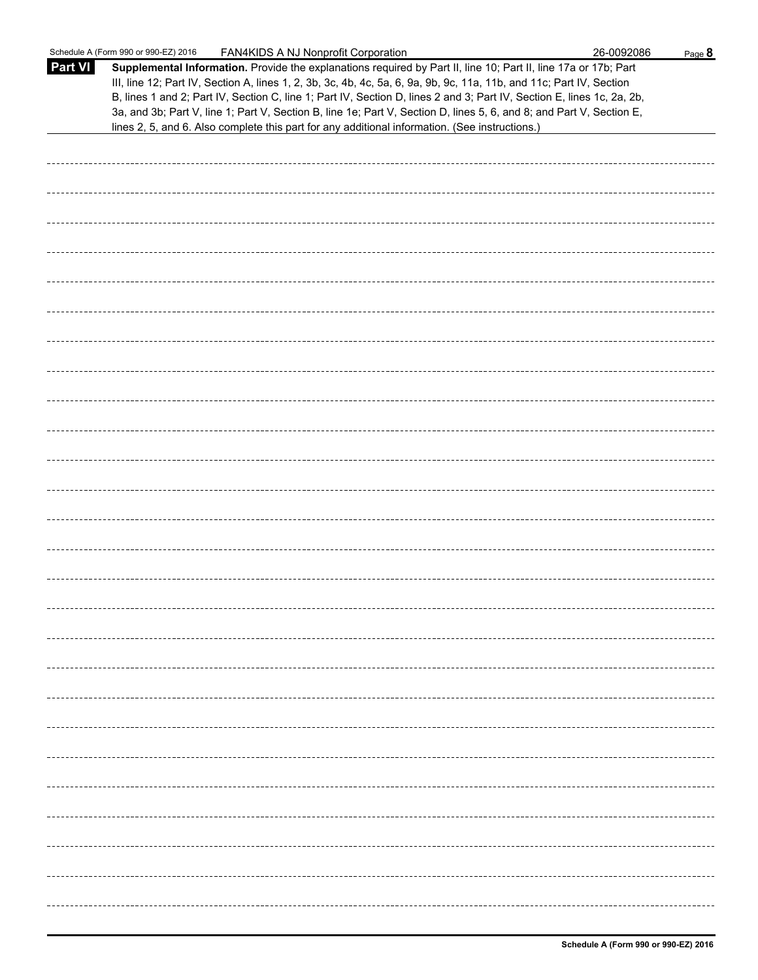|                | Schedule A (Form 990 or 990-EZ) 2016<br>FAN4KIDS A NJ Nonprofit Corporation                                                                                                                                                                                                                                                                                                                                                                                                               | 26-0092086 | Page 8 |
|----------------|-------------------------------------------------------------------------------------------------------------------------------------------------------------------------------------------------------------------------------------------------------------------------------------------------------------------------------------------------------------------------------------------------------------------------------------------------------------------------------------------|------------|--------|
| <b>Part VI</b> | Supplemental Information. Provide the explanations required by Part II, line 10; Part II, line 17a or 17b; Part<br>III, line 12; Part IV, Section A, lines 1, 2, 3b, 3c, 4b, 4c, 5a, 6, 9a, 9b, 9c, 11a, 11b, and 11c; Part IV, Section<br>B, lines 1 and 2; Part IV, Section C, line 1; Part IV, Section D, lines 2 and 3; Part IV, Section E, lines 1c, 2a, 2b,<br>3a, and 3b; Part V, line 1; Part V, Section B, line 1e; Part V, Section D, lines 5, 6, and 8; and Part V, Section E, |            |        |
|                | lines 2, 5, and 6. Also complete this part for any additional information. (See instructions.)                                                                                                                                                                                                                                                                                                                                                                                            |            |        |
|                |                                                                                                                                                                                                                                                                                                                                                                                                                                                                                           |            |        |
|                |                                                                                                                                                                                                                                                                                                                                                                                                                                                                                           |            |        |
|                |                                                                                                                                                                                                                                                                                                                                                                                                                                                                                           |            |        |
|                |                                                                                                                                                                                                                                                                                                                                                                                                                                                                                           |            |        |
|                |                                                                                                                                                                                                                                                                                                                                                                                                                                                                                           |            |        |
|                |                                                                                                                                                                                                                                                                                                                                                                                                                                                                                           |            |        |
|                |                                                                                                                                                                                                                                                                                                                                                                                                                                                                                           |            |        |
|                |                                                                                                                                                                                                                                                                                                                                                                                                                                                                                           |            |        |
|                |                                                                                                                                                                                                                                                                                                                                                                                                                                                                                           |            |        |
|                |                                                                                                                                                                                                                                                                                                                                                                                                                                                                                           |            |        |
|                |                                                                                                                                                                                                                                                                                                                                                                                                                                                                                           |            |        |
|                |                                                                                                                                                                                                                                                                                                                                                                                                                                                                                           |            |        |
|                |                                                                                                                                                                                                                                                                                                                                                                                                                                                                                           |            |        |
|                |                                                                                                                                                                                                                                                                                                                                                                                                                                                                                           |            |        |
|                |                                                                                                                                                                                                                                                                                                                                                                                                                                                                                           |            |        |
|                |                                                                                                                                                                                                                                                                                                                                                                                                                                                                                           |            |        |
|                |                                                                                                                                                                                                                                                                                                                                                                                                                                                                                           |            |        |
|                |                                                                                                                                                                                                                                                                                                                                                                                                                                                                                           |            |        |
|                |                                                                                                                                                                                                                                                                                                                                                                                                                                                                                           |            |        |
|                |                                                                                                                                                                                                                                                                                                                                                                                                                                                                                           |            |        |
|                |                                                                                                                                                                                                                                                                                                                                                                                                                                                                                           |            |        |
|                |                                                                                                                                                                                                                                                                                                                                                                                                                                                                                           |            |        |
|                |                                                                                                                                                                                                                                                                                                                                                                                                                                                                                           |            |        |
|                |                                                                                                                                                                                                                                                                                                                                                                                                                                                                                           |            |        |
|                |                                                                                                                                                                                                                                                                                                                                                                                                                                                                                           |            |        |
|                |                                                                                                                                                                                                                                                                                                                                                                                                                                                                                           |            |        |
|                |                                                                                                                                                                                                                                                                                                                                                                                                                                                                                           |            |        |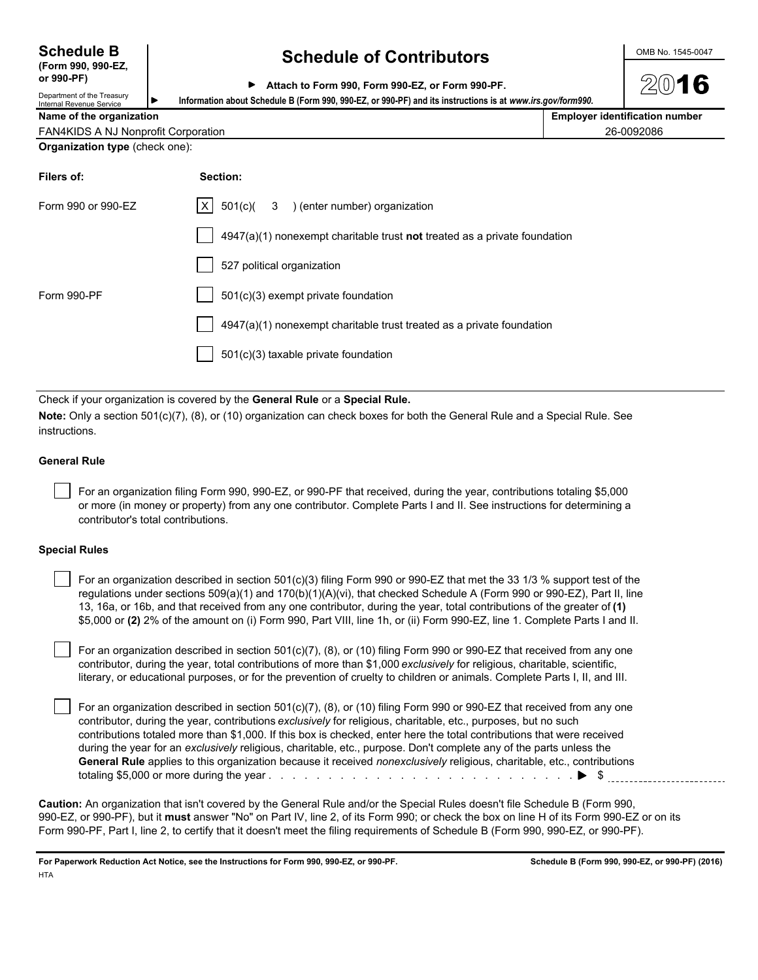## **(Form 990, 990-EZ,**

**or 990-PF)**

### **Schedule B Schedule of Contributors CONDING 1545-0047**

|  | Attach to Form 990, Form 990-EZ, or Form 990-PF. |  |  |  |  |  |  |  |  |
|--|--------------------------------------------------|--|--|--|--|--|--|--|--|
|--|--------------------------------------------------|--|--|--|--|--|--|--|--|

Department of the Treasury

Internal Revenue Service **Information about Schedule B (Form 990, 990-EZ, or 990-PF) and its instructions is at** *www.irs.gov/form990.*

| Name of the organization                   | <b>Employer identification number</b> |
|--------------------------------------------|---------------------------------------|
| <b>FAN4KIDS A NJ Nonprofit Corporation</b> | 26-0092086                            |
| <b>Organization type (check one):</b>      |                                       |

| Filers of:         | Section:                                                                  |
|--------------------|---------------------------------------------------------------------------|
| Form 990 or 990-EZ | $ X $ 501(c)( 3 ) (enter number) organization                             |
|                    | 4947(a)(1) nonexempt charitable trust not treated as a private foundation |
|                    | 527 political organization                                                |
| Form 990-PF        | $501(c)(3)$ exempt private foundation                                     |
|                    | 4947(a)(1) nonexempt charitable trust treated as a private foundation     |
|                    | 501(c)(3) taxable private foundation                                      |
|                    |                                                                           |

Check if your organization is covered by the **General Rule** or a **Special Rule.**

**Note:** Only a section 501(c)(7), (8), or (10) organization can check boxes for both the General Rule and a Special Rule. See instructions.

### **General Rule**

 For an organization filing Form 990, 990-EZ, or 990-PF that received, during the year, contributions totaling \$5,000 or more (in money or property) from any one contributor. Complete Parts I and II. See instructions for determining a contributor's total contributions.

#### **Special Rules**

| For an organization described in section 501(c)(3) filing Form 990 or 990-EZ that met the 33 1/3 % support test of the      |
|-----------------------------------------------------------------------------------------------------------------------------|
| regulations under sections $509(a)(1)$ and $170(b)(1)(A)(vi)$ , that checked Schedule A (Form 990 or 990-EZ), Part II, line |
| 13, 16a, or 16b, and that received from any one contributor, during the year, total contributions of the greater of (1)     |
| \$5,000 or (2) 2% of the amount on (i) Form 990, Part VIII, line 1h, or (ii) Form 990-EZ, line 1. Complete Parts I and II.  |

 For an organization described in section 501(c)(7), (8), or (10) filing Form 990 or 990-EZ that received from any one contributor, during the year, total contributions of more than \$1,000 *exclusively* for religious, charitable, scientific, literary, or educational purposes, or for the prevention of cruelty to children or animals. Complete Parts I, II, and III.

 For an organization described in section 501(c)(7), (8), or (10) filing Form 990 or 990-EZ that received from any one contributor, during the year, contributions *exclusively* for religious, charitable, etc., purposes, but no such contributions totaled more than \$1,000. If this box is checked, enter here the total contributions that were received during the year for an *exclusively* religious, charitable, etc., purpose. Don't complete any of the parts unless the **General Rule** applies to this organization because it received *nonexclusively* religious, charitable, etc., contributions totaling \$5,000 or more during the year . . . . . . . . . . . . . . . . . . . . . . . . . . . . . . . . . . . . . . . . . . . . . . . . . . . \$

**Caution:** An organization that isn't covered by the General Rule and/or the Special Rules doesn't file Schedule B (Form 990, 990-EZ, or 990-PF), but it **must** answer "No" on Part IV, line 2, of its Form 990; or check the box on line H of its Form 990-EZ or on its Form 990-PF, Part I, line 2, to certify that it doesn't meet the filing requirements of Schedule B (Form 990, 990-EZ, or 990-PF).

**For Paperwork Reduction Act Notice, see the Instructions for Form 990, 990-EZ, or 990-PF. Schedule B (Form 990, 990-EZ, or 990-PF) (2016) HTA**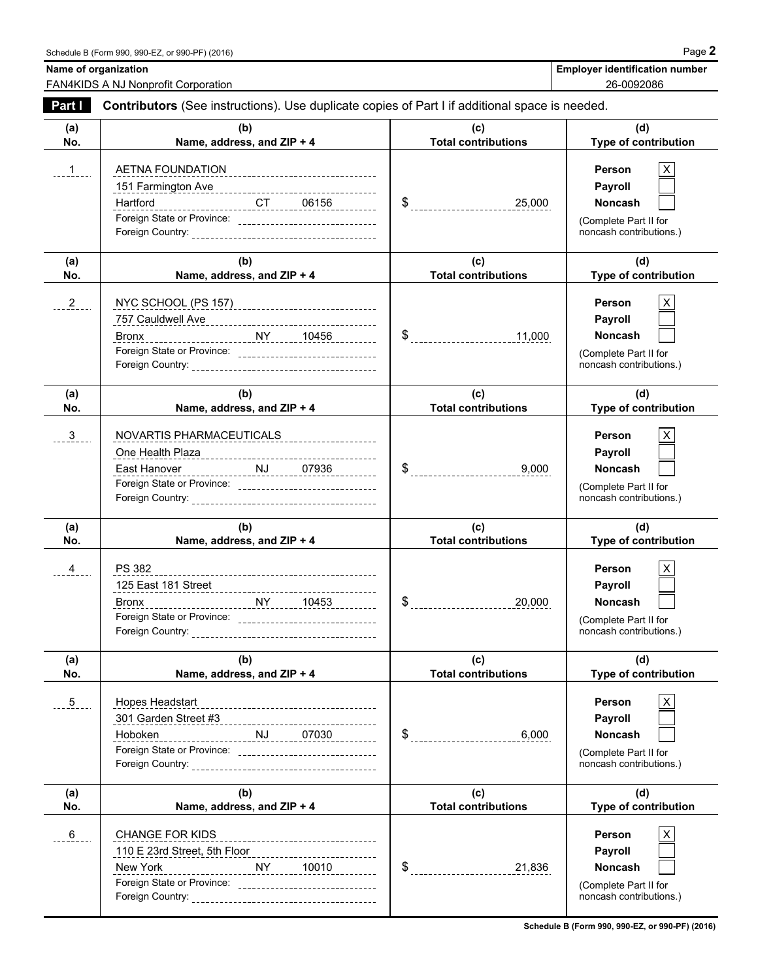FAN4KIDS A NJ Nonprofit Corporation 26-0092086

Name of organization **Name of organization** Name of organization number

| Part I         | <b>Contributors</b> (See instructions). Use duplicate copies of Part I if additional space is needed.                                                    |                                   |                                                                                         |  |  |
|----------------|----------------------------------------------------------------------------------------------------------------------------------------------------------|-----------------------------------|-----------------------------------------------------------------------------------------|--|--|
| (a)<br>No.     | (b)<br>Name, address, and ZIP + 4                                                                                                                        | (c)<br><b>Total contributions</b> | (d)<br>Type of contribution                                                             |  |  |
| $1 - 1 - 1$    | ______________________CT______06156__________<br>Hartford<br>Foreign State or Province: ________________________________                                 | 25,000                            | Person<br>Payroll<br><b>Noncash</b><br>(Complete Part II for<br>noncash contributions.) |  |  |
| (a)<br>No.     | (b)<br>Name, address, and ZIP + 4                                                                                                                        | (c)<br><b>Total contributions</b> | (d)<br>Type of contribution                                                             |  |  |
| $^{2}_{-}$     | NYC SCHOOL (PS 157) _______________________________                                                                                                      | 11,000                            | Person<br>Payroll<br><b>Noncash</b><br>(Complete Part II for<br>noncash contributions.) |  |  |
| (a)<br>No.     | (b)<br>Name, address, and ZIP + 4                                                                                                                        | (c)<br><b>Total contributions</b> | (d)<br><b>Type of contribution</b>                                                      |  |  |
| $3_{-}$        | NOVARTIS PHARMACEUTICALS<br>East Hanover<br>Fast Hanover<br>Fast Hanover<br>Fast Hanover<br>Fast Hanover<br>Manager All Dr. (2003)                       | 9,000                             | Person<br>Payroll<br><b>Noncash</b><br>(Complete Part II for<br>noncash contributions.) |  |  |
| (a)<br>No.     | (b)<br>Name, address, and ZIP + 4                                                                                                                        | (c)<br><b>Total contributions</b> | (d)<br>Type of contribution                                                             |  |  |
| $\overline{4}$ | PS 382<br>Bronx NY 10453                                                                                                                                 | 20,000                            | Person<br>Payroll<br><b>Noncash</b><br>(Complete Part II for<br>noncash contributions.) |  |  |
| (a)            |                                                                                                                                                          |                                   |                                                                                         |  |  |
| No.            | (b)<br>Name, address, and ZIP + 4                                                                                                                        | (c)<br><b>Total contributions</b> | (d)<br>Type of contribution                                                             |  |  |
| 5              | Hopes Headstart<br>---------------------------------<br><u>NJ 07030</u><br>Hoboken<br>---<br>Foreign State or Province: ________________________________ | $\$\quad$<br>6,000                | Person<br>Payroll<br><b>Noncash</b><br>(Complete Part II for<br>noncash contributions.) |  |  |
| (a)<br>No.     | (b)<br>Name, address, and ZIP + 4                                                                                                                        | (c)<br><b>Total contributions</b> | (d)<br>Type of contribution                                                             |  |  |

**Schedule B (Form 990, 990-EZ, or 990-PF) (2016)**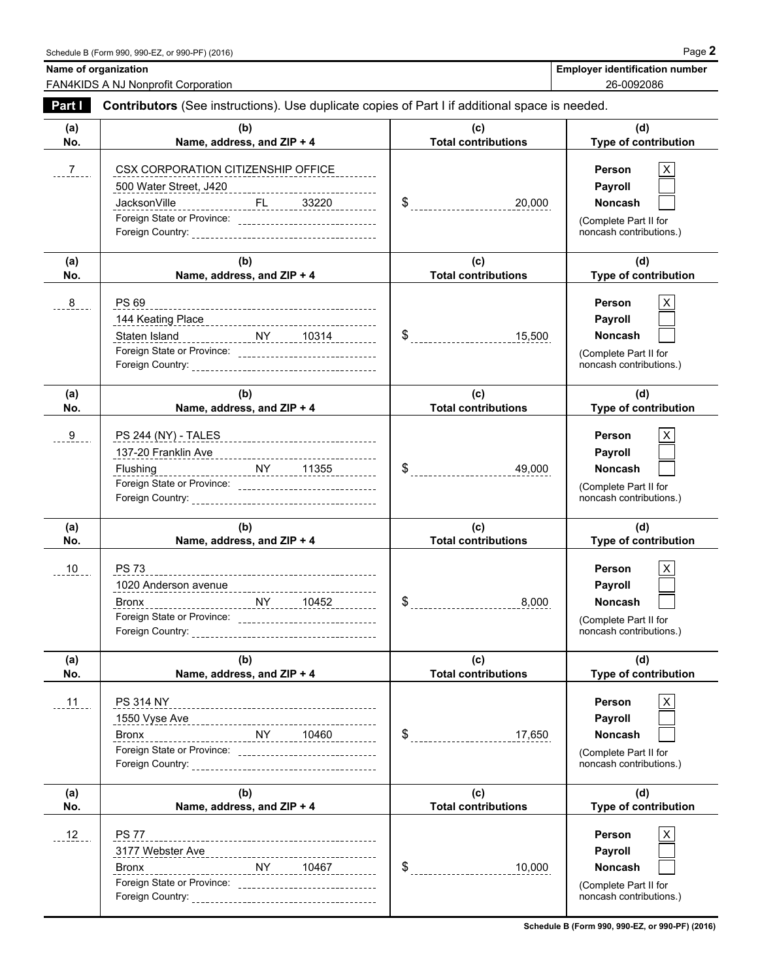**Name of organization Name of organization Name of organization Employer identification number** 

FAN4KIDS A NJ Nonprofit Corporation 26-0092086

| Part I        | Contributors (See instructions). Use duplicate copies of Part I if additional space is needed.                                                                                                |                                               |                                                                                                      |  |  |
|---------------|-----------------------------------------------------------------------------------------------------------------------------------------------------------------------------------------------|-----------------------------------------------|------------------------------------------------------------------------------------------------------|--|--|
| (a)<br>No.    | (b)<br>Name, address, and ZIP + 4                                                                                                                                                             | (c)<br><b>Total contributions</b>             | (d)<br>Type of contribution                                                                          |  |  |
| $\frac{7}{2}$ | CSX CORPORATION CITIZENSHIP OFFICE<br>JacksonVille                                                                                                                                            |                                               | Person<br>Payroll<br><b>Noncash</b><br>(Complete Part II for<br>noncash contributions.)              |  |  |
| (a)<br>No.    | (b)<br>Name, address, and ZIP + 4                                                                                                                                                             | (c)<br><b>Total contributions</b>             | (d)<br>Type of contribution                                                                          |  |  |
| 8             | <b>PS 69</b><br>144 Keating Place 2010 2020 2020 2020 2031 2032 2034 2034 2034 2034 2035 2036 2037 2038 2038 2038 2039 2038 20<br>Foreign State or Province: ________________________________ | $\$\$ 15,500                                  | <b>Person</b><br>X.<br>Payroll<br><b>Noncash</b><br>(Complete Part II for<br>noncash contributions.) |  |  |
| (a)<br>No.    | (b)<br>Name, address, and ZIP + 4                                                                                                                                                             | (c)<br><b>Total contributions</b>             | (d)<br><b>Type of contribution</b>                                                                   |  |  |
| 9             | PS 244 (NY) - TALES ___________________________________                                                                                                                                       | 49,000                                        | Person<br>Payroll<br><b>Noncash</b><br>(Complete Part II for<br>noncash contributions.)              |  |  |
| (a)<br>No.    | (b)<br>Name, address, and ZIP + 4                                                                                                                                                             | (c)<br><b>Total contributions</b>             | (d)<br>Type of contribution                                                                          |  |  |
| $10 -$        | <b>PS 73</b><br>Foreign State or Province: _______________________________                                                                                                                    | $\text{\$}$ ________________________<br>8,000 | Person<br>X.<br>Payroll<br><b>Noncash</b><br>(Complete Part II for<br>noncash contributions.)        |  |  |
| (a)<br>No.    | (b)<br>Name, address, and ZIP + 4                                                                                                                                                             | (c)<br><b>Total contributions</b>             | (d)<br><b>Type of contribution</b>                                                                   |  |  |
| $11 -$        | PS 314 NY<br><b>Bronx</b><br>Foreign State or Province: _________________________________                                                                                                     | 17,650                                        | Person<br>X.<br>Payroll<br><b>Noncash</b><br>(Complete Part II for<br>noncash contributions.)        |  |  |
| (a)<br>No.    | (b)<br>Name, address, and ZIP + 4                                                                                                                                                             | (c)<br><b>Total contributions</b>             | (d)<br>Type of contribution                                                                          |  |  |
| $12 -$        | <b>PS 77</b><br>Bronx<br>---<br>Foreign State or Province: _______________________________                                                                                                    | 10,000                                        | Person<br>Payroll<br>Noncash<br>(Complete Part II for<br>noncash contributions.)                     |  |  |

**Schedule B (Form 990, 990-EZ, or 990-PF) (2016)**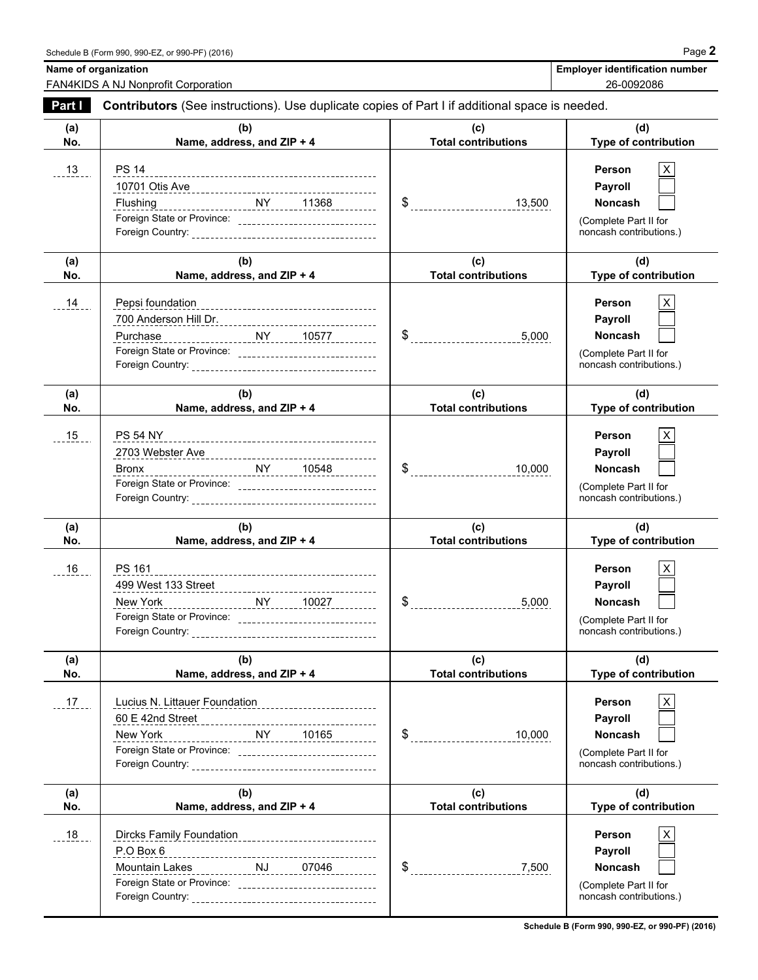**Name of organization Name of organization Name of organization Employer identification number** 

FAN4KIDS A NJ Nonprofit Corporation

| 26-0092086 |
|------------|
|            |

| Part I     | Contributors (See instructions). Use duplicate copies of Part I if additional space is needed.                                                                          |                                           |                                                                                                     |  |  |
|------------|-------------------------------------------------------------------------------------------------------------------------------------------------------------------------|-------------------------------------------|-----------------------------------------------------------------------------------------------------|--|--|
| (a)<br>No. | (b)<br>Name, address, and ZIP + 4                                                                                                                                       | (c)<br><b>Total contributions</b>         | (d)<br>Type of contribution                                                                         |  |  |
| $-13$      | <b>PS 14</b><br>Foreign State or Province: ________________________________                                                                                             | $\frac{13,500}{2}$                        | Person<br>X<br>Payroll<br><b>Noncash</b><br>(Complete Part II for<br>noncash contributions.)        |  |  |
| (a)<br>No. | (b)<br>Name, address, and ZIP + 4                                                                                                                                       | (c)<br><b>Total contributions</b>         | (d)<br>Type of contribution                                                                         |  |  |
| 14         | Pepsi foundation<br>--------------------------------------<br>Purchase<br>Foreign State or Province: _______________________________                                    | $\$\quad$<br>5,000                        | <b>Person</b><br>X<br>Payroll<br><b>Noncash</b><br>(Complete Part II for<br>noncash contributions.) |  |  |
| (a)<br>No. | (b)<br>Name, address, and ZIP + 4                                                                                                                                       | (c)<br><b>Total contributions</b>         | (d)<br>Type of contribution                                                                         |  |  |
| 15         | <b>PS 54 NY</b><br>Bronx<br>Foreign State or Province: ________________________________                                                                                 | $\frac{1}{2}$<br>10,000                   | <b>Person</b><br>X<br>Payroll<br><b>Noncash</b><br>(Complete Part II for<br>noncash contributions.) |  |  |
| (a)<br>No. | (b)<br>Name, address, and ZIP + 4                                                                                                                                       | (c)<br><b>Total contributions</b>         | (d)<br>Type of contribution                                                                         |  |  |
| 16         | PS 161<br>New York NY 10027<br>Foreign State or Province: _______________________________                                                                               | 5,000                                     | Person<br>Payroll<br><b>Noncash</b><br>(Complete Part II for<br>noncash contributions.)             |  |  |
| (a)<br>No. | (b)<br>Name, address, and ZIP + 4                                                                                                                                       | (c)<br><b>Total contributions</b>         | (d)<br>Type of contribution                                                                         |  |  |
| $17 -$     | Lucius N. Littauer Foundation<br>-------------------------<br>60 E 42nd Street<br>$NY$ 10165<br>New York<br>Foreign State or Province: ________________________________ | $\frac{1}{2}$ -----------------<br>10,000 | Person<br>X<br>Payroll<br><b>Noncash</b><br>(Complete Part II for<br>noncash contributions.)        |  |  |
| (a)<br>No. | (b)<br>Name, address, and ZIP + 4                                                                                                                                       | (c)<br><b>Total contributions</b>         | (d)<br>Type of contribution                                                                         |  |  |
| 18         | P.O Box 6<br>Mountain Lakes<br>1999 - Carl Lakes<br>2004 - Carl Lakes, Carl Land, Carl Land, Carl Lewis (1990)                                                          | $\$\quad$<br>7,500                        | X<br><b>Person</b><br>Payroll<br><b>Noncash</b><br>(Complete Part II for<br>noncash contributions.) |  |  |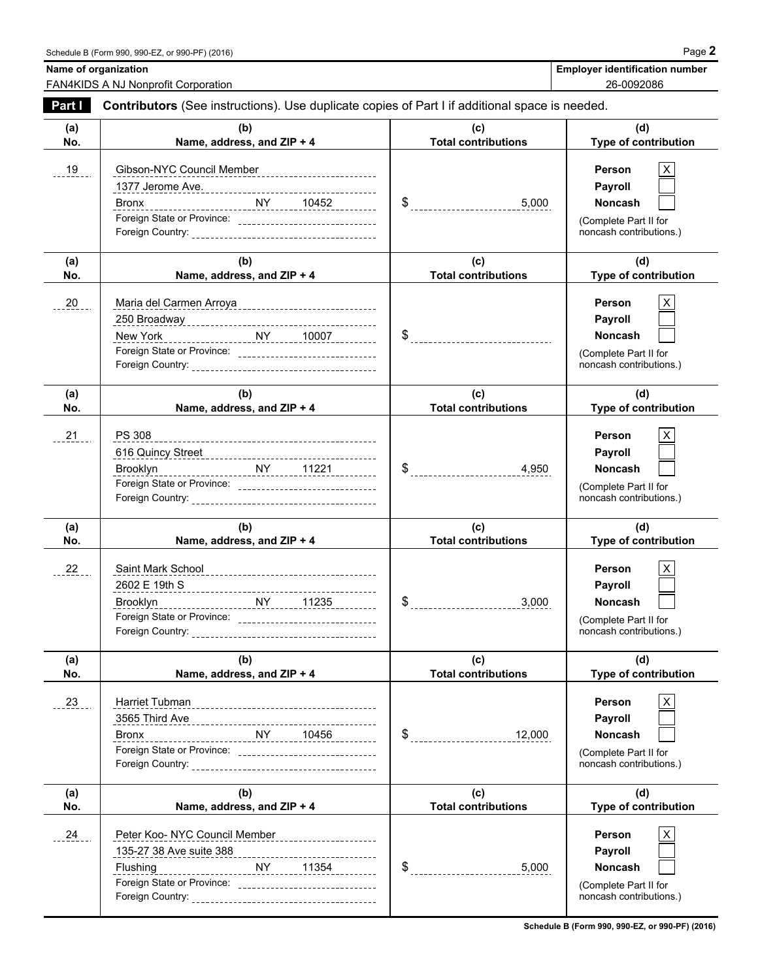**Name of organization Name of organization Name of organization Employer identification number** 

FAN4KIDS A NJ Nonprofit Corporation 26-0092086

| Part I     | Contributors (See instructions). Use duplicate copies of Part I if additional space is needed.                                                                                                                                                                                                                         |                                   |                                                                                                      |  |  |
|------------|------------------------------------------------------------------------------------------------------------------------------------------------------------------------------------------------------------------------------------------------------------------------------------------------------------------------|-----------------------------------|------------------------------------------------------------------------------------------------------|--|--|
| (a)<br>No. | (b)<br>Name, address, and ZIP + 4                                                                                                                                                                                                                                                                                      | (c)<br><b>Total contributions</b> | (d)<br>Type of contribution                                                                          |  |  |
| 19         | Gibson-NYC Council Member ___________________________<br>Bronx<br>Foreign State or Province: ________________________________                                                                                                                                                                                          |                                   | Person<br>X.<br>Payroll<br><b>Noncash</b><br>(Complete Part II for<br>noncash contributions.)        |  |  |
| (a)<br>No. | (b)<br>Name, address, and ZIP + 4                                                                                                                                                                                                                                                                                      | (c)<br><b>Total contributions</b> | (d)<br>Type of contribution                                                                          |  |  |
| 20         | Maria del Carmen Arroya _______________________________<br>New York<br>Foreign State or Province: ________________________________                                                                                                                                                                                     |                                   | Person<br>X.<br>Payroll<br><b>Noncash</b><br>(Complete Part II for<br>noncash contributions.)        |  |  |
| (a)<br>No. | (b)<br>Name, address, and ZIP + 4                                                                                                                                                                                                                                                                                      | (c)<br><b>Total contributions</b> | (d)<br>Type of contribution                                                                          |  |  |
| 21         | PS 308<br>616 Quincy Street<br>1999 - Charles Communication of the Communication of the Communication of the Communication of the Communication of the Communication of the Communication of the Communication of the Communication of the<br>Brooklyn<br>Foreign State or Province: _________________________________ | 4,950                             | <b>Person</b><br>X.<br>Payroll<br><b>Noncash</b><br>(Complete Part II for<br>noncash contributions.) |  |  |
| (a)<br>No. | (b)<br>Name, address, and ZIP + 4                                                                                                                                                                                                                                                                                      | (c)<br><b>Total contributions</b> | (d)<br>Type of contribution                                                                          |  |  |
| 22         | Foreign State or Province: ______________________________                                                                                                                                                                                                                                                              | $\frac{1}{2}$                     | Person<br>Payroll<br><b>Noncash</b><br>(Complete Part II for<br>noncash contributions.)              |  |  |
| (a)<br>No. | (b)<br>Name, address, and ZIP + 4                                                                                                                                                                                                                                                                                      | (c)<br><b>Total contributions</b> | (d)<br>Type of contribution                                                                          |  |  |
| $-23$      | Harriet Tubman<br>3565 Third Ave<br><b>Bronx</b><br>Foreign State or Province: __________________________________                                                                                                                                                                                                      | 12,000                            | Person<br>X.<br>Payroll<br><b>Noncash</b><br>(Complete Part II for<br>noncash contributions.)        |  |  |
| (a)<br>No. | (b)<br>Name, address, and ZIP + 4                                                                                                                                                                                                                                                                                      | (c)<br><b>Total contributions</b> | (d)<br>Type of contribution                                                                          |  |  |
| 24         | Peter Koo- NYC Council Member<br>_____________________<br><u>NY 11354</u><br>Flushing                                                                                                                                                                                                                                  | 5,000                             | Person<br>X<br>Payroll<br>Noncash<br>(Complete Part II for<br>noncash contributions.)                |  |  |

**Schedule B (Form 990, 990-EZ, or 990-PF) (2016)**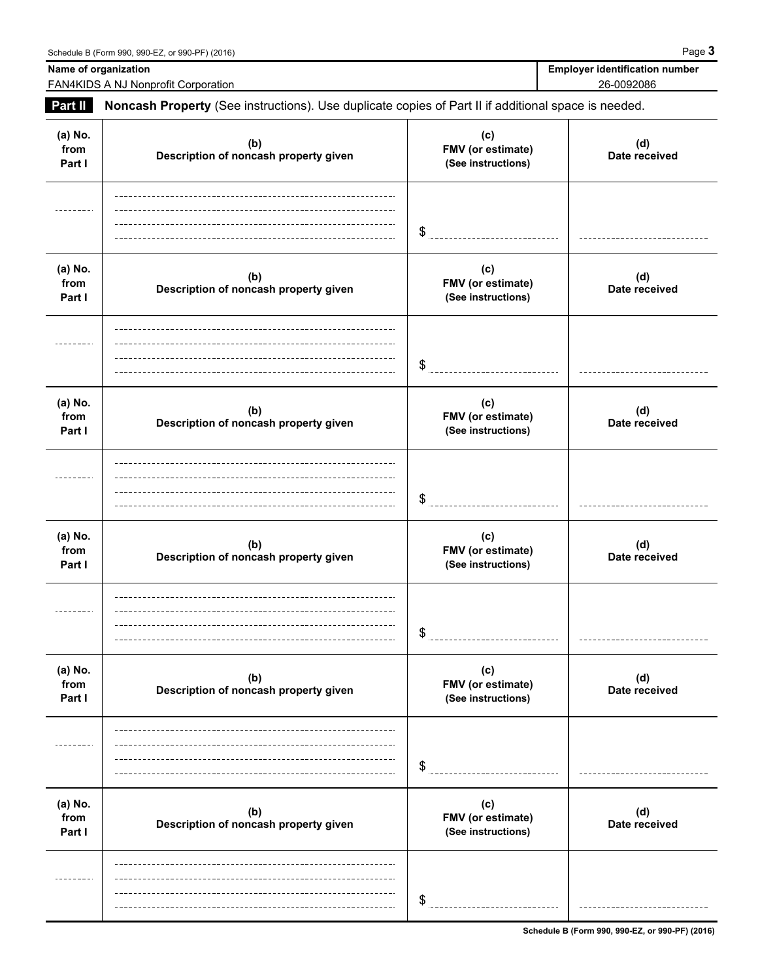FAN4KIDS A NJ Nonprofit Corporation

**Name of organization** 

| <b>Employer identification number</b> |
|---------------------------------------|
| 26-0092086                            |

| <b>Part II</b>            | Noncash Property (See instructions). Use duplicate copies of Part II if additional space is needed. |                                                |                      |
|---------------------------|-----------------------------------------------------------------------------------------------------|------------------------------------------------|----------------------|
| (a) No.<br>from<br>Part I | (b)<br>Description of noncash property given                                                        | (c)<br>FMV (or estimate)<br>(See instructions) | (d)<br>Date received |
|                           |                                                                                                     | \$<br>______________________________           |                      |
| (a) No.<br>from<br>Part I | (b)<br>Description of noncash property given                                                        | (c)<br>FMV (or estimate)<br>(See instructions) | (d)<br>Date received |
|                           |                                                                                                     | \$                                             |                      |
| (a) No.<br>from<br>Part I | (b)<br>Description of noncash property given                                                        | (c)<br>FMV (or estimate)<br>(See instructions) | (d)<br>Date received |
|                           |                                                                                                     | \$                                             |                      |
| (a) No.<br>from<br>Part I | (b)<br>Description of noncash property given                                                        | (c)<br>FMV (or estimate)<br>(See instructions) | (d)<br>Date received |
|                           |                                                                                                     | \$<br>-----------------------------            |                      |
| (a) No.<br>from<br>Part I | (b)<br>Description of noncash property given                                                        | (c)<br>FMV (or estimate)<br>(See instructions) | (d)<br>Date received |
|                           |                                                                                                     | \$                                             |                      |
| (a) No.<br>from<br>Part I | (b)<br>Description of noncash property given                                                        | (c)<br>FMV (or estimate)<br>(See instructions) | (d)<br>Date received |
|                           |                                                                                                     | \$                                             |                      |

**Schedule B (Form 990, 990-EZ, or 990-PF) (2016)**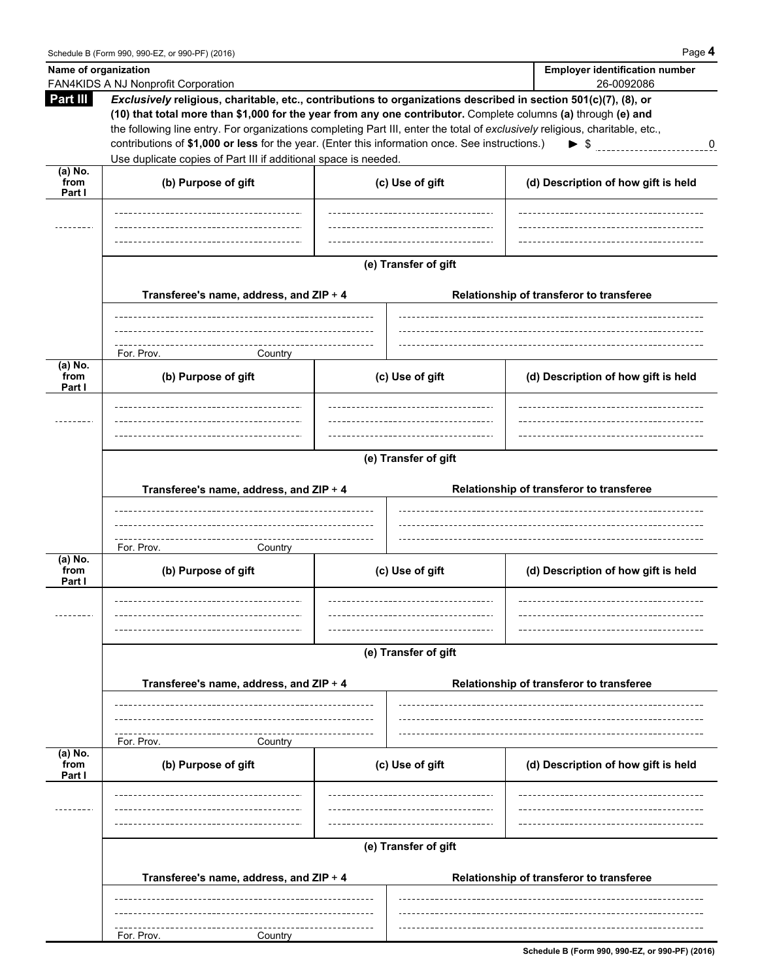$\overline{\phantom{a}}$ 

| Name of organization        |                                                                                                                                                                                                                                                                         |                      | <b>Employer identification number</b>    |
|-----------------------------|-------------------------------------------------------------------------------------------------------------------------------------------------------------------------------------------------------------------------------------------------------------------------|----------------------|------------------------------------------|
| Part III                    | FAN4KIDS A NJ Nonprofit Corporation<br>Exclusively religious, charitable, etc., contributions to organizations described in section 501(c)(7), (8), or<br>(10) that total more than \$1,000 for the year from any one contributor. Complete columns (a) through (e) and |                      | 26-0092086                               |
|                             | the following line entry. For organizations completing Part III, enter the total of exclusively religious, charitable, etc.,                                                                                                                                            |                      |                                          |
|                             | contributions of \$1,000 or less for the year. (Enter this information once. See instructions.)                                                                                                                                                                         |                      | 0                                        |
|                             | Use duplicate copies of Part III if additional space is needed.                                                                                                                                                                                                         |                      |                                          |
| (a) No.<br>from<br>Part I   | (b) Purpose of gift                                                                                                                                                                                                                                                     | (c) Use of gift      | (d) Description of how gift is held      |
|                             |                                                                                                                                                                                                                                                                         |                      |                                          |
|                             |                                                                                                                                                                                                                                                                         |                      |                                          |
|                             |                                                                                                                                                                                                                                                                         | (e) Transfer of gift |                                          |
|                             | Transferee's name, address, and ZIP + 4                                                                                                                                                                                                                                 |                      | Relationship of transferor to transferee |
|                             |                                                                                                                                                                                                                                                                         |                      |                                          |
|                             |                                                                                                                                                                                                                                                                         |                      |                                          |
| $(a)$ No.                   | For. Prov.<br>Country                                                                                                                                                                                                                                                   |                      |                                          |
| from<br>Part I              | (b) Purpose of gift                                                                                                                                                                                                                                                     | (c) Use of gift      | (d) Description of how gift is held      |
|                             |                                                                                                                                                                                                                                                                         |                      |                                          |
|                             |                                                                                                                                                                                                                                                                         |                      |                                          |
|                             |                                                                                                                                                                                                                                                                         |                      |                                          |
|                             |                                                                                                                                                                                                                                                                         |                      |                                          |
|                             |                                                                                                                                                                                                                                                                         | (e) Transfer of gift |                                          |
|                             | Transferee's name, address, and ZIP + 4                                                                                                                                                                                                                                 |                      | Relationship of transferor to transferee |
|                             |                                                                                                                                                                                                                                                                         |                      |                                          |
|                             |                                                                                                                                                                                                                                                                         |                      |                                          |
|                             |                                                                                                                                                                                                                                                                         |                      |                                          |
| (a) No.                     | For. Prov.<br>Country                                                                                                                                                                                                                                                   |                      |                                          |
| from<br>Part I              | (b) Purpose of gift                                                                                                                                                                                                                                                     | (c) Use of gift      | (d) Description of how gift is held      |
|                             |                                                                                                                                                                                                                                                                         |                      | ---------------------------------        |
|                             |                                                                                                                                                                                                                                                                         |                      |                                          |
|                             |                                                                                                                                                                                                                                                                         |                      |                                          |
|                             |                                                                                                                                                                                                                                                                         | (e) Transfer of gift |                                          |
|                             |                                                                                                                                                                                                                                                                         |                      |                                          |
|                             | Transferee's name, address, and ZIP + 4                                                                                                                                                                                                                                 |                      | Relationship of transferor to transferee |
|                             |                                                                                                                                                                                                                                                                         |                      |                                          |
|                             |                                                                                                                                                                                                                                                                         |                      |                                          |
|                             | For. Prov.<br>Country                                                                                                                                                                                                                                                   |                      |                                          |
| $(a)$ No.<br>from<br>Part I | (b) Purpose of gift                                                                                                                                                                                                                                                     | (c) Use of gift      | (d) Description of how gift is held      |
|                             |                                                                                                                                                                                                                                                                         |                      |                                          |
|                             |                                                                                                                                                                                                                                                                         |                      |                                          |
|                             |                                                                                                                                                                                                                                                                         |                      |                                          |
|                             |                                                                                                                                                                                                                                                                         | (e) Transfer of gift |                                          |
|                             |                                                                                                                                                                                                                                                                         |                      |                                          |
|                             | Transferee's name, address, and ZIP + 4                                                                                                                                                                                                                                 |                      | Relationship of transferor to transferee |
|                             |                                                                                                                                                                                                                                                                         |                      |                                          |
|                             |                                                                                                                                                                                                                                                                         |                      |                                          |
|                             |                                                                                                                                                                                                                                                                         |                      |                                          |
|                             | For. Prov.<br>Country                                                                                                                                                                                                                                                   |                      |                                          |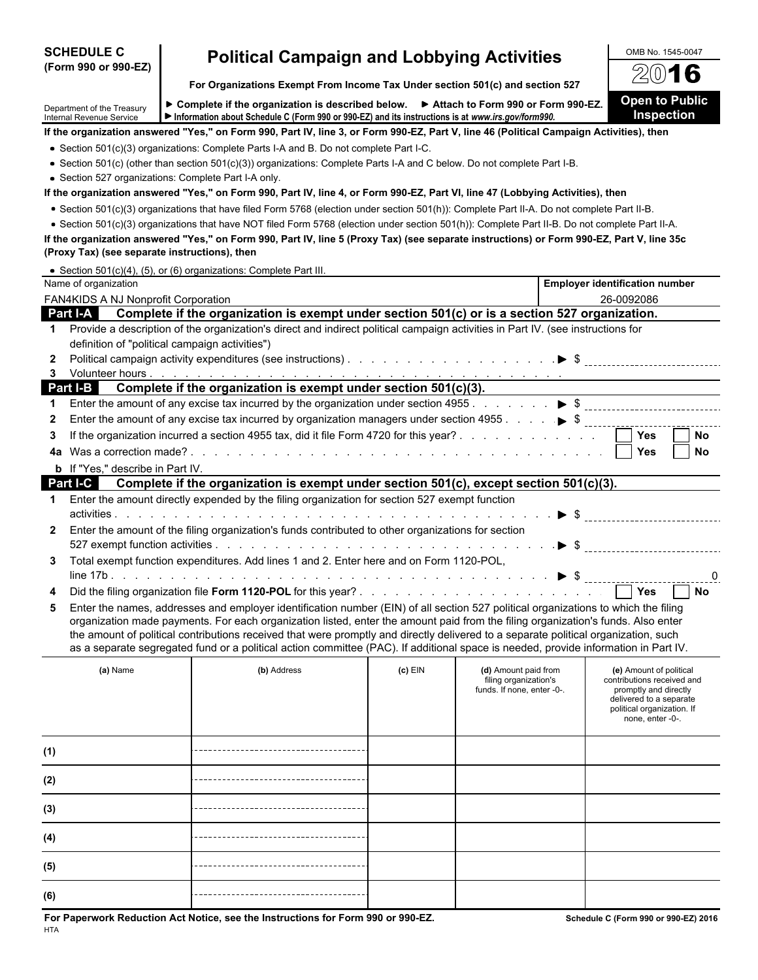| <b>SCHEDULE C</b>                                      | <b>Political Campaign and Lobbying Activities</b>                                                                                                                                                                                                                                            |           |                                               | OMB No. 1545-0047                                     |
|--------------------------------------------------------|----------------------------------------------------------------------------------------------------------------------------------------------------------------------------------------------------------------------------------------------------------------------------------------------|-----------|-----------------------------------------------|-------------------------------------------------------|
| (Form 990 or 990-EZ)                                   |                                                                                                                                                                                                                                                                                              |           |                                               | $(0)$ -<br>6                                          |
|                                                        | For Organizations Exempt From Income Tax Under section 501(c) and section 527                                                                                                                                                                                                                |           |                                               |                                                       |
| Department of the Treasury<br>Internal Revenue Service | ► Complete if the organization is described below. ► Attach to Form 990 or Form 990-EZ.<br>Information about Schedule C (Form 990 or 990-EZ) and its instructions is at www.irs.gov/form990.                                                                                                 |           |                                               | <b>Open to Public</b><br><b>Inspection</b>            |
|                                                        | If the organization answered "Yes," on Form 990, Part IV, line 3, or Form 990-EZ, Part V, line 46 (Political Campaign Activities), then                                                                                                                                                      |           |                                               |                                                       |
|                                                        | • Section 501(c)(3) organizations: Complete Parts I-A and B. Do not complete Part I-C.                                                                                                                                                                                                       |           |                                               |                                                       |
|                                                        | • Section 501(c) (other than section 501(c)(3)) organizations: Complete Parts I-A and C below. Do not complete Part I-B.                                                                                                                                                                     |           |                                               |                                                       |
|                                                        | • Section 527 organizations: Complete Part I-A only.                                                                                                                                                                                                                                         |           |                                               |                                                       |
|                                                        | If the organization answered "Yes," on Form 990, Part IV, line 4, or Form 990-EZ, Part VI, line 47 (Lobbying Activities), then                                                                                                                                                               |           |                                               |                                                       |
|                                                        | • Section 501(c)(3) organizations that have filed Form 5768 (election under section 501(h)): Complete Part II-A. Do not complete Part II-B.                                                                                                                                                  |           |                                               |                                                       |
|                                                        | . Section 501(c)(3) organizations that have NOT filed Form 5768 (election under section 501(h)): Complete Part II-B. Do not complete Part II-A.<br>If the organization answered "Yes," on Form 990, Part IV, line 5 (Proxy Tax) (see separate instructions) or Form 990-EZ, Part V, line 35c |           |                                               |                                                       |
| (Proxy Tax) (see separate instructions), then          |                                                                                                                                                                                                                                                                                              |           |                                               |                                                       |
|                                                        | • Section 501(c)(4), (5), or (6) organizations: Complete Part III.                                                                                                                                                                                                                           |           |                                               |                                                       |
| Name of organization                                   |                                                                                                                                                                                                                                                                                              |           |                                               | <b>Employer identification number</b>                 |
| FAN4KIDS A NJ Nonprofit Corporation                    |                                                                                                                                                                                                                                                                                              |           |                                               | 26-0092086                                            |
| <b>Part I-A</b>                                        | Complete if the organization is exempt under section 501(c) or is a section 527 organization.                                                                                                                                                                                                |           |                                               |                                                       |
| 1.                                                     | Provide a description of the organization's direct and indirect political campaign activities in Part IV. (see instructions for                                                                                                                                                              |           |                                               |                                                       |
|                                                        | definition of "political campaign activities")                                                                                                                                                                                                                                               |           |                                               |                                                       |
|                                                        |                                                                                                                                                                                                                                                                                              |           |                                               |                                                       |
| 3                                                      |                                                                                                                                                                                                                                                                                              |           |                                               |                                                       |
| Part I-B                                               | Complete if the organization is exempt under section 501(c)(3).<br>Enter the amount of any excise tax incurred by the organization under section 4955. $\ldots$ , $\blacktriangleright$ \$                                                                                                   |           |                                               |                                                       |
| 2                                                      | Enter the amount of any excise tax incurred by organization managers under section 4955 $\ldots$ , $\blacktriangleright$ \$ $\ldots$                                                                                                                                                         |           |                                               |                                                       |
| 3                                                      | If the organization incurred a section 4955 tax, did it file Form 4720 for this year?                                                                                                                                                                                                        |           |                                               | Yes<br>No                                             |
| 4a                                                     |                                                                                                                                                                                                                                                                                              |           |                                               | <b>Yes</b><br>No                                      |
| <b>b</b> If "Yes," describe in Part IV.                |                                                                                                                                                                                                                                                                                              |           |                                               |                                                       |
| Part I-C                                               | Complete if the organization is exempt under section 501(c), except section 501(c)(3).                                                                                                                                                                                                       |           |                                               |                                                       |
| 1                                                      | Enter the amount directly expended by the filing organization for section 527 exempt function                                                                                                                                                                                                |           |                                               |                                                       |
|                                                        |                                                                                                                                                                                                                                                                                              |           |                                               |                                                       |
| $\mathbf{2}$                                           | Enter the amount of the filing organization's funds contributed to other organizations for section                                                                                                                                                                                           |           |                                               |                                                       |
|                                                        |                                                                                                                                                                                                                                                                                              |           |                                               |                                                       |
| 3                                                      | Total exempt function expenditures. Add lines 1 and 2. Enter here and on Form 1120-POL,                                                                                                                                                                                                      |           |                                               |                                                       |
|                                                        |                                                                                                                                                                                                                                                                                              |           |                                               | 0<br>                                                 |
|                                                        |                                                                                                                                                                                                                                                                                              |           |                                               | Yes<br>No                                             |
| 5                                                      | Enter the names, addresses and employer identification number (EIN) of all section 527 political organizations to which the filing                                                                                                                                                           |           |                                               |                                                       |
|                                                        | organization made payments. For each organization listed, enter the amount paid from the filing organization's funds. Also enter                                                                                                                                                             |           |                                               |                                                       |
|                                                        | the amount of political contributions received that were promptly and directly delivered to a separate political organization, such<br>as a separate segregated fund or a political action committee (PAC). If additional space is needed, provide information in Part IV.                   |           |                                               |                                                       |
|                                                        |                                                                                                                                                                                                                                                                                              |           |                                               |                                                       |
| (a) Name                                               | (b) Address                                                                                                                                                                                                                                                                                  | $(c)$ EIN | (d) Amount paid from<br>filing organization's | (e) Amount of political<br>contributions received and |
|                                                        |                                                                                                                                                                                                                                                                                              |           | funds. If none, enter -0-.                    | promptly and directly                                 |
|                                                        |                                                                                                                                                                                                                                                                                              |           |                                               | delivered to a separate<br>political organization. If |
|                                                        |                                                                                                                                                                                                                                                                                              |           |                                               | none, enter -0-.                                      |
|                                                        |                                                                                                                                                                                                                                                                                              |           |                                               |                                                       |
| (1)                                                    |                                                                                                                                                                                                                                                                                              |           |                                               |                                                       |
|                                                        |                                                                                                                                                                                                                                                                                              |           |                                               |                                                       |
| (2)                                                    |                                                                                                                                                                                                                                                                                              |           |                                               |                                                       |
|                                                        |                                                                                                                                                                                                                                                                                              |           |                                               |                                                       |
| (3)                                                    |                                                                                                                                                                                                                                                                                              |           |                                               |                                                       |
| (4)                                                    |                                                                                                                                                                                                                                                                                              |           |                                               |                                                       |
| (5)                                                    |                                                                                                                                                                                                                                                                                              |           |                                               |                                                       |
|                                                        |                                                                                                                                                                                                                                                                                              |           |                                               |                                                       |
| (6)                                                    |                                                                                                                                                                                                                                                                                              |           |                                               |                                                       |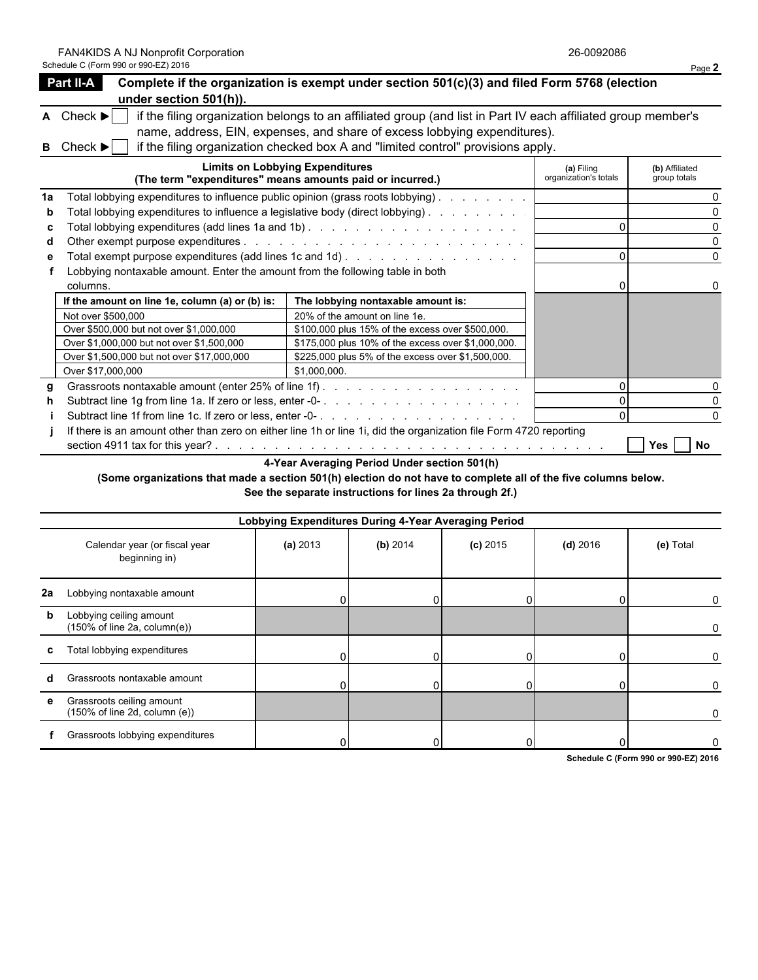FAN4KIDS A NJ Nonprofit Corporation 26-0092086

|    | Schedule C (Form 990 or 990-EZ) 2016                                          |                                                                                                                   |                                     | Page 2                         |
|----|-------------------------------------------------------------------------------|-------------------------------------------------------------------------------------------------------------------|-------------------------------------|--------------------------------|
|    | Part II-A                                                                     | Complete if the organization is exempt under section 501(c)(3) and filed Form 5768 (election                      |                                     |                                |
|    | under section 501(h)).                                                        |                                                                                                                   |                                     |                                |
|    | $\mathsf{A}$ Check $\blacktriangleright$                                      | if the filing organization belongs to an affiliated group (and list in Part IV each affiliated group member's     |                                     |                                |
|    |                                                                               | name, address, EIN, expenses, and share of excess lobbying expenditures).                                         |                                     |                                |
|    | Check ▶                                                                       | if the filing organization checked box A and "limited control" provisions apply.                                  |                                     |                                |
|    |                                                                               | <b>Limits on Lobbying Expenditures</b><br>(The term "expenditures" means amounts paid or incurred.)               | (a) Filing<br>organization's totals | (b) Affiliated<br>group totals |
| 1a |                                                                               | Total lobbying expenditures to influence public opinion (grass roots lobbying).                                   |                                     |                                |
|    |                                                                               | Total lobbying expenditures to influence a legislative body (direct lobbying)                                     |                                     |                                |
|    |                                                                               |                                                                                                                   |                                     |                                |
|    |                                                                               |                                                                                                                   |                                     |                                |
|    |                                                                               |                                                                                                                   |                                     | $\Omega$                       |
|    | Lobbying nontaxable amount. Enter the amount from the following table in both |                                                                                                                   |                                     |                                |
|    | columns.                                                                      |                                                                                                                   |                                     |                                |
|    | If the amount on line 1e, column (a) or (b) is:                               | The lobbying nontaxable amount is:                                                                                |                                     |                                |
|    | Not over \$500,000                                                            | 20% of the amount on line 1e.                                                                                     |                                     |                                |
|    | Over \$500,000 but not over \$1,000,000                                       | \$100,000 plus 15% of the excess over \$500,000.                                                                  |                                     |                                |
|    | Over \$1,000,000 but not over \$1,500,000                                     | \$175,000 plus 10% of the excess over \$1,000,000.                                                                |                                     |                                |
|    | Over \$1,500,000 but not over \$17,000,000                                    | \$225,000 plus 5% of the excess over \$1,500,000.                                                                 |                                     |                                |
|    | Over \$17,000,000                                                             | \$1.000.000.                                                                                                      |                                     |                                |
|    |                                                                               |                                                                                                                   |                                     |                                |
|    |                                                                               |                                                                                                                   |                                     |                                |
|    |                                                                               |                                                                                                                   |                                     |                                |
|    |                                                                               | If there is an amount other than zero on either line 1h or line 1i, did the organization file Form 4720 reporting |                                     | No<br>Yes                      |

**4-Year Averaging Period Under section 501(h)**

**(Some organizations that made a section 501(h) election do not have to complete all of the five columns below. See the separate instructions for lines 2a through 2f.)**

|    |                                                                                 | Lobbying Expenditures During 4-Year Averaging Period |          |            |            |           |
|----|---------------------------------------------------------------------------------|------------------------------------------------------|----------|------------|------------|-----------|
|    | Calendar year (or fiscal year<br>beginning in)                                  | (a) 2013                                             | (b) 2014 | $(c)$ 2015 | $(d)$ 2016 | (e) Total |
| 2a | Lobbying nontaxable amount                                                      |                                                      |          |            |            | 0         |
| b  | Lobbying ceiling amount<br>$(150\% \text{ of line } 2a, \text{column}(e))$      |                                                      |          |            |            | 0         |
| c  | Total lobbying expenditures                                                     |                                                      |          |            |            |           |
| d  | Grassroots nontaxable amount                                                    |                                                      |          |            |            |           |
| е  | Grassroots ceiling amount<br>$(150\% \text{ of line } 2d, \text{ column } (e))$ |                                                      |          |            |            |           |
|    | Grassroots lobbying expenditures                                                |                                                      |          |            |            |           |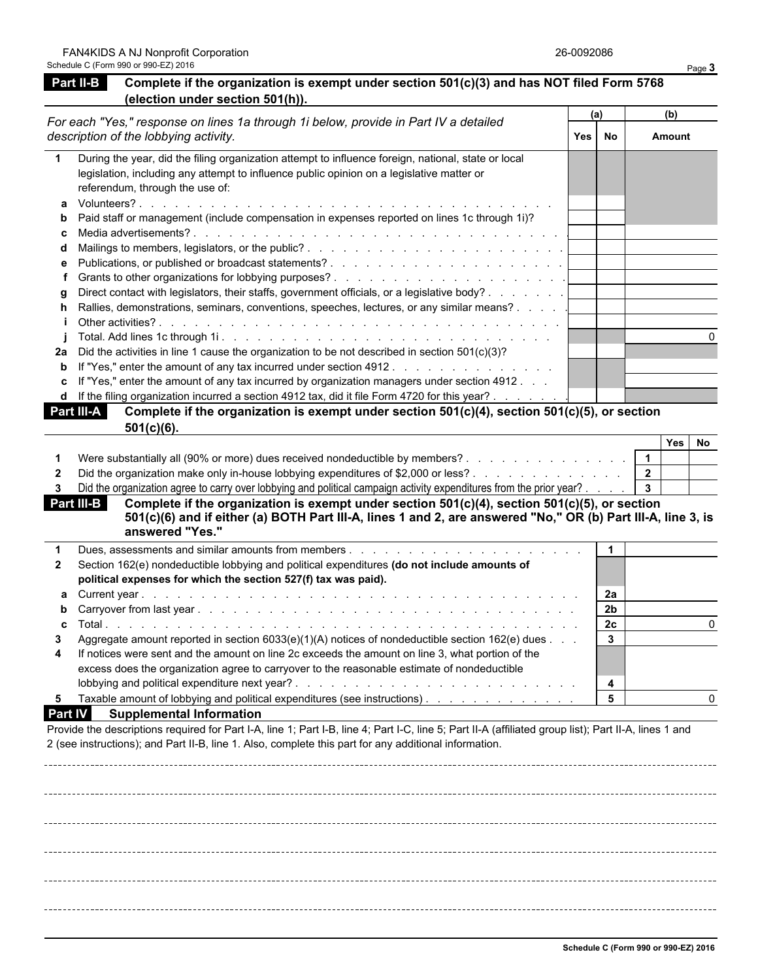### **Part II-B Complete if the organization is exempt under section 501(c)(3) and has NOT filed Form 5768 (election under section 501(h)).**

|    | For each "Yes," response on lines 1a through 1i below, provide in Part IV a detailed<br>description of the lobbying activity.                                                                                                       |  | (a) | (b)    |  |
|----|-------------------------------------------------------------------------------------------------------------------------------------------------------------------------------------------------------------------------------------|--|-----|--------|--|
|    |                                                                                                                                                                                                                                     |  | No  | Amount |  |
|    | During the year, did the filing organization attempt to influence foreign, national, state or local<br>legislation, including any attempt to influence public opinion on a legislative matter or<br>referendum, through the use of: |  |     |        |  |
|    |                                                                                                                                                                                                                                     |  |     |        |  |
| b. | Paid staff or management (include compensation in expenses reported on lines 1c through 1i)?                                                                                                                                        |  |     |        |  |
|    |                                                                                                                                                                                                                                     |  |     |        |  |
|    |                                                                                                                                                                                                                                     |  |     |        |  |
| е  |                                                                                                                                                                                                                                     |  |     |        |  |
|    |                                                                                                                                                                                                                                     |  |     |        |  |
|    | Direct contact with legislators, their staffs, government officials, or a legislative body?                                                                                                                                         |  |     |        |  |
| h. | Rallies, demonstrations, seminars, conventions, speeches, lectures, or any similar means?                                                                                                                                           |  |     |        |  |
|    |                                                                                                                                                                                                                                     |  |     |        |  |
|    |                                                                                                                                                                                                                                     |  |     |        |  |
| 2a | Did the activities in line 1 cause the organization to be not described in section $501(c)(3)$ ?                                                                                                                                    |  |     |        |  |
|    | <b>b</b> If "Yes," enter the amount of any tax incurred under section 4912.                                                                                                                                                         |  |     |        |  |
|    | c If "Yes," enter the amount of any tax incurred by organization managers under section $4912 \ldots$                                                                                                                               |  |     |        |  |
|    | d If the filing organization incurred a section 4912 tax, did it file Form 4720 for this year?                                                                                                                                      |  |     |        |  |
|    | <b>Part III-A</b><br>Complete if the organization is exempt under section $501(c)(4)$ , section $501(c)(5)$ , or section                                                                                                            |  |     |        |  |

| <u> vv revnon</u>                                                                                                    |   |       |      |
|----------------------------------------------------------------------------------------------------------------------|---|-------|------|
|                                                                                                                      |   | Yes I | l No |
| Were substantially all (90% or more) dues received nondeductible by members?                                         |   |       |      |
| Did the organization make only in-house lobbying expenditures of \$2,000 or less?                                    | - |       |      |
| Did the organization agree to carry over lobbying and political campaign activity expenditures from the prior year?. |   |       |      |

**Part III-B Complete if the organization is exempt under section 501(c)(4), section 501(c)(5), or section 501(c)(6) and if either (a) BOTH Part III-A, lines 1 and 2, are answered "No," OR (b) Part III-A, line 3, is answered "Yes."**

|                | Dues, assessments and similar amounts from members.                                                             |    |  |
|----------------|-----------------------------------------------------------------------------------------------------------------|----|--|
| $2^{\circ}$    | Section 162(e) nondeductible lobbying and political expenditures (do not include amounts of                     |    |  |
|                | political expenses for which the section 527(f) tax was paid).                                                  |    |  |
|                |                                                                                                                 | 2a |  |
|                |                                                                                                                 | 2b |  |
|                |                                                                                                                 | 2c |  |
| 3              | Aggregate amount reported in section $6033(e)(1)(A)$ notices of nondeductible section $162(e)$ dues $\ldots$    |    |  |
| $\overline{4}$ | If notices were sent and the amount on line 2c exceeds the amount on line 3, what portion of the                |    |  |
|                | excess does the organization agree to carryover to the reasonable estimate of nondeductible                     |    |  |
|                |                                                                                                                 |    |  |
| 5.             | Taxable amount of lobbying and political expenditures (see instructions). The contact of the series of the seri |    |  |
|                | $\sim$ $\sim$ $\sim$ $\sim$ $\sim$ $\sim$ $\sim$                                                                |    |  |

### **Part IV Supplemental Information**

**501(c)(6).**

Provide the descriptions required for Part I-A, line 1; Part I-B, line 4; Part I-C, line 5; Part II-A (affiliated group list); Part II-A, lines 1 and 2 (see instructions); and Part II-B, line 1. Also, complete this part for any additional information.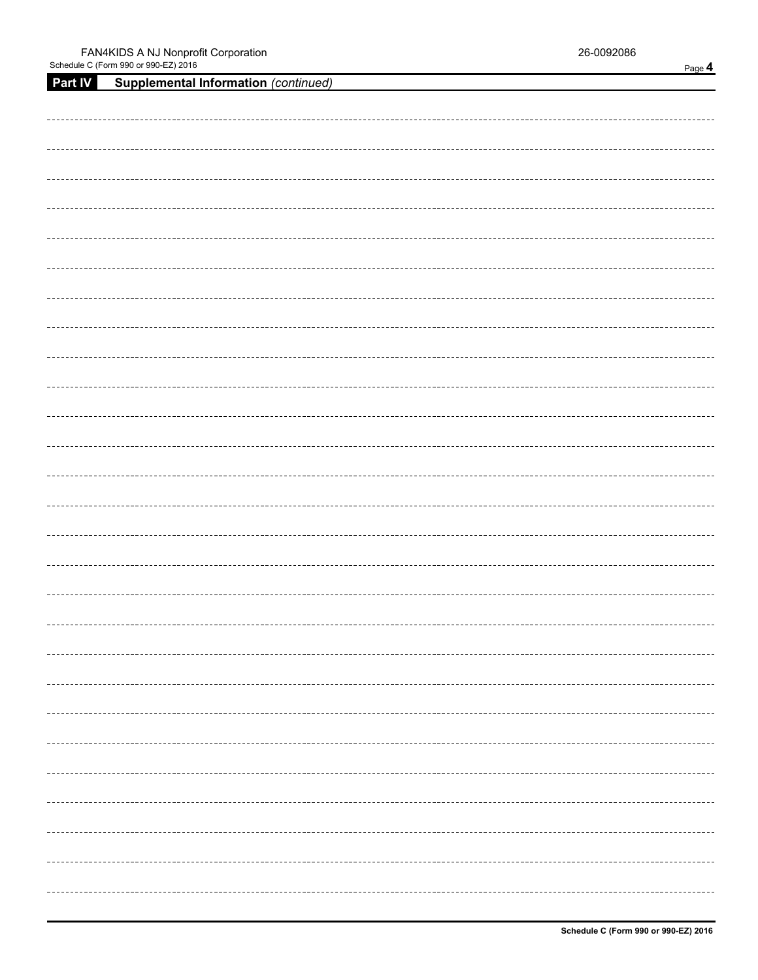| <b>Part IV</b> | <b>Supplemental Information (continued)</b> |
|----------------|---------------------------------------------|
|                |                                             |
|                |                                             |
|                |                                             |
|                |                                             |
|                |                                             |
|                |                                             |
|                |                                             |
|                |                                             |
|                |                                             |
|                |                                             |
|                |                                             |
|                |                                             |
|                |                                             |
|                |                                             |
|                |                                             |
|                |                                             |
|                |                                             |
|                |                                             |
|                |                                             |
|                |                                             |
|                |                                             |
|                |                                             |
|                |                                             |
|                |                                             |
|                |                                             |
|                |                                             |
|                |                                             |
|                |                                             |
|                |                                             |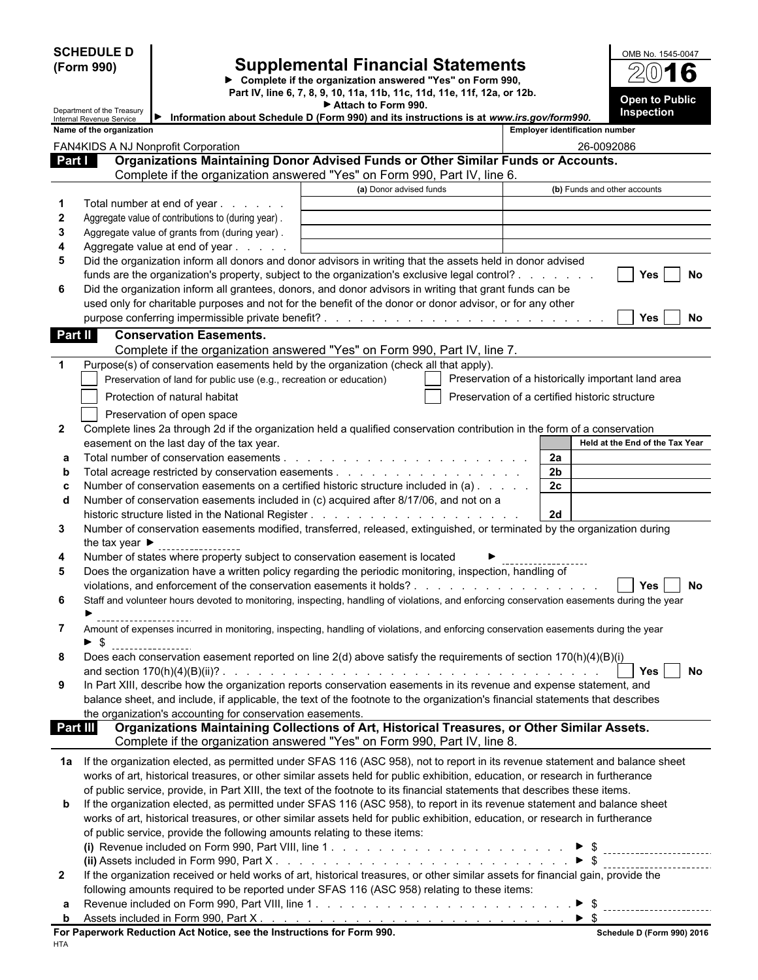**SCHEDULE D (Form 990)**

### **Supplemental Financial Statements**

**Complete if the organization answered "Yes" on Form 990, Part IV, line 6, 7, 8, 9, 10, 11a, 11b, 11c, 11d, 11e, 11f, 12a, or 12b. Open to Public Attach to Form 990.**



|                  | Department of the Treasury<br>Internal Revenue Service                                                                                                                 | Information about Schedule D (Form 990) and its instructions is at www.irs.gov/form990.                                                                                   | <b>Inspection</b>                                  |
|------------------|------------------------------------------------------------------------------------------------------------------------------------------------------------------------|---------------------------------------------------------------------------------------------------------------------------------------------------------------------------|----------------------------------------------------|
|                  | Name of the organization                                                                                                                                               |                                                                                                                                                                           | <b>Employer identification number</b>              |
|                  | FAN4KIDS A NJ Nonprofit Corporation                                                                                                                                    |                                                                                                                                                                           | 26-0092086                                         |
| <b>Part I</b>    |                                                                                                                                                                        | Organizations Maintaining Donor Advised Funds or Other Similar Funds or Accounts.                                                                                         |                                                    |
|                  |                                                                                                                                                                        | Complete if the organization answered "Yes" on Form 990, Part IV, line 6.                                                                                                 |                                                    |
|                  |                                                                                                                                                                        | (a) Donor advised funds                                                                                                                                                   | (b) Funds and other accounts                       |
| $\mathbf 1$      | Total number at end of year                                                                                                                                            |                                                                                                                                                                           |                                                    |
| $\boldsymbol{2}$ | Aggregate value of contributions to (during year).                                                                                                                     |                                                                                                                                                                           |                                                    |
| 3                | Aggregate value of grants from (during year).                                                                                                                          |                                                                                                                                                                           |                                                    |
| 4<br>5           | Aggregate value at end of year<br>Did the organization inform all donors and donor advisors in writing that the assets held in donor advised                           |                                                                                                                                                                           |                                                    |
|                  | funds are the organization's property, subject to the organization's exclusive legal control?                                                                          |                                                                                                                                                                           | No<br>Yes                                          |
| 6                | Did the organization inform all grantees, donors, and donor advisors in writing that grant funds can be                                                                |                                                                                                                                                                           |                                                    |
|                  | used only for charitable purposes and not for the benefit of the donor or donor advisor, or for any other                                                              |                                                                                                                                                                           |                                                    |
|                  |                                                                                                                                                                        |                                                                                                                                                                           | Yes<br>No                                          |
| Part II          | <b>Conservation Easements.</b>                                                                                                                                         |                                                                                                                                                                           |                                                    |
|                  |                                                                                                                                                                        | Complete if the organization answered "Yes" on Form 990, Part IV, line 7.                                                                                                 |                                                    |
| 1                | Purpose(s) of conservation easements held by the organization (check all that apply).                                                                                  |                                                                                                                                                                           |                                                    |
|                  | Preservation of land for public use (e.g., recreation or education)                                                                                                    |                                                                                                                                                                           | Preservation of a historically important land area |
|                  | Protection of natural habitat                                                                                                                                          |                                                                                                                                                                           | Preservation of a certified historic structure     |
|                  |                                                                                                                                                                        |                                                                                                                                                                           |                                                    |
|                  | Preservation of open space                                                                                                                                             |                                                                                                                                                                           |                                                    |
| $\mathbf{2}$     | Complete lines 2a through 2d if the organization held a qualified conservation contribution in the form of a conservation<br>easement on the last day of the tax year. |                                                                                                                                                                           | Held at the End of the Tax Year                    |
| а                |                                                                                                                                                                        |                                                                                                                                                                           | 2a                                                 |
| b                |                                                                                                                                                                        |                                                                                                                                                                           | 2 <sub>b</sub>                                     |
| с                | Number of conservation easements on a certified historic structure included in (a)                                                                                     |                                                                                                                                                                           | 2c                                                 |
| d                | Number of conservation easements included in (c) acquired after 8/17/06, and not on a                                                                                  |                                                                                                                                                                           |                                                    |
|                  |                                                                                                                                                                        |                                                                                                                                                                           | 2d                                                 |
| 3                | Number of conservation easements modified, transferred, released, extinguished, or terminated by the organization during                                               |                                                                                                                                                                           |                                                    |
|                  | the tax year $\blacktriangleright$                                                                                                                                     |                                                                                                                                                                           |                                                    |
| 4                | Number of states where property subject to conservation easement is located                                                                                            |                                                                                                                                                                           |                                                    |
| 5                | Does the organization have a written policy regarding the periodic monitoring, inspection, handling of                                                                 |                                                                                                                                                                           |                                                    |
|                  |                                                                                                                                                                        |                                                                                                                                                                           | No<br>Yes                                          |
| 6                | Staff and volunteer hours devoted to monitoring, inspecting, handling of violations, and enforcing conservation easements during the year                              |                                                                                                                                                                           |                                                    |
|                  |                                                                                                                                                                        |                                                                                                                                                                           |                                                    |
| 7                | Amount of expenses incurred in monitoring, inspecting, handling of violations, and enforcing conservation easements during the year                                    |                                                                                                                                                                           |                                                    |
|                  | \$                                                                                                                                                                     |                                                                                                                                                                           |                                                    |
| 8                | Does each conservation easement reported on line 2(d) above satisfy the requirements of section 170(h)(4)(B)(i)                                                        |                                                                                                                                                                           |                                                    |
|                  |                                                                                                                                                                        |                                                                                                                                                                           | No<br>Yes                                          |
| 9                | In Part XIII, describe how the organization reports conservation easements in its revenue and expense statement, and                                                   |                                                                                                                                                                           |                                                    |
|                  | balance sheet, and include, if applicable, the text of the footnote to the organization's financial statements that describes                                          |                                                                                                                                                                           |                                                    |
|                  | the organization's accounting for conservation easements.                                                                                                              |                                                                                                                                                                           |                                                    |
|                  | Part III                                                                                                                                                               | Organizations Maintaining Collections of Art, Historical Treasures, or Other Similar Assets.<br>Complete if the organization answered "Yes" on Form 990, Part IV, line 8. |                                                    |
|                  |                                                                                                                                                                        |                                                                                                                                                                           |                                                    |
|                  | 1a If the organization elected, as permitted under SFAS 116 (ASC 958), not to report in its revenue statement and balance sheet                                        |                                                                                                                                                                           |                                                    |
|                  | works of art, historical treasures, or other similar assets held for public exhibition, education, or research in furtherance                                          |                                                                                                                                                                           |                                                    |
|                  | of public service, provide, in Part XIII, the text of the footnote to its financial statements that describes these items.                                             |                                                                                                                                                                           |                                                    |
| b                | If the organization elected, as permitted under SFAS 116 (ASC 958), to report in its revenue statement and balance sheet                                               |                                                                                                                                                                           |                                                    |
|                  | works of art, historical treasures, or other similar assets held for public exhibition, education, or research in furtherance                                          |                                                                                                                                                                           |                                                    |
|                  | of public service, provide the following amounts relating to these items:                                                                                              |                                                                                                                                                                           |                                                    |
|                  |                                                                                                                                                                        |                                                                                                                                                                           |                                                    |
|                  |                                                                                                                                                                        |                                                                                                                                                                           |                                                    |
| 2                | If the organization received or held works of art, historical treasures, or other similar assets for financial gain, provide the                                       |                                                                                                                                                                           |                                                    |
|                  | following amounts required to be reported under SFAS 116 (ASC 958) relating to these items:                                                                            |                                                                                                                                                                           |                                                    |
| а                |                                                                                                                                                                        |                                                                                                                                                                           |                                                    |
| b                | Assets included in Form 990, Part X. No. Alexander Andrew Alexander Andrew Alexander Andrew Alexander Andrew A                                                         |                                                                                                                                                                           | $\triangleright$ S                                 |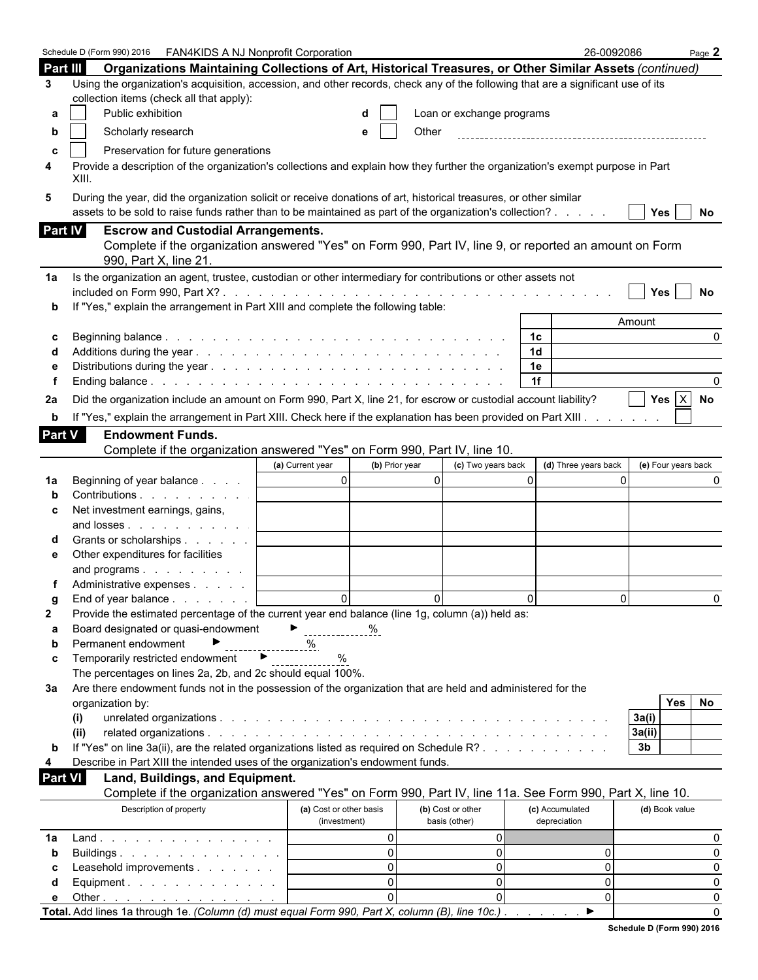|                | Schedule D (Form 990) 2016   FAN4KIDS A NJ Nonprofit Corporation                                                                                                                                                             |                                         |                                    | 26-0092086                      | Page 2                   |
|----------------|------------------------------------------------------------------------------------------------------------------------------------------------------------------------------------------------------------------------------|-----------------------------------------|------------------------------------|---------------------------------|--------------------------|
| Part III       | Organizations Maintaining Collections of Art, Historical Treasures, or Other Similar Assets (continued)                                                                                                                      |                                         |                                    |                                 |                          |
| 3              | Using the organization's acquisition, accession, and other records, check any of the following that are a significant use of its                                                                                             |                                         |                                    |                                 |                          |
|                | collection items (check all that apply):                                                                                                                                                                                     |                                         |                                    |                                 |                          |
| а              | Public exhibition                                                                                                                                                                                                            |                                         | Loan or exchange programs          |                                 |                          |
|                |                                                                                                                                                                                                                              |                                         |                                    |                                 |                          |
| b              | Scholarly research                                                                                                                                                                                                           | e                                       | Other                              |                                 |                          |
| c              | Preservation for future generations                                                                                                                                                                                          |                                         |                                    |                                 |                          |
| 4              | Provide a description of the organization's collections and explain how they further the organization's exempt purpose in Part<br>XIII.                                                                                      |                                         |                                    |                                 |                          |
| 5              | During the year, did the organization solicit or receive donations of art, historical treasures, or other similar<br>assets to be sold to raise funds rather than to be maintained as part of the organization's collection? |                                         |                                    |                                 | <b>Yes</b><br>No         |
| Part IV        | <b>Escrow and Custodial Arrangements.</b>                                                                                                                                                                                    |                                         |                                    |                                 |                          |
|                | Complete if the organization answered "Yes" on Form 990, Part IV, line 9, or reported an amount on Form<br>990, Part X, line 21.                                                                                             |                                         |                                    |                                 |                          |
| 1a             | Is the organization an agent, trustee, custodian or other intermediary for contributions or other assets not                                                                                                                 |                                         |                                    |                                 |                          |
|                | If "Yes," explain the arrangement in Part XIII and complete the following table:                                                                                                                                             |                                         |                                    |                                 | <b>Yes</b><br>No         |
|                |                                                                                                                                                                                                                              |                                         |                                    |                                 | Amount                   |
| С              |                                                                                                                                                                                                                              |                                         |                                    | 1 <sup>c</sup>                  | <sup>0</sup>             |
|                |                                                                                                                                                                                                                              |                                         |                                    | 1 <sub>d</sub>                  |                          |
|                |                                                                                                                                                                                                                              |                                         |                                    | 1e                              |                          |
|                |                                                                                                                                                                                                                              |                                         |                                    | 1f                              |                          |
| 2a             | Did the organization include an amount on Form 990, Part X, line 21, for escrow or custodial account liability?                                                                                                              |                                         |                                    |                                 | Yes $X$ No               |
| b              | If "Yes," explain the arrangement in Part XIII. Check here if the explanation has been provided on Part XIII.                                                                                                                |                                         |                                    |                                 |                          |
|                |                                                                                                                                                                                                                              |                                         |                                    |                                 |                          |
| <b>Part V</b>  | <b>Endowment Funds.</b>                                                                                                                                                                                                      |                                         |                                    |                                 |                          |
|                | Complete if the organization answered "Yes" on Form 990, Part IV, line 10.                                                                                                                                                   |                                         |                                    |                                 |                          |
|                |                                                                                                                                                                                                                              | (b) Prior year<br>(a) Current year      | (c) Two years back                 | (d) Three years back            | (e) Four years back      |
| 1a             | Beginning of year balance                                                                                                                                                                                                    | $\overline{0}$                          | $\overline{0}$                     | $\Omega$                        | $\Omega$                 |
|                | Contributions                                                                                                                                                                                                                |                                         |                                    |                                 |                          |
| c              | Net investment earnings, gains,                                                                                                                                                                                              |                                         |                                    |                                 |                          |
|                | and losses                                                                                                                                                                                                                   |                                         |                                    |                                 |                          |
|                | Grants or scholarships                                                                                                                                                                                                       |                                         |                                    |                                 |                          |
| е              | Other expenditures for facilities                                                                                                                                                                                            |                                         |                                    |                                 |                          |
|                | and programs                                                                                                                                                                                                                 |                                         |                                    |                                 |                          |
|                | Administrative expenses                                                                                                                                                                                                      |                                         |                                    |                                 |                          |
|                | End of year balance                                                                                                                                                                                                          | $\Omega$                                | $\Omega$                           | $\Omega$                        | $\Omega$<br><sup>0</sup> |
| 2              | Provide the estimated percentage of the current year end balance (line 1g, column (a)) held as:                                                                                                                              |                                         |                                    |                                 |                          |
| а              | Board designated or quasi-endowment                                                                                                                                                                                          | $\triangleright$ %                      |                                    |                                 |                          |
| b              | Permanent endowment                                                                                                                                                                                                          | %                                       |                                    |                                 |                          |
| c              | $\blacktriangleright$<br>Temporarily restricted endowment                                                                                                                                                                    | %                                       |                                    |                                 |                          |
|                | The percentages on lines 2a, 2b, and 2c should equal 100%.                                                                                                                                                                   |                                         |                                    |                                 |                          |
| За             | Are there endowment funds not in the possession of the organization that are held and administered for the                                                                                                                   |                                         |                                    |                                 |                          |
|                | organization by:                                                                                                                                                                                                             |                                         |                                    |                                 | <b>Yes</b><br>No         |
|                | (i)                                                                                                                                                                                                                          |                                         |                                    |                                 | 3a(i)                    |
|                | (ii)                                                                                                                                                                                                                         |                                         |                                    |                                 | 3a(ii)                   |
| b              | If "Yes" on line 3a(ii), are the related organizations listed as required on Schedule R?                                                                                                                                     |                                         |                                    |                                 | 3 <sub>b</sub>           |
| 4              | Describe in Part XIII the intended uses of the organization's endowment funds.                                                                                                                                               |                                         |                                    |                                 |                          |
| <b>Part VI</b> | Land, Buildings, and Equipment.                                                                                                                                                                                              |                                         |                                    |                                 |                          |
|                | Complete if the organization answered "Yes" on Form 990, Part IV, line 11a. See Form 990, Part X, line 10.                                                                                                                   |                                         |                                    |                                 |                          |
|                | Description of property                                                                                                                                                                                                      | (a) Cost or other basis<br>(investment) | (b) Cost or other<br>basis (other) | (c) Accumulated<br>depreciation | (d) Book value           |
| 1a             | Land.                                                                                                                                                                                                                        | $\overline{0}$                          | 01                                 |                                 | 0                        |
|                | Buildings                                                                                                                                                                                                                    | $\Omega$                                | $\overline{0}$                     | 0                               | 0                        |
| b<br>С         | Leasehold improvements                                                                                                                                                                                                       | $\Omega$                                | $\overline{0}$                     | 0                               | 0                        |
|                | Equipment. $\ldots$                                                                                                                                                                                                          | $\Omega$                                | $\overline{0}$                     | 0                               | 0                        |
| d              |                                                                                                                                                                                                                              | $\Omega$                                | $\Omega$                           | 0                               |                          |
| е              | Other<br>Total. Add lines 1a through 1e. (Column (d) must equal Form 990, Part X, column (B), line 10c.).                                                                                                                    |                                         |                                    | ▶                               | 0<br>$\Omega$            |
|                |                                                                                                                                                                                                                              |                                         |                                    |                                 |                          |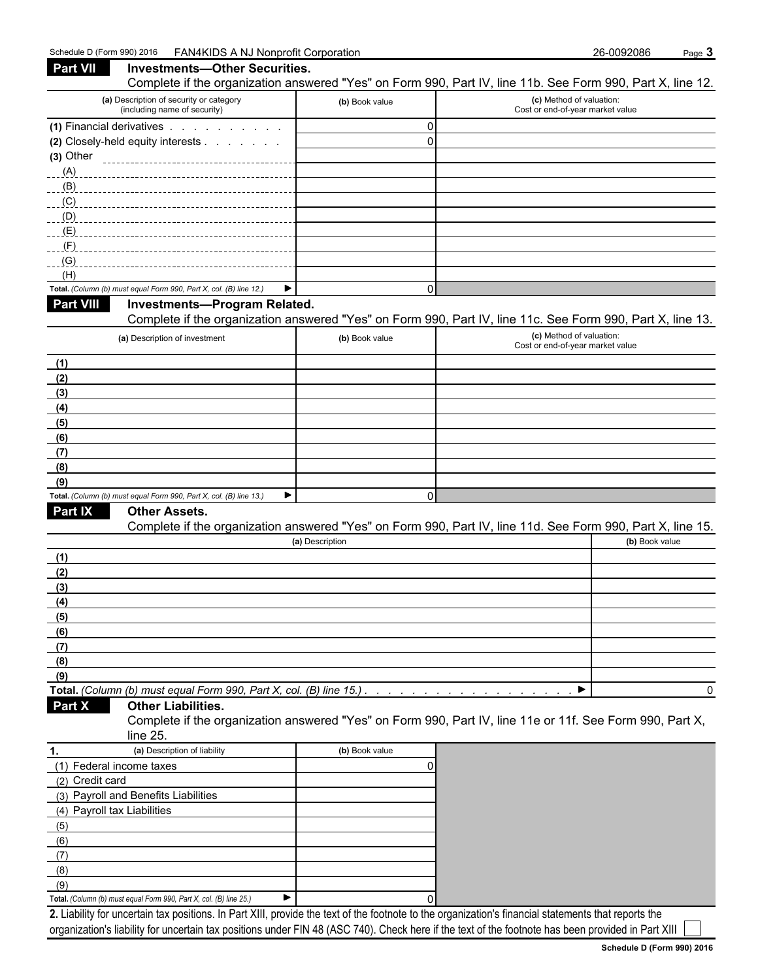| <b>Part VII</b>             | <b>Investments-Other Securities.</b>                                    |                                                                    | Complete if the organization answered "Yes" on Form 990, Part IV, line 11b. See Form 990, Part X, line 12.                                          |
|-----------------------------|-------------------------------------------------------------------------|--------------------------------------------------------------------|-----------------------------------------------------------------------------------------------------------------------------------------------------|
|                             | (a) Description of security or category<br>(including name of security) | (b) Book value                                                     | (c) Method of valuation:<br>Cost or end-of-year market value                                                                                        |
|                             | (1) Financial derivatives                                               | 0                                                                  |                                                                                                                                                     |
|                             | (2) Closely-held equity interests                                       | $\mathbf{0}$                                                       |                                                                                                                                                     |
| $(3)$ Other                 |                                                                         |                                                                    |                                                                                                                                                     |
| (A)                         |                                                                         |                                                                    |                                                                                                                                                     |
|                             |                                                                         |                                                                    |                                                                                                                                                     |
| (C)                         |                                                                         |                                                                    |                                                                                                                                                     |
| $\Box$ (D)                  |                                                                         |                                                                    |                                                                                                                                                     |
| (E)                         |                                                                         |                                                                    |                                                                                                                                                     |
| (F)                         |                                                                         |                                                                    |                                                                                                                                                     |
| (G)                         |                                                                         |                                                                    |                                                                                                                                                     |
| (H)                         | Total. (Column (b) must equal Form 990, Part X, col. (B) line 12.)      | 0<br>▶                                                             |                                                                                                                                                     |
| <b>Part VIII</b>            | Investments-Program Related.                                            |                                                                    |                                                                                                                                                     |
|                             |                                                                         |                                                                    | Complete if the organization answered "Yes" on Form 990, Part IV, line 11c. See Form 990, Part X, line 13.                                          |
|                             | (a) Description of investment                                           | (b) Book value                                                     | (c) Method of valuation:                                                                                                                            |
|                             |                                                                         |                                                                    | Cost or end-of-year market value                                                                                                                    |
| (1)                         |                                                                         |                                                                    |                                                                                                                                                     |
| (2)                         |                                                                         |                                                                    |                                                                                                                                                     |
| (3)                         |                                                                         |                                                                    |                                                                                                                                                     |
| (4)                         |                                                                         |                                                                    |                                                                                                                                                     |
| (5)                         |                                                                         |                                                                    |                                                                                                                                                     |
| (6)                         |                                                                         |                                                                    |                                                                                                                                                     |
| (7)                         |                                                                         |                                                                    |                                                                                                                                                     |
| (8)                         |                                                                         |                                                                    |                                                                                                                                                     |
| (9)                         | Total. (Column (b) must equal Form 990, Part X, col. (B) line 13.)      | ▶                                                                  |                                                                                                                                                     |
| Part IX                     | <b>Other Assets.</b>                                                    | 0                                                                  |                                                                                                                                                     |
|                             |                                                                         |                                                                    | Complete if the organization answered "Yes" on Form 990, Part IV, line 11d. See Form 990, Part X, line 15.                                          |
|                             |                                                                         | (a) Description                                                    | (b) Book value                                                                                                                                      |
| (1)                         |                                                                         |                                                                    |                                                                                                                                                     |
| (2)                         |                                                                         |                                                                    |                                                                                                                                                     |
| (3)                         |                                                                         |                                                                    |                                                                                                                                                     |
| (4)                         |                                                                         |                                                                    |                                                                                                                                                     |
| (5)                         |                                                                         |                                                                    |                                                                                                                                                     |
| (6)                         |                                                                         |                                                                    |                                                                                                                                                     |
| (7)                         |                                                                         |                                                                    |                                                                                                                                                     |
| (8)                         |                                                                         |                                                                    |                                                                                                                                                     |
| (9)                         |                                                                         |                                                                    |                                                                                                                                                     |
|                             |                                                                         | Total. (Column (b) must equal Form 990, Part X, col. (B) line 15.) | ▶                                                                                                                                                   |
| Part X                      | <b>Other Liabilities.</b>                                               |                                                                    |                                                                                                                                                     |
|                             | line $25$ .                                                             |                                                                    | Complete if the organization answered "Yes" on Form 990, Part IV, line 11e or 11f. See Form 990, Part X,                                            |
| 1.                          | (a) Description of liability                                            | (b) Book value                                                     |                                                                                                                                                     |
| (1) Federal income taxes    |                                                                         | 0                                                                  |                                                                                                                                                     |
| (2) Credit card             |                                                                         |                                                                    |                                                                                                                                                     |
|                             | (3) Payroll and Benefits Liabilities                                    |                                                                    |                                                                                                                                                     |
| (4) Payroll tax Liabilities |                                                                         |                                                                    |                                                                                                                                                     |
| (5)                         |                                                                         |                                                                    |                                                                                                                                                     |
| (6)                         |                                                                         |                                                                    |                                                                                                                                                     |
| (7)                         |                                                                         |                                                                    |                                                                                                                                                     |
| (8)                         |                                                                         |                                                                    |                                                                                                                                                     |
| (9)                         |                                                                         |                                                                    |                                                                                                                                                     |
|                             | Total. (Column (b) must equal Form 990, Part X, col. (B) line 25.)      | ▶<br>n                                                             | 2 Liability for uncertain tax positions. In Part XIII, provide the text of the footnote to the organization's financial statements that reports the |
|                             |                                                                         |                                                                    |                                                                                                                                                     |

**2.** Liability for uncertain tax positions. In Part XIII, provide the text of the footnote to the organization's financial statements that reports the organization's liability for uncertain tax positions under FIN 48 (ASC 740). Check here if the text of the footnote has been provided in Part XIII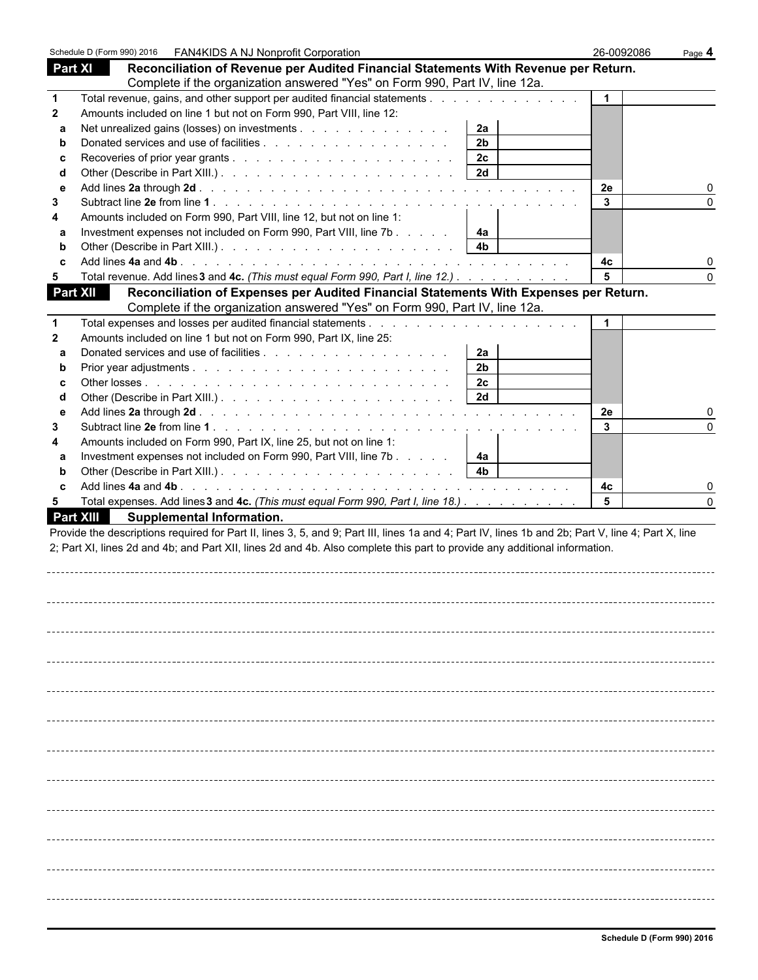|                 | Schedule D (Form 990) 2016   FAN4KIDS A NJ Nonprofit Corporation                                                                                   |                | 26-0092086 | Page 4 |
|-----------------|----------------------------------------------------------------------------------------------------------------------------------------------------|----------------|------------|--------|
| Part XI         | Reconciliation of Revenue per Audited Financial Statements With Revenue per Return.                                                                |                |            |        |
|                 | Complete if the organization answered "Yes" on Form 990, Part IV, line 12a.                                                                        |                |            |        |
| $\mathbf{1}$    | Total revenue, gains, and other support per audited financial statements                                                                           |                |            |        |
| $\mathbf{2}$    | Amounts included on line 1 but not on Form 990, Part VIII, line 12:                                                                                |                |            |        |
| a               | Net unrealized gains (losses) on investments                                                                                                       | 2a             |            |        |
| b               |                                                                                                                                                    | 2 <sub>b</sub> |            |        |
| c               |                                                                                                                                                    | 2c             |            |        |
| d               |                                                                                                                                                    | 2d             |            |        |
| е               |                                                                                                                                                    |                | 2e         |        |
| 3               |                                                                                                                                                    |                | 3          |        |
| 4               | Amounts included on Form 990, Part VIII, line 12, but not on line 1:                                                                               |                |            |        |
| a               | Investment expenses not included on Form 990, Part VIII, line 7b                                                                                   | 4a             |            |        |
| b               |                                                                                                                                                    | 4 <sub>b</sub> |            |        |
| C               |                                                                                                                                                    |                | 4с         |        |
| 5               | Total revenue. Add lines 3 and 4c. (This must equal Form 990, Part I, line 12.)                                                                    |                |            |        |
| <b>Part XII</b> | Reconciliation of Expenses per Audited Financial Statements With Expenses per Return.                                                              |                |            |        |
|                 | Complete if the organization answered "Yes" on Form 990, Part IV, line 12a.                                                                        |                |            |        |
| $\mathbf{1}$    |                                                                                                                                                    |                |            |        |
| $\mathbf{2}$    | Amounts included on line 1 but not on Form 990, Part IX, line 25:                                                                                  |                |            |        |
| a               |                                                                                                                                                    | 2a             |            |        |
| b               |                                                                                                                                                    | 2 <sub>b</sub> |            |        |
| C               |                                                                                                                                                    | 2c             |            |        |
| d               |                                                                                                                                                    | 2d             |            |        |
| е               |                                                                                                                                                    |                | 2e         |        |
| 3               |                                                                                                                                                    |                | 3          |        |
| 4               | Amounts included on Form 990, Part IX, line 25, but not on line 1:                                                                                 |                |            |        |
| a               | Investment expenses not included on Form 990, Part VIII, line 7b                                                                                   | 4a             |            |        |
| b               |                                                                                                                                                    | 4 <sub>b</sub> |            |        |
| C               |                                                                                                                                                    |                | 4с         |        |
| 5               | Total expenses. Add lines 3 and 4c. (This must equal Form 990, Part I, line 18.)                                                                   |                | 5          |        |
|                 | <b>Part XIII</b><br><b>Supplemental Information.</b>                                                                                               |                |            |        |
|                 | Provide the descriptions required for Part II, lines 3, 5, and 9; Part III, lines 1a and 4; Part IV, lines 1b and 2b; Part V, line 4; Part X, line |                |            |        |
|                 | 2; Part XI, lines 2d and 4b; and Part XII, lines 2d and 4b. Also complete this part to provide any additional information.                         |                |            |        |
|                 |                                                                                                                                                    |                |            |        |
|                 |                                                                                                                                                    |                |            |        |
|                 |                                                                                                                                                    |                |            |        |
|                 |                                                                                                                                                    |                |            |        |
|                 |                                                                                                                                                    |                |            |        |
|                 |                                                                                                                                                    |                |            |        |
|                 |                                                                                                                                                    |                |            |        |
|                 |                                                                                                                                                    |                |            |        |
|                 |                                                                                                                                                    |                |            |        |
|                 |                                                                                                                                                    |                |            |        |
|                 |                                                                                                                                                    |                |            |        |
|                 |                                                                                                                                                    |                |            |        |
|                 |                                                                                                                                                    |                |            |        |
|                 |                                                                                                                                                    |                |            |        |
|                 |                                                                                                                                                    |                |            |        |
|                 |                                                                                                                                                    |                |            |        |
|                 |                                                                                                                                                    |                |            |        |
|                 |                                                                                                                                                    |                |            |        |
|                 |                                                                                                                                                    |                |            |        |
|                 |                                                                                                                                                    |                |            |        |
|                 |                                                                                                                                                    |                |            |        |
|                 |                                                                                                                                                    |                |            |        |
|                 |                                                                                                                                                    |                |            |        |
|                 |                                                                                                                                                    |                |            |        |
|                 |                                                                                                                                                    |                |            |        |
|                 |                                                                                                                                                    |                |            |        |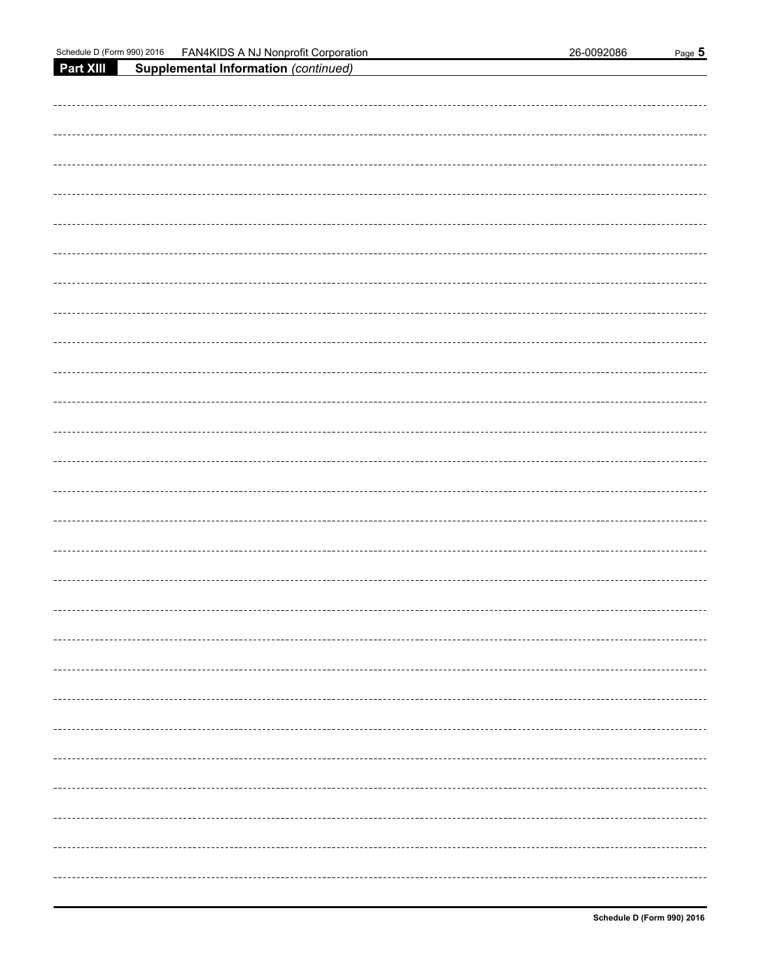| Schedule D (Form 990) 2016 | FAN4KIDS A NJ Nonprofit Corporation  | 26-0092086 | Page 5          |
|----------------------------|--------------------------------------|------------|-----------------|
| Part XIII                  | Supplemental Information (continued) |            |                 |
|                            |                                      |            |                 |
|                            |                                      |            |                 |
|                            |                                      |            |                 |
|                            |                                      |            |                 |
|                            |                                      |            |                 |
|                            |                                      |            |                 |
|                            |                                      |            |                 |
|                            |                                      |            |                 |
|                            |                                      |            |                 |
|                            |                                      |            |                 |
|                            |                                      |            |                 |
|                            |                                      |            |                 |
|                            |                                      |            |                 |
|                            |                                      |            |                 |
|                            |                                      |            |                 |
|                            |                                      |            |                 |
|                            |                                      |            |                 |
|                            |                                      |            |                 |
|                            |                                      |            |                 |
|                            |                                      |            |                 |
|                            |                                      |            |                 |
|                            |                                      |            |                 |
|                            |                                      |            |                 |
|                            |                                      |            |                 |
|                            |                                      |            |                 |
|                            |                                      |            |                 |
|                            |                                      |            |                 |
|                            |                                      |            |                 |
|                            |                                      |            |                 |
|                            |                                      |            |                 |
|                            |                                      |            |                 |
|                            |                                      |            |                 |
|                            |                                      |            |                 |
|                            |                                      |            |                 |
|                            |                                      |            |                 |
|                            |                                      |            |                 |
|                            |                                      |            |                 |
|                            |                                      |            | --------------- |
|                            |                                      |            |                 |
|                            |                                      |            |                 |
|                            |                                      |            |                 |
|                            |                                      |            |                 |
|                            |                                      |            |                 |
|                            |                                      |            |                 |
|                            |                                      |            |                 |
|                            |                                      |            |                 |
|                            |                                      |            |                 |
|                            |                                      |            |                 |
|                            |                                      |            |                 |
|                            |                                      |            |                 |
|                            |                                      |            |                 |
|                            |                                      |            |                 |
|                            |                                      |            |                 |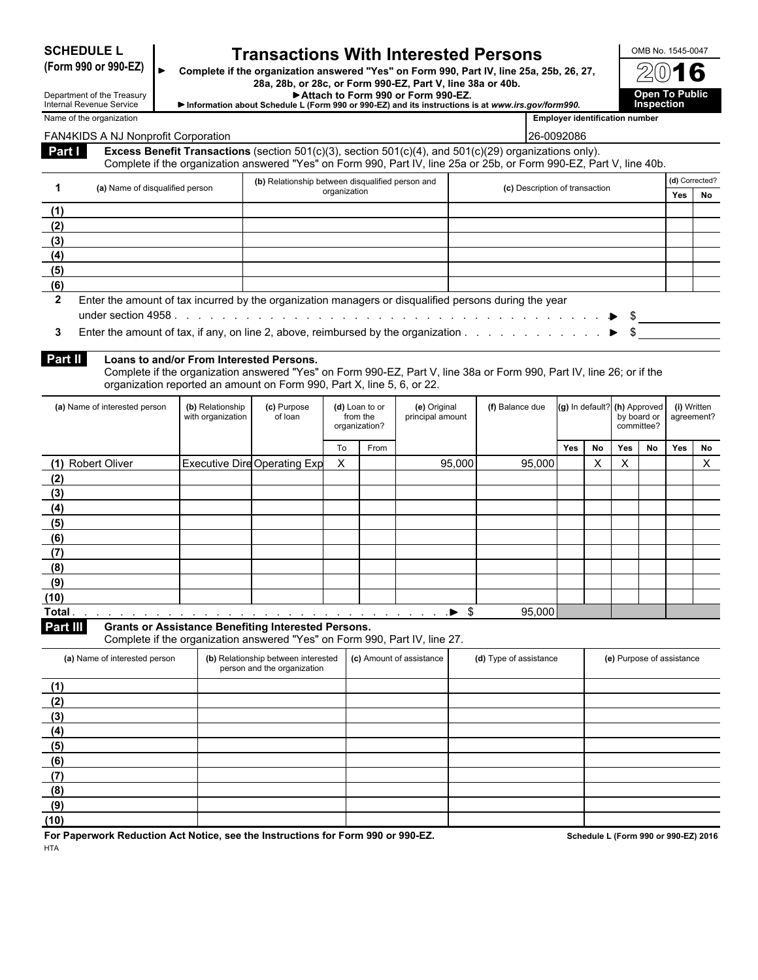**SCHEDULE L Transactions With Interested Persons**<br>(Form 990 or 990-EZ) complete if the organization answered "Yes" on Form 990, Part IV, line 25a, 25b, 26, 27, **(Form 990 or 990-EZ) Complete if the organization answered "Yes" on Form 990, Part IV, line 25a, 25b, 26, 27, 28a, 28b, or 28c, or Form 990-EZ, Part V, line 38a or 40b.**

**Attach to Form 990 or Form 990-EZ. Open To Public Information about Schedule L (Form 990 or 990-EZ) and its instructions is at** *www.irs.gov/form990***. Inspection**

Ő

| Department of the Treasury<br>Internal Revenue Service |
|--------------------------------------------------------|
| Name of the organization                               |

**(9) (10)**

| <b>ILIGITIAL INCIDENCE OCTAINS</b><br>Name of the organization                                                          |                                          |                                                                            |                           |                           |                  |        | Thromation about Schedule L (Form 330 or 330-EZ) and its instructions is at www.irs.gov/form330.                                                                                                                               |     |                 | <b>Employer identification number</b> | шэрссноп                  |                |              |
|-------------------------------------------------------------------------------------------------------------------------|------------------------------------------|----------------------------------------------------------------------------|---------------------------|---------------------------|------------------|--------|--------------------------------------------------------------------------------------------------------------------------------------------------------------------------------------------------------------------------------|-----|-----------------|---------------------------------------|---------------------------|----------------|--------------|
|                                                                                                                         |                                          |                                                                            |                           |                           |                  |        |                                                                                                                                                                                                                                |     |                 |                                       |                           |                |              |
| FAN4KIDS A NJ Nonprofit Corporation                                                                                     |                                          |                                                                            |                           |                           |                  |        | 26-0092086                                                                                                                                                                                                                     |     |                 |                                       |                           |                |              |
| Part I                                                                                                                  |                                          |                                                                            |                           |                           |                  |        | Excess Benefit Transactions (section 501(c)(3), section 501(c)(4), and 501(c)(29) organizations only).<br>Complete if the organization answered "Yes" on Form 990, Part IV, line 25a or 25b, or Form 990-EZ, Part V, line 40b. |     |                 |                                       |                           |                |              |
|                                                                                                                         |                                          | (b) Relationship between disqualified person and                           |                           |                           |                  |        |                                                                                                                                                                                                                                |     |                 |                                       |                           | (d) Corrected? |              |
| (a) Name of disqualified person<br>$\mathbf 1$                                                                          |                                          |                                                                            | organization              |                           |                  |        | (c) Description of transaction                                                                                                                                                                                                 |     |                 |                                       |                           | Yes            | No           |
| (1)                                                                                                                     |                                          |                                                                            |                           |                           |                  |        |                                                                                                                                                                                                                                |     |                 |                                       |                           |                |              |
| (2)                                                                                                                     |                                          |                                                                            |                           |                           |                  |        |                                                                                                                                                                                                                                |     |                 |                                       |                           |                |              |
| (3)                                                                                                                     |                                          |                                                                            |                           |                           |                  |        |                                                                                                                                                                                                                                |     |                 |                                       |                           |                |              |
| (4)                                                                                                                     |                                          |                                                                            |                           |                           |                  |        |                                                                                                                                                                                                                                |     |                 |                                       |                           |                |              |
| (5)                                                                                                                     |                                          |                                                                            |                           |                           |                  |        |                                                                                                                                                                                                                                |     |                 |                                       |                           |                |              |
| (6)                                                                                                                     |                                          |                                                                            |                           |                           |                  |        |                                                                                                                                                                                                                                |     |                 |                                       |                           |                |              |
| $\overline{2}$<br>Enter the amount of tax incurred by the organization managers or disqualified persons during the year |                                          |                                                                            |                           |                           |                  |        |                                                                                                                                                                                                                                |     |                 |                                       |                           |                |              |
|                                                                                                                         |                                          |                                                                            |                           |                           |                  |        |                                                                                                                                                                                                                                |     |                 |                                       |                           |                |              |
| Enter the amount of tax, if any, on line 2, above, reimbursed by the organization $\ldots$ , $\ldots$ , $\ldots$<br>3   |                                          |                                                                            |                           |                           |                  |        |                                                                                                                                                                                                                                |     |                 |                                       |                           |                |              |
|                                                                                                                         |                                          |                                                                            |                           |                           |                  |        |                                                                                                                                                                                                                                |     |                 |                                       |                           |                |              |
| Part II                                                                                                                 | Loans to and/or From Interested Persons. |                                                                            |                           |                           |                  |        |                                                                                                                                                                                                                                |     |                 |                                       |                           |                |              |
|                                                                                                                         |                                          |                                                                            |                           |                           |                  |        | Complete if the organization answered "Yes" on Form 990-EZ, Part V, line 38a or Form 990, Part IV, line 26; or if the                                                                                                          |     |                 |                                       |                           |                |              |
|                                                                                                                         |                                          | organization reported an amount on Form 990, Part X, line 5, 6, or 22.     |                           |                           |                  |        |                                                                                                                                                                                                                                |     |                 |                                       |                           |                |              |
| (a) Name of interested person                                                                                           | (b) Relationship                         | (c) Purpose                                                                |                           | (d) Loan to or            | (e) Original     |        | (f) Balance due                                                                                                                                                                                                                |     | (g) In default? |                                       | (h) Approved              |                | (i) Written  |
|                                                                                                                         | with organization                        | of loan                                                                    |                           | from the<br>organization? | principal amount |        |                                                                                                                                                                                                                                |     |                 |                                       | by board or<br>committee? | agreement?     |              |
|                                                                                                                         |                                          |                                                                            |                           |                           |                  |        |                                                                                                                                                                                                                                |     |                 |                                       |                           |                |              |
|                                                                                                                         |                                          |                                                                            | To                        | From                      |                  |        |                                                                                                                                                                                                                                | Yes | No              | Yes                                   | No                        | Yes            | No           |
| (1) Robert Oliver                                                                                                       |                                          | <b>Executive Dire Operating Exp</b>                                        | $\boldsymbol{\mathsf{X}}$ |                           |                  | 95,000 | 95,000                                                                                                                                                                                                                         |     | X               | X                                     |                           |                | $\mathsf{X}$ |
| (2)                                                                                                                     |                                          |                                                                            |                           |                           |                  |        |                                                                                                                                                                                                                                |     |                 |                                       |                           |                |              |
| (3)                                                                                                                     |                                          |                                                                            |                           |                           |                  |        |                                                                                                                                                                                                                                |     |                 |                                       |                           |                |              |
| (4)                                                                                                                     |                                          |                                                                            |                           |                           |                  |        |                                                                                                                                                                                                                                |     |                 |                                       |                           |                |              |
| (5)                                                                                                                     |                                          |                                                                            |                           |                           |                  |        |                                                                                                                                                                                                                                |     |                 |                                       |                           |                |              |
| (6)                                                                                                                     |                                          |                                                                            |                           |                           |                  |        |                                                                                                                                                                                                                                |     |                 |                                       |                           |                |              |
| (7)                                                                                                                     |                                          |                                                                            |                           |                           |                  |        |                                                                                                                                                                                                                                |     |                 |                                       |                           |                |              |
| (8)                                                                                                                     |                                          |                                                                            |                           |                           |                  |        |                                                                                                                                                                                                                                |     |                 |                                       |                           |                |              |
| (9)                                                                                                                     |                                          |                                                                            |                           |                           |                  |        |                                                                                                                                                                                                                                |     |                 |                                       |                           |                |              |
| (10)                                                                                                                    |                                          |                                                                            |                           |                           |                  |        |                                                                                                                                                                                                                                |     |                 |                                       |                           |                |              |
| Total.                                                                                                                  |                                          |                                                                            |                           |                           |                  |        | 95,000                                                                                                                                                                                                                         |     |                 |                                       |                           |                |              |
| Part III                                                                                                                |                                          | <b>Grants or Assistance Benefiting Interested Persons.</b>                 |                           |                           |                  |        |                                                                                                                                                                                                                                |     |                 |                                       |                           |                |              |
|                                                                                                                         |                                          | Complete if the organization answered "Yes" on Form 990, Part IV, line 27. |                           |                           |                  |        |                                                                                                                                                                                                                                |     |                 |                                       |                           |                |              |
| (a) Name of interested person                                                                                           |                                          | (b) Relationship between interested (c) Amount of assistance               |                           |                           |                  |        | (d) Type of assistance                                                                                                                                                                                                         |     |                 | (e) Purpose of assistance             |                           |                |              |
|                                                                                                                         |                                          | person and the organization                                                |                           |                           |                  |        |                                                                                                                                                                                                                                |     |                 |                                       |                           |                |              |
| (1)                                                                                                                     |                                          |                                                                            |                           |                           |                  |        |                                                                                                                                                                                                                                |     |                 |                                       |                           |                |              |
| (2)                                                                                                                     |                                          |                                                                            |                           |                           |                  |        |                                                                                                                                                                                                                                |     |                 |                                       |                           |                |              |
| (3)                                                                                                                     |                                          |                                                                            |                           |                           |                  |        |                                                                                                                                                                                                                                |     |                 |                                       |                           |                |              |
| (4)                                                                                                                     |                                          |                                                                            |                           |                           |                  |        |                                                                                                                                                                                                                                |     |                 |                                       |                           |                |              |
| (5)                                                                                                                     |                                          |                                                                            |                           |                           |                  |        |                                                                                                                                                                                                                                |     |                 |                                       |                           |                |              |
| (6)                                                                                                                     |                                          |                                                                            |                           |                           |                  |        |                                                                                                                                                                                                                                |     |                 |                                       |                           |                |              |
| (7)                                                                                                                     |                                          |                                                                            |                           |                           |                  |        |                                                                                                                                                                                                                                |     |                 |                                       |                           |                |              |
| (8)                                                                                                                     |                                          |                                                                            |                           |                           |                  |        |                                                                                                                                                                                                                                |     |                 |                                       |                           |                |              |
|                                                                                                                         |                                          |                                                                            |                           |                           |                  |        |                                                                                                                                                                                                                                |     |                 |                                       |                           |                |              |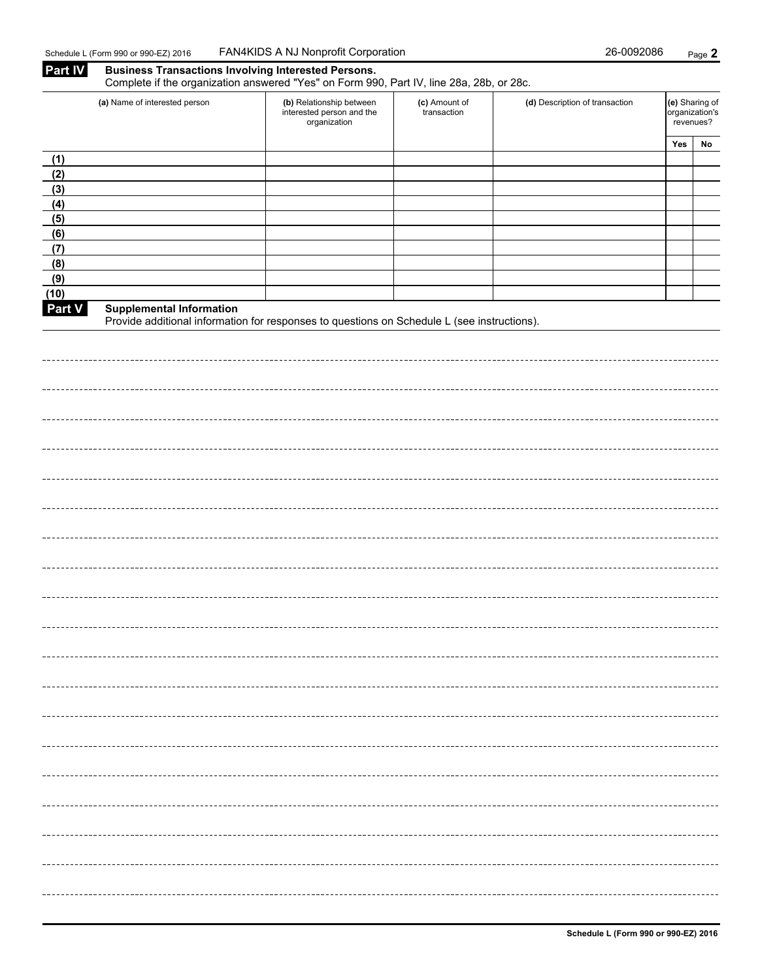**Part IV Business Transactions Involving Interested Persons.**

|            | Complete if the organization answered "Yes" on Form 990, Part IV, line 28a, 28b, or 28c.                                       |                                                                                                       |  |                                |                                               |    |  |  |  |  |  |
|------------|--------------------------------------------------------------------------------------------------------------------------------|-------------------------------------------------------------------------------------------------------|--|--------------------------------|-----------------------------------------------|----|--|--|--|--|--|
|            | (a) Name of interested person                                                                                                  | (b) Relationship between<br>(c) Amount of<br>interested person and the<br>transaction<br>organization |  | (d) Description of transaction | (e) Sharing of<br>organization's<br>revenues? |    |  |  |  |  |  |
|            |                                                                                                                                |                                                                                                       |  |                                | Yes                                           | No |  |  |  |  |  |
| (1)        |                                                                                                                                |                                                                                                       |  |                                |                                               |    |  |  |  |  |  |
| (2)        |                                                                                                                                |                                                                                                       |  |                                |                                               |    |  |  |  |  |  |
| (3)        |                                                                                                                                |                                                                                                       |  |                                |                                               |    |  |  |  |  |  |
| (4)<br>(5) |                                                                                                                                |                                                                                                       |  |                                |                                               |    |  |  |  |  |  |
| (6)        |                                                                                                                                |                                                                                                       |  |                                |                                               |    |  |  |  |  |  |
| (7)        |                                                                                                                                |                                                                                                       |  |                                |                                               |    |  |  |  |  |  |
| (8)        |                                                                                                                                |                                                                                                       |  |                                |                                               |    |  |  |  |  |  |
| (9)        |                                                                                                                                |                                                                                                       |  |                                |                                               |    |  |  |  |  |  |
| (10)       |                                                                                                                                |                                                                                                       |  |                                |                                               |    |  |  |  |  |  |
| Part V     | <b>Supplemental Information</b><br>Provide additional information for responses to questions on Schedule L (see instructions). |                                                                                                       |  |                                |                                               |    |  |  |  |  |  |
|            |                                                                                                                                |                                                                                                       |  |                                |                                               |    |  |  |  |  |  |
|            |                                                                                                                                |                                                                                                       |  |                                |                                               |    |  |  |  |  |  |
|            |                                                                                                                                |                                                                                                       |  |                                |                                               |    |  |  |  |  |  |
|            |                                                                                                                                |                                                                                                       |  |                                |                                               |    |  |  |  |  |  |
|            |                                                                                                                                |                                                                                                       |  |                                |                                               |    |  |  |  |  |  |
|            |                                                                                                                                |                                                                                                       |  |                                |                                               |    |  |  |  |  |  |
|            |                                                                                                                                |                                                                                                       |  |                                |                                               |    |  |  |  |  |  |
|            |                                                                                                                                |                                                                                                       |  |                                |                                               |    |  |  |  |  |  |
|            |                                                                                                                                |                                                                                                       |  |                                |                                               |    |  |  |  |  |  |
|            |                                                                                                                                |                                                                                                       |  |                                |                                               |    |  |  |  |  |  |
|            |                                                                                                                                |                                                                                                       |  |                                |                                               |    |  |  |  |  |  |
|            |                                                                                                                                |                                                                                                       |  |                                |                                               |    |  |  |  |  |  |
|            |                                                                                                                                |                                                                                                       |  |                                |                                               |    |  |  |  |  |  |
|            |                                                                                                                                |                                                                                                       |  |                                |                                               |    |  |  |  |  |  |
|            |                                                                                                                                |                                                                                                       |  |                                |                                               |    |  |  |  |  |  |
|            |                                                                                                                                |                                                                                                       |  |                                |                                               |    |  |  |  |  |  |
|            |                                                                                                                                |                                                                                                       |  |                                |                                               |    |  |  |  |  |  |
|            |                                                                                                                                |                                                                                                       |  |                                |                                               |    |  |  |  |  |  |
|            |                                                                                                                                |                                                                                                       |  |                                |                                               |    |  |  |  |  |  |
|            |                                                                                                                                |                                                                                                       |  |                                |                                               |    |  |  |  |  |  |
|            |                                                                                                                                |                                                                                                       |  |                                |                                               |    |  |  |  |  |  |
|            |                                                                                                                                |                                                                                                       |  |                                |                                               |    |  |  |  |  |  |
|            |                                                                                                                                |                                                                                                       |  |                                |                                               |    |  |  |  |  |  |
|            |                                                                                                                                |                                                                                                       |  |                                |                                               |    |  |  |  |  |  |
|            |                                                                                                                                |                                                                                                       |  |                                |                                               |    |  |  |  |  |  |
|            |                                                                                                                                |                                                                                                       |  |                                |                                               |    |  |  |  |  |  |
|            |                                                                                                                                |                                                                                                       |  |                                |                                               |    |  |  |  |  |  |
|            |                                                                                                                                |                                                                                                       |  |                                |                                               |    |  |  |  |  |  |
|            |                                                                                                                                |                                                                                                       |  |                                |                                               |    |  |  |  |  |  |
|            |                                                                                                                                |                                                                                                       |  |                                |                                               |    |  |  |  |  |  |
|            |                                                                                                                                |                                                                                                       |  |                                |                                               |    |  |  |  |  |  |
|            |                                                                                                                                |                                                                                                       |  |                                |                                               |    |  |  |  |  |  |
|            |                                                                                                                                |                                                                                                       |  |                                |                                               |    |  |  |  |  |  |
|            |                                                                                                                                |                                                                                                       |  |                                |                                               |    |  |  |  |  |  |
|            |                                                                                                                                |                                                                                                       |  |                                |                                               |    |  |  |  |  |  |
|            |                                                                                                                                |                                                                                                       |  |                                |                                               |    |  |  |  |  |  |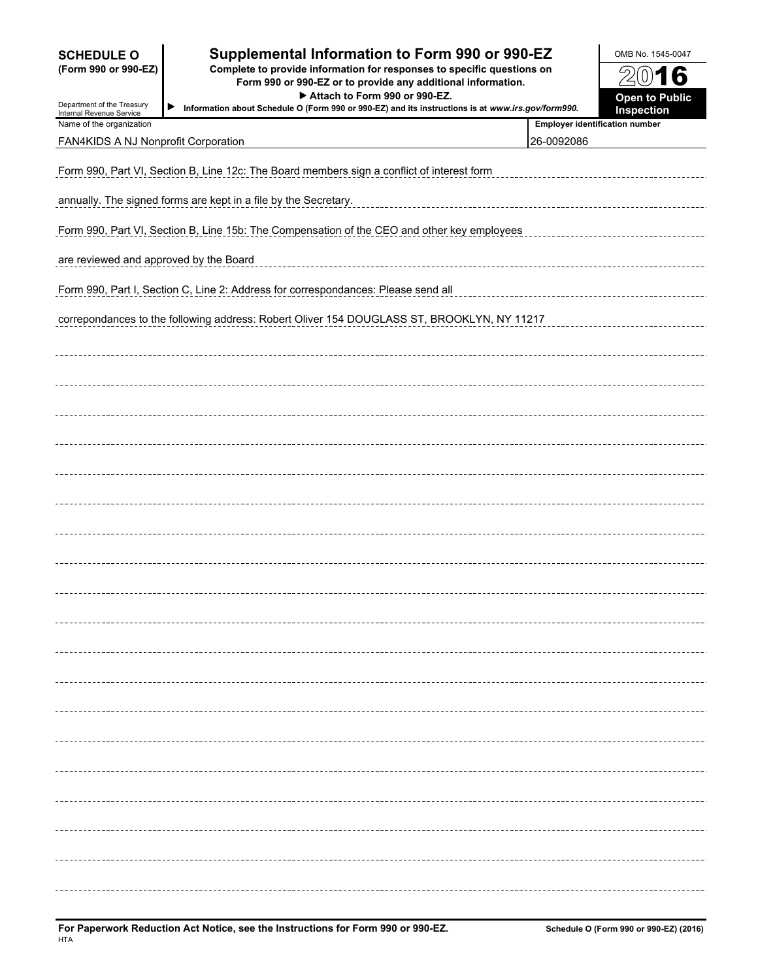| <b>SCHEDULE O</b><br>(Form 990 or 990-EZ)<br>Department of the Treasury<br>Internal Revenue Service | Supplemental Information to Form 990 or 990-EZ<br>Complete to provide information for responses to specific questions on<br>Form 990 or 990-EZ or to provide any additional information.<br>Attach to Form 990 or 990-EZ.<br>▶<br>Information about Schedule O (Form 990 or 990-EZ) and its instructions is at www.irs.gov/form990. |                                       |  |  |  |  |  |  |  |  |
|-----------------------------------------------------------------------------------------------------|-------------------------------------------------------------------------------------------------------------------------------------------------------------------------------------------------------------------------------------------------------------------------------------------------------------------------------------|---------------------------------------|--|--|--|--|--|--|--|--|
| Name of the organization                                                                            |                                                                                                                                                                                                                                                                                                                                     | <b>Employer identification number</b> |  |  |  |  |  |  |  |  |
| FAN4KIDS A NJ Nonprofit Corporation                                                                 |                                                                                                                                                                                                                                                                                                                                     | 26-0092086                            |  |  |  |  |  |  |  |  |
|                                                                                                     | Form 990, Part VI, Section B, Line 12c: The Board members sign a conflict of interest form                                                                                                                                                                                                                                          |                                       |  |  |  |  |  |  |  |  |
|                                                                                                     | annually. The signed forms are kept in a file by the Secretary.                                                                                                                                                                                                                                                                     |                                       |  |  |  |  |  |  |  |  |
|                                                                                                     | Form 990, Part VI, Section B, Line 15b: The Compensation of the CEO and other key employees                                                                                                                                                                                                                                         |                                       |  |  |  |  |  |  |  |  |
| are reviewed and approved by the Board                                                              |                                                                                                                                                                                                                                                                                                                                     |                                       |  |  |  |  |  |  |  |  |
|                                                                                                     | Form 990, Part I, Section C, Line 2: Address for correspondances: Please send all                                                                                                                                                                                                                                                   |                                       |  |  |  |  |  |  |  |  |
|                                                                                                     | correpondances to the following address: Robert Oliver 154 DOUGLASS ST, BROOKLYN, NY 11217                                                                                                                                                                                                                                          |                                       |  |  |  |  |  |  |  |  |
|                                                                                                     |                                                                                                                                                                                                                                                                                                                                     |                                       |  |  |  |  |  |  |  |  |
|                                                                                                     |                                                                                                                                                                                                                                                                                                                                     |                                       |  |  |  |  |  |  |  |  |
|                                                                                                     |                                                                                                                                                                                                                                                                                                                                     |                                       |  |  |  |  |  |  |  |  |
|                                                                                                     |                                                                                                                                                                                                                                                                                                                                     |                                       |  |  |  |  |  |  |  |  |
|                                                                                                     |                                                                                                                                                                                                                                                                                                                                     |                                       |  |  |  |  |  |  |  |  |
|                                                                                                     |                                                                                                                                                                                                                                                                                                                                     |                                       |  |  |  |  |  |  |  |  |
|                                                                                                     |                                                                                                                                                                                                                                                                                                                                     |                                       |  |  |  |  |  |  |  |  |
|                                                                                                     |                                                                                                                                                                                                                                                                                                                                     |                                       |  |  |  |  |  |  |  |  |
|                                                                                                     |                                                                                                                                                                                                                                                                                                                                     |                                       |  |  |  |  |  |  |  |  |
|                                                                                                     |                                                                                                                                                                                                                                                                                                                                     |                                       |  |  |  |  |  |  |  |  |
|                                                                                                     |                                                                                                                                                                                                                                                                                                                                     |                                       |  |  |  |  |  |  |  |  |
|                                                                                                     |                                                                                                                                                                                                                                                                                                                                     |                                       |  |  |  |  |  |  |  |  |
|                                                                                                     |                                                                                                                                                                                                                                                                                                                                     |                                       |  |  |  |  |  |  |  |  |
|                                                                                                     |                                                                                                                                                                                                                                                                                                                                     |                                       |  |  |  |  |  |  |  |  |
|                                                                                                     |                                                                                                                                                                                                                                                                                                                                     |                                       |  |  |  |  |  |  |  |  |
|                                                                                                     |                                                                                                                                                                                                                                                                                                                                     |                                       |  |  |  |  |  |  |  |  |
|                                                                                                     |                                                                                                                                                                                                                                                                                                                                     |                                       |  |  |  |  |  |  |  |  |
|                                                                                                     |                                                                                                                                                                                                                                                                                                                                     |                                       |  |  |  |  |  |  |  |  |
|                                                                                                     |                                                                                                                                                                                                                                                                                                                                     |                                       |  |  |  |  |  |  |  |  |
|                                                                                                     |                                                                                                                                                                                                                                                                                                                                     |                                       |  |  |  |  |  |  |  |  |
|                                                                                                     |                                                                                                                                                                                                                                                                                                                                     |                                       |  |  |  |  |  |  |  |  |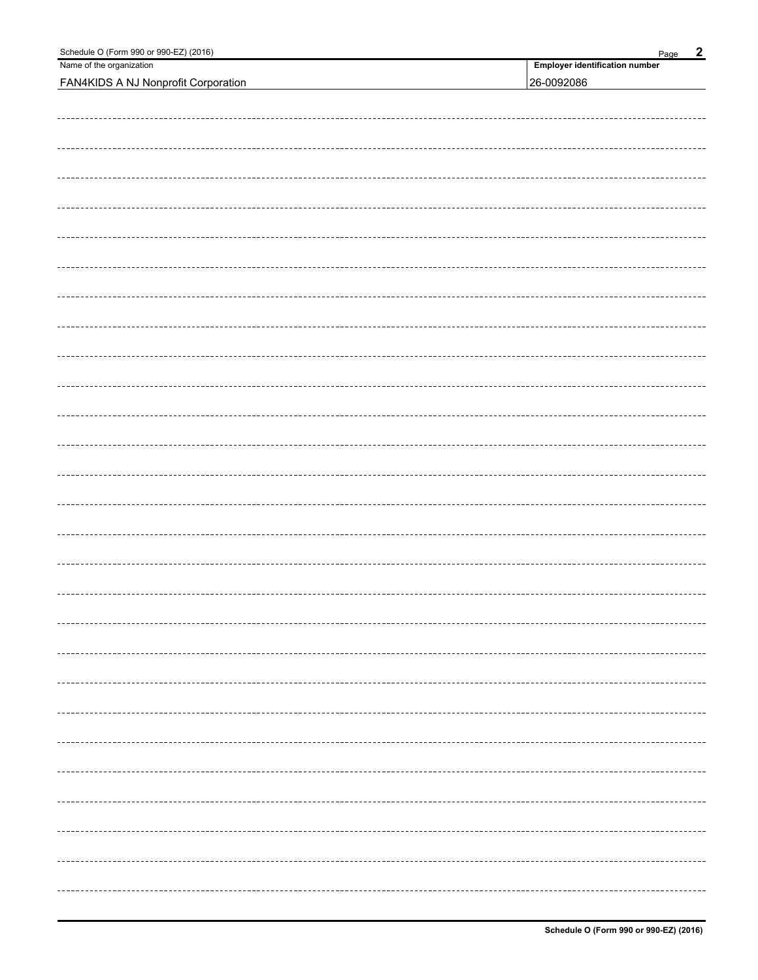| Schedule O (Form 990 or 990-EZ) (2016)     | $\overline{2}$<br>Page                |  |  |  |  |  |
|--------------------------------------------|---------------------------------------|--|--|--|--|--|
| Name of the organization                   | <b>Employer identification number</b> |  |  |  |  |  |
| <b>FAN4KIDS A NJ Nonprofit Corporation</b> | 26-0092086                            |  |  |  |  |  |
|                                            |                                       |  |  |  |  |  |
|                                            |                                       |  |  |  |  |  |
|                                            |                                       |  |  |  |  |  |
|                                            |                                       |  |  |  |  |  |
|                                            |                                       |  |  |  |  |  |
|                                            |                                       |  |  |  |  |  |
|                                            |                                       |  |  |  |  |  |
|                                            |                                       |  |  |  |  |  |
|                                            |                                       |  |  |  |  |  |
|                                            |                                       |  |  |  |  |  |
|                                            |                                       |  |  |  |  |  |
|                                            |                                       |  |  |  |  |  |
|                                            |                                       |  |  |  |  |  |
|                                            |                                       |  |  |  |  |  |
|                                            |                                       |  |  |  |  |  |
|                                            |                                       |  |  |  |  |  |
|                                            |                                       |  |  |  |  |  |
|                                            |                                       |  |  |  |  |  |
|                                            |                                       |  |  |  |  |  |
|                                            |                                       |  |  |  |  |  |
|                                            |                                       |  |  |  |  |  |
|                                            |                                       |  |  |  |  |  |
|                                            |                                       |  |  |  |  |  |
|                                            |                                       |  |  |  |  |  |
|                                            |                                       |  |  |  |  |  |
|                                            |                                       |  |  |  |  |  |
|                                            |                                       |  |  |  |  |  |
|                                            |                                       |  |  |  |  |  |
|                                            |                                       |  |  |  |  |  |
|                                            |                                       |  |  |  |  |  |
|                                            |                                       |  |  |  |  |  |
|                                            |                                       |  |  |  |  |  |
|                                            |                                       |  |  |  |  |  |
|                                            |                                       |  |  |  |  |  |
|                                            |                                       |  |  |  |  |  |
|                                            |                                       |  |  |  |  |  |
|                                            |                                       |  |  |  |  |  |
|                                            |                                       |  |  |  |  |  |
|                                            |                                       |  |  |  |  |  |
|                                            |                                       |  |  |  |  |  |
|                                            | ---------                             |  |  |  |  |  |
|                                            |                                       |  |  |  |  |  |
|                                            |                                       |  |  |  |  |  |
|                                            |                                       |  |  |  |  |  |
|                                            |                                       |  |  |  |  |  |
|                                            |                                       |  |  |  |  |  |
|                                            |                                       |  |  |  |  |  |
|                                            |                                       |  |  |  |  |  |
|                                            |                                       |  |  |  |  |  |
|                                            |                                       |  |  |  |  |  |
|                                            |                                       |  |  |  |  |  |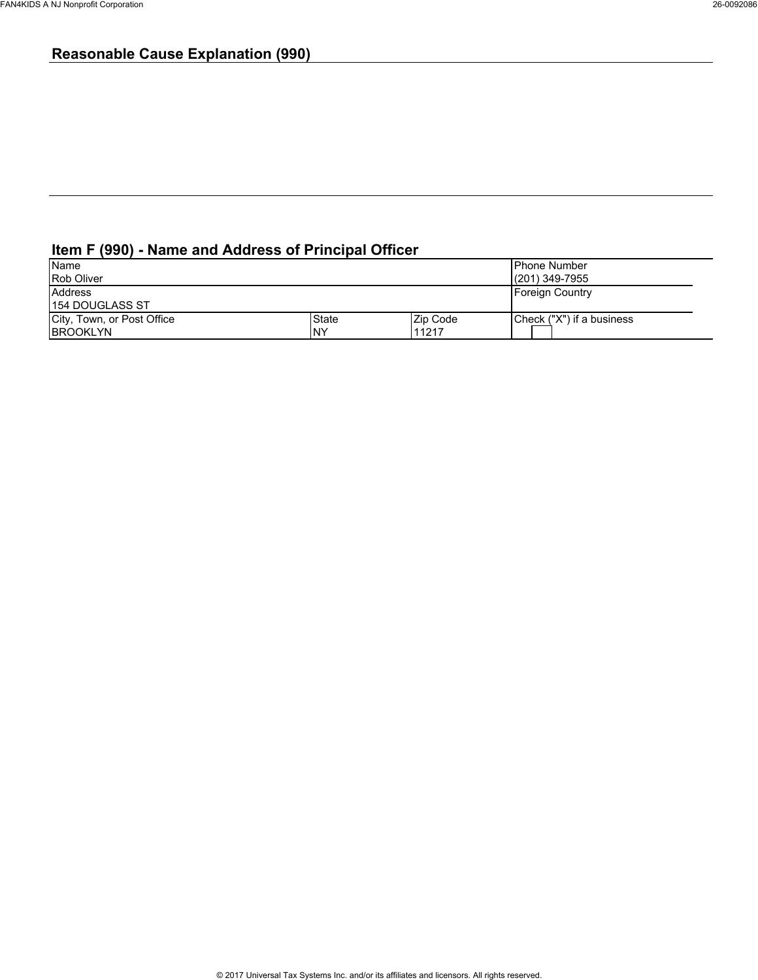### **Reasonable Cause Explanation (990)**

### **Item F (990) - Name and Address of Principal Officer**

| Name                       |              |          | <b>Phone Number</b>       |
|----------------------------|--------------|----------|---------------------------|
| <b>Rob Oliver</b>          |              |          | l(201) 349-7955           |
| <b>Address</b>             |              |          | Foreign Country           |
| 154 DOUGLASS ST            |              |          |                           |
| City, Town, or Post Office | <b>State</b> | Zip Code | Check ("X") if a business |
| <b>BROOKLYN</b>            | <b>NY</b>    | 11217    |                           |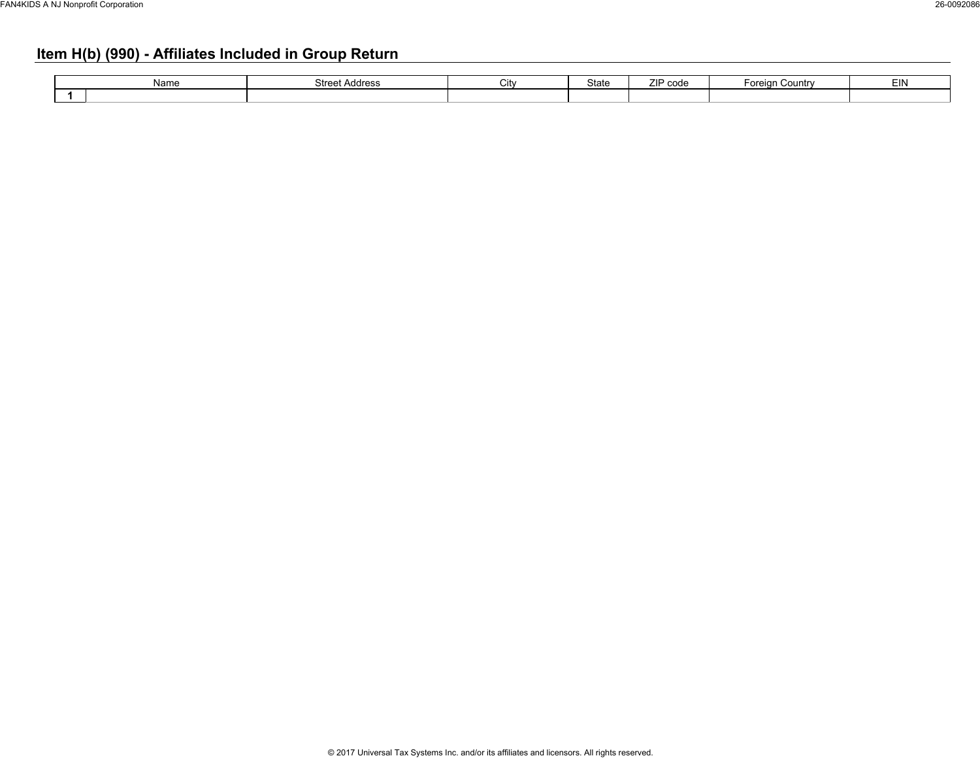### **Item H(b) (990) - Affiliates Included in Group Return**

| Name | <b>Street Address</b> | ີ | State | <b>TID CONG</b><br><b>COUC</b><br><u>.</u> | Foreian<br>. Countr | EIN |
|------|-----------------------|---|-------|--------------------------------------------|---------------------|-----|
|      |                       |   |       |                                            |                     |     |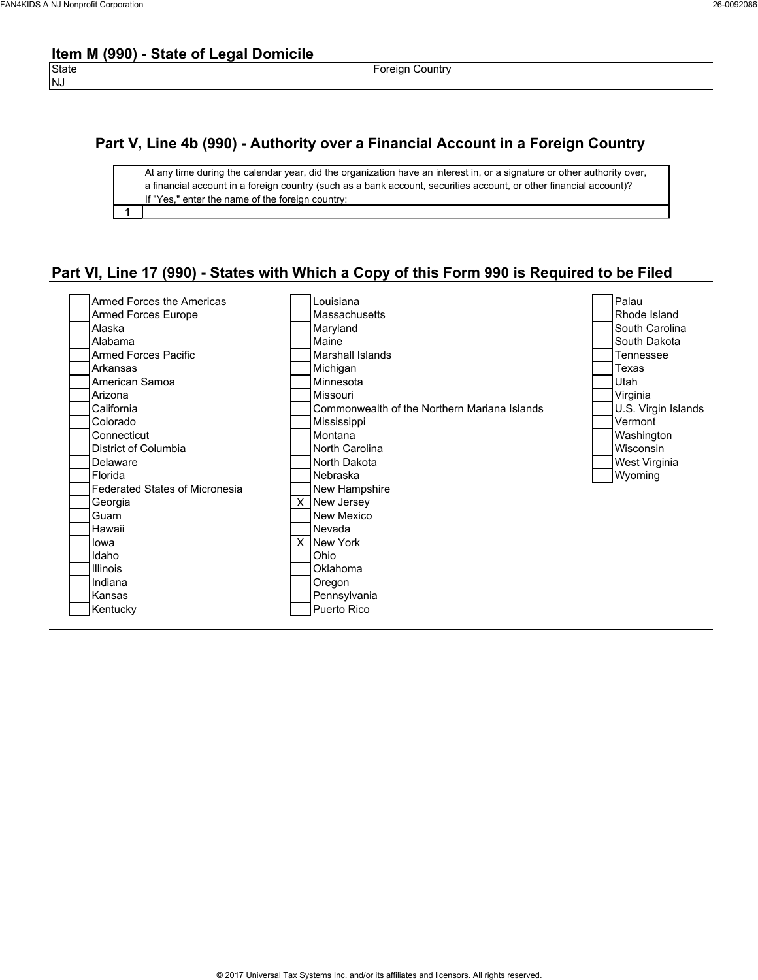### **Item M (990) - State of Legal Domicile**

**1**

State **Foreign Country** 

### **Part V, Line 4b (990) - Authority over a Financial Account in a Foreign Country**

At any time during the calendar year, did the organization have an interest in, or a signature or other authority over, a financial account in a foreign country (such as a bank account, securities account, or other financial account)? If "Yes," enter the name of the foreign country:

### **Part VI, Line 17 (990) - States with Which a Copy of this Form 990 is Required to be Filed**

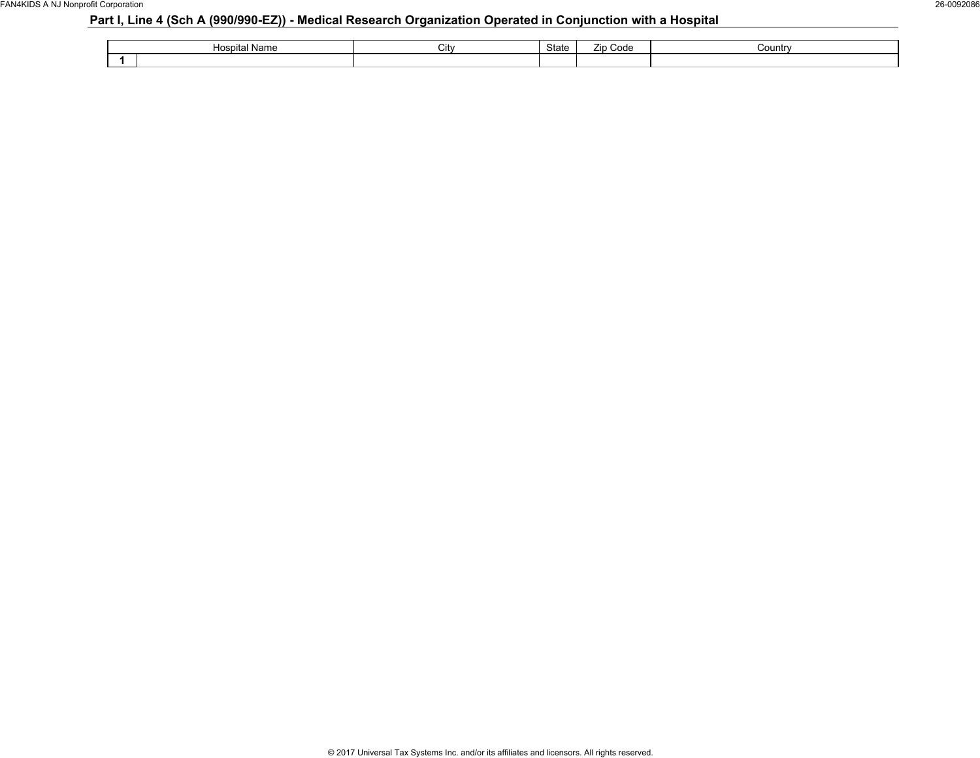### **Part I, Line 4 (Sch A (990/990-EZ)) - Medical Research Organization Operated in Conjunction with a Hospital**

| Hospital<br>' Name | ان∪ | <b>State</b> | --<br>Code<br><b>Zip</b> | Country |
|--------------------|-----|--------------|--------------------------|---------|
|                    |     |              |                          |         |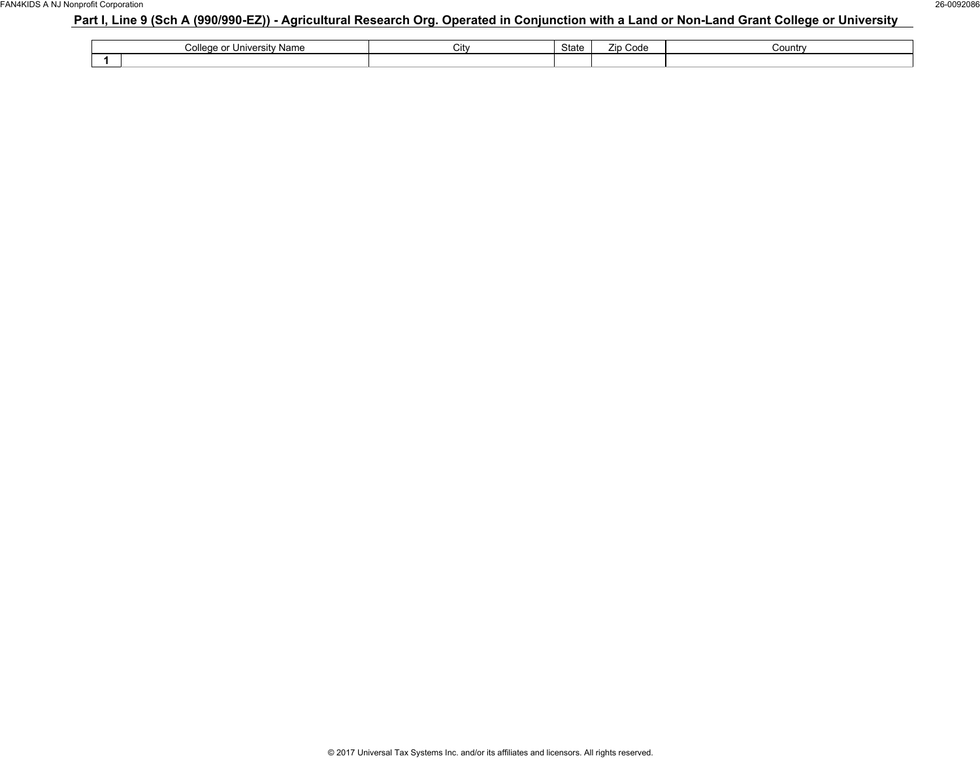### **Part I, Line 9 (Sch A (990/990-EZ)) - Agricultural Research Org. Operated in Conjunction with a Land or Non-Land Grant College or University**

| <i>iversity Name</i><br>nllogo or<br>uuruc<br>.<br>. . | City | $C+nt$<br>oldie | Code<br>Zin | Country |
|--------------------------------------------------------|------|-----------------|-------------|---------|
|                                                        |      |                 |             |         |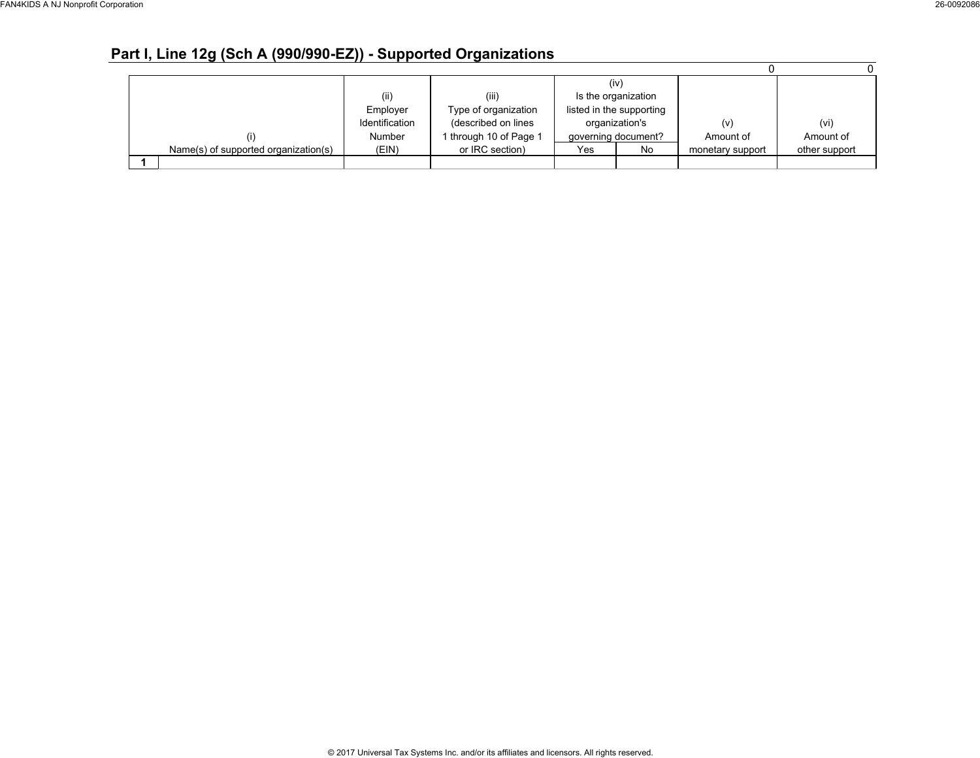### **Part I, Line 12g (Sch A (990/990-EZ)) - Supported Organizations**

|                                      |                |                        |     | (iv)                     |                  |               |
|--------------------------------------|----------------|------------------------|-----|--------------------------|------------------|---------------|
|                                      | (ii)           | (iii)                  |     | Is the organization      |                  |               |
|                                      | Employer       | Type of organization   |     | listed in the supporting |                  |               |
|                                      | Identification | (described on lines    |     | organization's           | (v)              | (vi)          |
|                                      | Number         | I through 10 of Page 1 |     | governing document?      | Amount of        | Amount of     |
| Name(s) of supported organization(s) | (EIN)          | or IRC section)        | Yes | No                       | monetary support | other support |
|                                      |                |                        |     |                          |                  |               |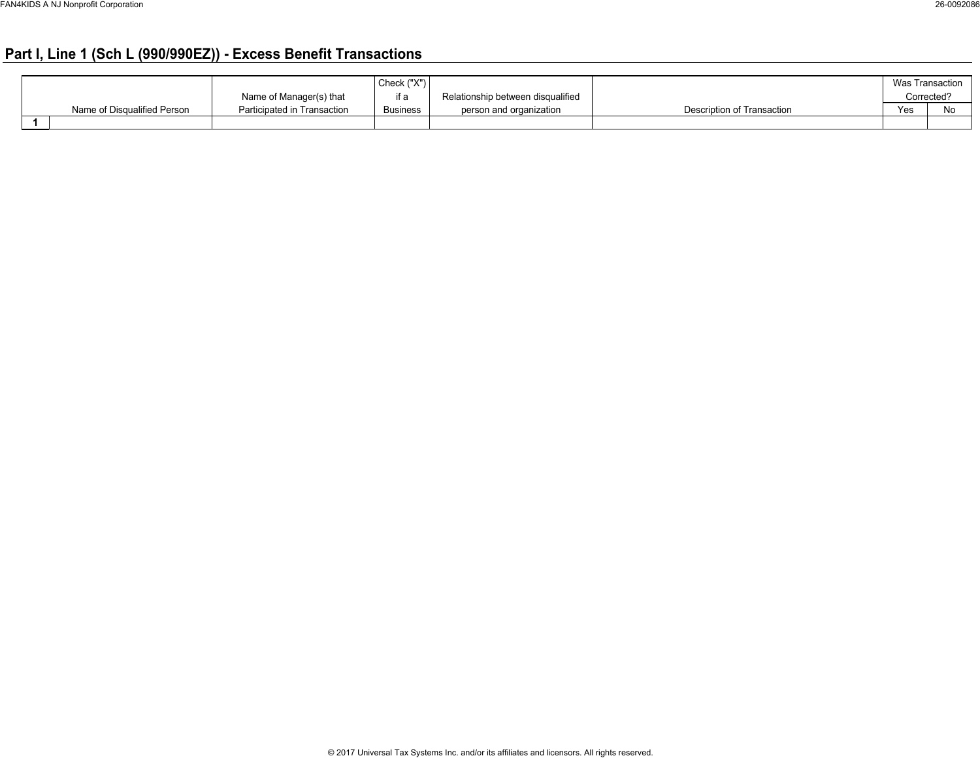### **Part I, Line 1 (Sch L (990/990EZ)) - Excess Benefit Transactions**

|                             |                             | Check ("X")     |                                   |                            |     | Was Transaction |
|-----------------------------|-----------------------------|-----------------|-----------------------------------|----------------------------|-----|-----------------|
|                             | Name of Manager(s) that     | if a            | Relationship between disqualified |                            |     | Corrected?      |
| Name of Disqualified Person | Participated in Transaction | <b>Business</b> | person and organization           | Description of Transaction | Yes | IΝO             |
|                             |                             |                 |                                   |                            |     |                 |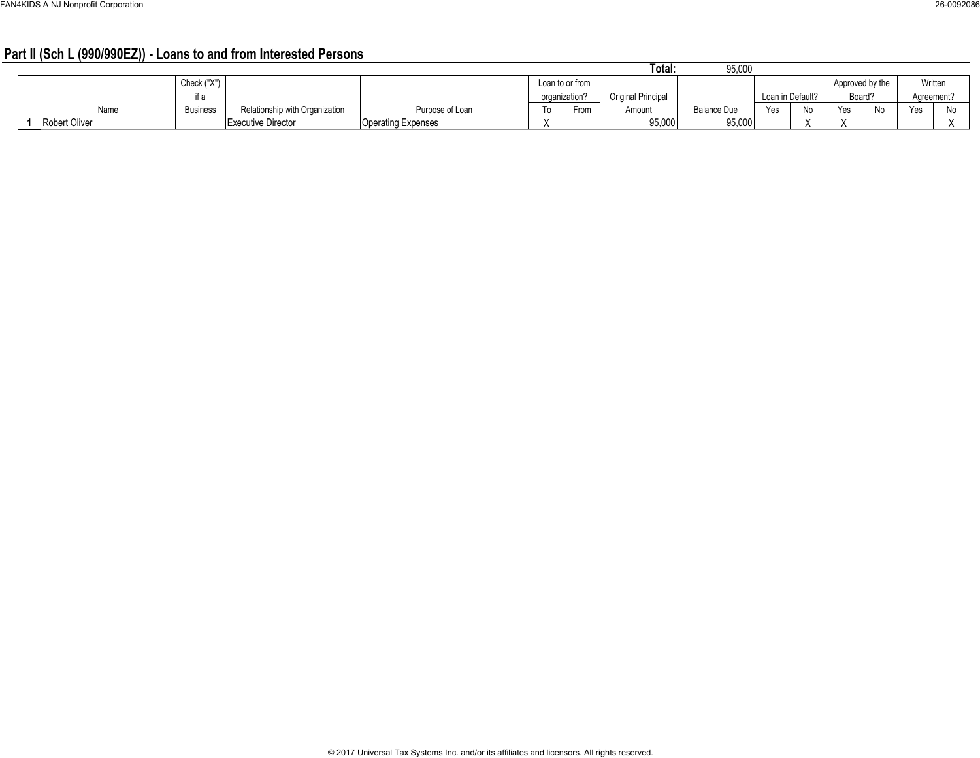### **Part II (Sch L (990/990EZ)) - Loans to and from Interested Persons**

|                      |                 |                                |                           |                 |      | Total.             | 95,000      |     |                  |     |                 |           |              |
|----------------------|-----------------|--------------------------------|---------------------------|-----------------|------|--------------------|-------------|-----|------------------|-----|-----------------|-----------|--------------|
|                      | Check ("X")     |                                |                           | Loan to or from |      |                    |             |     |                  |     | Approved by the | Written   |              |
|                      | if a            |                                |                           | organization?   |      | Original Principal |             |     | Loan in Default? |     | Board?          | Agreement |              |
| Name                 | <b>Business</b> | Relationship with Organization | Purpose of Loan           | To:             | From | Amount             | Balance Due | Yes | N <sub>0</sub>   | Yes | No              | Yes       | $N_{\alpha}$ |
| <b>Robert Oliver</b> |                 | Executive Director             | <b>Operating Expenses</b> |                 |      | 95,000             | 95,000      |     |                  |     |                 |           |              |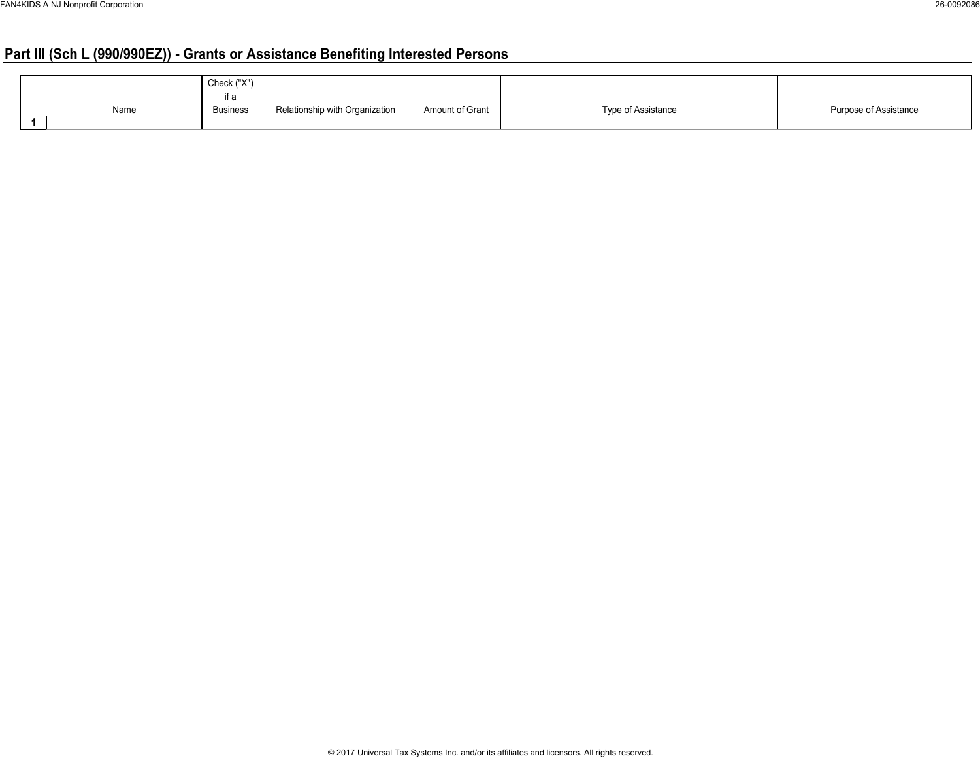### **Part III (Sch L (990/990EZ)) - Grants or Assistance Benefiting Interested Persons**

|      | .793793<br>Check (<br>$\cdots$ |                                |                 |                    |                       |
|------|--------------------------------|--------------------------------|-----------------|--------------------|-----------------------|
|      | $+ -$                          |                                |                 |                    |                       |
| Name | Business                       | Relationship with Organization | Amount of Grant | Type of Assistance | Purpose of Assistance |
|      |                                |                                |                 |                    |                       |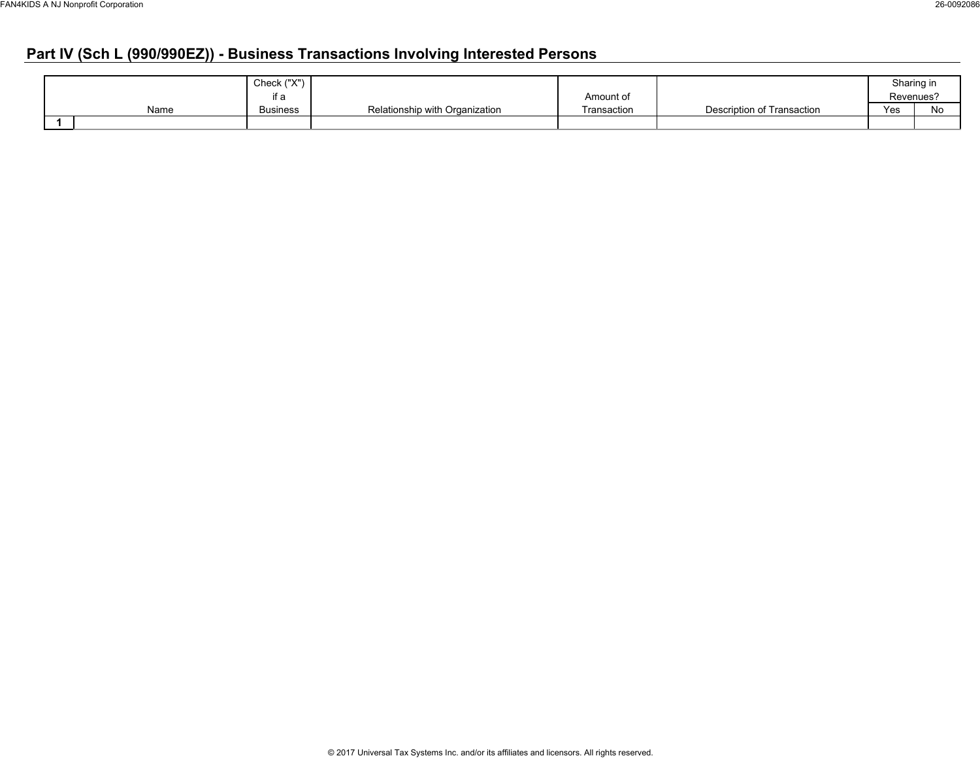### **Part IV (Sch L (990/990EZ)) - Business Transactions Involving Interested Persons**

|      | Check ("X")     |                                |             |                            |     | Sharing in |
|------|-----------------|--------------------------------|-------------|----------------------------|-----|------------|
|      | ıt a            |                                | Amount of   |                            |     | Revenues?  |
| Name | <b>Business</b> | Relationship with Organization | Transaction | Description of Transaction | Yes | No         |
|      |                 |                                |             |                            |     |            |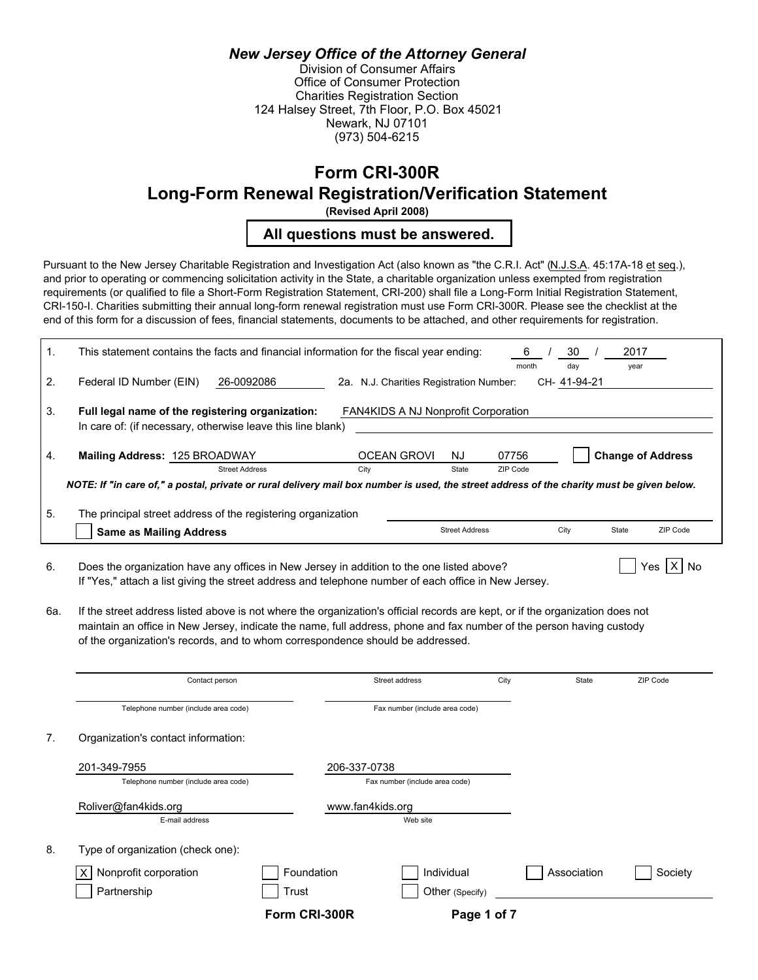### *New Jersey Office of the Attorney General*

Division of Consumer Affairs Office of Consumer Protection Charities Registration Section 124 Halsey Street, 7th Floor, P.O. Box 45021 Newark, NJ 07101 (973) 504-6215

### **Form CRI-300R**

**Long-Form Renewal Registration/Verification Statement**

**(Revised April 2008)**

**All questions must be answered.**

Pursuant to the New Jersey Charitable Registration and Investigation Act (also known as "the C.R.I. Act" (N.J.S.A. 45:17A-18 et seq.), and prior to operating or commencing solicitation activity in the State, a charitable organization unless exempted from registration requirements (or qualified to file a Short-Form Registration Statement, CRI-200) shall file a Long-Form Initial Registration Statement, CRI-150-I. Charities submitting their annual long-form renewal registration must use Form CRI-300R. Please see the checklist at the end of this form for a discussion of fees, financial statements, documents to be attached, and other requirements for registration.

| $\mathbf{1}$ .   | This statement contains the facts and financial information for the fiscal year ending:<br>30<br>2017<br>-6<br>month<br>dav<br>year                                 |                                         |                       |          |              |                          |          |  |  |
|------------------|---------------------------------------------------------------------------------------------------------------------------------------------------------------------|-----------------------------------------|-----------------------|----------|--------------|--------------------------|----------|--|--|
| 2.               | 26-0092086<br>Federal ID Number (EIN)                                                                                                                               | 2a. N.J. Charities Registration Number: |                       |          | CH- 41-94-21 |                          |          |  |  |
| $\overline{3}$ . | Full legal name of the registering organization:<br><b>FAN4KIDS A NJ Nonprofit Corporation</b><br>In care of: (if necessary, otherwise leave this line blank)       |                                         |                       |          |              |                          |          |  |  |
| 4.               | Mailing Address: 125 BROADWAY                                                                                                                                       | <b>OCEAN GROVI</b>                      | NJ.                   | 07756    |              | <b>Change of Address</b> |          |  |  |
|                  | <b>Street Address</b><br>NOTE: If "in care of," a postal, private or rural delivery mail box number is used, the street address of the charity must be given below. | City                                    | State                 | ZIP Code |              |                          |          |  |  |
| 5.               | The principal street address of the registering organization                                                                                                        |                                         |                       |          |              |                          |          |  |  |
|                  | <b>Same as Mailing Address</b>                                                                                                                                      |                                         | <b>Street Address</b> |          | City         | State                    | ZIP Code |  |  |

6. Does the organization have any offices in New Jersey in addition to the one listed above?  $\Box$  Yes  $\Box$  Yes  $\Box$  No If "Yes," attach a list giving the street address and telephone number of each office in New Jersey.

 6a. If the street address listed above is not where the organization's official records are kept, or if the organization does not maintain an office in New Jersey, indicate the name, full address, phone and fax number of the person having custody of the organization's records, and to whom correspondence should be addressed.

|    | Contact person                       |               | Street address                 | City | State       | ZIP Code |
|----|--------------------------------------|---------------|--------------------------------|------|-------------|----------|
|    | Telephone number (include area code) |               | Fax number (include area code) |      |             |          |
| 7. | Organization's contact information:  |               |                                |      |             |          |
|    | 201-349-7955                         | 206-337-0738  |                                |      |             |          |
|    | Telephone number (include area code) |               | Fax number (include area code) |      |             |          |
|    | Roliver@fan4kids.org                 |               | www.fan4kids.org               |      |             |          |
|    | E-mail address                       |               | Web site                       |      |             |          |
| 8. | Type of organization (check one):    |               |                                |      |             |          |
|    | Nonprofit corporation<br>$\times$    | Foundation    | Individual                     |      | Association | Society  |
|    | Partnership                          | Trust         | Other (Specify)                |      |             |          |
|    |                                      | Form CRI-300R | Page 1 of 7                    |      |             |          |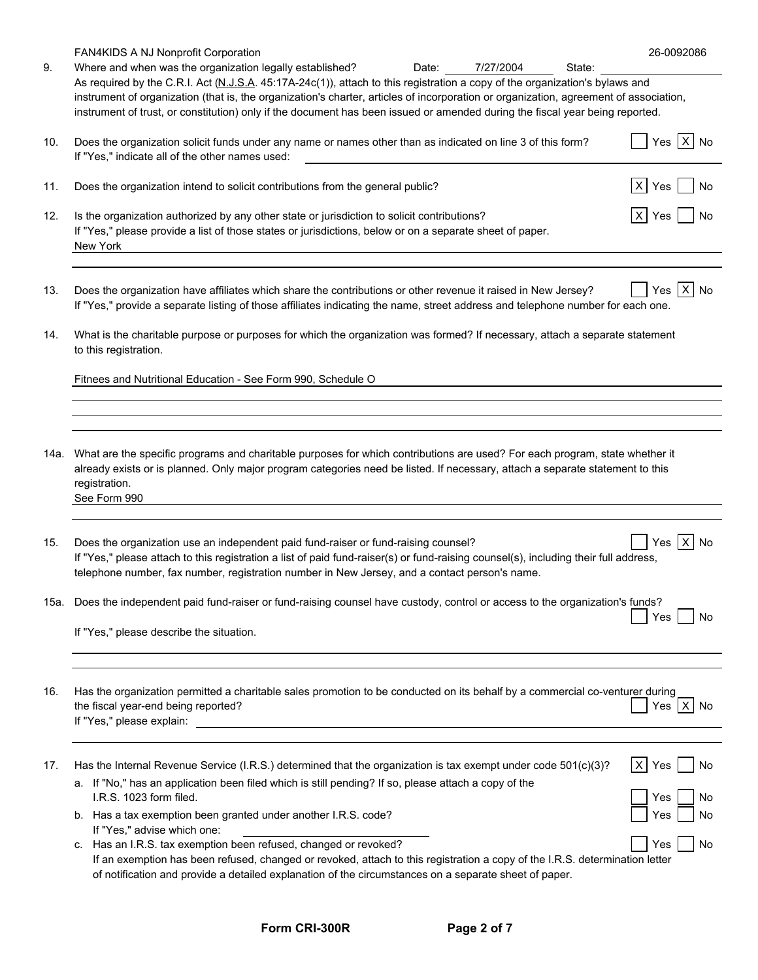| FAN4KIDS A NJ Nonprofit Corporation<br>Where and when was the organization legally established?<br>Date:<br>7/27/2004<br>State:                                                                                     | 26-0092086                                                                                                                                                                                                                                                                                                                                                                                                                                                                                                                                                                                                                                                                                                                                                                                                                                                                                                                                                                                                                                                                                                                                                                                                                                                                                                                                                                                                                                                                                                                                                                                                                                              |
|---------------------------------------------------------------------------------------------------------------------------------------------------------------------------------------------------------------------|---------------------------------------------------------------------------------------------------------------------------------------------------------------------------------------------------------------------------------------------------------------------------------------------------------------------------------------------------------------------------------------------------------------------------------------------------------------------------------------------------------------------------------------------------------------------------------------------------------------------------------------------------------------------------------------------------------------------------------------------------------------------------------------------------------------------------------------------------------------------------------------------------------------------------------------------------------------------------------------------------------------------------------------------------------------------------------------------------------------------------------------------------------------------------------------------------------------------------------------------------------------------------------------------------------------------------------------------------------------------------------------------------------------------------------------------------------------------------------------------------------------------------------------------------------------------------------------------------------------------------------------------------------|
|                                                                                                                                                                                                                     |                                                                                                                                                                                                                                                                                                                                                                                                                                                                                                                                                                                                                                                                                                                                                                                                                                                                                                                                                                                                                                                                                                                                                                                                                                                                                                                                                                                                                                                                                                                                                                                                                                                         |
| Does the organization solicit funds under any name or names other than as indicated on line 3 of this form?<br>If "Yes," indicate all of the other names used:                                                      | $Yes \mid X \mid No$                                                                                                                                                                                                                                                                                                                                                                                                                                                                                                                                                                                                                                                                                                                                                                                                                                                                                                                                                                                                                                                                                                                                                                                                                                                                                                                                                                                                                                                                                                                                                                                                                                    |
| Does the organization intend to solicit contributions from the general public?                                                                                                                                      | X Yes<br>No                                                                                                                                                                                                                                                                                                                                                                                                                                                                                                                                                                                                                                                                                                                                                                                                                                                                                                                                                                                                                                                                                                                                                                                                                                                                                                                                                                                                                                                                                                                                                                                                                                             |
| Is the organization authorized by any other state or jurisdiction to solicit contributions?<br>If "Yes," please provide a list of those states or jurisdictions, below or on a separate sheet of paper.<br>New York | $X$ Yes                                                                                                                                                                                                                                                                                                                                                                                                                                                                                                                                                                                                                                                                                                                                                                                                                                                                                                                                                                                                                                                                                                                                                                                                                                                                                                                                                                                                                                                                                                                                                                                                                                                 |
| Does the organization have affiliates which share the contributions or other revenue it raised in New Jersey?                                                                                                       | $X$ No<br>Yes                                                                                                                                                                                                                                                                                                                                                                                                                                                                                                                                                                                                                                                                                                                                                                                                                                                                                                                                                                                                                                                                                                                                                                                                                                                                                                                                                                                                                                                                                                                                                                                                                                           |
| to this registration.                                                                                                                                                                                               |                                                                                                                                                                                                                                                                                                                                                                                                                                                                                                                                                                                                                                                                                                                                                                                                                                                                                                                                                                                                                                                                                                                                                                                                                                                                                                                                                                                                                                                                                                                                                                                                                                                         |
| Fitnees and Nutritional Education - See Form 990, Schedule O                                                                                                                                                        |                                                                                                                                                                                                                                                                                                                                                                                                                                                                                                                                                                                                                                                                                                                                                                                                                                                                                                                                                                                                                                                                                                                                                                                                                                                                                                                                                                                                                                                                                                                                                                                                                                                         |
|                                                                                                                                                                                                                     |                                                                                                                                                                                                                                                                                                                                                                                                                                                                                                                                                                                                                                                                                                                                                                                                                                                                                                                                                                                                                                                                                                                                                                                                                                                                                                                                                                                                                                                                                                                                                                                                                                                         |
| 14a.<br>registration.<br>See Form 990                                                                                                                                                                               |                                                                                                                                                                                                                                                                                                                                                                                                                                                                                                                                                                                                                                                                                                                                                                                                                                                                                                                                                                                                                                                                                                                                                                                                                                                                                                                                                                                                                                                                                                                                                                                                                                                         |
| Does the organization use an independent paid fund-raiser or fund-raising counsel?<br>telephone number, fax number, registration number in New Jersey, and a contact person's name.                                 | $X$ No<br>Yes                                                                                                                                                                                                                                                                                                                                                                                                                                                                                                                                                                                                                                                                                                                                                                                                                                                                                                                                                                                                                                                                                                                                                                                                                                                                                                                                                                                                                                                                                                                                                                                                                                           |
| 15a.<br>If "Yes," please describe the situation.                                                                                                                                                                    | Yes<br>No                                                                                                                                                                                                                                                                                                                                                                                                                                                                                                                                                                                                                                                                                                                                                                                                                                                                                                                                                                                                                                                                                                                                                                                                                                                                                                                                                                                                                                                                                                                                                                                                                                               |
|                                                                                                                                                                                                                     |                                                                                                                                                                                                                                                                                                                                                                                                                                                                                                                                                                                                                                                                                                                                                                                                                                                                                                                                                                                                                                                                                                                                                                                                                                                                                                                                                                                                                                                                                                                                                                                                                                                         |
| the fiscal year-end being reported?<br>If "Yes," please explain:<br><u> 1989 - Andrea Stadt Britain, amerikansk politiker (</u>                                                                                     | Yes $X$ No                                                                                                                                                                                                                                                                                                                                                                                                                                                                                                                                                                                                                                                                                                                                                                                                                                                                                                                                                                                                                                                                                                                                                                                                                                                                                                                                                                                                                                                                                                                                                                                                                                              |
|                                                                                                                                                                                                                     | X Yes<br>  No                                                                                                                                                                                                                                                                                                                                                                                                                                                                                                                                                                                                                                                                                                                                                                                                                                                                                                                                                                                                                                                                                                                                                                                                                                                                                                                                                                                                                                                                                                                                                                                                                                           |
| a. If "No," has an application been filed which is still pending? If so, please attach a copy of the                                                                                                                | Yes<br>No                                                                                                                                                                                                                                                                                                                                                                                                                                                                                                                                                                                                                                                                                                                                                                                                                                                                                                                                                                                                                                                                                                                                                                                                                                                                                                                                                                                                                                                                                                                                                                                                                                               |
| b. Has a tax exemption been granted under another I.R.S. code?                                                                                                                                                      | No<br>Yes                                                                                                                                                                                                                                                                                                                                                                                                                                                                                                                                                                                                                                                                                                                                                                                                                                                                                                                                                                                                                                                                                                                                                                                                                                                                                                                                                                                                                                                                                                                                                                                                                                               |
| Has an I.R.S. tax exemption been refused, changed or revoked?<br>C.<br>of notification and provide a detailed explanation of the circumstances on a separate sheet of paper.                                        | Yes<br><b>No</b>                                                                                                                                                                                                                                                                                                                                                                                                                                                                                                                                                                                                                                                                                                                                                                                                                                                                                                                                                                                                                                                                                                                                                                                                                                                                                                                                                                                                                                                                                                                                                                                                                                        |
|                                                                                                                                                                                                                     | As required by the C.R.I. Act (N.J.S.A. 45:17A-24c(1)), attach to this registration a copy of the organization's bylaws and<br>instrument of organization (that is, the organization's charter, articles of incorporation or organization, agreement of association,<br>instrument of trust, or constitution) only if the document has been issued or amended during the fiscal year being reported.<br>If "Yes," provide a separate listing of those affiliates indicating the name, street address and telephone number for each one.<br>What is the charitable purpose or purposes for which the organization was formed? If necessary, attach a separate statement<br>What are the specific programs and charitable purposes for which contributions are used? For each program, state whether it<br>already exists or is planned. Only major program categories need be listed. If necessary, attach a separate statement to this<br>If "Yes," please attach to this registration a list of paid fund-raiser(s) or fund-raising counsel(s), including their full address,<br>Does the independent paid fund-raiser or fund-raising counsel have custody, control or access to the organization's funds?<br>Has the organization permitted a charitable sales promotion to be conducted on its behalf by a commercial co-venturer during<br>Has the Internal Revenue Service (I.R.S.) determined that the organization is tax exempt under code 501(c)(3)?<br>I.R.S. 1023 form filed.<br>If "Yes," advise which one:<br>If an exemption has been refused, changed or revoked, attach to this registration a copy of the I.R.S. determination letter |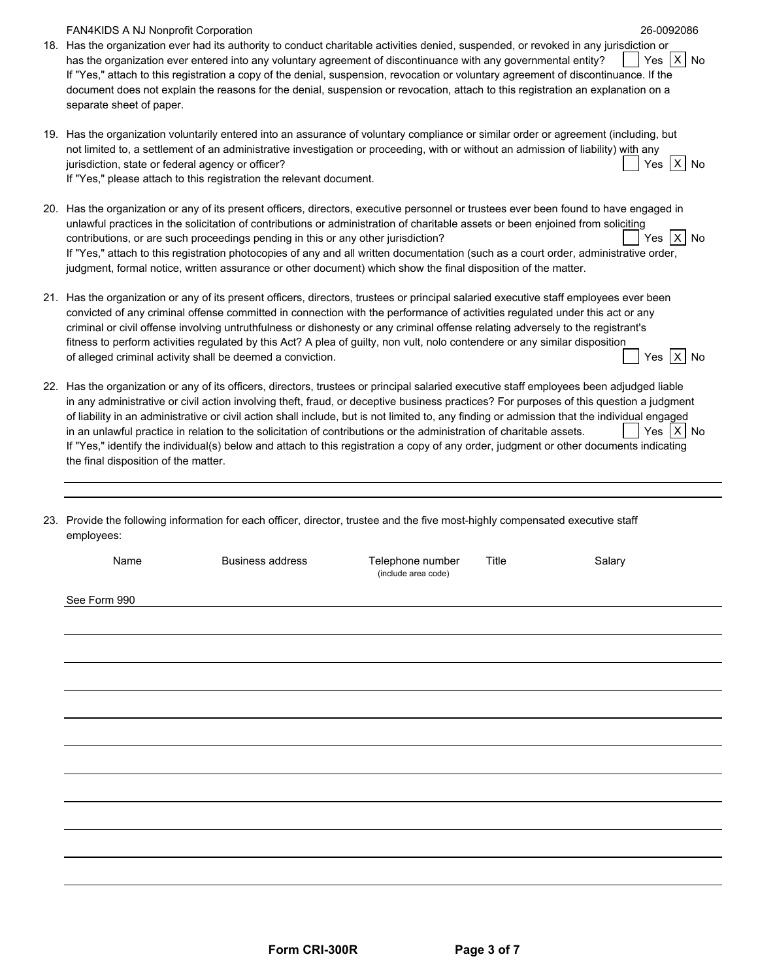| <b>FAN4KIDS A NJ Nonprofit Corporation</b><br>18. Has the organization ever had its authority to conduct charitable activities denied, suspended, or revoked in any jurisdiction or<br>has the organization ever entered into any voluntary agreement of discontinuance with any governmental entity?<br>If "Yes," attach to this registration a copy of the denial, suspension, revocation or voluntary agreement of discontinuance. If the<br>document does not explain the reasons for the denial, suspension or revocation, attach to this registration an explanation on a<br>separate sheet of paper.                                                                                                                                    |                         |                                         |       | 26-0092086<br>Yes   X   No |
|------------------------------------------------------------------------------------------------------------------------------------------------------------------------------------------------------------------------------------------------------------------------------------------------------------------------------------------------------------------------------------------------------------------------------------------------------------------------------------------------------------------------------------------------------------------------------------------------------------------------------------------------------------------------------------------------------------------------------------------------|-------------------------|-----------------------------------------|-------|----------------------------|
| 19. Has the organization voluntarily entered into an assurance of voluntary compliance or similar order or agreement (including, but<br>not limited to, a settlement of an administrative investigation or proceeding, with or without an admission of liability) with any<br>jurisdiction, state or federal agency or officer?<br>If "Yes," please attach to this registration the relevant document.                                                                                                                                                                                                                                                                                                                                         |                         |                                         |       | Yes X No                   |
| 20. Has the organization or any of its present officers, directors, executive personnel or trustees ever been found to have engaged in<br>unlawful practices in the solicitation of contributions or administration of charitable assets or been enjoined from soliciting<br>contributions, or are such proceedings pending in this or any other jurisdiction?<br>If "Yes," attach to this registration photocopies of any and all written documentation (such as a court order, administrative order,<br>judgment, formal notice, written assurance or other document) which show the final disposition of the matter.                                                                                                                        |                         |                                         |       | Yes   X   No               |
| 21. Has the organization or any of its present officers, directors, trustees or principal salaried executive staff employees ever been<br>convicted of any criminal offense committed in connection with the performance of activities regulated under this act or any<br>criminal or civil offense involving untruthfulness or dishonesty or any criminal offense relating adversely to the registrant's<br>fitness to perform activities regulated by this Act? A plea of guilty, non vult, nolo contendere or any similar disposition<br>of alleged criminal activity shall be deemed a conviction.                                                                                                                                         |                         |                                         |       | Yes   X   No               |
| 22. Has the organization or any of its officers, directors, trustees or principal salaried executive staff employees been adjudged liable<br>in any administrative or civil action involving theft, fraud, or deceptive business practices? For purposes of this question a judgment<br>of liability in an administrative or civil action shall include, but is not limited to, any finding or admission that the individual engaged<br>in an unlawful practice in relation to the solicitation of contributions or the administration of charitable assets.<br>If "Yes," identify the individual(s) below and attach to this registration a copy of any order, judgment or other documents indicating<br>the final disposition of the matter. |                         |                                         |       | Yes   X   No               |
| 23. Provide the following information for each officer, director, trustee and the five most-highly compensated executive staff<br>employees:                                                                                                                                                                                                                                                                                                                                                                                                                                                                                                                                                                                                   |                         |                                         |       |                            |
| Name                                                                                                                                                                                                                                                                                                                                                                                                                                                                                                                                                                                                                                                                                                                                           | <b>Business address</b> | Telephone number<br>(include area code) | Title | Salary                     |
| See Form 990                                                                                                                                                                                                                                                                                                                                                                                                                                                                                                                                                                                                                                                                                                                                   |                         |                                         |       |                            |
|                                                                                                                                                                                                                                                                                                                                                                                                                                                                                                                                                                                                                                                                                                                                                |                         |                                         |       |                            |
|                                                                                                                                                                                                                                                                                                                                                                                                                                                                                                                                                                                                                                                                                                                                                |                         |                                         |       |                            |
|                                                                                                                                                                                                                                                                                                                                                                                                                                                                                                                                                                                                                                                                                                                                                |                         |                                         |       |                            |
|                                                                                                                                                                                                                                                                                                                                                                                                                                                                                                                                                                                                                                                                                                                                                |                         |                                         |       |                            |
|                                                                                                                                                                                                                                                                                                                                                                                                                                                                                                                                                                                                                                                                                                                                                |                         |                                         |       |                            |
|                                                                                                                                                                                                                                                                                                                                                                                                                                                                                                                                                                                                                                                                                                                                                |                         |                                         |       |                            |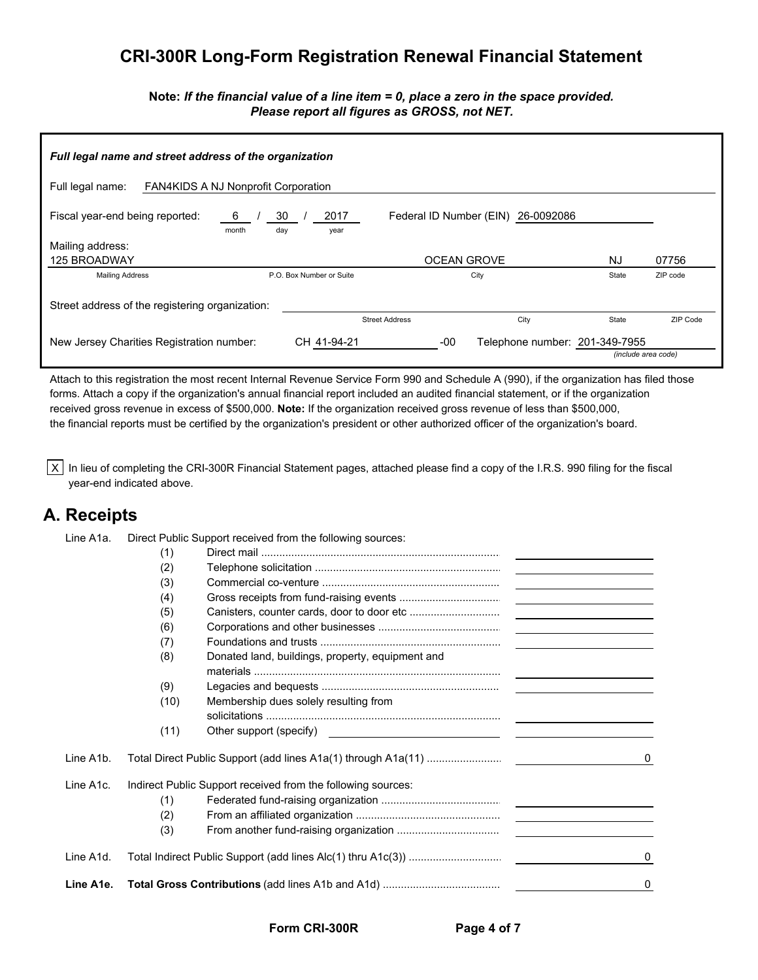### **CRI-300R Long-Form Registration Renewal Financial Statement**

**Note:** *If the financial value of a line item = 0, place a zero in the space provided. Please report all figures as GROSS, not NET.*

| Full legal name and street address of the organization         |                           |                                    |                                |                     |  |  |  |  |  |
|----------------------------------------------------------------|---------------------------|------------------------------------|--------------------------------|---------------------|--|--|--|--|--|
| Full legal name:<br><b>FAN4KIDS A NJ Nonprofit Corporation</b> |                           |                                    |                                |                     |  |  |  |  |  |
| Fiscal year-end being reported:<br>- 6<br>month                | 30<br>2017<br>day<br>year | Federal ID Number (EIN) 26-0092086 |                                |                     |  |  |  |  |  |
| Mailing address:                                               |                           |                                    |                                |                     |  |  |  |  |  |
| 125 BROADWAY                                                   |                           | <b>OCEAN GROVE</b>                 | NJ                             | 07756               |  |  |  |  |  |
| <b>Mailing Address</b>                                         | P.O. Box Number or Suite  | City                               | State                          | ZIP code            |  |  |  |  |  |
| Street address of the registering organization:                |                           |                                    |                                |                     |  |  |  |  |  |
|                                                                |                           | City<br><b>Street Address</b>      | State                          | ZIP Code            |  |  |  |  |  |
| New Jersey Charities Registration number:                      | CH 41-94-21               | -00                                | Telephone number: 201-349-7955 | (include area code) |  |  |  |  |  |

Attach to this registration the most recent Internal Revenue Service Form 990 and Schedule A (990), if the organization has filed those forms. Attach a copy if the organization's annual financial report included an audited financial statement, or if the organization received gross revenue in excess of \$500,000. **Note:** If the organization received gross revenue of less than \$500,000, the financial reports must be certified by the organization's president or other authorized officer of the organization's board.

 $X$  In lieu of completing the CRI-300R Financial Statement pages, attached please find a copy of the I.R.S. 990 filing for the fiscal year-end indicated above.

### **A. Receipts**

| Line A1a. |      | Direct Public Support received from the following sources:                                                                                                                                                                     |                                                               |  |
|-----------|------|--------------------------------------------------------------------------------------------------------------------------------------------------------------------------------------------------------------------------------|---------------------------------------------------------------|--|
|           | (1)  |                                                                                                                                                                                                                                |                                                               |  |
|           | (2)  |                                                                                                                                                                                                                                |                                                               |  |
|           | (3)  |                                                                                                                                                                                                                                |                                                               |  |
|           | (4)  |                                                                                                                                                                                                                                | <u> 1989 - Johann Barn, mars an t-Amerikaansk kommunist (</u> |  |
|           | (5)  |                                                                                                                                                                                                                                |                                                               |  |
|           | (6)  |                                                                                                                                                                                                                                | the contract of the contract of the contract of               |  |
|           | (7)  |                                                                                                                                                                                                                                |                                                               |  |
|           | (8)  | Donated land, buildings, property, equipment and                                                                                                                                                                               |                                                               |  |
|           |      |                                                                                                                                                                                                                                |                                                               |  |
|           | (9)  |                                                                                                                                                                                                                                | <u> 1989 - Andrea Station Barbara, amerikan per</u>           |  |
|           | (10) | Membership dues solely resulting from                                                                                                                                                                                          |                                                               |  |
|           |      |                                                                                                                                                                                                                                |                                                               |  |
|           | (11) | Other support (specify) example and the support of the support of the support of the support of the support of the support of the support of the support of the support of the support of the support of the support of the su |                                                               |  |
| Line A1b. |      |                                                                                                                                                                                                                                |                                                               |  |
| Line A1c. |      | Indirect Public Support received from the following sources:                                                                                                                                                                   |                                                               |  |
|           | (1)  |                                                                                                                                                                                                                                |                                                               |  |
|           | (2)  |                                                                                                                                                                                                                                |                                                               |  |
|           | (3)  |                                                                                                                                                                                                                                |                                                               |  |
| Line A1d. |      |                                                                                                                                                                                                                                |                                                               |  |
| Line A1e. |      |                                                                                                                                                                                                                                |                                                               |  |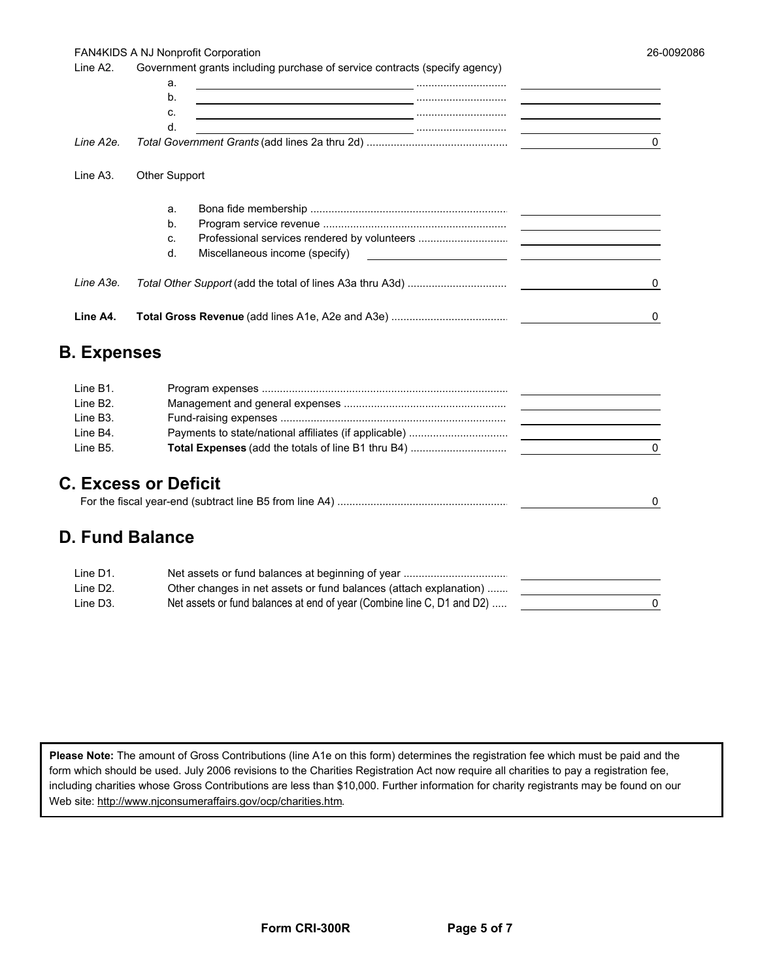#### FAN4KIDS A NJ Nonprofit Corporation

 $\pmb{0}$ 

| Line A <sub>2</sub> . | Government grants including purchase of service contracts (specify agency)                                                                                   |                                                                                                                       |
|-----------------------|--------------------------------------------------------------------------------------------------------------------------------------------------------------|-----------------------------------------------------------------------------------------------------------------------|
|                       | a.<br><u> 1980 - Jacques Barbara, política española española (n. 1980).</u>                                                                                  |                                                                                                                       |
|                       | b.                                                                                                                                                           | <u> 1989 - Johann Barnett, fransk kongresu og den som forskellige og den som forskellige og den som forskellige </u>  |
|                       | C.<br><u> 2000 - Andrea State Barbara, amerikan personal personal personal personal personal personal personal personal </u>                                 | <u> 1989 - Johann John Stone, markin sammen fyrir yr y brening og fyrir yr y gynnwys y gynnwys y gynnwys y gynnwy</u> |
|                       | d.                                                                                                                                                           |                                                                                                                       |
| Line A2e.             |                                                                                                                                                              | $\Omega$                                                                                                              |
| Line A <sub>3</sub> . | Other Support                                                                                                                                                |                                                                                                                       |
|                       | a.                                                                                                                                                           |                                                                                                                       |
|                       | $b$ .                                                                                                                                                        |                                                                                                                       |
|                       | C.                                                                                                                                                           |                                                                                                                       |
|                       | Miscellaneous income (specify)<br>d.<br><u> 1989 - Andrea State Barbara, amerikan personal di sebagai personal di sebagai personal di sebagai personal d</u> |                                                                                                                       |
| Line A3e.             |                                                                                                                                                              | 0                                                                                                                     |
| Line A4.              |                                                                                                                                                              | 0                                                                                                                     |
| <b>B.</b> Expenses    |                                                                                                                                                              |                                                                                                                       |
| Line B1.              |                                                                                                                                                              |                                                                                                                       |
| Line B <sub>2</sub> . |                                                                                                                                                              | the company of the company                                                                                            |
| Line B <sub>3</sub> . |                                                                                                                                                              |                                                                                                                       |

### **C. Excess or Deficit**

### **D. Fund Balance**

Line B4.

Line B5.

| Line D1.              |                                                                        |  |
|-----------------------|------------------------------------------------------------------------|--|
| Line D <sub>2</sub> . | Other changes in net assets or fund balances (attach explanation)      |  |
| Line D <sub>3</sub> . | Net assets or fund balances at end of year (Combine line C, D1 and D2) |  |

Please Note: The amount of Gross Contributions (line A1e on this form) determines the registration fee which must be paid and the form which should be used. July 2006 revisions to the Charities Registration Act now require all charities to pay a registration fee, including charities whose Gross Contributions are less than \$10,000. Further information for charity registrants may be found on our Web site: http://www.njconsumeraffairs.gov/ocp/charities.htm.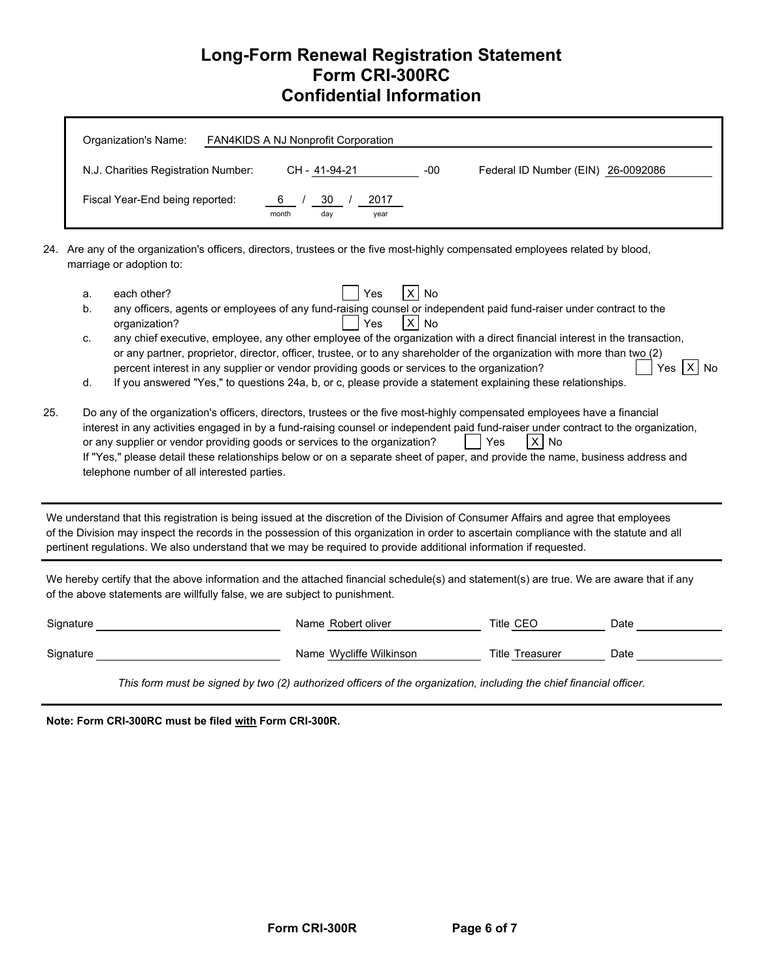### **Long-Form Renewal Registration Statement Form CRI-300RC Confidential Information**

| Organization's Name:                | FAN4KIDS A NJ Nonprofit Corporation             |     |                                    |
|-------------------------------------|-------------------------------------------------|-----|------------------------------------|
| N.J. Charities Registration Number: | CH - 41-94-21                                   | -00 | Federal ID Number (EIN) 26-0092086 |
| Fiscal Year-End being reported:     | 30<br>$6 \quad$<br>2017<br>month<br>day<br>year |     |                                    |

24. Are any of the organization's officers, directors, trustees or the five most-highly compensated employees related by blood, marriage or adoption to:

- a. each other? Yes X No b. any officers, agents or employees of any fund-raising counsel or independent paid fund-raiser under contract to the
	- organization? 
	Yes | X | No
	- c. any chief executive, employee, any other employee of the organization with a direct financial interest in the transaction, or any partner, proprietor, director, officer, trustee, or to any shareholder of the organization with more than two (2) percent interest in any supplier or vendor providing goods or services to the organization?  $\vert$  Yes  $\vert$  Y  $\vert$  Yes  $\vert$  X  $\vert$  No
	- d. If you answered "Yes," to questions 24a, b, or c, please provide a statement explaining these relationships.
- 25. Do any of the organization's officers, directors, trustees or the five most-highly compensated employees have a financial interest in any activities engaged in by a fund-raising counsel or independent paid fund-raiser under contract to the organization, or any supplier or vendor providing goods or services to the organization?  $\vert$  Yes  $\vert$  X No If "Yes," please detail these relationships below or on a separate sheet of paper, and provide the name, business address and telephone number of all interested parties.

 We understand that this registration is being issued at the discretion of the Division of Consumer Affairs and agree that employees of the Division may inspect the records in the possession of this organization in order to ascertain compliance with the statute and all pertinent regulations. We also understand that we may be required to provide additional information if requested.

 We hereby certify that the above information and the attached financial schedule(s) and statement(s) are true. We are aware that if any of the above statements are willfully false, we are subject to punishment.

| Signature | Name Robert oliver      | Title CEC              | Date |
|-----------|-------------------------|------------------------|------|
| Signature | Name Wycliffe Wilkinson | <b>Title Treasurer</b> | Date |

*This form must be signed by two (2) authorized officers of the organization, including the chief financial officer.*

 **Note: Form CRI-300RC must be filed with Form CRI-300R.**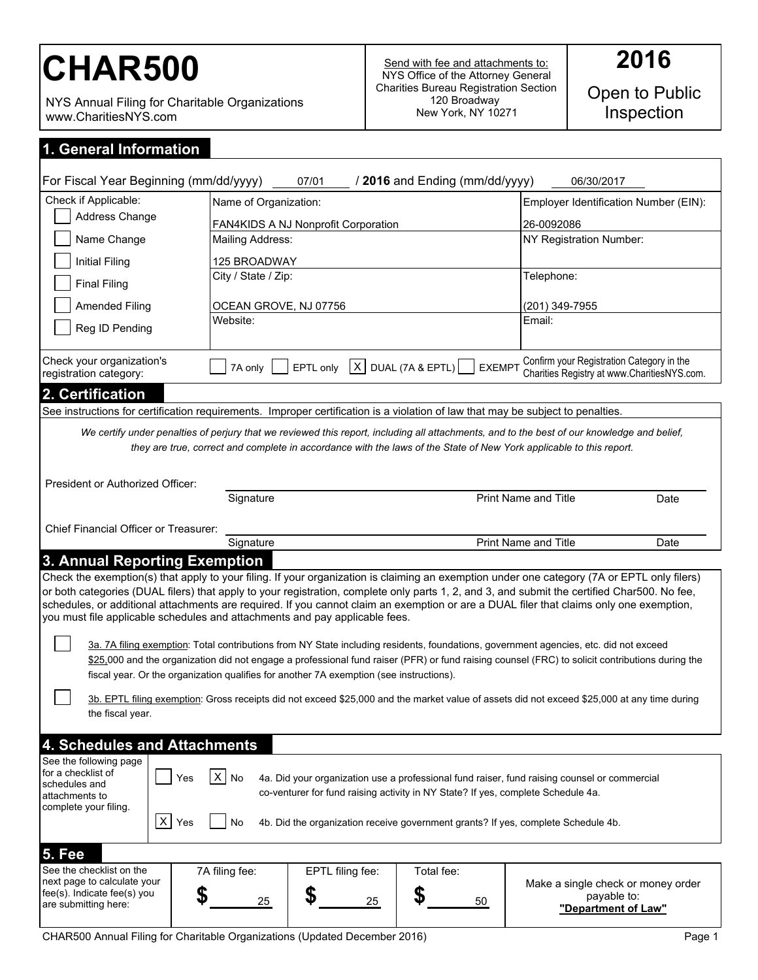# CHAR500 Send with fee and attachments to:

NYS Annual Filing for Charitable Organizations www.CharitiesNYS.com

Open to Public<br>Inspection

| 1. General Information |  |  |
|------------------------|--|--|
|                        |  |  |
|                        |  |  |

| For Fiscal Year Beginning (mm/dd/yyyy)                                                                                                                                                                                                                                                                                                                                                                               |                                                                                                                                                                                                                                                                                                                                                                                                                                                                                                                       | 07/01                               | / 2016 and Ending (mm/dd/yyyy)        | 06/30/2017                                                                               |      |
|----------------------------------------------------------------------------------------------------------------------------------------------------------------------------------------------------------------------------------------------------------------------------------------------------------------------------------------------------------------------------------------------------------------------|-----------------------------------------------------------------------------------------------------------------------------------------------------------------------------------------------------------------------------------------------------------------------------------------------------------------------------------------------------------------------------------------------------------------------------------------------------------------------------------------------------------------------|-------------------------------------|---------------------------------------|------------------------------------------------------------------------------------------|------|
| Check if Applicable:                                                                                                                                                                                                                                                                                                                                                                                                 | Name of Organization:                                                                                                                                                                                                                                                                                                                                                                                                                                                                                                 |                                     |                                       | Employer Identification Number (EIN):                                                    |      |
| Address Change                                                                                                                                                                                                                                                                                                                                                                                                       |                                                                                                                                                                                                                                                                                                                                                                                                                                                                                                                       | FAN4KIDS A NJ Nonprofit Corporation |                                       | 26-0092086                                                                               |      |
| Name Change                                                                                                                                                                                                                                                                                                                                                                                                          | Mailing Address:                                                                                                                                                                                                                                                                                                                                                                                                                                                                                                      |                                     |                                       | NY Registration Number:                                                                  |      |
| <b>Initial Filing</b>                                                                                                                                                                                                                                                                                                                                                                                                | 125 BROADWAY                                                                                                                                                                                                                                                                                                                                                                                                                                                                                                          |                                     |                                       |                                                                                          |      |
| <b>Final Filing</b>                                                                                                                                                                                                                                                                                                                                                                                                  | City / State / Zip:                                                                                                                                                                                                                                                                                                                                                                                                                                                                                                   |                                     |                                       | Telephone:                                                                               |      |
| <b>Amended Filing</b>                                                                                                                                                                                                                                                                                                                                                                                                | OCEAN GROVE, NJ 07756                                                                                                                                                                                                                                                                                                                                                                                                                                                                                                 |                                     |                                       | (201) 349-7955                                                                           |      |
| Reg ID Pending                                                                                                                                                                                                                                                                                                                                                                                                       | Website:                                                                                                                                                                                                                                                                                                                                                                                                                                                                                                              |                                     |                                       | Email:                                                                                   |      |
| Check your organization's<br>registration category:                                                                                                                                                                                                                                                                                                                                                                  | 7A only                                                                                                                                                                                                                                                                                                                                                                                                                                                                                                               | EPTL only                           | $X$ DUAL (7A & EPTL)<br><b>EXEMPT</b> | Confirm your Registration Category in the<br>Charities Registry at www.CharitiesNYS.com. |      |
| 2. Certification                                                                                                                                                                                                                                                                                                                                                                                                     |                                                                                                                                                                                                                                                                                                                                                                                                                                                                                                                       |                                     |                                       |                                                                                          |      |
|                                                                                                                                                                                                                                                                                                                                                                                                                      | See instructions for certification requirements. Improper certification is a violation of law that may be subject to penalties.                                                                                                                                                                                                                                                                                                                                                                                       |                                     |                                       |                                                                                          |      |
| President or Authorized Officer:                                                                                                                                                                                                                                                                                                                                                                                     | We certify under penalties of perjury that we reviewed this report, including all attachments, and to the best of our knowledge and belief,<br>they are true, correct and complete in accordance with the laws of the State of New York applicable to this report.                                                                                                                                                                                                                                                    |                                     |                                       |                                                                                          |      |
|                                                                                                                                                                                                                                                                                                                                                                                                                      | Signature                                                                                                                                                                                                                                                                                                                                                                                                                                                                                                             |                                     |                                       | Print Name and Title                                                                     | Date |
| Chief Financial Officer or Treasurer:                                                                                                                                                                                                                                                                                                                                                                                |                                                                                                                                                                                                                                                                                                                                                                                                                                                                                                                       |                                     |                                       |                                                                                          |      |
|                                                                                                                                                                                                                                                                                                                                                                                                                      | Signature                                                                                                                                                                                                                                                                                                                                                                                                                                                                                                             |                                     |                                       | Print Name and Title                                                                     | Date |
| 3. Annual Reporting Exemption                                                                                                                                                                                                                                                                                                                                                                                        |                                                                                                                                                                                                                                                                                                                                                                                                                                                                                                                       |                                     |                                       |                                                                                          |      |
|                                                                                                                                                                                                                                                                                                                                                                                                                      | Check the exemption(s) that apply to your filing. If your organization is claiming an exemption under one category (7A or EPTL only filers)<br>or both categories (DUAL filers) that apply to your registration, complete only parts 1, 2, and 3, and submit the certified Char500. No fee,<br>schedules, or additional attachments are required. If you cannot claim an exemption or are a DUAL filer that claims only one exemption,<br>you must file applicable schedules and attachments and pay applicable fees. |                                     |                                       |                                                                                          |      |
|                                                                                                                                                                                                                                                                                                                                                                                                                      | 3a. 7A filing exemption: Total contributions from NY State including residents, foundations, government agencies, etc. did not exceed<br>\$25,000 and the organization did not engage a professional fund raiser (PFR) or fund raising counsel (FRC) to solicit contributions during the<br>fiscal year. Or the organization qualifies for another 7A exemption (see instructions).                                                                                                                                   |                                     |                                       |                                                                                          |      |
| the fiscal year.                                                                                                                                                                                                                                                                                                                                                                                                     | 3b. EPTL filing exemption: Gross receipts did not exceed \$25,000 and the market value of assets did not exceed \$25,000 at any time during                                                                                                                                                                                                                                                                                                                                                                           |                                     |                                       |                                                                                          |      |
| 4. Schedules and Attachments                                                                                                                                                                                                                                                                                                                                                                                         |                                                                                                                                                                                                                                                                                                                                                                                                                                                                                                                       |                                     |                                       |                                                                                          |      |
| See the following page<br>for a checklist of<br>$X$ No<br>4a. Did your organization use a professional fund raiser, fund raising counsel or commercial<br>Yes<br>schedules and<br>co-venturer for fund raising activity in NY State? If yes, complete Schedule 4a.<br>attachments to<br>complete your filing.<br>X<br>4b. Did the organization receive government grants? If yes, complete Schedule 4b.<br>Yes<br>No |                                                                                                                                                                                                                                                                                                                                                                                                                                                                                                                       |                                     |                                       |                                                                                          |      |
|                                                                                                                                                                                                                                                                                                                                                                                                                      |                                                                                                                                                                                                                                                                                                                                                                                                                                                                                                                       |                                     |                                       |                                                                                          |      |
| 5. Fee<br>See the checklist on the<br>fee(s). Indicate fee(s) you<br>are submitting here:                                                                                                                                                                                                                                                                                                                            | 7A filing fee:<br>Total fee:<br>EPTL filing fee:<br>next page to calculate your<br>Make a single check or money order<br>\$<br>S<br>payable to:<br>25<br>25<br>50<br>"Department of Law"                                                                                                                                                                                                                                                                                                                              |                                     |                                       |                                                                                          |      |

CHAR500 Annual Filing for Charitable Organizations (Updated December 2016) Page 1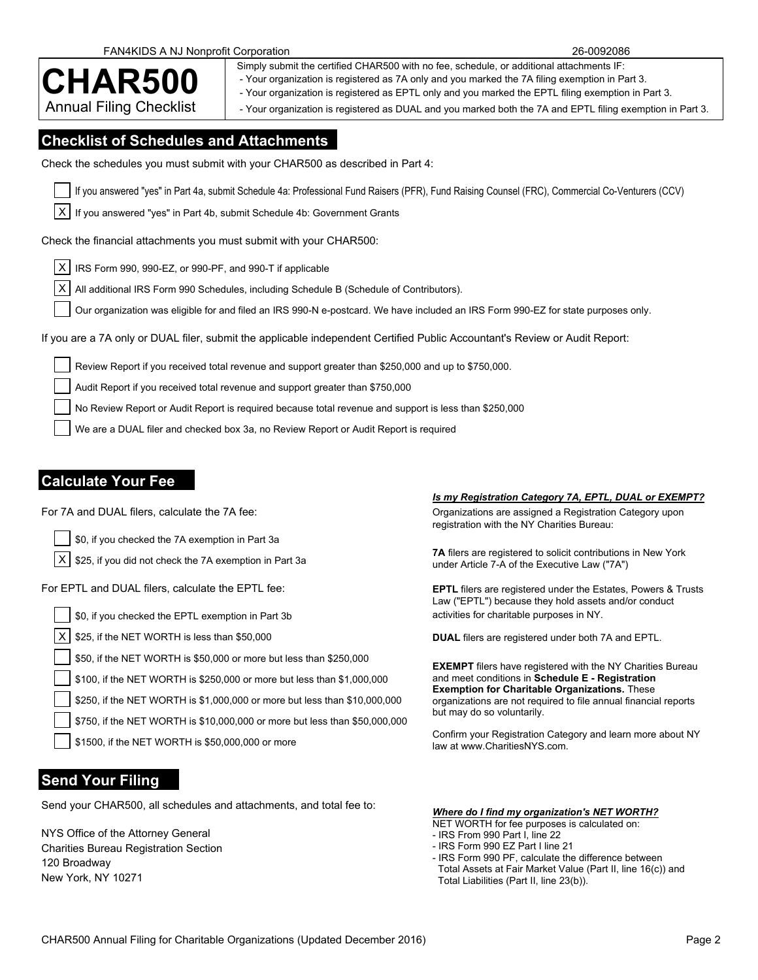### FAN4KIDS A NJ Nonprofit Corporation 26-0092086

Simply submit the certified CHAR500 with no fee, schedule, or additional attachments IF:<br>
- Your organization is registered as EPTL only and you marked the EPTL filing exemption in Part 3.<br>
- Your organization is registere - Your organization is registered as 7A only and you marked the 7A filing exemption in Part 3.

Annual Filing Checklist | syour organization is registered as DUAL and you marked both the 7A and EPTL filing exemption in Part 3.

### **Checklist of Schedules and Attachments**

Check the schedules you must submit with your CHAR500 as described in Part 4:

If you answered "yes" in Part 4a, submit Schedule 4a: Professional Fund Raisers (PFR), Fund Raising Counsel (FRC), Commercial Co-Venturers (CCV)

| X | If you answered "yes" in Part 4b, submit Schedule 4b: Government Grants

Check the financial attachments you must submit with your CHAR500:

X IRS Form 990, 990-EZ, or 990-PF, and 990-T if applicable

 $|X|$  All additional IRS Form 990 Schedules, including Schedule B (Schedule of Contributors).

Our organization was eligible for and filed an IRS 990-N e-postcard. We have included an IRS Form 990-EZ for state purposes only.

If you are a 7A only or DUAL filer, submit the applicable independent Certified Public Accountant's Review or Audit Report:

Review Report if you received total revenue and support greater than \$250,000 and up to \$750,000.

Audit Report if you received total revenue and support greater than \$750,000

No Review Report or Audit Report is required because total revenue and support is less than \$250,000

We are a DUAL filer and checked box 3a, no Review Report or Audit Report is required

### **Calculate Your Fee**

\$0, if you checked the 7A exemption in Part 3a

 $X$  \$25, if you did not check the 7A exemption in Part 3a<br>under Article 7-A of the Executive Law ("7A")

\$0, if you checked the EPTL exemption in Part 3b activities for charitable purposes in NY.

X \$25, if the NET WORTH is less than \$50,000 **DUAL** filers are registered under both 7A and EPTL.

\$50, if the NET WORTH is \$50,000 or more but less than \$250,000

\$100, if the NET WORTH is \$250,000 or more but less than \$1,000,000

\$250, if the NET WORTH is \$1,000,000 or more but less than \$10,000,000

\$750, if the NET WORTH is \$10,000,000 or more but less than \$50,000,000

law at www.CharitiesNYS.com. \$1500, if the NET WORTH is \$50,000,000 or more

### **Send Your Filing**

Send your CHAR500, all schedules and attachments, and total fee to: *Where do I find my organization's NET WORTH?*

NYS Office of the Attorney General Charities Bureau Registration Section 120 Broadway

### *Is my Registration Category 7A, EPTL, DUAL or EXEMPT?*

For 7A and DUAL filers, calculate the 7A fee:  $O(1)$  and  $O(1)$  and  $O(1)$  are assigned a Registration Category upon registration with the NY Charities Bureau:

**7A** filers are registered to solicit contributions in New York

For EPTL and DUAL filers, calculate the EPTL fee: **EPTL** filers are registered under the Estates, Powers & Trusts Law ("EPTL") because they hold assets and/or conduct

**EXEMPT** filers have registered with the NY Charities Bureau and meet conditions in **Schedule E - Registration Exemption for Charitable Organizations.** These organizations are not required to file annual financial reports but may do so voluntarily.

Confirm your Registration Category and learn more about NY

### NET WORTH for fee purposes is calculated on:

- IRS From 990 Part I, line 22

- IRS Form 990 EZ Part I line 21
- IRS Form 990 PF, calculate the difference between Total Assets at Fair Market Value (Part II, line 16(c)) and Total Liabilities (Part II, line 23(b)).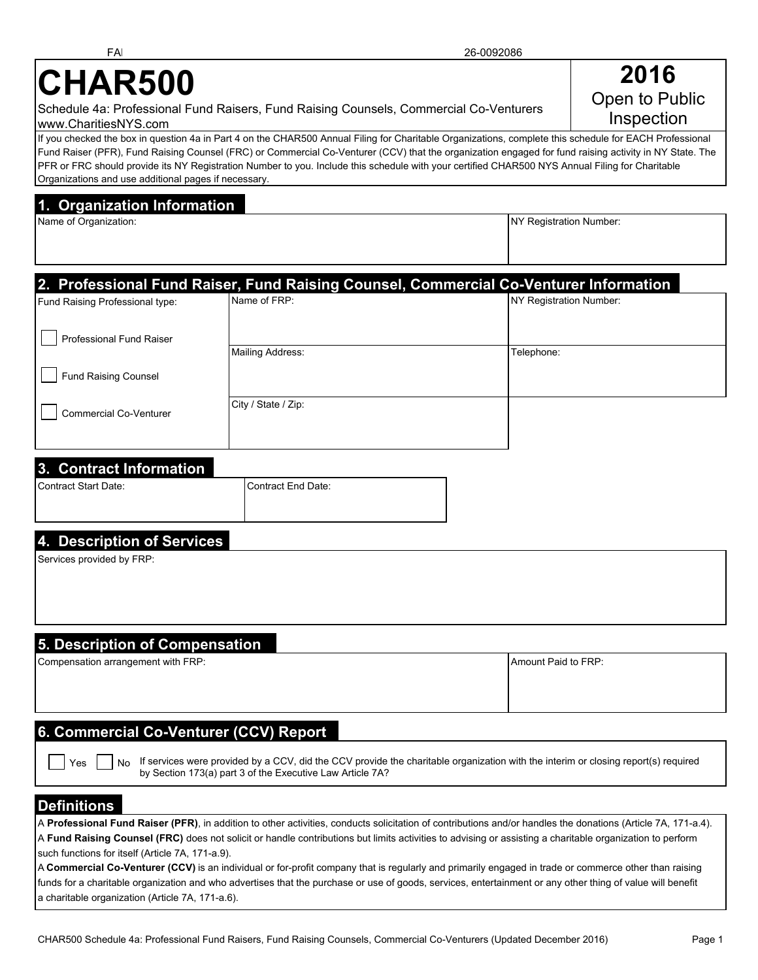#### If you checked the box in question 4a in Part 4 on the CHAR500 Annual Filing for Charitable Organizations, complete this schedule for EACH Professional Fund Raiser (PFR), Fund Raising Counsel (FRC) or Commercial Co-Venturer (CCV) that the organization engaged for fund raising activity in NY State. The PFR or FRC should provide its NY Registration Number to you. Include this schedule with your certified CHAR500 NYS Annual Filing for Charitable Organizations and use additional pages if necessary.

### **1. Organization Information**

Name of Organization: Number: New York 2012 19:30 Name of Organization: Number: NY Registration Number:

## **2. Professional Fund Raiser, Fund Raising Counsel, Commercial Co-Venturer Information** Fund Raising Professional type: Name of FRP: Name of FRP: NY Registration Number: Professional Fund Raiser Mailing Address: Telephone: Telephone: Fund Raising Counsel City / State / Zip: Commercial Co-Venturer

### **3. Contract Information**

| Contract Start Date: | Contract End Date: |
|----------------------|--------------------|
|                      |                    |

### **4. Description of Services**

Services provided by FRP:

### **5. Description of Compensation**

| Compensation arrangement with FRP: |  |
|------------------------------------|--|
|------------------------------------|--|

Amount Paid to FRP:

### **6. Commercial Co-Venturer (CCV) Report**

 $Yes$   $\parallel$   $\parallel$  No If services were provided by a CCV, did the CCV provide the charitable organization with the interim or closing report(s) required by Section 173(a) part 3 of the Executive Law Article 7A?

### **Definitions**

| A Professional Fund Raiser (PFR), in addition to other activities, conducts solicitation of contributions and/or handles the donations (Article 7A, 171-a.4).                                                                                                                                      |  |
|----------------------------------------------------------------------------------------------------------------------------------------------------------------------------------------------------------------------------------------------------------------------------------------------------|--|
| A Fund Raising Counsel (FRC) does not solicit or handle contributions but limits activities to advising or assisting a charitable organization to perform                                                                                                                                          |  |
| such functions for itself (Article 7A, 171-a.9).                                                                                                                                                                                                                                                   |  |
| $\mathbf{r}$ . The set of $\mathbf{r}$ and $\mathbf{r}$ and $\mathbf{r}$ and $\mathbf{r}$ and $\mathbf{r}$ and $\mathbf{r}$ and $\mathbf{r}$ and $\mathbf{r}$ and $\mathbf{r}$ and $\mathbf{r}$ and $\mathbf{r}$ and $\mathbf{r}$ and $\mathbf{r}$ and $\mathbf{r}$ and $\mathbf{r}$ and $\mathbf$ |  |

A **Commercial Co-Venturer (CCV)** is an individual or for-profit company that is regularly and primarily engaged in trade or commerce other than raising funds for a charitable organization and who advertises that the purchase or use of goods, services, entertainment or any other thing of value will benefit a charitable organization (Article 7A, 171-a.6).

Open to Public